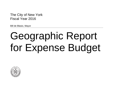The City of New York Fiscal Year 2016

Bill de Blasio, Mayor

# Geographic Report for Expense Budget

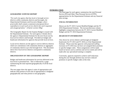## **INTRODUCTION**

#### *GEOGRAPHIC EXPENSE REPORT*

*"For each city agency that has local or borough service districts within community districts and boroughs, the Departmental Estimates and Executive Budget, where practicable shall contain a statement of proposed direct expenditures in each such service district for each requested unit of appropriation." (Charter section 100g)*

The Geographic Report for the Expense Budget is issued with the Departmental Estimate. For each agency it breaks down the agency's Departmental Estimate for the next fiscal year by local service district and borough. Provided are budget and headcount information for agencies that provide local services.

Local service districts are the agency's service delivery districts which are coterminous with community districts or aggregates of community districts up to the borough level. This document shows how local service districts correspond to community districts.

#### *ORGANIZATION OF THE GEOGRAPHIC REPORT*

Budget and headcount information for services delivered at the local level is presented first. This is followed by a page summarizing the total reported geographically of all the local districts.

The next pages show the agency's units of appropriation and indicate what portion of each unit of appropriation is budgeted geographically and what portion is non-geographic.

The final page for each agency summarizes the total Personal Service (PS) and Other Than Personal Service (OTPS) appropriations for the Departmental Estimate and any financial plan savings.

#### *FISCAL INFORMATION*

Shown are the FY 2015 Current Modified Budget and the FY 2016 Departmental Estimate. The increase/decrease column highlights comparisons between the FY 2015 Current Modified Budget and the FY 2016 Departmental Estimate.

#### *HEADCOUNT INFORMATION*

Also shown by service district and borough are budgeted headcounts for FY 2015 and FY 2016 as of the Departmental Estimate. Please note that agencies with projected staffing increases in FY 2016 may not have yet assigned these positions to specific budget codes. These assignments will be made based on factors such as attrition and service needs and will be made after any specialized training is complete.

Conversely, agencies required to achieve staff reductions during the year through attrition may not have reduced positions in specific budget codes at this time.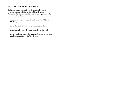#### *USES FOR THE GEOGRAPHIC REPORT*

During the budget preparation cycle, community boards, operating agencies, district service cabinets, Borough Presidents, City Council members and civic groups can use the Geographic Report to:

- evaluate the level of budget allocations for FY 2015 and FY 2016;
- $\bullet$ assess the equity of local service resource allocations;
- $\bullet$ reassess district/borough budget strategies for FY 2016;
- $\bullet$  prepare testimony on the Departmental Estimate to present at public hearings held by the City Council.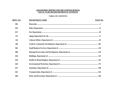## **GEOGRAPHIC REPORT FOR THE EXPENSE BUDGET** FISCAL YEAR 2016 DEPARTMENTAL ESTIMATE

## **TABLE OF CONTENTS**

| DEPT. NO. | <b>DEPARTMENT NAME</b> | PAGE NO. |
|-----------|------------------------|----------|
| 002       |                        |          |
| 056       |                        |          |
| 057       |                        |          |
| 125       |                        |          |
| 126       |                        |          |
| 260       |                        |          |
| 801       |                        |          |
| 806       |                        |          |
| 810       |                        |          |
| 816       |                        |          |
| 826       |                        |          |
| 827       |                        |          |
| 841       |                        |          |
| 846       |                        |          |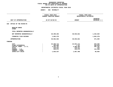# **FOR PS UNITS OF APPROPRIATIONDEPARTMENTAL ESTIMATES FISCAL YEAR <sup>2016</sup>**

|                                                                                                                                     | FISCAL YEAR 2015<br>CURRENT MODIFIED BUDGET                           |                                                                     | FISCAL YEAR 2016<br>DEPARTMENTAL ESTIMATES                  |  |
|-------------------------------------------------------------------------------------------------------------------------------------|-----------------------------------------------------------------------|---------------------------------------------------------------------|-------------------------------------------------------------|--|
| UNIT OF APPROPRIATION                                                                                                               | AS OF 02/02/15                                                        | <b>AMOUNT</b>                                                       | <b>INCREASE</b><br>DECREASE (-)                             |  |
| OFFICE OF THE MAYOR-PS<br>020                                                                                                       |                                                                       |                                                                     |                                                             |  |
| REGULAR GROSS<br><b>OTHER</b>                                                                                                       |                                                                       |                                                                     |                                                             |  |
| TOTAL REPORTED GEOGRAPHICALLY                                                                                                       |                                                                       |                                                                     |                                                             |  |
| NOT REPORTED GEOGRAPHICALLY                                                                                                         | 29,499,292                                                            | 30,933,821                                                          | 1,434,529                                                   |  |
| FINANCIAL PLAN SAVINGS                                                                                                              | 1,063,270                                                             |                                                                     | 1,063,270-                                                  |  |
| <b>APPROPRIATION</b>                                                                                                                | 30,562,562                                                            | 30,933,821                                                          | 371,259                                                     |  |
| FUNDING                                                                                                                             |                                                                       |                                                                     |                                                             |  |
| <b>CITY</b><br>OTHER CATEGORICAL<br>CAPITAL FUNDS - I.F.A.<br><b>STATE</b><br>FEDERAL - C.D.<br>FEDERAL - OTHER<br>INTRA-CITY SALES | 23,458,712<br>366,600<br>4,263,701<br>318,041<br>528,971<br>1,626,537 | 24,037,171<br>7,767<br>4,466,403<br>318,411<br>416,573<br>1,687,496 | 578,459<br>358,833-<br>202,702<br>370<br>112,398-<br>60,959 |  |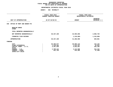# **FOR PS UNITS OF APPROPRIATIONDEPARTMENTAL ESTIMATES FISCAL YEAR <sup>2016</sup>**

|                                                                                                                                     | ---------------<br>FISCAL YEAR 2015<br>CURRENT MODIFIED BUDGET |                                                              | FISCAL YEAR 2016<br>DEPARTMENTAL ESTIMATES           |  |
|-------------------------------------------------------------------------------------------------------------------------------------|----------------------------------------------------------------|--------------------------------------------------------------|------------------------------------------------------|--|
| UNIT OF APPROPRIATION                                                                                                               | AS OF 02/02/15                                                 | <b>AMOUNT</b>                                                | <b>INCREASE</b><br>DECREASE (-)                      |  |
| OFFICE OF MGMT AND BUDGET-PS<br>040                                                                                                 |                                                                |                                                              |                                                      |  |
| REGULAR GROSS<br><b>OTHER</b>                                                                                                       |                                                                |                                                              |                                                      |  |
| TOTAL REPORTED GEOGRAPHICALLY                                                                                                       |                                                                |                                                              |                                                      |  |
| NOT REPORTED GEOGRAPHICALLY                                                                                                         | 30,437,109                                                     | 32,505,858                                                   | 2,068,749                                            |  |
| FINANCIAL PLAN SAVINGS                                                                                                              |                                                                | 1,218,868-                                                   | 1,218,868-                                           |  |
| <b>APPROPRIATION</b>                                                                                                                | 30,437,109                                                     | 31,286,990                                                   | 849,881                                              |  |
| FUNDING                                                                                                                             |                                                                |                                                              |                                                      |  |
| <b>CITY</b><br>OTHER CATEGORICAL<br>CAPITAL FUNDS - I.F.A.<br><b>STATE</b><br>FEDERAL - C.D.<br>FEDERAL - OTHER<br>INTRA-CITY SALES | 20,460,977<br>1,418,364<br>5,497,559<br>2,798,414<br>261,795   | 20,605,123<br>1,512,327<br>5,832,667<br>3,112,568<br>224,305 | 144,146<br>93,963<br>335,108<br>314,154<br>$37,490-$ |  |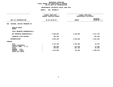# **FOR PS UNITS OF APPROPRIATIONDEPARTMENTAL ESTIMATES FISCAL YEAR <sup>2016</sup>**

|                                                                                                                                     | FISCAL YEAR 2015<br>CURRENT MODIFIED BUDGET  | FISCAL YEAR 2016<br>DEPARTMENTAL ESTIMATES |                                              |
|-------------------------------------------------------------------------------------------------------------------------------------|----------------------------------------------|--------------------------------------------|----------------------------------------------|
| UNIT OF APPROPRIATION                                                                                                               | AS OF 02/02/15                               | <b>AMOUNT</b>                              | <b>INCREASE</b><br>DECREASE (-)              |
| CRIMINAL JUSTICE PROGRAMS PS<br>050                                                                                                 |                                              |                                            |                                              |
| REGULAR GROSS<br><b>OTHER</b>                                                                                                       |                                              |                                            |                                              |
| TOTAL REPORTED GEOGRAPHICALLY                                                                                                       |                                              |                                            |                                              |
| NOT REPORTED GEOGRAPHICALLY                                                                                                         | 3,928,020                                    | 2,410,256                                  | 1,517,764-                                   |
| FINANCIAL PLAN SAVINGS                                                                                                              | 104,169                                      |                                            | $104, 169 -$                                 |
| <b>APPROPRIATION</b>                                                                                                                | 4,032,189                                    | 2,410,256                                  | 1,621,933-                                   |
| <b>FUNDING</b>                                                                                                                      |                                              |                                            |                                              |
| <b>CITY</b><br>OTHER CATEGORICAL<br>CAPITAL FUNDS - I.F.A.<br><b>STATE</b><br>FEDERAL - C.D.<br>FEDERAL - OTHER<br>INTRA-CITY SALES | 1,724,340<br>363,300<br>329,891<br>1,614,658 | 1,702,466<br>374,330<br>267,125<br>66,335  | $21,874-$<br>11,030<br>62,766-<br>1,548,323- |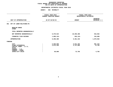# **FOR PS UNITS OF APPROPRIATIONDEPARTMENTAL ESTIMATES FISCAL YEAR <sup>2016</sup>**

|                                                                                                                                     | ---------------<br>FISCAL YEAR 2015<br><b>CURRENT MODIFIED BUDGET</b> |                                  | FISCAL YEAR 2016<br>DEPARTMENTAL ESTIMATES |                                 |
|-------------------------------------------------------------------------------------------------------------------------------------|-----------------------------------------------------------------------|----------------------------------|--------------------------------------------|---------------------------------|
| UNIT OF APPROPRIATION                                                                                                               | AS OF 02/02/15                                                        |                                  | <b>AMOUNT</b>                              | <b>INCREASE</b><br>DECREASE (-) |
| OFF OF LABOR RELATIONS-PS<br>061                                                                                                    |                                                                       |                                  |                                            |                                 |
| REGULAR GROSS<br><b>OTHER</b>                                                                                                       |                                                                       |                                  |                                            |                                 |
| TOTAL REPORTED GEOGRAPHICALLY                                                                                                       |                                                                       |                                  |                                            |                                 |
| NOT REPORTED GEOGRAPHICALLY                                                                                                         |                                                                       | 9,379,524                        | 10,296,486                                 | 916,962                         |
| FINANCIAL PLAN SAVINGS                                                                                                              |                                                                       | 1,089,144-                       | 935,144-                                   | 154,000                         |
| <b>APPROPRIATION</b>                                                                                                                |                                                                       | 8,290,380                        | 9,361,342                                  | 1,070,962                       |
| FUNDING                                                                                                                             |                                                                       |                                  |                                            |                                 |
| <b>CITY</b><br>OTHER CATEGORICAL<br>CAPITAL FUNDS - I.F.A.<br><b>STATE</b><br>FEDERAL - C.D.<br>FEDERAL - OTHER<br>INTRA-CITY SALES |                                                                       | 5,550,060<br>2,672,320<br>68,000 | 6,541,492<br>2,747,085<br>72,765           | 991,432<br>74,765<br>4,765      |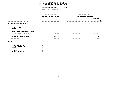# **FOR PS UNITS OF APPROPRIATIONDEPARTMENTAL ESTIMATES FISCAL YEAR <sup>2016</sup>**

|                                                                                                                                     | -----------------<br>FISCAL YEAR 2015<br>CURRENT MODIFIED BUDGET | FISCAL YEAR 2016<br>DEPARTMENTAL ESTIMATES |                                                   |
|-------------------------------------------------------------------------------------------------------------------------------------|------------------------------------------------------------------|--------------------------------------------|---------------------------------------------------|
| UNIT OF APPROPRIATION                                                                                                               | AS OF 02/02/15                                                   | <b>AMOUNT</b>                              | INCREASE<br>DECREASE (-)<br>--------------------- |
| 070 NYC COMM TO THE UN-PS                                                                                                           |                                                                  |                                            |                                                   |
| REGULAR GROSS<br><b>OTHER</b>                                                                                                       |                                                                  |                                            |                                                   |
| TOTAL REPORTED GEOGRAPHICALLY                                                                                                       |                                                                  |                                            |                                                   |
| NOT REPORTED GEOGRAPHICALLY                                                                                                         | 914,208                                                          | 1,034,315                                  | 120,107                                           |
| FINANCIAL PLAN SAVINGS                                                                                                              | 22,537                                                           |                                            | $22,537-$                                         |
| APPROPRIATION                                                                                                                       | 936,745                                                          | 1,034,315                                  | 97,570                                            |
| FUNDING                                                                                                                             |                                                                  |                                            |                                                   |
| <b>CITY</b><br>OTHER CATEGORICAL<br>CAPITAL FUNDS - I.F.A.<br><b>STATE</b><br>FEDERAL - C.D.<br>FEDERAL - OTHER<br>INTRA-CITY SALES | 936,745                                                          | 1,034,315                                  | 97,570                                            |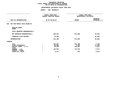# **FOR PS UNITS OF APPROPRIATIONDEPARTMENTAL ESTIMATES FISCAL YEAR <sup>2016</sup>**

|                                                                                                                                     | -----------------<br>FISCAL YEAR 2015<br>CURRENT MODIFIED BUDGET | FISCAL YEAR 2016<br>DEPARTMENTAL ESTIMATES    |                                                      |
|-------------------------------------------------------------------------------------------------------------------------------------|------------------------------------------------------------------|-----------------------------------------------|------------------------------------------------------|
| UNIT OF APPROPRIATION                                                                                                               | AS OF 02/02/15                                                   | <b>AMOUNT</b>                                 | <b>INCREASE</b><br>DECREASE (-)                      |
| OFF FOR PEOPLE WITH DISAB-PS<br>260                                                                                                 |                                                                  |                                               |                                                      |
| REGULAR GROSS<br><b>OTHER</b>                                                                                                       |                                                                  |                                               |                                                      |
| TOTAL REPORTED GEOGRAPHICALLY                                                                                                       |                                                                  |                                               |                                                      |
| NOT REPORTED GEOGRAPHICALLY                                                                                                         | 608,524                                                          | 572,599                                       | $35,925-$                                            |
| FINANCIAL PLAN SAVINGS                                                                                                              | 22,884                                                           |                                               | 22,884-                                              |
| <b>APPROPRIATION</b>                                                                                                                | 631,408                                                          | 572,599                                       | 58,809-                                              |
| FUNDING                                                                                                                             |                                                                  |                                               |                                                      |
| <b>CITY</b><br>OTHER CATEGORICAL<br>CAPITAL FUNDS - I.F.A.<br><b>STATE</b><br>FEDERAL - C.D.<br>FEDERAL - OTHER<br>INTRA-CITY SALES | 291,897<br>50,000<br>99,000<br>184,804<br>5,707                  | 284,788<br>2,498<br>105,687<br>178,933<br>693 | $7,109-$<br>47,502-<br>6,687<br>$5,871-$<br>$5,014-$ |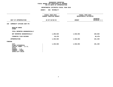# **FOR PS UNITS OF APPROPRIATIONDEPARTMENTAL ESTIMATES FISCAL YEAR <sup>2016</sup>**

|                                                                                                                              | FISCAL YEAR 2015<br>CURRENT MODIFIED BUDGET | FISCAL YEAR 2016<br>DEPARTMENTAL ESTIMATES |                                 |
|------------------------------------------------------------------------------------------------------------------------------|---------------------------------------------|--------------------------------------------|---------------------------------|
| UNIT OF APPROPRIATION                                                                                                        | AS OF 02/02/15                              | <b>AMOUNT</b>                              | <b>INCREASE</b><br>DECREASE (-) |
| COMMUNITY AFFAIRS UNIT-PS<br>340                                                                                             |                                             |                                            |                                 |
| REGULAR GROSS<br><b>OTHER</b>                                                                                                |                                             |                                            |                                 |
| TOTAL REPORTED GEOGRAPHICALLY                                                                                                |                                             |                                            |                                 |
| NOT REPORTED GEOGRAPHICALLY                                                                                                  | 1,296,025                                   | 1,536,953                                  | 240,928                         |
| FINANCIAL PLAN SAVINGS                                                                                                       | 49,479                                      |                                            | 49,479-                         |
| <b>APPROPRIATION</b>                                                                                                         | 1,345,504                                   | 1,536,953                                  | 191,449                         |
| FUNDING                                                                                                                      |                                             |                                            |                                 |
| CITY<br>OTHER CATEGORICAL<br>CAPITAL FUNDS - I.F.A.<br><b>STATE</b><br>FEDERAL - C.D.<br>FEDERAL - OTHER<br>INTRA-CITY SALES | 1,345,504                                   | 1,536,953                                  | 191,449                         |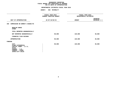# **FOR PS UNITS OF APPROPRIATIONDEPARTMENTAL ESTIMATES FISCAL YEAR <sup>2016</sup>**

|                                                                                                                                     | FISCAL YEAR 2015<br><b>CURRENT MODIFIED BUDGET</b> | FISCAL YEAR 2016<br>DEPARTMENTAL ESTIMATES |                                 |  |
|-------------------------------------------------------------------------------------------------------------------------------------|----------------------------------------------------|--------------------------------------------|---------------------------------|--|
| UNIT OF APPROPRIATION                                                                                                               | AS OF 02/02/15                                     | <b>AMOUNT</b>                              | <b>INCREASE</b><br>DECREASE (-) |  |
| COMMISSION ON WOMEN'S ISSUES-PS<br>350                                                                                              |                                                    |                                            |                                 |  |
| REGULAR GROSS<br><b>OTHER</b>                                                                                                       |                                                    |                                            |                                 |  |
| TOTAL REPORTED GEOGRAPHICALLY                                                                                                       |                                                    |                                            |                                 |  |
| NOT REPORTED GEOGRAPHICALLY                                                                                                         | 90,000                                             | 120,000                                    | 30,000                          |  |
| FINANCIAL PLAN SAVINGS                                                                                                              |                                                    |                                            |                                 |  |
| <b>APPROPRIATION</b>                                                                                                                | 90,000                                             | 120,000                                    | 30,000                          |  |
| FUNDING                                                                                                                             |                                                    |                                            |                                 |  |
| <b>CITY</b><br>OTHER CATEGORICAL<br>CAPITAL FUNDS - I.F.A.<br><b>STATE</b><br>FEDERAL - C.D.<br>FEDERAL - OTHER<br>INTRA-CITY SALES | 90,000                                             | 120,000                                    | 30,000                          |  |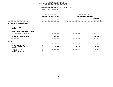# **FOR PS UNITS OF APPROPRIATIONDEPARTMENTAL ESTIMATES FISCAL YEAR <sup>2016</sup>**

|                                                                       | FISCAL YEAR 2015<br><b>CURRENT MODIFIED BUDGET</b> |           | FISCAL YEAR 2016<br>DEPARTMENTAL ESTIMATES |                                 |
|-----------------------------------------------------------------------|----------------------------------------------------|-----------|--------------------------------------------|---------------------------------|
| UNIT OF APPROPRIATION                                                 | AS OF 02/02/15                                     |           | <b>AMOUNT</b>                              | <b>INCREASE</b><br>DECREASE (-) |
| OFFICE OF OPERATIONS-PS<br>380                                        |                                                    |           |                                            |                                 |
| REGULAR GROSS<br><b>OTHER</b>                                         |                                                    |           |                                            |                                 |
| TOTAL REPORTED GEOGRAPHICALLY                                         |                                                    |           |                                            |                                 |
| NOT REPORTED GEOGRAPHICALLY                                           |                                                    | 7,367,759 | 7,231,359                                  | $136,400-$                      |
| FINANCIAL PLAN SAVINGS                                                |                                                    | 191,199   |                                            | 191,199-                        |
| APPROPRIATION                                                         |                                                    | 7,558,958 | 7,231,359                                  | 327,599-                        |
| FUNDING                                                               |                                                    |           |                                            |                                 |
| <b>CITY</b><br>OTHER CATEGORICAL                                      |                                                    | 4,117,220 | 3,715,703                                  | 401,517-                        |
| CAPITAL FUNDS - I.F.A.                                                |                                                    | 727,052   | 777,172                                    | 50,120                          |
| <b>STATE</b><br>FEDERAL - C.D.<br>FEDERAL - OTHER<br>INTRA-CITY SALES |                                                    | 2,714,686 | 2,738,484                                  | 23,798                          |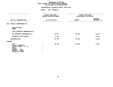# **FOR PS UNITS OF APPROPRIATIONDEPARTMENTAL ESTIMATES FISCAL YEAR <sup>2016</sup>**

|                                                                                                                                     | -----------------<br>FISCAL YEAR 2015<br><b>CURRENT MODIFIED BUDGET</b> | FISCAL YEAR 2016<br>DEPARTMENTAL ESTIMATES |                                                   |
|-------------------------------------------------------------------------------------------------------------------------------------|-------------------------------------------------------------------------|--------------------------------------------|---------------------------------------------------|
| UNIT OF APPROPRIATION                                                                                                               | AS OF 02/02/15                                                          | <b>AMOUNT</b>                              | INCREASE<br>DECREASE (-)<br>--------------------- |
| 560 SPECIAL ENFORCEMENT-PS                                                                                                          |                                                                         |                                            |                                                   |
| REGULAR GROSS<br><b>OTHER</b>                                                                                                       |                                                                         |                                            |                                                   |
| TOTAL REPORTED GEOGRAPHICALLY                                                                                                       |                                                                         |                                            |                                                   |
| NOT REPORTED GEOGRAPHICALLY                                                                                                         | 74,012                                                                  | 78,424                                     | 4,412                                             |
| FINANCIAL PLAN SAVINGS                                                                                                              | 2,746                                                                   |                                            | $2,746-$                                          |
| <b>APPROPRIATION</b>                                                                                                                | 76,758                                                                  | 78,424                                     | 1,666                                             |
| FUNDING                                                                                                                             |                                                                         |                                            |                                                   |
| <b>CITY</b><br>OTHER CATEGORICAL<br>CAPITAL FUNDS - I.F.A.<br><b>STATE</b><br>FEDERAL - C.D.<br>FEDERAL - OTHER<br>INTRA-CITY SALES | 76,758                                                                  | 78,424                                     | 1,666                                             |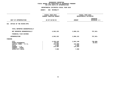# **FOR OTPS UNITS OF APPROPRIATIONDEPARTMENTAL ESTIMATES FISCAL YEAR <sup>2016</sup>**

|  |                                                             | FISCAL YEAR 2016<br>DEPARTMENTAL ESTIMATES                           |                                 |  |
|--|-------------------------------------------------------------|----------------------------------------------------------------------|---------------------------------|--|
|  |                                                             |                                                                      |                                 |  |
|  |                                                             | <b>AMOUNT</b>                                                        | <b>INCREASE</b><br>DECREASE (-) |  |
|  |                                                             |                                                                      |                                 |  |
|  |                                                             |                                                                      |                                 |  |
|  | 4,563,152                                                   | 3,806,131                                                            | 757,021-                        |  |
|  |                                                             |                                                                      |                                 |  |
|  | 4,563,152                                                   | 3,806,131                                                            | $757,021-$                      |  |
|  |                                                             |                                                                      |                                 |  |
|  | 4,239,148<br>19,021<br>124,000<br>3,000<br>170,483<br>7,500 | 3,501,148<br>124,000<br>3,000<br>170,483<br>7,500                    | $738,000 -$<br>19,021-          |  |
|  |                                                             | FISCAL YEAR 2015<br><b>CURRENT MODIFIED BUDGET</b><br>AS OF 02/02/15 |                                 |  |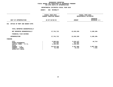# **FOR OTPS UNITS OF APPROPRIATIONDEPARTMENTAL ESTIMATES FISCAL YEAR <sup>2016</sup>**

|                                                                                                                                     | FISCAL YEAR 2015<br>CURRENT MODIFIED BUDGET |                                                           | FISCAL YEAR 2016<br>DEPARTMENTAL ESTIMATES               |                                      |  |
|-------------------------------------------------------------------------------------------------------------------------------------|---------------------------------------------|-----------------------------------------------------------|----------------------------------------------------------|--------------------------------------|--|
| UNIT OF APPROPRIATION                                                                                                               |                                             | AS OF 02/02/15                                            | <b>AMOUNT</b>                                            | <b>INCREASE</b><br>DECREASE (-)      |  |
| OFFICE OF MGMT AND BUDGET-OTPS<br>041                                                                                               |                                             |                                                           |                                                          |                                      |  |
| TOTAL REPORTED GEOGRAPHICALLY                                                                                                       |                                             |                                                           |                                                          |                                      |  |
| NOT REPORTED GEOGRAPHICALLY                                                                                                         |                                             | 17,741,712                                                | 12,632,526                                               | $5,109,186 -$                        |  |
| FINANCIAL PLAN SAVINGS                                                                                                              |                                             |                                                           |                                                          |                                      |  |
| <b>APPROPRIATION</b>                                                                                                                |                                             | 17,741,712                                                | 12,632,526                                               | $5,109,186 -$                        |  |
| FUNDING                                                                                                                             |                                             |                                                           |                                                          |                                      |  |
| <b>CITY</b><br>OTHER CATEGORICAL<br>CAPITAL FUNDS - I.F.A.<br><b>STATE</b><br>FEDERAL - C.D.<br>FEDERAL - OTHER<br>INTRA-CITY SALES | $\cdot$                                     | 5,560,841<br>511,662<br>1,102,561<br>10,515,240<br>51,408 | 5,516,127<br>511,662<br>1,102,561<br>5,457,960<br>44,216 | 44,714-<br>$5,057,280 -$<br>$7,192-$ |  |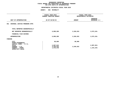# **FOR OTPS UNITS OF APPROPRIATIONDEPARTMENTAL ESTIMATES FISCAL YEAR <sup>2016</sup>**

|                                                            | FISCAL YEAR 2015<br>CURRENT MODIFIED BUDGET |               | FISCAL YEAR 2016<br>DEPARTMENTAL ESTIMATES |  |  |
|------------------------------------------------------------|---------------------------------------------|---------------|--------------------------------------------|--|--|
| UNIT OF APPROPRIATION                                      | AS OF 02/02/15                              | <b>AMOUNT</b> | <b>INCREASE</b><br>DECREASE (-)            |  |  |
| CRIMINAL JUSTICE PROGRAMS OTPS<br>051                      |                                             |               |                                            |  |  |
| TOTAL REPORTED GEOGRAPHICALLY                              |                                             |               |                                            |  |  |
| NOT REPORTED GEOGRAPHICALLY                                | 6,899,206                                   | 3,326,015     | $3,573,191 -$                              |  |  |
| FINANCIAL PLAN SAVINGS                                     |                                             |               |                                            |  |  |
| <b>APPROPRIATION</b>                                       | 6,899,206                                   | 3,326,015     | $3,573,191 -$                              |  |  |
| FUNDING                                                    |                                             |               |                                            |  |  |
| <b>CITY</b><br>OTHER CATEGORICAL<br>CAPITAL FUNDS - I.F.A. | 80,000                                      | 80,000        |                                            |  |  |
| <b>STATE</b>                                               | 2,097,813                                   |               | 2,097,813-                                 |  |  |
| FEDERAL - C.D.                                             | 3,246,015                                   | 3,246,015     |                                            |  |  |
| FEDERAL - OTHER<br>INTRA-CITY SALES                        | 1,475,378<br>$\ddot{\phantom{a}}$           |               | 1,475,378-                                 |  |  |
|                                                            |                                             |               |                                            |  |  |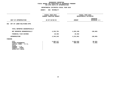# **FOR OTPS UNITS OF APPROPRIATIONDEPARTMENTAL ESTIMATES FISCAL YEAR <sup>2016</sup>**

|                                                                                                                                     | FISCAL YEAR 2015<br>CURRENT MODIFIED BUDGET | FISCAL YEAR 2016<br>DEPARTMENTAL ESTIMATES |                                 |
|-------------------------------------------------------------------------------------------------------------------------------------|---------------------------------------------|--------------------------------------------|---------------------------------|
| UNIT OF APPROPRIATION                                                                                                               | AS OF 02/02/15                              | <b>AMOUNT</b>                              | <b>INCREASE</b><br>DECREASE (-) |
| OFF OF LABOR RELATIONS-OTPS<br>062                                                                                                  |                                             |                                            |                                 |
| TOTAL REPORTED GEOGRAPHICALLY                                                                                                       |                                             |                                            |                                 |
| NOT REPORTED GEOGRAPHICALLY                                                                                                         | 4,333,791                                   | 4,203,109                                  | 130,682-                        |
| FINANCIAL PLAN SAVINGS                                                                                                              | 10,452                                      | 10,452                                     |                                 |
| <b>APPROPRIATION</b>                                                                                                                | 4,344,243                                   | 4,213,561                                  | 130,682-                        |
| FUNDING                                                                                                                             |                                             |                                            |                                 |
| <b>CITY</b><br>OTHER CATEGORICAL<br>CAPITAL FUNDS - I.F.A.<br><b>STATE</b><br>FEDERAL - C.D.<br>FEDERAL - OTHER<br>INTRA-CITY SALES | 3,883,217<br>461,026                        | 3,824,016<br>389,545                       | $59,201 -$<br>71,481-           |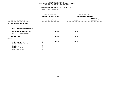# **FOR OTPS UNITS OF APPROPRIATIONDEPARTMENTAL ESTIMATES FISCAL YEAR <sup>2016</sup>**

|                                                                                                                                     | ----------<br>FISCAL YEAR 2015<br>CURRENT MODIFIED BUDGET |               | FISCAL YEAR 2016<br>DEPARTMENTAL ESTIMATES |  |
|-------------------------------------------------------------------------------------------------------------------------------------|-----------------------------------------------------------|---------------|--------------------------------------------|--|
| UNIT OF APPROPRIATION                                                                                                               | AS OF 02/02/15                                            | <b>AMOUNT</b> | <b>INCREASE</b><br>DECREASE (-)            |  |
| NYC COMM TO THE UN-OTPS<br>071                                                                                                      |                                                           |               |                                            |  |
| TOTAL REPORTED GEOGRAPHICALLY<br>NOT REPORTED GEOGRAPHICALLY                                                                        | 214,671                                                   | 214,671       |                                            |  |
| FINANCIAL PLAN SAVINGS                                                                                                              |                                                           |               |                                            |  |
| <b>APPROPRIATION</b>                                                                                                                | 214,671                                                   | 214,671       |                                            |  |
| FUNDING                                                                                                                             |                                                           |               |                                            |  |
| <b>CITY</b><br>OTHER CATEGORICAL<br>CAPITAL FUNDS - I.F.A.<br><b>STATE</b><br>FEDERAL - C.D.<br>FEDERAL - OTHER<br>INTRA-CITY SALES | 214,671                                                   | 214,671       |                                            |  |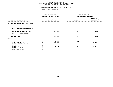# **FOR OTPS UNITS OF APPROPRIATIONDEPARTMENTAL ESTIMATES FISCAL YEAR <sup>2016</sup>**

|                                                                                                                                     |                | FISCAL YEAR 2015<br>CURRENT MODIFIED BUDGET | FISCAL YEAR 2016<br>DEPARTMENTAL ESTIMATES |                                 |
|-------------------------------------------------------------------------------------------------------------------------------------|----------------|---------------------------------------------|--------------------------------------------|---------------------------------|
| UNIT OF APPROPRIATION                                                                                                               | AS OF 02/02/15 |                                             | <b>AMOUNT</b>                              | <b>INCREASE</b><br>DECREASE (-) |
| OFF FOR PEOPLE WITH DISAB-OTPS<br>261                                                                                               |                |                                             |                                            |                                 |
| TOTAL REPORTED GEOGRAPHICALLY                                                                                                       |                |                                             |                                            |                                 |
| NOT REPORTED GEOGRAPHICALLY                                                                                                         |                | 142,975                                     | 127,487                                    | 15,488-                         |
| FINANCIAL PLAN SAVINGS                                                                                                              |                |                                             |                                            |                                 |
| <b>APPROPRIATION</b>                                                                                                                |                | 142,975                                     | 127,487                                    | $15,488-$                       |
| FUNDING                                                                                                                             |                |                                             |                                            |                                 |
| <b>CITY</b><br>OTHER CATEGORICAL<br>CAPITAL FUNDS - I.F.A.<br><b>STATE</b><br>FEDERAL - C.D.<br>FEDERAL - OTHER<br>INTRA-CITY SALES |                | 13,500<br>110,000<br>19,475                 | 13,500<br>113,987                          | $110,000 -$<br>94,512           |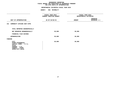# **FOR OTPS UNITS OF APPROPRIATIONDEPARTMENTAL ESTIMATES FISCAL YEAR <sup>2016</sup>**

|                                                                                                                                     | FISCAL YEAR 2015<br>CURRENT MODIFIED BUDGET | FISCAL YEAR 2016<br>DEPARTMENTAL ESTIMATES |                          |
|-------------------------------------------------------------------------------------------------------------------------------------|---------------------------------------------|--------------------------------------------|--------------------------|
| UNIT OF APPROPRIATION                                                                                                               | AS OF 02/02/15                              | <b>AMOUNT</b>                              | INCREASE<br>DECREASE (-) |
| COMMUNITY AFFAIRS UNIT-OTPS<br>341                                                                                                  |                                             |                                            |                          |
| TOTAL REPORTED GEOGRAPHICALLY                                                                                                       |                                             |                                            |                          |
| NOT REPORTED GEOGRAPHICALLY                                                                                                         | 30,000                                      | 30,000                                     |                          |
| FINANCIAL PLAN SAVINGS                                                                                                              |                                             |                                            |                          |
| <b>APPROPRIATION</b>                                                                                                                | 30,000                                      | 30,000                                     |                          |
| FUNDING                                                                                                                             |                                             |                                            |                          |
| <b>CITY</b><br>OTHER CATEGORICAL<br>CAPITAL FUNDS - I.F.A.<br><b>STATE</b><br>FEDERAL - C.D.<br>FEDERAL - OTHER<br>INTRA-CITY SALES | 30,000                                      | 30,000                                     |                          |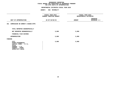# **FOR OTPS UNITS OF APPROPRIATIONDEPARTMENTAL ESTIMATES FISCAL YEAR <sup>2016</sup>**

|                                                                                                                                     | .                                                  |                                            |                                 |
|-------------------------------------------------------------------------------------------------------------------------------------|----------------------------------------------------|--------------------------------------------|---------------------------------|
|                                                                                                                                     | FISCAL YEAR 2015<br><b>CURRENT MODIFIED BUDGET</b> | FISCAL YEAR 2016<br>DEPARTMENTAL ESTIMATES |                                 |
| UNIT OF APPROPRIATION                                                                                                               | AS OF 02/02/15                                     | <b>AMOUNT</b>                              | <b>INCREASE</b><br>DECREASE (-) |
| COMMISSION ON WOMEN'S ISSUES-OTPS<br>351                                                                                            |                                                    |                                            |                                 |
| TOTAL REPORTED GEOGRAPHICALLY                                                                                                       |                                                    |                                            |                                 |
| NOT REPORTED GEOGRAPHICALLY                                                                                                         | 5,000                                              | 5,000                                      |                                 |
| FINANCIAL PLAN SAVINGS                                                                                                              |                                                    |                                            |                                 |
| <b>APPROPRIATION</b>                                                                                                                | 5,000                                              | 5,000                                      |                                 |
| FUNDING                                                                                                                             |                                                    |                                            |                                 |
| <b>CITY</b><br>OTHER CATEGORICAL<br>CAPITAL FUNDS - I.F.A.<br><b>STATE</b><br>FEDERAL - C.D.<br>FEDERAL - OTHER<br>INTRA-CITY SALES | 5,000                                              | 5,000                                      |                                 |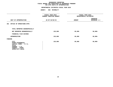# **FOR OTPS UNITS OF APPROPRIATIONDEPARTMENTAL ESTIMATES FISCAL YEAR <sup>2016</sup>**

|                                                                                                                                     |                                | FISCAL YEAR 2015<br>CURRENT MODIFIED BUDGET | FISCAL YEAR 2016<br>DEPARTMENTAL ESTIMATES |                                 |
|-------------------------------------------------------------------------------------------------------------------------------------|--------------------------------|---------------------------------------------|--------------------------------------------|---------------------------------|
| UNIT OF APPROPRIATION                                                                                                               | AS OF 02/02/15<br>------------ |                                             | <b>AMOUNT</b>                              | <b>INCREASE</b><br>DECREASE (-) |
| 381 OFFICE OF OPERATIONS-OTPS                                                                                                       |                                |                                             |                                            |                                 |
| TOTAL REPORTED GEOGRAPHICALLY                                                                                                       |                                |                                             |                                            |                                 |
| NOT REPORTED GEOGRAPHICALLY                                                                                                         |                                | 135,000                                     | 85,000                                     | $50,000 -$                      |
| FINANCIAL PLAN SAVINGS                                                                                                              |                                |                                             |                                            |                                 |
| <b>APPROPRIATION</b>                                                                                                                |                                | 135,000                                     | 85,000                                     | $50,000 -$                      |
| FUNDING                                                                                                                             |                                |                                             |                                            |                                 |
| <b>CITY</b><br>OTHER CATEGORICAL<br>CAPITAL FUNDS - I.F.A.<br><b>STATE</b><br>FEDERAL - C.D.<br>FEDERAL - OTHER<br>INTRA-CITY SALES |                                | 135,000                                     | 85,000                                     | $50,000 -$                      |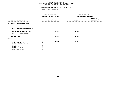# **FOR OTPS UNITS OF APPROPRIATIONDEPARTMENTAL ESTIMATES FISCAL YEAR <sup>2016</sup>**

|                                                                                                                                     | FISCAL YEAR 2015<br>CURRENT MODIFIED BUDGET | FISCAL YEAR 2016<br>DEPARTMENTAL ESTIMATES |                                 |  |
|-------------------------------------------------------------------------------------------------------------------------------------|---------------------------------------------|--------------------------------------------|---------------------------------|--|
| UNIT OF APPROPRIATION                                                                                                               | AS OF 02/02/15                              | <b>AMOUNT</b>                              | <b>INCREASE</b><br>DECREASE (-) |  |
| 561 SPECIAL ENFORCEMENT-OTPS                                                                                                        |                                             |                                            |                                 |  |
| TOTAL REPORTED GEOGRAPHICALLY                                                                                                       |                                             |                                            |                                 |  |
| NOT REPORTED GEOGRAPHICALLY                                                                                                         | 18,002                                      | 18,002                                     |                                 |  |
| FINANCIAL PLAN SAVINGS                                                                                                              |                                             |                                            |                                 |  |
| <b>APPROPRIATION</b>                                                                                                                | 18,002                                      | 18,002                                     |                                 |  |
| FUNDING                                                                                                                             |                                             |                                            |                                 |  |
| <b>CITY</b><br>OTHER CATEGORICAL<br>CAPITAL FUNDS - I.F.A.<br><b>STATE</b><br>FEDERAL - C.D.<br>FEDERAL - OTHER<br>INTRA-CITY SALES | 18,002                                      | 18,002                                     |                                 |  |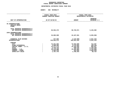# GEOGRAPHIC REPORTING<br>FISCAL REPORT AGENCYWIDE SUMMARY

# **FISCAL REPORT AGENCYWIDE SUMMARY DEPARTMENTAL ESTIMATES FISCAL YEAR <sup>2016</sup>**

|                                                                                                                                                | FISCAL YEAR 2015        |                                                                                            | FISCAL YEAR 2016                                                                       |                                                                                      |  |
|------------------------------------------------------------------------------------------------------------------------------------------------|-------------------------|--------------------------------------------------------------------------------------------|----------------------------------------------------------------------------------------|--------------------------------------------------------------------------------------|--|
|                                                                                                                                                | CURRENT MODIFIED BUDGET |                                                                                            |                                                                                        | DEPARTMENTAL ESTIMATES                                                               |  |
|                                                                                                                                                |                         |                                                                                            |                                                                                        | <b>INCREASE</b>                                                                      |  |
| UNIT OF APPROPRIATION                                                                                                                          | AS OF 02/02/15          |                                                                                            | <b>AMOUNT</b>                                                                          | $DECREASE$ (-)                                                                       |  |
|                                                                                                                                                |                         |                                                                                            |                                                                                        |                                                                                      |  |
| PS APPROPRIATIONS<br>REGULAR GROSS<br><b>OTHER</b>                                                                                             |                         |                                                                                            |                                                                                        |                                                                                      |  |
| TOTAL REPORTED GEOGRAPHICALLY<br>NOT REPORTED GEOGRAPHICALLY                                                                                   |                         | 83,594,473                                                                                 | 86,720,071                                                                             | 3,125,598                                                                            |  |
| OTPS APPROPRIATIONS<br>TOTAL REPORTED GEOGRAPHICALLY<br>NOT REPORTED GEOGRAPHICALLY                                                            |                         | 34,083,509                                                                                 | 24,447,941                                                                             | 9,635,568-                                                                           |  |
| FINANCIAL PLAN SAVINGS<br><b>APPROPRIATIONS</b>                                                                                                |                         | 377,592<br>118,055,574                                                                     | 2,143,560–<br>109,024,452                                                              | 2,521,152-<br>$9,031,122-$                                                           |  |
| FUNDING<br><b>CITY</b><br>OTHER CATEGORICAL<br>CAPITAL FUNDS - I.F.A.<br><b>STATE</b><br>FEDERAL - C.D.<br>FEDERAL - OTHER<br>INTRA-CITY SALES |                         | 72,231,592<br>5,608,993<br>12,177,173<br>2,748,745<br>20,178,088<br>3,403,239<br>1,707,744 | 72,943,899<br>5,170,884<br>12,782,820<br>588,536<br>15,435,003<br>334,856<br>1,768,454 | 712,307<br>438,109-<br>605,647<br>2,160,209-<br>4,743,085-<br>$3,068,383-$<br>60,710 |  |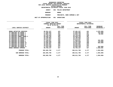| DEPARTMENTAL ESTIMATES FISCAL YEAR 2016 |              |                       |
|-----------------------------------------|--------------|-----------------------|
| <b>AGENCY</b>                           |              | 056 POLICE DEPARTMENT |
| <b>BOROUGH</b>                          | <b>BRONX</b> |                       |

H BRONX<br><mark>M</mark> PR<mark>ECI</mark> **PROGRAM**

 **PRECINCTS, BORO COMMAND & DET UNIT OF APPROPRIATION <sup>001</sup> OPERATIONS**

|                           | FISCAL YEAR 2015<br>CURRENT MODIFIED BUDGET<br>AS OF 02/02/15 |           |               | FISCAL YEAR 2016<br>DEPARTMENTAL ESTIMATES |                 |
|---------------------------|---------------------------------------------------------------|-----------|---------------|--------------------------------------------|-----------------|
|                           |                                                               | FULL TIME |               | FULL TIME                                  | <b>INCREASE</b> |
| LOCAL SERVICE DISTRICT    | <b>AMOUNT</b>                                                 | POSITIONS | <b>AMOUNT</b> | POSITIONS                                  | DECREASE(-)     |
|                           |                                                               |           |               |                                            |                 |
| BRONX DETECTIVE SERVICES  | 39,351,237                                                    | 421       | 37,281,237    | 421                                        | $2,070,000 -$   |
| 40 PRECINCT BX BOARD 1    | 17,286,404                                                    | 327       | 17,093,404    | 327                                        | 193,000-        |
| 41 PRECINCT BX BOARD 2    | 14,904,726                                                    | 231       | 14,954,726    | 231                                        | 50,000          |
| 42 PRECINCT BX BOARD 3    | 14,733,463                                                    | 238       | 14,733,463    | 238                                        |                 |
| 44 PRECINCT BRONX BOARD 4 | 20,638,146                                                    | 401       | 20,638,146    | 401                                        |                 |
| 46 PRECINCT BX BOARD 5    | 19,768,063                                                    | 379       | 19,768,063    | 379                                        |                 |
| 48 PRECINCT BX BOARD 6    | 16,572,257                                                    | 268       | 16,572,257    | 268                                        |                 |
| 52 PRECINCT BX BOARD 7    | 17,150,627                                                    | 342       | 17,049,627    | 342                                        | $101,000 -$     |
| 50 PRECINCT BX BOARD 8    | 13,464,620                                                    | 194       | 13,294,620    | 194                                        | $170,000 -$     |
| 45 PRECINCT BX BOARD 10   | 14,495,253                                                    | 208       | 13,911,253    | 208                                        | $584,000 -$     |
| 49 PRECINCT BX BOARD 11   | 16,592,091                                                    | 223       | 16,592,091    | 223                                        |                 |
| 43 PRECINCT BX BOARD 9    | 19,254,218                                                    | 341       | 19,254,218    | 341                                        |                 |
| 47 PRECINCT BX BOARD 12   | 17,610,448                                                    | 277       | 16,684,448    | 277                                        | $926,000 -$     |
| BRONX BOROUGH COMMAND     | 40,784,147                                                    | 327       | 42,784,147    | 327                                        | 2,000,000       |
| PROGRAM TOTAL:            | 282,605,700                                                   | 4,177     | 280,611,700   | 4,177                                      | 1,994,000-      |
| SUB BOROUGH TOTAL:        | 282,605,700                                                   | 4,177     | 280,611,700   | 4,177                                      | 1,994,000-      |
| <b>BOROUGH TOTAL:</b>     | 282,605,700                                                   | 4,177     | 280,611,700   | 4,177                                      | 1,994,000-      |
|                           |                                                               |           |               |                                            |                 |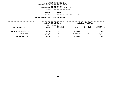|                | DEPARTMENTAL ESTIMATES FISCAL YEAR 2016 |
|----------------|-----------------------------------------|
| <b>AGENCY</b>  | 056 POLICE DEPARTMENT                   |
| <b>BOROUGH</b> | <b>BROOKLYN</b>                         |
| <b>PROGRAM</b> | PRECINCTS, BORO COMMAN                  |

**PROGRAMPRECINCTS, BORO COMMAND & DET**

|                             | FISCAL YEAR 2015<br>CURRENT MODIFIED BUDGET<br>AS OF 02/02/15 |                        |               | FISCAL YEAR 2016<br>DEPARTMENTAL ESTIMATES |                         |
|-----------------------------|---------------------------------------------------------------|------------------------|---------------|--------------------------------------------|-------------------------|
| LOCAL SERVICE DISTRICT      | <b>AMOUNT</b>                                                 | FULL TIME<br>POSITIONS | <b>AMOUNT</b> | FULL TIME<br>POSITIONS                     | INCREASE<br>DECREASE(-) |
| BROOKLYN DETECTIVE SERVICES | 63,628,442                                                    | 725                    | 63,735,442    | 725                                        | 107,000                 |
| PROGRAM TOTAL:              | 63,628,442                                                    | 725                    | 63,735,442    | 725                                        | 107,000                 |
| SUB BOROUGH TOTAL:          | 63,628,442                                                    | 725                    | 63,735,442    | 725                                        | 107,000                 |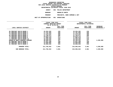|        | DEPARTMENTAL ESTIMATES FISCAL YEAR 2016 |  |
|--------|-----------------------------------------|--|
| AGENCY | 056 POLICE DEPARTMENT                   |  |

**AGENCY <sup>056</sup> POLICE DEPARTMENT BOROUGH**

**BROOKLYN NORTH PROGRAM PRECINCTS, BORO COMMAND & DET**

|                                                              | FISCAL YEAR 2015<br>CURRENT MODIFIED BUDGET<br>AS OF 02/02/15 |                        | FISCAL YEAR 2016<br>DEPARTMENTAL ESTIMATES |                        |                                  |
|--------------------------------------------------------------|---------------------------------------------------------------|------------------------|--------------------------------------------|------------------------|----------------------------------|
| LOCAL SERVICE DISTRICT                                       | <b>AMOUNT</b>                                                 | FULL TIME<br>POSITIONS | <b>AMOUNT</b>                              | FULL TIME<br>POSITIONS | <b>INCREASE</b><br>$DECREASE(-)$ |
| 90 PRECINCT BKLYN BOARD 1<br>84 PRECINCT BKLYN BOARD 2       | 15,254,282<br>17,791,584                                      | 236<br>268             | 15,254,282<br>17,791,584                   | 236<br>268             |                                  |
| 79 PRECINCT BKLYN BOARD 3<br>83 PRECINCT BKLYN BOARD 4       | 17,479,343<br>17,796,971                                      | 308<br>280             | 17,479,343<br>17,796,971                   | 308<br>280             |                                  |
| 75 PRECINCT BKLYN BOARD 5<br>77 PRECINCT BKLYN BOARD 8       | 23,910,113<br>17,096,678                                      | 471<br>273             | 23,910,113<br>17,096,678                   | 471<br>273             |                                  |
| 73 PRECINCT BKLYN BOARD 16<br>BROOKLYN NORTH BOROUGH COMMAND | 19,458,200<br>40,900,532                                      | 336<br>317             | 19,458,200<br>45,100,532                   | 336<br>317             | 4,200,000                        |
| 94 PRECINCT BKLYN BOARD 1<br>88 PRECINCT BKLYN BOARD 2       | 12,941,298<br>13,069,005                                      | 159<br>200             | 12,941,298<br>13,069,005                   | 159<br>200             |                                  |
| 81 PRECINCT BKLYN BOARD 3                                    | 16,058,036                                                    | 233                    | 16,058,036                                 | 233                    |                                  |
| PROGRAM TOTAL:                                               | 211,756,042                                                   | 3,081                  | 215,956,042                                | 3,081                  | 4,200,000                        |
| SUB BOROUGH TOTAL:                                           | 211,756,042                                                   | 3,081                  | 215,956,042                                | 3,081                  | 4,200,000                        |
|                                                              |                                                               |                        |                                            |                        |                                  |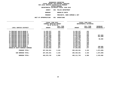|        | DEPARTMENTAL ESTIMATES FISCAL YEAR 2016 |  |
|--------|-----------------------------------------|--|
| AGENCY | 056 POLICE DEPARTMENT                   |  |

**AGENCY <sup>056</sup> POLICE DEPARTMENT**

**BOROUGH BROOKLYN SOUTH PROGRAMPRECINCTS, BORO COMMAND & DET**

| ∶LUN | UUT | <b>OPERAI</b> |
|------|-----|---------------|
|      |     |               |

|                                | FISCAL YEAR 2015<br>CURRENT MODIFIED BUDGET<br>AS OF 02/02/15 |           | FISCAL YEAR 2016<br>DEPARTMENTAL ESTIMATES |           |                 |
|--------------------------------|---------------------------------------------------------------|-----------|--------------------------------------------|-----------|-----------------|
|                                |                                                               | FULL TIME |                                            | FULL TIME | <b>INCREASE</b> |
| LOCAL SERVICE DISTRICT         | <b>AMOUNT</b>                                                 | POSITIONS | <b>AMOUNT</b>                              | POSITIONS | DECREASE(-)     |
| 76 PRECINCT BKLYN BOARD 6      | 11,492,347                                                    | 152       | 11,492,347                                 | 152       |                 |
| 71 PRECINCT BKLYN BOARD 9      | 15,385,925                                                    | 276       | 15,385,925                                 | 276       |                 |
| 62 PRECINCT BKLYN BOARD 11     | 12,465,897                                                    | 194       | 12,465,897                                 | 194       |                 |
| 61 PRECINCT BKLYN BOARD 15     | 13,531,630                                                    | 209       | 12,964,630                                 | 209       | $567,000 -$     |
| 67 PRECINCT BKLYN BOARD 17     | 18,733,968                                                    | 332       | 17,792,968                                 | 332       | 941,000-        |
| 63 PRECINCT BKLYN BOARD 18     | 12,548,299                                                    | 181       | 12,548,299                                 | 181       |                 |
| 60 PRECINCT BKLYN BOARD 13     | 14,848,831                                                    | 229       | 14,898,831                                 | 229       | 50,000          |
| 66 PRECINCT BKLYN BOARD 12     | 13,564,778                                                    | 195       | 13,564,778                                 | 195       |                 |
| 68 PRECINCT BKLYN BOARD 10     | 11,499,637                                                    | 172       | 11,499,637                                 | 172       |                 |
| 69 PRECINCT BKLYN BOARD 18     | 12,929,592                                                    | 186       | 12,929,592                                 | 186       |                 |
| 70 PRECINCT BKLYN BOARD 14     | 16,256,833                                                    | 386       | 16,256,833                                 | 386       |                 |
| 72 PRECINCT BKLYN BOARD 7      | 13,296,176                                                    | 217       | 13,296,176                                 | 217       |                 |
| 78 PRECINCT BKLYN BOARD 6      | 12,921,293                                                    | 187       | 13,021,293                                 | 187       | 100,000         |
|                                |                                                               |           |                                            |           |                 |
| BROOKLYN SOUTH BOROUGH COMMAND | 27,819,055                                                    | 277       | 27,303,055                                 | 277       | $516,000 -$     |
| PROGRAM TOTAL:                 | 207,294,261                                                   | 3,193     | 205,420,261                                | 3,193     | 1,874,000-      |
| SUB BOROUGH TOTAL:             | 207,294,261                                                   | 3,193     | 205,420,261                                | 3,193     | 1,874,000-      |
| <b>BOROUGH TOTAL:</b>          | 482,678,745                                                   | 6,999     | 485,111,745                                | 6,999     | 2,433,000       |
|                                |                                                               |           |                                            |           |                 |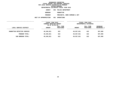| DEPARTMENTAL ESTIMATES FISCAL YEAR 2016 |                       |                  |  |                        |
|-----------------------------------------|-----------------------|------------------|--|------------------------|
| <b>AGENCY</b>                           | 056 POLICE DEPARTMENT |                  |  |                        |
| <b>BOROUGH</b>                          |                       | <b>MANHATTAN</b> |  |                        |
| <b>PROGRAM</b>                          |                       |                  |  | PRECINCTS, BORO COMMAI |

**PROGRAMPRECINCTS, BORO COMMAND & DET**

|                             | FISCAL YEAR 2015        |           |               | FISCAL YEAR 2016       |               |
|-----------------------------|-------------------------|-----------|---------------|------------------------|---------------|
|                             | CURRENT MODIFIED BUDGET |           |               | DEPARTMENTAL ESTIMATES |               |
|                             | AS OF 02/02/15          |           |               |                        |               |
|                             |                         | FULL TIME |               | FULL TIME              | INCREASE      |
| LOCAL SERVICE DISTRICT      | <b>AMOUNT</b>           | POSITIONS | <b>AMOUNT</b> | POSITIONS              | $DECREASE(-)$ |
|                             |                         |           |               |                        |               |
| MANHATTAN DETECTIVE SERVICE | 49,340,921              | 622       | 49,937,921    | 622                    | 597,000       |
| PROGRAM TOTAL:              | 49,340,921              | 622       | 49,937,921    | 622                    | 597,000       |
| SUB BOROUGH TOTAL:          | 49,340,921              | 622       | 49,937,921    | 622                    | 597,000       |
|                             |                         |           |               |                        |               |
|                             |                         |           |               |                        |               |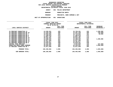|        | DEPARTMENTAL ESTIMATES FISCAL YEAR 2016 |  |
|--------|-----------------------------------------|--|
| AGENCY | 056 POLICE DEPARTMENT                   |  |

**AGENCY <sup>056</sup> POLICE DEPARTMENT BOROUGH**

**MANHATTAN NORTH PROGRAM PRECINCTS, BORO COMMAND & DET**

| <b>AMOUNT</b><br>15,738,261<br>14,291,238<br>12,716,042<br>17,108,970<br>12,091,765<br>16,542,361 | FISCAL YEAR 2016<br>DEPARTMENTAL ESTIMATES<br>FULL TIME<br>POSITIONS<br>225<br>209<br>191<br>272<br>174<br>270 | <b>INCREASE</b><br><b>DECREASE(-)</b><br>1,200,000<br>148,000-<br>50,000 |
|---------------------------------------------------------------------------------------------------|----------------------------------------------------------------------------------------------------------------|--------------------------------------------------------------------------|
|                                                                                                   |                                                                                                                |                                                                          |
|                                                                                                   |                                                                                                                |                                                                          |
|                                                                                                   |                                                                                                                |                                                                          |
|                                                                                                   |                                                                                                                |                                                                          |
|                                                                                                   |                                                                                                                |                                                                          |
|                                                                                                   |                                                                                                                |                                                                          |
|                                                                                                   |                                                                                                                |                                                                          |
|                                                                                                   |                                                                                                                |                                                                          |
|                                                                                                   |                                                                                                                |                                                                          |
|                                                                                                   |                                                                                                                |                                                                          |
|                                                                                                   |                                                                                                                |                                                                          |
|                                                                                                   |                                                                                                                |                                                                          |
| 14,468,342                                                                                        | 224                                                                                                            | 1,200,000                                                                |
| 15,927,384                                                                                        | 251                                                                                                            |                                                                          |
| 14,191,977                                                                                        | 242                                                                                                            |                                                                          |
| 14,518,261                                                                                        | 220                                                                                                            |                                                                          |
| 9,634,826                                                                                         | 145                                                                                                            | 547,000-                                                                 |
| 24,445,691                                                                                        | 269                                                                                                            | $3,600,000 -$                                                            |
| 12,817,948                                                                                        | 204                                                                                                            |                                                                          |
|                                                                                                   | 2,896                                                                                                          | 1,845,000-                                                               |
| 194,493,066                                                                                       | 2,896                                                                                                          | 1,845,000-                                                               |
|                                                                                                   |                                                                                                                | 194,493,066                                                              |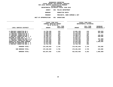| DEPARTMENTAL ESTIMATES FISCAL YEAR 2016 |  |                       |
|-----------------------------------------|--|-----------------------|
| AGENCY                                  |  | 056 POLICE DEPARTMENT |
| <b>BOROUGH</b>                          |  | MANHATTAN SOUTH       |

 **MANHATTAN SOUTH PROGRAMPRECINCTS, BORO COMMAND & DET**

| <b>UU</b> | <b>OPERATIONS</b> |  |
|-----------|-------------------|--|
|-----------|-------------------|--|

|                                  |  | FISCAL YEAR 2015<br>CURRENT MODIFIED BUDGET |           | FISCAL YEAR 2016<br>DEPARTMENTAL ESTIMATES |           |                    |  |  |
|----------------------------------|--|---------------------------------------------|-----------|--------------------------------------------|-----------|--------------------|--|--|
|                                  |  | AS OF 02/02/15                              |           |                                            |           |                    |  |  |
|                                  |  |                                             | FULL TIME |                                            | FULL TIME | <b>INCREASE</b>    |  |  |
| LOCAL SERVICE DISTRICT           |  | <b>AMOUNT</b>                               | POSITIONS | <b>AMOUNT</b>                              | POSITIONS | <b>DECREASE(-)</b> |  |  |
| 6 PRECINCT MANHATTAN BD 2        |  | 14,790,188                                  | 218       | 13,881,188                                 | 218       | $909,000 -$        |  |  |
| 7 PRECINCT MANHATTAN BD 3        |  | 13,080,339                                  | 174       | 12,779,339                                 | 174       | $301,000 -$        |  |  |
| 10 PRECINCT MANHATTAN BD 4       |  | 13,089,694                                  | 195       | 13,089,694                                 | 195       |                    |  |  |
| 17 PRECINCT MANHATTAN BD 6       |  | 13,308,273                                  | 207       | 13,408,273                                 | 207       | 100,000            |  |  |
| 1 PRECINCT MANHATTAN BDS 1, 2    |  | 16,789,112                                  | 218       | 17,289,112                                 | 218       | 500,000            |  |  |
| MIDTOWN SO MANH BDS 4, 5, 6      |  | 22,034,447                                  | 418       | 22,034,447                                 | 418       |                    |  |  |
| 5 PRECINCT MANHATTAN BDS 1, 2, 3 |  | 12,253,562                                  | 190       | 12,056,562                                 | 190       | 197,000-           |  |  |
| 13 PRECINCT MANHATTAN BDS 5,6    |  | 15,328,440                                  | 239       | 15,378,440                                 | 239       | 50,000             |  |  |
| MANHATTAN SOUTH BORO COMMAND     |  | 23,045,588                                  | 311       | 24,045,588                                 | 311       | 1,000,000          |  |  |
| MIDTOWN NO MANHATTAN BDS 4, 5    |  | 21,673,620                                  | 357       | 21,673,620                                 | 357       |                    |  |  |
| 9 PRECINCT MANHATTAN BDS 2, 3    |  | 12,764,786                                  | 208       | 12,764,786                                 | 208       |                    |  |  |
| PROGRAM TOTAL:                   |  | 178,158,049                                 | 2,735     | 178,401,049                                | 2,735     | 243,000            |  |  |
| SUB BOROUGH TOTAL:               |  | 178,158,049                                 | 2,735     | 178,401,049                                | 2,735     | 243,000            |  |  |
| <b>BOROUGH TOTAL:</b>            |  | 423,837,036                                 | 6,253     | 422,832,036                                | 6,253     | 1,005,000-         |  |  |
|                                  |  |                                             |           |                                            |           |                    |  |  |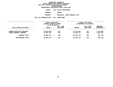| DEPARTMENTAL ESTIMATES FISCAL YEAR 2016 |               |                       |
|-----------------------------------------|---------------|-----------------------|
| AGENCY                                  |               | 056 POLICE DEPARTMENT |
| <b>BOROUGH</b>                          | <b>OUEENS</b> |                       |

**H** QUEENS<br><mark>M</mark> PRECIN **PROGRAMPRECINCTS, BORO COMMAND & DET**

|                                                            | FISCAL YEAR 2015<br>CURRENT MODIFIED BUDGET<br>AS OF 02/02/15 |                        | FISCAL YEAR 2016<br>DEPARTMENTAL ESTIMATES |                        |                         |
|------------------------------------------------------------|---------------------------------------------------------------|------------------------|--------------------------------------------|------------------------|-------------------------|
| LOCAL SERVICE DISTRICT                                     | <b>AMOUNT</b>                                                 | FULL TIME<br>POSITIONS | <b>AMOUNT</b>                              | FULL TIME<br>POSITIONS | INCREASE<br>DECREASE(-) |
| QUEENS DETECTIVE SERVICES<br><b>QUEENS BOROUGH COMMAND</b> | 38,507,666<br>44,455,847                                      | 457<br>483             | 37,110,666<br>45,458,117                   | 457<br>483             | 1,397,000-<br>1,002,270 |
| PROGRAM TOTAL:                                             | 82,963,513                                                    | 940                    | 82,568,783                                 | 940                    | $394,730-$              |
| SUB BOROUGH TOTAL:                                         | 82,963,513                                                    | 940                    | 82,568,783                                 | 940                    | $394,730-$              |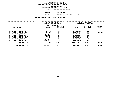|                      | DEPARTMENTAL ESTIMATES FISCAL YEAR 2016 |
|----------------------|-----------------------------------------|
| AGENCY               | 056 POLICE DEPARTMENT                   |
| <b>BOROUGH</b>       | OUEENS NORTH                            |
| <b>PROGRAM</b>       | PRECINCTS, BORO COMMAND & DET           |
| <b>\PPROPRIATION</b> | 001 OPERATIONS                          |

| ------∪ | VVI VEBRAILV |
|---------|--------------|
|         |              |

| FISCAL YEAR 2015<br>CURRENT MODIFIED BUDGET<br>AS OF 02/02/15 |               |                        |               | FISCAL YEAR 2016<br>DEPARTMENTAL ESTIMATES |                                  |
|---------------------------------------------------------------|---------------|------------------------|---------------|--------------------------------------------|----------------------------------|
| LOCAL SERVICE DISTRICT                                        | <b>AMOUNT</b> | FULL TIME<br>POSITIONS | <b>AMOUNT</b> | FULL TIME<br>POSITIONS                     | <b>INCREASE</b><br>$DECREASE(-)$ |
| 108 PRECINCT QUEENS BD 2                                      | 11,525,224    | 202                    | 11,525,224    | 202                                        |                                  |
| 104 PRECINCT QUEENS BD 5                                      | 14,307,266    | 216                    | 13,938,266    | 216                                        | $369,000 -$                      |
| 112 PRECINCT QUEENS BD 6                                      | 12,289,000    | 173                    | 12,289,000    | 173                                        |                                  |
| 109 PRECINCT QUEENS BD 7                                      | 17,532,024    | 252                    | 17,532,024    | 252                                        |                                  |
| 111 PRECINCT QUEENS BD 11                                     | 13,594,942    | 164                    | 13,594,942    | 164                                        |                                  |
| 115 PRECINCT QUEENS BD 3                                      | 14,142,230    | 289                    | 14,142,230    | 289                                        |                                  |
| 110 PRECINCT QUEENS BD 4                                      | 14,874,369    | 220                    | 14,874,369    | 220                                        |                                  |
| 114 PRECINCT QUEENS BD 1                                      | 15,889,226    | 252                    | 15,889,226    | 252                                        |                                  |
| PROGRAM TOTAL:                                                | 114,154,281   | 1,768                  | 113,785,281   | 1,768                                      | $369,000 -$                      |
| SUB BOROUGH TOTAL:                                            | 114,154,281   | 1,768                  | 113,785,281   | 1,768                                      | $369,000 -$                      |
|                                                               |               |                        |               |                                            |                                  |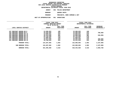|                      |     | DEPARTMENTAL ESTIMATES FISCAL YEAR 2016 |
|----------------------|-----|-----------------------------------------|
| <b>AGENCY</b>        |     | 056 POLICE DEPARTMENT                   |
| <b>BOROUGH</b>       |     | <b>OUEENS SOUTH</b>                     |
| <b>PROGRAM</b>       |     | PRECINCTS, BORO COMMAND & DET           |
| <b>APPROPRIATION</b> | 001 | <b>OPERATIONS</b>                       |

|                                                        |                          | FISCAL YEAR 2015<br>CURRENT MODIFIED BUDGET<br>AS OF 02/02/15 |                          | FISCAL YEAR 2016<br>DEPARTMENTAL ESTIMATES |                                       |  |
|--------------------------------------------------------|--------------------------|---------------------------------------------------------------|--------------------------|--------------------------------------------|---------------------------------------|--|
| LOCAL SERVICE DISTRICT                                 | <b>AMOUNT</b>            | FULL TIME<br>POSITIONS                                        | <b>AMOUNT</b>            | FULL TIME<br>POSITIONS                     | <b>INCREASE</b><br><b>DECREASE(-)</b> |  |
| 107 PRECINCT QUEENS BD 8                               | 13,508,053               | 198                                                           | 13,508,053               | 198                                        |                                       |  |
| 102 PRECINCT QUEENS BD 9                               | 15,292,694               | 223                                                           | 14,506,694               | 223                                        | 786,000-                              |  |
| 106 PRECINCT QUEENS BD 10<br>103 PRECINCT QUEENS BD 12 | 14,606,041<br>15,414,049 | 210<br>301                                                    | 14,606,041<br>14,868,049 | 210<br>301                                 | $546,000 -$                           |  |
| 105 PRECINCT QUEENS BD 13                              | 22,132,630               | 278                                                           | 22,132,630               | 278                                        |                                       |  |
| 100 PRECINCT QUEENS BD 14                              | 11,650,941               | 149                                                           | 11,650,941               | 149                                        |                                       |  |
| 113 PRECINCT QUEENS BD 12                              | 15,974,830               | 219                                                           | 15,506,830               | 219                                        | $468,000 -$                           |  |
| 101 PRECINCT QUEENS BD 14                              | 15,708,618               | 224                                                           | 15,311,618               | 224                                        | $397,000 -$                           |  |
| PROGRAM TOTAL:                                         | 124,287,856              | 1,802                                                         | 122,090,856              | 1,802                                      | $2,197,000 -$                         |  |
| SUB BOROUGH TOTAL:                                     | 124,287,856              | 1,802                                                         | 122,090,856              | 1,802                                      | 2,197,000-                            |  |
| <b>BOROUGH TOTAL:</b>                                  | 321,405,650              | 4,510                                                         | 318,444,920              | 4,510                                      | 2,960,730-                            |  |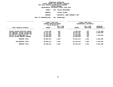|                     | DEPARTMENTAL ESTIMATES FISCAL YEAR 2016 |  |
|---------------------|-----------------------------------------|--|
| AGENCY              | 056 POLICE DEPARTMENT                   |  |
| <b>BOROUGH</b>      | STATEN ISLAND                           |  |
| <b>PROGRAM</b>      | PRECINCTS, BORO COMMAND & DET           |  |
| <b>PPROPRIATION</b> | 001 OPERATIONS                          |  |

|                                                                                                                                                                  | FISCAL YEAR 2015<br>CURRENT MODIFIED BUDGET<br>AS OF 02/02/15     |                                 |                                                                   | <b>FISCAL YEAR 2016</b><br>DEPARTMENTAL ESTIMATES |                                      |
|------------------------------------------------------------------------------------------------------------------------------------------------------------------|-------------------------------------------------------------------|---------------------------------|-------------------------------------------------------------------|---------------------------------------------------|--------------------------------------|
| LOCAL SERVICE DISTRICT                                                                                                                                           | <b>AMOUNT</b>                                                     | FULL TIME<br>POSITIONS          | <b>AMOUNT</b>                                                     | FULL TIME<br><b>POSITIONS</b>                     | <b>INCREASE</b><br>$DECREASE(-)$     |
| STATEN ISLAND DETECTIVE SERVIC<br>120 PRECINCT STATEN ISLAND BD1<br>123 PRECINCT STATEN ISLAND BD3<br>122 PCT ST ISLAND BDS 2,3<br>STATEN ISLAND BOROUGH COMMAND | 9,537,939<br>23,167,597<br>12,741,362<br>17,634,050<br>16,999,065 | 103<br>399<br>148<br>249<br>161 | 8,265,939<br>28,667,597<br>12,741,362<br>19,250,050<br>16,999,065 | 103<br>399<br>148<br>249<br>161                   | 1,272,000-<br>5,500,000<br>1,616,000 |
| PROGRAM TOTAL:                                                                                                                                                   | 80,080,013                                                        | 1,060                           | 85,924,013                                                        | 1,060                                             | 5,844,000                            |
| BOROUGH TOTAL:<br>SUB                                                                                                                                            | 80,080,013                                                        | 1,060                           | 85,924,013                                                        | 1,060                                             | 5,844,000                            |
| <b>BOROUGH TOTAL:</b>                                                                                                                                            | 80,080,013                                                        | 1,060                           | 85,924,013                                                        | 1,060                                             | 5,844,000                            |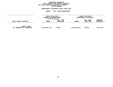### GEOGRAPHIC REPORTING<br>FISCAL REPORT FOR PERSONAL SERVICES<br>OCAL SERVICE DISTRICTS BY PROGRAM<br>WITHIN BOROUGH **FISCAL REPORT FOR PERSONAL SERVICES FOR LOCAL SERVICE DISTRICTS BY PROGRAM**

### **WITHIN BOROUGH DEPARTMENTAL ESTIMATES FISCAL YEAR <sup>2016</sup>**

## **AGENCY <sup>056</sup> POLICE DEPARTMENT**

|                                                   | FISCAL YEAR 2015<br>CURRENT MODIFIED BUDGET<br>AS OF 02/02/15 |                        |               | FISCAL YEAR 2016<br>DEPARTMENTAL ESTIMATES |                                       |
|---------------------------------------------------|---------------------------------------------------------------|------------------------|---------------|--------------------------------------------|---------------------------------------|
| LOCAL SERVICE DISTRICT                            | <b>AMOUNT</b>                                                 | FULL TIME<br>POSITIONS | <b>AMOUNT</b> | FULL TIME<br>POSITIONS                     | <b>INCREASE</b><br><b>DECREASE(-)</b> |
| <b>AGENCY TOTAL:</b><br>ALL PROGRAMS ALL BOROUGHS | 1,590,607,144                                                 | 22,999                 | 1,592,924,414 | 22,999                                     | 2,317,270                             |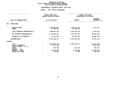### **DEPARTMENTAL ESTIMATES FISCAL YEAR 2016 DEPARTMENTAL ESTIMATES FISCAL YEAR <sup>2016</sup>**

# **AGENCY: <sup>056</sup> POLICE DEPARTMENT**

|                                                                                                                                     | FISCAL YEAR 2015<br>CURRENT MODIFIED BUDGET |                                                                  | FISCAL YEAR 2016<br>DEPARTMENTAL ESTIMATES     |                                                                          |  |
|-------------------------------------------------------------------------------------------------------------------------------------|---------------------------------------------|------------------------------------------------------------------|------------------------------------------------|--------------------------------------------------------------------------|--|
| UNIT OF APPROPRIATION                                                                                                               |                                             | AS OF 02/02/15                                                   | <b>AMOUNT</b>                                  | <b>INCREASE</b><br>DECREASE (-)                                          |  |
| <b>OPERATIONS</b><br>001                                                                                                            |                                             |                                                                  |                                                |                                                                          |  |
| REGULAR GROSS<br><b>OTHER</b>                                                                                                       |                                             | 1,552,808,002<br>37,799,142                                      | 1,555,125,272<br>37,799,142                    | 2,317,270                                                                |  |
| TOTAL REPORTED GEOGRAPHICALLY                                                                                                       |                                             | 1,590,607,144                                                    | 1,592,924,414                                  | 2,317,270                                                                |  |
| NOT REPORTED GEOGRAPHICALLY                                                                                                         |                                             | 1,376,599,511                                                    | 1,313,947,325                                  | 62,652,186-                                                              |  |
| FINANCIAL PLAN SAVINGS                                                                                                              |                                             | 24,702,120                                                       | 36,561,844                                     | 11,859,724                                                               |  |
| <b>APPROPRIATION</b>                                                                                                                |                                             | 2,991,908,775                                                    | 2,943,433,583                                  | 48, 475, 192-                                                            |  |
| <b>FUNDING</b>                                                                                                                      |                                             |                                                                  |                                                |                                                                          |  |
| <b>CITY</b><br>OTHER CATEGORICAL<br>CAPITAL FUNDS - I.F.A.<br><b>STATE</b><br>FEDERAL - C.D.<br>FEDERAL - OTHER<br>INTRA-CITY SALES |                                             | 2,963,806,735<br>3,471,659<br>994,595<br>23, 221, 952<br>413,834 | 2,934,578,767<br>644,464<br>8,202,852<br>7,500 | 29,227,968-<br>$3,471,659-$<br>$350, 131 -$<br>15,019,100-<br>$406,334-$ |  |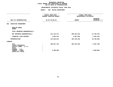| <b>AGENCY:</b><br>056 POLICE DEPARTMENT     |                                            |                                 |
|---------------------------------------------|--------------------------------------------|---------------------------------|
| FISCAL YEAR 2015<br>CURRENT MODIFIED BUDGET | FISCAL YEAR 2016<br>DEPARTMENTAL ESTIMATES |                                 |
| AS OF 02/02/15                              | <b>AMOUNT</b>                              | <b>INCREASE</b><br>DECREASE (-) |
|                                             |                                            |                                 |
|                                             |                                            |                                 |
|                                             |                                            |                                 |
| 411,122,571                                 | 399,361,816                                | 11,760,755-                     |
| 1,903,470                                   | 2,957,620                                  | 1,054,150                       |
| 413,026,041                                 | 402,319,436                                | 10,706,605-                     |
|                                             |                                            |                                 |
| 408,627,145<br>4,398,896                    | 402,319,436                                | $6,307,709-$<br>4,398,896-      |
|                                             | ----------------                           | --------------                  |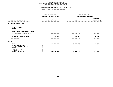|                                                                                                                                     | <b>AGENCY:</b><br>056 POLICE DEPARTMENT                          |                           |                                            |  |  |
|-------------------------------------------------------------------------------------------------------------------------------------|------------------------------------------------------------------|---------------------------|--------------------------------------------|--|--|
|                                                                                                                                     | -----------------<br>FISCAL YEAR 2015<br>CURRENT MODIFIED BUDGET |                           | FISCAL YEAR 2016<br>DEPARTMENTAL ESTIMATES |  |  |
| UNIT OF APPROPRIATION                                                                                                               | AS OF 02/02/15                                                   | <b>AMOUNT</b>             | <b>INCREASE</b><br>DECREASE (-)            |  |  |
| SCHOOL SAFETY- P.S.<br>003                                                                                                          |                                                                  |                           |                                            |  |  |
| REGULAR GROSS<br><b>OTHER</b>                                                                                                       |                                                                  |                           |                                            |  |  |
| TOTAL REPORTED GEOGRAPHICALLY                                                                                                       |                                                                  |                           |                                            |  |  |
| NOT REPORTED GEOGRAPHICALLY                                                                                                         | 254,756,792                                                      | 254,066,717               | 690,075-                                   |  |  |
| FINANCIAL PLAN SAVINGS                                                                                                              | 35,990                                                           | 92,088                    | 56,098                                     |  |  |
| <b>APPROPRIATION</b>                                                                                                                | 254,792,782                                                      | 254,158,805               | 633,977-                                   |  |  |
| <b>FUNDING</b>                                                                                                                      |                                                                  |                           |                                            |  |  |
| <b>CITY</b><br>OTHER CATEGORICAL<br>CAPITAL FUNDS - I.F.A.<br><b>STATE</b><br>FEDERAL - C.D.<br>FEDERAL - OTHER<br>INTRA-CITY SALES | 19,170,323<br>235,622,459                                        | 19,251,676<br>234,907,129 | 81,353<br>$715,330-$                       |  |  |
|                                                                                                                                     |                                                                  |                           |                                            |  |  |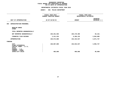|                                                                                                                                     | <b>AGENCY:</b><br>056 POLICE DEPARTMENT                                |                                            |                                 |
|-------------------------------------------------------------------------------------------------------------------------------------|------------------------------------------------------------------------|--------------------------------------------|---------------------------------|
|                                                                                                                                     | ----------------<br>FISCAL YEAR 2015<br><b>CURRENT MODIFIED BUDGET</b> | FISCAL YEAR 2016<br>DEPARTMENTAL ESTIMATES |                                 |
| UNIT OF APPROPRIATION                                                                                                               | AS OF 02/02/15                                                         | <b>AMOUNT</b>                              | <b>INCREASE</b><br>DECREASE (-) |
| <b>ADMINISTRATION-PERSONNEL</b><br>004                                                                                              |                                                                        |                                            |                                 |
| REGULAR GROSS<br><b>OTHER</b>                                                                                                       |                                                                        |                                            |                                 |
| TOTAL REPORTED GEOGRAPHICALLY                                                                                                       |                                                                        |                                            |                                 |
| NOT REPORTED GEOGRAPHICALLY                                                                                                         | 226,261,566                                                            | 226,178,405                                | $83,161-$                       |
| FINANCIAL PLAN SAVINGS                                                                                                              | 2,311,234                                                              | 6,266,132                                  | 3,954,898                       |
| <b>APPROPRIATION</b>                                                                                                                | 228,572,800                                                            | 232,444,537                                | 3,871,737                       |
| <b>FUNDING</b>                                                                                                                      |                                                                        |                                            |                                 |
| <b>CITY</b><br>OTHER CATEGORICAL<br>CAPITAL FUNDS - I.F.A.<br><b>STATE</b><br>FEDERAL - C.D.<br>FEDERAL - OTHER<br>INTRA-CITY SALES | 228,087,800<br>485,000                                                 | 232,044,537<br>400,000                     | 3,956,737<br>$85,000 -$         |
|                                                                                                                                     |                                                                        |                                            |                                 |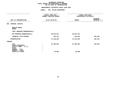|                                                                                                                                     | <b>AGENCY:</b><br>056 POLICE DEPARTMENT                          |                      |                                            |  |  |
|-------------------------------------------------------------------------------------------------------------------------------------|------------------------------------------------------------------|----------------------|--------------------------------------------|--|--|
|                                                                                                                                     | -----------------<br>FISCAL YEAR 2015<br>CURRENT MODIFIED BUDGET |                      | FISCAL YEAR 2016<br>DEPARTMENTAL ESTIMATES |  |  |
| UNIT OF APPROPRIATION                                                                                                               | AS OF 02/02/15                                                   | <b>AMOUNT</b>        | INCREASE<br>DECREASE (-)                   |  |  |
| CRIMINAL JUSTICE<br>006                                                                                                             |                                                                  |                      |                                            |  |  |
| REGULAR GROSS<br><b>OTHER</b>                                                                                                       |                                                                  |                      |                                            |  |  |
| TOTAL REPORTED GEOGRAPHICALLY                                                                                                       |                                                                  |                      |                                            |  |  |
| NOT REPORTED GEOGRAPHICALLY                                                                                                         | 86,979,337                                                       | 86,979,337           |                                            |  |  |
| FINANCIAL PLAN SAVINGS                                                                                                              | 359,211                                                          | 662,615              | 303,404                                    |  |  |
| <b>APPROPRIATION</b>                                                                                                                | 87,338,548                                                       | 87,641,952           | 303,404                                    |  |  |
| FUNDING                                                                                                                             |                                                                  |                      |                                            |  |  |
| <b>CITY</b><br>OTHER CATEGORICAL<br>CAPITAL FUNDS - I.F.A.<br><b>STATE</b><br>FEDERAL - C.D.<br>FEDERAL - OTHER<br>INTRA-CITY SALES | 87,292,548<br>46,000                                             | 87,595,952<br>46,000 | 303,404                                    |  |  |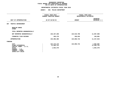| <b>AGENCY:</b>                              |                                            |                                        |
|---------------------------------------------|--------------------------------------------|----------------------------------------|
| FISCAL YEAR 2015<br>CURRENT MODIFIED BUDGET | FISCAL YEAR 2016<br>DEPARTMENTAL ESTIMATES |                                        |
| AS OF 02/02/15                              | <b>AMOUNT</b>                              | <b>INCREASE</b><br>DECREASE (-)        |
|                                             |                                            |                                        |
|                                             |                                            |                                        |
|                                             |                                            |                                        |
| 135,107,208                                 | 123,519,708                                | 11,587,500-                            |
| 199,178                                     | 339,034                                    | 139,856                                |
| 135,306,386                                 | 123,858,742                                | 11,447,644-                            |
|                                             |                                            |                                        |
| 122, 175, 176<br>11,205,731<br>1,925,479    | 123,858,742                                | 1,683,566<br>11,205,731-<br>1,925,479- |
|                                             |                                            | 056 POLICE DEPARTMENT                  |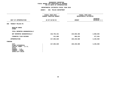|                                                                                                                                     | <b>AGENCY:</b><br>056 POLICE DEPARTMENT     |               |                                            |  |  |
|-------------------------------------------------------------------------------------------------------------------------------------|---------------------------------------------|---------------|--------------------------------------------|--|--|
|                                                                                                                                     | FISCAL YEAR 2015<br>CURRENT MODIFIED BUDGET |               | FISCAL YEAR 2016<br>DEPARTMENTAL ESTIMATES |  |  |
| UNIT OF APPROPRIATION                                                                                                               | AS OF 02/02/15                              | <b>AMOUNT</b> | INCREASE<br>DECREASE (-)                   |  |  |
| TRANSIT POLICE-PS<br>008                                                                                                            |                                             |               |                                            |  |  |
| REGULAR GROSS<br><b>OTHER</b>                                                                                                       |                                             |               |                                            |  |  |
| TOTAL REPORTED GEOGRAPHICALLY                                                                                                       |                                             |               |                                            |  |  |
| NOT REPORTED GEOGRAPHICALLY                                                                                                         | 216,792,331                                 | 219,650,366   | 2,858,035                                  |  |  |
| FINANCIAL PLAN SAVINGS                                                                                                              | 211,689                                     | 589,223       | 377,534                                    |  |  |
| <b>APPROPRIATION</b>                                                                                                                | 217,004,020                                 | 220,239,589   | 3,235,569                                  |  |  |
| FUNDING                                                                                                                             |                                             |               |                                            |  |  |
| <b>CITY</b><br>OTHER CATEGORICAL<br>CAPITAL FUNDS - I.F.A.<br><b>STATE</b><br>FEDERAL - C.D.<br>FEDERAL - OTHER<br>INTRA-CITY SALES | 217,004,020                                 | 220,239,589   | 3,235,569                                  |  |  |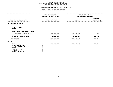|                                                                                                                                     | <b>AGENCY:</b><br>056 POLICE DEPARTMENT     |               |                                            |  |  |
|-------------------------------------------------------------------------------------------------------------------------------------|---------------------------------------------|---------------|--------------------------------------------|--|--|
|                                                                                                                                     | FISCAL YEAR 2015<br>CURRENT MODIFIED BUDGET |               | FISCAL YEAR 2016<br>DEPARTMENTAL ESTIMATES |  |  |
| UNIT OF APPROPRIATION                                                                                                               | AS OF 02/02/15                              | <b>AMOUNT</b> | <b>INCREASE</b><br>DECREASE (-)            |  |  |
| HOUSING POLICE-PS<br>009                                                                                                            |                                             |               |                                            |  |  |
| REGULAR GROSS<br><b>OTHER</b>                                                                                                       |                                             |               |                                            |  |  |
| TOTAL REPORTED GEOGRAPHICALLY                                                                                                       |                                             |               |                                            |  |  |
| NOT REPORTED GEOGRAPHICALLY                                                                                                         | 164,336,165                                 | 164,340,528   | 4,363                                      |  |  |
| FINANCIAL PLAN SAVINGS                                                                                                              | 4,424,891                                   | 7,161,560     | 2,736,669                                  |  |  |
| <b>APPROPRIATION</b>                                                                                                                | 168,761,056                                 | 171,502,088   | 2,741,032                                  |  |  |
| FUNDING                                                                                                                             |                                             |               |                                            |  |  |
| <b>CITY</b><br>OTHER CATEGORICAL<br>CAPITAL FUNDS - I.F.A.<br><b>STATE</b><br>FEDERAL - C.D.<br>FEDERAL - OTHER<br>INTRA-CITY SALES | 168,761,056                                 | 171,502,088   | 2,741,032                                  |  |  |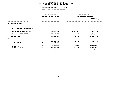# **DEPARTMENTAL ESTIMATES FISCAL YEAR <sup>2016</sup>**

|                                                                            |                | FISCAL YEAR 2015<br>CURRENT MODIFIED BUDGET |                       | FISCAL YEAR 2016<br>DEPARTMENTAL ESTIMATES |  |
|----------------------------------------------------------------------------|----------------|---------------------------------------------|-----------------------|--------------------------------------------|--|
| UNIT OF APPROPRIATION                                                      | AS OF 02/02/15 |                                             | <b>AMOUNT</b>         | <b>INCREASE</b><br>DECREASE (-)            |  |
| OPERATIONS-OTPS<br>100                                                     |                |                                             |                       |                                            |  |
| TOTAL REPORTED GEOGRAPHICALLY                                              |                |                                             |                       |                                            |  |
| NOT REPORTED GEOGRAPHICALLY                                                |                | 208,672,904                                 | 70,833,667            | 137,839,237-                               |  |
| FINANCIAL PLAN SAVINGS                                                     |                | 22,848,382-                                 | $3,093,437-$          | 19,754,945                                 |  |
| <b>APPROPRIATION</b>                                                       |                | 185,824,522                                 | 67,740,230            | 118,084,292-                               |  |
| FUNDING                                                                    |                |                                             |                       |                                            |  |
| <b>CITY</b><br>OTHER CATEGORICAL<br>CAPITAL FUNDS - I.F.A.<br><b>STATE</b> |                | 53,996,176<br>137,596<br>6,008,398          | 52,760,409<br>87,544  | 1,235,767-<br>137,596-<br>5,920,854-       |  |
| FEDERAL - C.D.<br>FEDERAL - OTHER<br>INTRA-CITY SALES                      |                | 125,255,879<br>426,473                      | 14,514,482<br>377,795 | 110,741,397-<br>48,678-                    |  |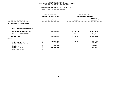# **DEPARTMENTAL ESTIMATES FISCAL YEAR <sup>2016</sup>**

| <b>AGENCY:</b> | 056 POLICE DEPARTMENT                           |                                             |                                                     |  |
|----------------|-------------------------------------------------|---------------------------------------------|-----------------------------------------------------|--|
|                |                                                 |                                             | FISCAL YEAR 2016<br>DEPARTMENTAL ESTIMATES          |  |
| AS OF 02/02/15 |                                                 | <b>AMOUNT</b>                               | <b>INCREASE</b><br>DECREASE (-)                     |  |
|                |                                                 |                                             |                                                     |  |
|                |                                                 |                                             |                                                     |  |
|                | 149,663,445                                     | 12,704,140                                  | 136,959,305-                                        |  |
|                |                                                 | 500,851                                     | 500,851                                             |  |
|                | 149,663,445                                     | 13,204,991                                  | 136,458,454-                                        |  |
|                |                                                 |                                             |                                                     |  |
|                | 14,050,167<br>675,365<br>105,000<br>134,832,913 | 13,204,991                                  | 845,176-<br>675,365-<br>$105,000 -$<br>134,832,913- |  |
|                |                                                 | FISCAL YEAR 2015<br>CURRENT MODIFIED BUDGET |                                                     |  |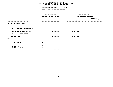# **DEPARTMENTAL ESTIMATES FISCAL YEAR <sup>2016</sup>**

# **AGENCY: <sup>056</sup> POLICE DEPARTMENT**

|                                                                                                                              | FISCAL YEAR 2015<br>CURRENT MODIFIED BUDGET |               | FISCAL YEAR 2016<br>DEPARTMENTAL ESTIMATES |  |
|------------------------------------------------------------------------------------------------------------------------------|---------------------------------------------|---------------|--------------------------------------------|--|
| UNIT OF APPROPRIATION                                                                                                        | AS OF 02/02/15                              | <b>AMOUNT</b> | <b>INCREASE</b><br>DECREASE (-)            |  |
| 300 SCHOOL SAFETY- OTPS                                                                                                      |                                             |               |                                            |  |
| TOTAL REPORTED GEOGRAPHICALLY                                                                                                |                                             |               |                                            |  |
| NOT REPORTED GEOGRAPHICALLY                                                                                                  | 4,903,848                                   | 4,903,848     |                                            |  |
| FINANCIAL PLAN SAVINGS                                                                                                       |                                             |               |                                            |  |
| <b>APPROPRIATION</b>                                                                                                         | 4,903,848                                   | 4,903,848     |                                            |  |
| FUNDING                                                                                                                      |                                             |               |                                            |  |
| CITY<br>OTHER CATEGORICAL<br>CAPITAL FUNDS - I.F.A.<br><b>STATE</b><br>FEDERAL - C.D.<br>FEDERAL - OTHER<br>INTRA-CITY SALES | 4,903,848                                   | 4,903,848     |                                            |  |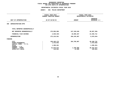# **DEPARTMENTAL ESTIMATES FISCAL YEAR <sup>2016</sup>**

|                                                                                                                                     | <b>AGENCY:</b> | 056 POLICE DEPARTMENT                                            |                                    |                                                                   |  |  |
|-------------------------------------------------------------------------------------------------------------------------------------|----------------|------------------------------------------------------------------|------------------------------------|-------------------------------------------------------------------|--|--|
|                                                                                                                                     |                | FISCAL YEAR 2015<br>CURRENT MODIFIED BUDGET                      |                                    | FISCAL YEAR 2016<br>DEPARTMENTAL ESTIMATES                        |  |  |
| UNIT OF APPROPRIATION                                                                                                               |                | AS OF 02/02/15                                                   | <b>AMOUNT</b>                      | <b>INCREASE</b><br>DECREASE (-)                                   |  |  |
| ADMINISTRATION-OTPS<br>400                                                                                                          |                |                                                                  |                                    |                                                                   |  |  |
| TOTAL REPORTED GEOGRAPHICALLY                                                                                                       |                |                                                                  |                                    |                                                                   |  |  |
| NOT REPORTED GEOGRAPHICALLY                                                                                                         |                | 275,856,996                                                      | 247,349,640                        | 28,507,356-                                                       |  |  |
| FINANCIAL PLAN SAVINGS                                                                                                              |                | $2,640,445-$                                                     | 18,896,267                         | 21,536,712                                                        |  |  |
| <b>APPROPRIATION</b>                                                                                                                |                | 273, 216, 551                                                    | 266, 245, 267                      | $6,970,644-$                                                      |  |  |
| FUNDING                                                                                                                             |                |                                                                  |                                    |                                                                   |  |  |
| <b>CITY</b><br>OTHER CATEGORICAL<br>CAPITAL FUNDS - I.F.A.<br><b>STATE</b><br>FEDERAL - C.D.<br>FEDERAL - OTHER<br>INTRA-CITY SALES |                | 238, 445, 175<br>1,472,042<br>1,289,261<br>31,870,072<br>140,001 | 264,785,907<br>1,448,000<br>12,000 | 26,340,732<br>1,472,042-<br>1,289,261-<br>30,422,072-<br>128,001- |  |  |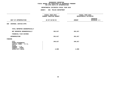# **DEPARTMENTAL ESTIMATES FISCAL YEAR <sup>2016</sup>**

# **AGENCY: <sup>056</sup> POLICE DEPARTMENT**

|                                                                                                                              | FISCAL YEAR 2015<br>CURRENT MODIFIED BUDGET | FISCAL YEAR 2016<br>DEPARTMENTAL ESTIMATES |                          |  |
|------------------------------------------------------------------------------------------------------------------------------|---------------------------------------------|--------------------------------------------|--------------------------|--|
| UNIT OF APPROPRIATION                                                                                                        | AS OF 02/02/15                              | <b>AMOUNT</b>                              | INCREASE<br>DECREASE (-) |  |
| 600 CRIMINAL JUSTICE-OTPS                                                                                                    |                                             |                                            |                          |  |
| TOTAL REPORTED GEOGRAPHICALLY                                                                                                |                                             |                                            |                          |  |
| NOT REPORTED GEOGRAPHICALLY                                                                                                  | 353,817                                     | 353,817                                    |                          |  |
| FINANCIAL PLAN SAVINGS                                                                                                       |                                             |                                            |                          |  |
| <b>APPROPRIATION</b>                                                                                                         | 353,817                                     | 353,817                                    |                          |  |
| FUNDING                                                                                                                      |                                             |                                            |                          |  |
| CITY<br>OTHER CATEGORICAL<br>CAPITAL FUNDS - I.F.A.<br><b>STATE</b><br>FEDERAL - C.D.<br>FEDERAL - OTHER<br>INTRA-CITY SALES | 349,817<br>4,000                            | 349,817<br>4,000                           |                          |  |
|                                                                                                                              |                                             |                                            |                          |  |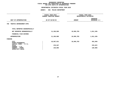# **DEPARTMENTAL ESTIMATES FISCAL YEAR <sup>2016</sup>**

|                                                            | <b>AGENCY:</b> | 056 POLICE DEPARTMENT                       |               |                                            |  |  |
|------------------------------------------------------------|----------------|---------------------------------------------|---------------|--------------------------------------------|--|--|
|                                                            |                | FISCAL YEAR 2015<br>CURRENT MODIFIED BUDGET |               | FISCAL YEAR 2016<br>DEPARTMENTAL ESTIMATES |  |  |
| UNIT OF APPROPRIATION                                      |                | AS OF 02/02/15                              | <b>AMOUNT</b> | <b>INCREASE</b><br>DECREASE (-)            |  |  |
| TRAFFIC ENFORCEMENT-OTPS<br>700                            |                |                                             |               |                                            |  |  |
| TOTAL REPORTED GEOGRAPHICALLY                              |                |                                             |               |                                            |  |  |
| NOT REPORTED GEOGRAPHICALLY                                |                | 11,106,968                                  | 10,095,783    | 1,011,185-                                 |  |  |
| FINANCIAL PLAN SAVINGS                                     |                |                                             |               |                                            |  |  |
| <b>APPROPRIATION</b>                                       |                | 11,106,968                                  | 10,095,783    | 1,011,185-                                 |  |  |
| FUNDING                                                    |                |                                             |               |                                            |  |  |
| <b>CITY</b><br>OTHER CATEGORICAL<br>CAPITAL FUNDS - I.F.A. |                | 10,587,631                                  | 10,095,783    | 491,848-                                   |  |  |
| <b>STATE</b>                                               |                | 379,337                                     |               | $379,337-$                                 |  |  |
| FEDERAL - C.D.<br>FEDERAL - OTHER<br>INTRA-CITY SALES      |                | 140,000                                     |               | 140,000-                                   |  |  |
|                                                            |                |                                             |               |                                            |  |  |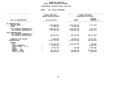### GEOGRAPHIC REPORTING<br>FISCAL REPORT AGENCYWIDE SUMMARY

### **FISCAL REPORT AGENCYWIDE SUMMARY DEPARTMENTAL ESTIMATES FISCAL YEAR <sup>2016</sup>**

#### **AGENCY: <sup>056</sup> POLICE DEPARTMENT**

|                                                                                                                                                       | FISCAL YEAR 2015<br><b>CURRENT MODIFIED BUDGET</b>                      |                                                         | FISCAL YEAR 2016<br>DEPARTMENTAL ESTIMATES                            |  |  |
|-------------------------------------------------------------------------------------------------------------------------------------------------------|-------------------------------------------------------------------------|---------------------------------------------------------|-----------------------------------------------------------------------|--|--|
| UNIT OF APPROPRIATION                                                                                                                                 | AS OF 02/02/15                                                          | <b>AMOUNT</b>                                           | <b>INCREASE</b><br>DECREASE (-)                                       |  |  |
| PS APPROPRIATIONS<br>REGULAR GROSS<br><b>OTHER</b>                                                                                                    | 1,552,808,002<br>37,799,142                                             | 1,555,125,272<br>37,799,142                             | 2,317,270                                                             |  |  |
| TOTAL REPORTED GEOGRAPHICALLY<br>NOT REPORTED GEOGRAPHICALLY                                                                                          | 1,590,607,144<br>2,871,955,481                                          | 1,592,924,414<br>2,788,044,202                          | 2,317,270<br>83,911,279-                                              |  |  |
| OTPS APPROPRIATIONS<br>TOTAL REPORTED GEOGRAPHICALLY<br>NOT REPORTED GEOGRAPHICALLY                                                                   | 650,557,978                                                             | 346,240,895                                             | 304, 317, 083-                                                        |  |  |
| FINANCIAL PLAN SAVINGS<br><b>APPROPRIATIONS</b>                                                                                                       | 8,658,956<br>5,121,779,559                                              | 70,933,797<br>4,798,143,308                             | 62,274,841<br>323,636,251-                                            |  |  |
| <b>FUNDING</b><br><b>CITY</b><br>OTHER CATEGORICAL<br>CAPITAL FUNDS - I.F.A.<br><b>STATE</b><br>FEDERAL - C.D.<br>FEDERAL - OTHER<br>INTRA-CITY SALES | 4,532,353,769<br>16,962,393<br>10,702,070<br>319,719,712<br>242,041,615 | 4,532,587,694<br>732,008<br>24, 165, 334<br>240,658,272 | 233,925<br>16,962,393-<br>$9,970,062 -$<br>295,554,378-<br>1,383,343- |  |  |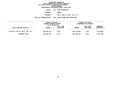**DEPARTMENTAL ESTIMATES FISCAL YEAR <sup>2016</sup>AGENCY <sup>057</sup> FIRE DEPARTMENT BOROUGH**BRONX<br>**ENG & LAD CO, BATT, DIV, B C PROGRAMENG** & LAD CO, BATT, DIV, B C<br>N 002 FIRE EXTING AND EMERG RESP

**UNIT OF APPROPRIATION <sup>002</sup> FIRE EXTING AND EMERG RESP**

|                                | FISCAL YEAR 2015<br>CURRENT MODIFIED BUDGET<br>AS OF 02/02/15<br>FULL TIME |           | FISCAL YEAR 2016<br>DEPARTMENTAL ESTIMATES |           |                    |
|--------------------------------|----------------------------------------------------------------------------|-----------|--------------------------------------------|-----------|--------------------|
|                                |                                                                            |           | FULL TIME                                  |           | <b>INCREASE</b>    |
| LOCAL SERVICE DISTRICT         | <b>AMOUNT</b>                                                              | POSITIONS | <b>AMOUNT</b>                              | POSITIONS | <b>DECREASE(-)</b> |
| BX ENG & LAD CO, BATT, DIV, BC | 190,426,261                                                                | 1,679     | 188, 162, 965                              | 1,679     | 2,263,296-         |
| PROGRAM TOTAL:                 | 190,426,261                                                                | 1,679     | 188, 162, 965                              | 1,679     | 2,263,296-         |
|                                |                                                                            |           |                                            |           |                    |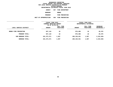**DEPARTMENTAL ESTIMATES FISCAL YEAR <sup>2016</sup>AGENCY <sup>057</sup> FIRE DEPARTMENT BOROUGH**BRONX<br>FIRE PREVENTION **PROGRAMM** FIRE PREVENTION<br>N 004 FIRE PREVENTION

**UNIT OF APPROPRIATION <sup>004</sup> FIRE PREVENTION**

|                        | FISCAL YEAR 2015<br>CURRENT MODIFIED BUDGET<br>AS OF 02/02/15 |                        | FISCAL YEAR 2016<br>DEPARTMENTAL ESTIMATES |                        |                                  |
|------------------------|---------------------------------------------------------------|------------------------|--------------------------------------------|------------------------|----------------------------------|
| LOCAL SERVICE DISTRICT | <b>AMOUNT</b>                                                 | FULL TIME<br>POSITIONS | <b>AMOUNT</b>                              | FULL TIME<br>POSITIONS | <b>INCREASE</b><br>$DECREASE(-)$ |
| BRONX FIRE PREVENTION  | 947,110                                                       | 18                     | 976,486                                    | 18                     | 29,376                           |
| PROGRAM TOTAL:         | 947,110                                                       | 18                     | 976,486                                    | 18                     | 29,376                           |
| SUB BOROUGH TOTAL:     | 191,373,371                                                   | 1,697                  | 189, 139, 451                              | 1,697                  | 2,233,920-                       |
| <b>BOROUGH TOTAL:</b>  | 191,373,371                                                   | 1,697                  | 189, 139, 451                              | 1,697                  | 2,233,920-                       |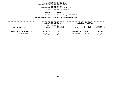**DEPARTMENTAL ESTIMATES FISCAL YEAR <sup>2016</sup>AGENCY <sup>057</sup> FIRE DEPARTMENT BOROUGH**BROOKLYN<br>**ENG & LAD CO, BATT, DIV, B C PROGRAMENG** & LAD CO, BATT, DIV, B C<br>N 002 FIRE EXTING AND EMERG RESP

**UNIT OF APPROPRIATION <sup>002</sup> FIRE EXTING AND EMERG RESP**

|                                | FISCAL YEAR 2015<br>CURRENT MODIFIED BUDGET |                        |               | FISCAL YEAR 2016<br>DEPARTMENTAL ESTIMATES |                                       |  |
|--------------------------------|---------------------------------------------|------------------------|---------------|--------------------------------------------|---------------------------------------|--|
|                                | AS OF 02/02/15                              |                        |               |                                            |                                       |  |
| LOCAL SERVICE DISTRICT         | <b>AMOUNT</b>                               | FULL TIME<br>POSITIONS | <b>AMOUNT</b> | FULL TIME<br>POSITIONS                     | <b>INCREASE</b><br><b>DECREASE(-)</b> |  |
|                                |                                             |                        |               |                                            |                                       |  |
| BK ENG & LAD CO, BATT, DIV, BC | 345,532,182                                 | 2,905                  | 346,915,780   | 2,905                                      | 1,383,598                             |  |
| PROGRAM TOTAL:                 | 345,532,182                                 | 2,905                  | 346,915,780   | 2,905                                      | 1,383,598                             |  |
|                                |                                             |                        |               |                                            |                                       |  |
|                                |                                             |                        |               |                                            |                                       |  |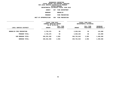**DEPARTMENTAL ESTIMATES FISCAL YEAR <sup>2016</sup>AGENCY <sup>057</sup> FIRE DEPARTMENT BOROUGH BROOKLYN PROGRAMM** FIRE PREVENTION<br>N 004 FIRE PREVENTION

**UNIT OF APPROPRIATION <sup>004</sup> FIRE PREVENTION**

|                                      | FISCAL YEAR 2015<br>CURRENT MODIFIED BUDGET<br>AS OF 02/02/15 |                        | FISCAL YEAR 2016<br>DEPARTMENTAL ESTIMATES |                        |                         |
|--------------------------------------|---------------------------------------------------------------|------------------------|--------------------------------------------|------------------------|-------------------------|
| LOCAL SERVICE DISTRICT<br>---------- | <b>AMOUNT</b>                                                 | FULL TIME<br>POSITIONS | <b>AMOUNT</b>                              | FULL TIME<br>POSITIONS | INCREASE<br>DECREASE(-) |
| <b>BROOKLYN FIRE PREVENTION</b>      | 2,720,276                                                     | 50                     | 2,836,264                                  | 50                     | 115,988                 |
| PROGRAM TOTAL:                       | 2,720,276                                                     | 50                     | 2,836,264                                  | 50                     | 115,988                 |
| SUB BOROUGH TOTAL:                   | 348,252,458                                                   | 2,955                  | 349,752,044                                | 2,955                  | 1,499,586               |
| <b>BOROUGH TOTAL:</b>                | 348,252,458                                                   | 2,955                  | 349,752,044                                | 2,955                  | 1,499,586               |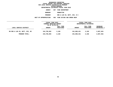**DEPARTMENTAL ESTIMATES FISCAL YEAR <sup>2016</sup>AGENCY <sup>057</sup> FIRE DEPARTMENT BOROUGH**MANHATTAN<br>ENG & LAD CO, BATT, DIV, B C **PROGRAMENG** & LAD CO, BATT, DIV, B C<br>N 002 FIRE EXTING AND EMERG RESP

**UNIT OF APPROPRIATION <sup>002</sup> FIRE EXTING AND EMERG RESP**

|                                | FISCAL YEAR 2015<br>CURRENT MODIFIED BUDGET<br>AS OF 02/02/15 |                        | FISCAL YEAR 2016<br>DEPARTMENTAL ESTIMATES |                        |                                       |
|--------------------------------|---------------------------------------------------------------|------------------------|--------------------------------------------|------------------------|---------------------------------------|
| LOCAL SERVICE DISTRICT         | <b>AMOUNT</b>                                                 | FULL TIME<br>POSITIONS | <b>AMOUNT</b>                              | FULL TIME<br>POSITIONS | <b>INCREASE</b><br><b>DECREASE(-)</b> |
| MN ENG & LAD CO, BATT, DIV, BC | 244,795,893                                                   | 2,158                  | 241,808,431                                | 2,158                  | 2,987,462-                            |
| PROGRAM TOTAL:                 | 244,795,893                                                   | 2,158                  | 241,808,431                                | 2,158                  | 2,987,462-                            |
|                                |                                                               |                        |                                            |                        |                                       |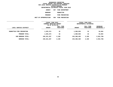**DEPARTMENTAL ESTIMATES FISCAL YEAR <sup>2016</sup>AGENCY <sup>057</sup> FIRE DEPARTMENT BOROUGH MANHATTAN PROGRAMM** FIRE PREVENTION<br>N 004 FIRE PREVENTION

**UNIT OF APPROPRIATION <sup>004</sup> FIRE PREVENTION**

|                           | FISCAL YEAR 2015<br>CURRENT MODIFIED BUDGET<br>AS OF 02/02/15 |                        | FISCAL YEAR 2016<br>DEPARTMENTAL ESTIMATES |                        |                                  |
|---------------------------|---------------------------------------------------------------|------------------------|--------------------------------------------|------------------------|----------------------------------|
| LOCAL SERVICE DISTRICT    | <b>AMOUNT</b>                                                 | FULL TIME<br>POSITIONS | <b>AMOUNT</b>                              | FULL TIME<br>POSITIONS | <b>INCREASE</b><br>$DECREASE(-)$ |
| MANHATTAN FIRE PREVENTION | 1,525,374                                                     | 32                     | 1,580,038                                  | 32                     | 54,664                           |
| PROGRAM TOTAL:            | 1,525,374                                                     | 32                     | 1,580,038                                  | 32                     | 54,664                           |
| SUB BOROUGH TOTAL:        | 246,321,267                                                   | 2,190                  | 243,388,469                                | 2,190                  | 2,932,798-                       |
| BOROUGH TOTAL:            | 246,321,267                                                   | 2,190                  | 243,388,469                                | 2,190                  | 2,932,798-                       |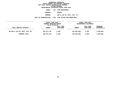|                         | DEPARTMENTAL ESTIMATES FISCAL YEAR 2016 |
|-------------------------|-----------------------------------------|
| AGENCY                  | 057 FIRE DEPARTMENT                     |
| <b>BOROUGH</b>          | <b>OUEENS</b>                           |
| <b>PROGRAM</b>          | ENG & LAD CO, BATT, DIV, B C            |
| <b>DF APPROPRIATION</b> | 002 FIRE EXTING AND EMERG RESP          |

**UNIT OF APPROPRIATION <sup>002</sup> FIRE EXTING AND EMERG RESP**

|                                | FISCAL YEAR 2015<br>CURRENT MODIFIED BUDGET<br>AS OF 02/02/15 |                        | FISCAL YEAR 2016<br>DEPARTMENTAL ESTIMATES |                        |                                |
|--------------------------------|---------------------------------------------------------------|------------------------|--------------------------------------------|------------------------|--------------------------------|
| LOCAL SERVICE DISTRICT         | <b>AMOUNT</b>                                                 | FULL TIME<br>POSITIONS | <b>AMOUNT</b>                              | FULL TIME<br>POSITIONS | INCREASE<br><b>DECREASE(-)</b> |
| ON ENG & LAD CO, BATT, DIV, BC | 262,573,744                                                   | 2,320                  | 261,064,698                                | 2,320                  | 1,509,046-                     |
| PROGRAM TOTAL:                 | 262,573,744                                                   | 2,320                  | 261,064,698                                | 2,320                  | 1,509,046-                     |
|                                |                                                               |                        |                                            |                        |                                |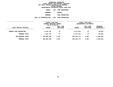**DEPARTMENTAL ESTIMATES FISCAL YEAR <sup>2016</sup>AGENCY <sup>057</sup> FIRE DEPARTMENT BOROUGH**QUEENS<br>FIRE PREVENTION **PROGRAMM** FIRE PREVENTION<br>N 004 FIRE PREVENTION

**UNIT OF APPROPRIATION <sup>004</sup> FIRE PREVENTION**

|                                        | FISCAL YEAR 2015<br>CURRENT MODIFIED BUDGET<br>AS OF 02/02/15 |                        | FISCAL YEAR 2016<br>DEPARTMENTAL ESTIMATES |                        |                         |  |
|----------------------------------------|---------------------------------------------------------------|------------------------|--------------------------------------------|------------------------|-------------------------|--|
| LOCAL SERVICE DISTRICT<br>------------ | <b>AMOUNT</b>                                                 | FULL TIME<br>POSITIONS | <b>AMOUNT</b>                              | FULL TIME<br>POSITIONS | INCREASE<br>DECREASE(-) |  |
| <b>QUEENS FIRE PREVENTION</b>          | 2,327,721                                                     | 47                     | 2,377,076                                  | 47                     | 49,355                  |  |
| PROGRAM TOTAL:                         | 2,327,721                                                     | 47                     | 2,377,076                                  | 47                     | 49,355                  |  |
| SUB BOROUGH TOTAL:                     | 264,901,465                                                   | 2,367                  | 263, 441, 774                              | 2,367                  | 1,459,691-              |  |
| <b>BOROUGH TOTAL:</b>                  | 264,901,465                                                   | 2,367                  | 263,441,774                                | 2,367                  | 1,459,691-              |  |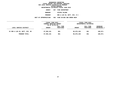|                     | DEPARTMENTAL ESTIMATES FISCAL YEAR 2016 |
|---------------------|-----------------------------------------|
| AGENCY              | 057 FIRE DEPARTMENT                     |
| <b>BOROUGH</b>      | STATEN ISLAND                           |
| PROGRAM             | ENG & LAD CO, BATT, DIV, B C            |
| <b>PPROPRIATION</b> | 002 FIRE EXTING AND EMERG RESP          |

**UNIT OF APPROPRIATION <sup>002</sup> FIRE EXTING AND EMERG RESP**

|                                | FISCAL YEAR 2015<br>CURRENT MODIFIED BUDGET<br>AS OF 02/02/15 |                        |               | FISCAL YEAR 2016<br>DEPARTMENTAL ESTIMATES |                                |
|--------------------------------|---------------------------------------------------------------|------------------------|---------------|--------------------------------------------|--------------------------------|
| LOCAL SERVICE DISTRICT         | <b>AMOUNT</b>                                                 | FULL TIME<br>POSITIONS | <b>AMOUNT</b> | FULL TIME<br>POSITIONS                     | <b>INCREASE</b><br>DECREASE(-) |
| SI ENG & LAD CO, BATT, DIV, BC | 97,056,101                                                    | 861                    | 96,875,230    | 861                                        | 180,871-                       |
| PROGRAM TOTAL:                 | 97,056,101                                                    | 861                    | 96,875,230    | 861                                        | 180,871-                       |
|                                |                                                               |                        |               |                                            |                                |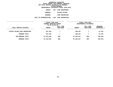**DEPARTMENTAL ESTIMATES FISCAL YEAR <sup>2016</sup>AGENCY <sup>057</sup> FIRE DEPARTMENT BOROUGH STATEN ISLAND PROGRAMM** FIRE PREVENTION<br>N 004 FIRE PREVENTION

**UNIT OF APPROPRIATION <sup>004</sup> FIRE PREVENTION**

|                               | FISCAL YEAR 2015<br>CURRENT MODIFIED BUDGET<br>AS OF 02/02/15 |                        | FISCAL YEAR 2016<br>DEPARTMENTAL ESTIMATES |                        |                                  |
|-------------------------------|---------------------------------------------------------------|------------------------|--------------------------------------------|------------------------|----------------------------------|
| LOCAL SERVICE DISTRICT        | <b>AMOUNT</b>                                                 | FULL TIME<br>POSITIONS | <b>AMOUNT</b>                              | FULL TIME<br>POSITIONS | <b>INCREASE</b><br>$DECREASE(-)$ |
| STATEN ISLAND FIRE PREVENTION | 367,504                                                       | 7                      | 380,297                                    | 7                      | 12,793                           |
| PROGRAM TOTAL:                | 367,504                                                       | 7                      | 380,297                                    | 7                      | 12,793                           |
| SUB BOROUGH TOTAL:            | 97,423,605                                                    | 868                    | 97,255,527                                 | 868                    | 168,078-                         |
| BOROUGH TOTAL:                | 97,423,605                                                    | 868                    | 97,255,527                                 | 868                    | 168,078-                         |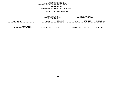### GEOGRAPHIC REPORTING<br>FISCAL REPORT FOR PERSONAL SERVICES<br>OCAL SERVICE DISTRICTS BY PROGRAM<br>WITHIN BOROUGH **FISCAL REPORT FOR PERSONAL SERVICES FOR LOCAL SERVICE DISTRICTS BY PROGRAM**

### **WITHIN BOROUGH DEPARTMENTAL ESTIMATES FISCAL YEAR <sup>2016</sup>**

|                                                   | FISCAL YEAR 2015<br>CURRENT MODIFIED BUDGET<br>AS OF 02/02/15 |                        |               | FISCAL YEAR 2016<br>DEPARTMENTAL ESTIMATES |                         |
|---------------------------------------------------|---------------------------------------------------------------|------------------------|---------------|--------------------------------------------|-------------------------|
| LOCAL SERVICE DISTRICT                            | <b>AMOUNT</b>                                                 | FULL TIME<br>POSITIONS | <b>AMOUNT</b> | FULL TIME<br>POSITIONS                     | INCREASE<br>DECREASE(-) |
| <b>AGENCY TOTAL:</b><br>ALL PROGRAMS ALL BOROUGHS | 1,148,272,166                                                 | 10,077                 | 1,142,977,265 | 10,077                                     | $5,294,901 -$           |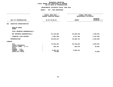|                                        | FISCAL YEAR 2015<br>CURRENT MODIFIED BUDGET | FISCAL YEAR 2016<br>DEPARTMENTAL ESTIMATES |                                 |  |
|----------------------------------------|---------------------------------------------|--------------------------------------------|---------------------------------|--|
| UNIT OF APPROPRIATION                  | AS OF 02/02/15                              | <b>AMOUNT</b>                              | <b>INCREASE</b><br>DECREASE (-) |  |
| 001<br><b>EXECUTIVE ADMINISTRATIVE</b> |                                             |                                            |                                 |  |
| REGULAR GROSS<br><b>OTHER</b>          |                                             |                                            |                                 |  |
| TOTAL REPORTED GEOGRAPHICALLY          |                                             |                                            |                                 |  |
| NOT REPORTED GEOGRAPHICALLY            | 91,129,589                                  | 92,668,240                                 | 1,538,651                       |  |
| FINANCIAL PLAN SAVINGS                 | 1,084,358-                                  | 2,017,481                                  | 3,101,839                       |  |
| <b>APPROPRIATION</b>                   | 90,045,231                                  | 94,685,721                                 | 4,640,490                       |  |
| <b>FUNDING</b>                         |                                             |                                            |                                 |  |
| <b>CITY</b><br>OTHER CATEGORICAL       | 79,582,225                                  | 84,236,832                                 | 4,654,607                       |  |
| CAPITAL FUNDS - I.F.A.                 | 399,792                                     | 463,675                                    | 63,883                          |  |
| <b>STATE</b><br>FEDERAL - C.D.         |                                             |                                            |                                 |  |
| FEDERAL - OTHER                        | 9,985,214                                   | 9,985,214                                  |                                 |  |
| INTRA-CITY SALES                       | 78,000                                      |                                            | $78,000 -$                      |  |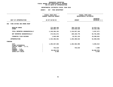### **DEPARTMENTAL ESTIMATES FISCAL YEAR 2016 DEPARTMENTAL ESTIMATES FISCAL YEAR <sup>2016</sup>**

|                                                            | FISCAL YEAR 2015<br><b>CURRENT MODIFIED BUDGET</b> | FISCAL YEAR 2016<br>DEPARTMENTAL ESTIMATES |                                 |  |  |
|------------------------------------------------------------|----------------------------------------------------|--------------------------------------------|---------------------------------|--|--|
| UNIT OF APPROPRIATION                                      | AS OF 02/02/15                                     | <b>AMOUNT</b>                              | <b>INCREASE</b><br>DECREASE (-) |  |  |
| FIRE EXTING AND EMERG RESP<br>002                          |                                                    |                                            |                                 |  |  |
| REGULAR GROSS<br><b>OTHER</b>                              | 773,499,454<br>366,884,727                         | 788,178,575<br>346,648,529                 | 14,679,121<br>20,236,198-       |  |  |
| TOTAL REPORTED GEOGRAPHICALLY                              | 1,140,384,181                                      | 1,134,827,104                              | 5,557,077-                      |  |  |
| NOT REPORTED GEOGRAPHICALLY                                | 173,941,671                                        | 109,159,778                                | 64,781,893-                     |  |  |
| FINANCIAL PLAN SAVINGS                                     | 1,040,209                                          | 19,321,133                                 | 18,280,924                      |  |  |
| <b>APPROPRIATION</b>                                       | 1,315,366,061                                      | 1,263,308,015                              | 52,058,046-                     |  |  |
| <b>FUNDING</b>                                             |                                                    |                                            |                                 |  |  |
| <b>CITY</b><br>OTHER CATEGORICAL<br>CAPITAL FUNDS - I.F.A. | 1,255,927,983                                      | 1,262,582,996                              | 6,655,013                       |  |  |
| <b>STATE</b><br>FEDERAL - C.D.                             | 732,519                                            | 725,019                                    | $7,500-$                        |  |  |
| FEDERAL - OTHER<br>INTRA-CITY SALES                        | 58,696,070<br>9,489                                |                                            | 58,696,070-<br>$9,489-$         |  |  |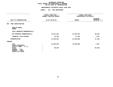|                                                                                                 | FISCAL YEAR 2015<br>CURRENT MODIFIED BUDGET | FISCAL YEAR 2016<br>DEPARTMENTAL ESTIMATES |                                 |
|-------------------------------------------------------------------------------------------------|---------------------------------------------|--------------------------------------------|---------------------------------|
| UNIT OF APPROPRIATION                                                                           | AS OF 02/02/15                              | <b>AMOUNT</b>                              | <b>INCREASE</b><br>DECREASE (-) |
| FIRE INVESTIGATION<br>003                                                                       |                                             |                                            |                                 |
| REGULAR GROSS<br><b>OTHER</b>                                                                   |                                             |                                            |                                 |
| TOTAL REPORTED GEOGRAPHICALLY                                                                   |                                             |                                            |                                 |
| NOT REPORTED GEOGRAPHICALLY                                                                     | 14,311,633                                  | 14,262,691                                 | 48,942-                         |
| FINANCIAL PLAN SAVINGS                                                                          | 19,358                                      | 27,195                                     | 7,837                           |
| <b>APPROPRIATION</b>                                                                            | 14,330,991                                  | 14,289,886                                 | $41,105-$                       |
| FUNDING                                                                                         |                                             |                                            |                                 |
| <b>CITY</b><br>OTHER CATEGORICAL                                                                | 14,282,049                                  | 14,289,886                                 | 7,837                           |
| CAPITAL FUNDS - I.F.A.<br><b>STATE</b><br>FEDERAL - C.D.<br>FEDERAL - OTHER<br>INTRA-CITY SALES | 48,942                                      |                                            | 48,942-                         |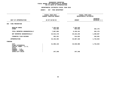### **DEPARTMENTAL ESTIMATES FISCAL YEAR 2016 DEPARTMENTAL ESTIMATES FISCAL YEAR <sup>2016</sup>**

|                                                                                                                                     | FISCAL YEAR 2015<br>CURRENT MODIFIED BUDGET | FISCAL YEAR 2016<br>DEPARTMENTAL ESTIMATES |                                 |  |
|-------------------------------------------------------------------------------------------------------------------------------------|---------------------------------------------|--------------------------------------------|---------------------------------|--|
| UNIT OF APPROPRIATION                                                                                                               | AS OF 02/02/15                              | <b>AMOUNT</b>                              | <b>INCREASE</b><br>DECREASE (-) |  |
| 004<br>FIRE PREVENTION                                                                                                              |                                             |                                            |                                 |  |
| REGULAR GROSS<br><b>OTHER</b>                                                                                                       | 7,345,529<br>542,456                        | 7,345,529<br>804,632                       | 262,176                         |  |
| TOTAL REPORTED GEOGRAPHICALLY                                                                                                       | 7,887,985                                   | 8,150,161                                  | 262,176                         |  |
| NOT REPORTED GEOGRAPHICALLY                                                                                                         | 23,913,178                                  | 25,222,245                                 | 1,309,067                       |  |
| FINANCIAL PLAN SAVINGS                                                                                                              | 352,331                                     | 514,922                                    | 162,591                         |  |
| <b>APPROPRIATION</b>                                                                                                                | 32, 153, 494                                | 33,887,328                                 | 1,733,834                       |  |
| <b>FUNDING</b>                                                                                                                      |                                             |                                            |                                 |  |
| <b>CITY</b><br>OTHER CATEGORICAL<br>CAPITAL FUNDS - I.F.A.<br><b>STATE</b><br>FEDERAL - C.D.<br>FEDERAL - OTHER<br>INTRA-CITY SALES | 31,906,146<br>247,348                       | 33,639,980<br>247,348                      | 1,733,834                       |  |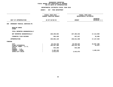|                                                                                                                                     | FISCAL YEAR 2015<br>CURRENT MODIFIED BUDGET                    | FISCAL YEAR 2016<br>DEPARTMENTAL ESTIMATES        |                                       |
|-------------------------------------------------------------------------------------------------------------------------------------|----------------------------------------------------------------|---------------------------------------------------|---------------------------------------|
| UNIT OF APPROPRIATION                                                                                                               | AS OF 02/02/15                                                 | <b>AMOUNT</b>                                     |                                       |
| EMERGENCY MEDICAL SERVICES-PS<br>009                                                                                                |                                                                |                                                   |                                       |
| REGULAR GROSS<br><b>OTHER</b>                                                                                                       |                                                                |                                                   |                                       |
| TOTAL REPORTED GEOGRAPHICALLY                                                                                                       |                                                                |                                                   |                                       |
| NOT REPORTED GEOGRAPHICALLY                                                                                                         | 220, 269, 692                                                  | 237,384,642                                       | 17, 114, 950                          |
| FINANCIAL PLAN SAVINGS                                                                                                              | 594,428                                                        | 627,017                                           | 32,589                                |
| <b>APPROPRIATION</b>                                                                                                                | 220,864,120                                                    | 238,011,659                                       | 17, 147, 539                          |
| FUNDING                                                                                                                             |                                                                |                                                   |                                       |
| <b>CITY</b><br>OTHER CATEGORICAL<br>CAPITAL FUNDS - I.F.A.<br><b>STATE</b><br>FEDERAL - C.D.<br>FEDERAL - OTHER<br>INTRA-CITY SALES | 20,243,436<br>195,567,389<br>544,200<br>2,495,222<br>2,013,873 | 39,940,824<br>195,512,762<br>544,200<br>2,013,873 | 19,697,388<br>$54,627-$<br>2,495,222- |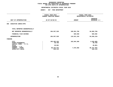# **DEPARTMENTAL ESTIMATES FISCAL YEAR <sup>2016</sup>**

|                |                                                          | FISCAL YEAR 2016<br>DEPARTMENTAL ESTIMATES  |                                                             |
|----------------|----------------------------------------------------------|---------------------------------------------|-------------------------------------------------------------|
| AS OF 02/02/15 |                                                          | <b>AMOUNT</b>                               | <b>INCREASE</b><br>DECREASE (-)                             |
|                |                                                          |                                             |                                                             |
|                |                                                          |                                             |                                                             |
|                | 204, 557, 520                                            | 109,591,760                                 | 94,965,760-                                                 |
|                |                                                          | 929,550                                     | 929,550                                                     |
|                | 204, 557, 520                                            | 110,521,310                                 | 94,036,210-                                                 |
|                |                                                          |                                             |                                                             |
|                | 105,465,245<br>48,760<br>49,861<br>98,444,542<br>549,112 | 102,844,360<br>7,676,950                    | 2,620,885-<br>48,760-<br>49,861-<br>90,767,592-<br>549,112- |
|                |                                                          | FISCAL YEAR 2015<br>CURRENT MODIFIED BUDGET |                                                             |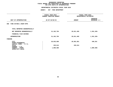# **DEPARTMENTAL ESTIMATES FISCAL YEAR <sup>2016</sup>**

|                                                                     | FISCAL YEAR 2015<br>CURRENT MODIFIED BUDGET<br>AS OF 02/02/15 |                       |                       | FISCAL YEAR 2016<br>DEPARTMENTAL ESTIMATES |  |
|---------------------------------------------------------------------|---------------------------------------------------------------|-----------------------|-----------------------|--------------------------------------------|--|
| UNIT OF APPROPRIATION                                               |                                                               |                       | <b>AMOUNT</b>         | <b>INCREASE</b><br>DECREASE (-)            |  |
| FIRE EXTING & RESP-OTPS<br>006                                      |                                                               |                       |                       |                                            |  |
| TOTAL REPORTED GEOGRAPHICALLY                                       |                                                               |                       |                       |                                            |  |
| NOT REPORTED GEOGRAPHICALLY                                         |                                                               | 31,162,794            | 29,811,465            | 1,351,329-                                 |  |
| FINANCIAL PLAN SAVINGS                                              |                                                               |                       |                       |                                            |  |
| <b>APPROPRIATION</b>                                                |                                                               | 31,162,794            | 29,811,465            | 1,351,329-                                 |  |
| FUNDING                                                             |                                                               |                       |                       |                                            |  |
| CITY<br>OTHER CATEGORICAL<br>CAPITAL FUNDS - I.F.A.<br><b>STATE</b> |                                                               | 29,033,600<br>229,614 | 29,581,851<br>229,614 | 548,251                                    |  |
| FEDERAL - C.D.<br>FEDERAL - OTHER<br>INTRA-CITY SALES               |                                                               | 1,899,580             |                       | 1,899,580-                                 |  |
|                                                                     |                                                               |                       |                       |                                            |  |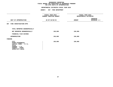# **DEPARTMENTAL ESTIMATES FISCAL YEAR <sup>2016</sup>**

|                                                                                                                              | -------------                               |                                            |                                 |
|------------------------------------------------------------------------------------------------------------------------------|---------------------------------------------|--------------------------------------------|---------------------------------|
|                                                                                                                              | FISCAL YEAR 2015<br>CURRENT MODIFIED BUDGET | FISCAL YEAR 2016<br>DEPARTMENTAL ESTIMATES |                                 |
| UNIT OF APPROPRIATION                                                                                                        | AS OF 02/02/15                              | <b>AMOUNT</b>                              | <b>INCREASE</b><br>DECREASE (-) |
| 007 FIRE INVESTIGATION-OTPS                                                                                                  |                                             |                                            |                                 |
| TOTAL REPORTED GEOGRAPHICALLY                                                                                                |                                             |                                            |                                 |
| NOT REPORTED GEOGRAPHICALLY                                                                                                  | 150,060                                     | 150,060                                    |                                 |
| FINANCIAL PLAN SAVINGS                                                                                                       |                                             |                                            |                                 |
| <b>APPROPRIATION</b>                                                                                                         | 150,060                                     | 150,060                                    |                                 |
| FUNDING                                                                                                                      |                                             |                                            |                                 |
| CITY<br>OTHER CATEGORICAL<br>CAPITAL FUNDS - I.F.A.<br><b>STATE</b><br>FEDERAL - C.D.<br>FEDERAL - OTHER<br>INTRA-CITY SALES | 150,060                                     | 150,060                                    |                                 |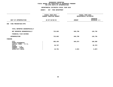# **DEPARTMENTAL ESTIMATES FISCAL YEAR <sup>2016</sup>**

|                                                     | FISCAL YEAR 2015<br>CURRENT MODIFIED BUDGET | FISCAL YEAR 2016<br>DEPARTMENTAL ESTIMATES |                                 |
|-----------------------------------------------------|---------------------------------------------|--------------------------------------------|---------------------------------|
| UNIT OF APPROPRIATION                               | AS OF 02/02/15                              | <b>AMOUNT</b>                              | <b>INCREASE</b><br>DECREASE (-) |
| FIRE PREVENTION-OTPS<br>008                         |                                             |                                            |                                 |
| TOTAL REPORTED GEOGRAPHICALLY                       |                                             |                                            |                                 |
| NOT REPORTED GEOGRAPHICALLY                         | 723,062                                     | 849,798                                    | 126,736                         |
| FINANCIAL PLAN SAVINGS                              |                                             |                                            |                                 |
| <b>APPROPRIATION</b>                                | 723,062                                     | 849,798                                    | 126,736                         |
| FUNDING                                             |                                             |                                            |                                 |
| CITY<br>OTHER CATEGORICAL<br>CAPITAL FUNDS - I.F.A. | 685,494                                     | 845,874                                    | 160,380                         |
| <b>STATE</b><br>FEDERAL - C.D.                      | 26,787                                      |                                            | $26,787-$                       |
| FEDERAL - OTHER<br>INTRA-CITY SALES                 | 10,781                                      | 3,924                                      | $6,857-$                        |
|                                                     |                                             |                                            |                                 |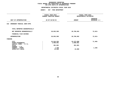# **DEPARTMENTAL ESTIMATES FISCAL YEAR <sup>2016</sup>**

# **AGENCY: <sup>057</sup> FIRE DEPARTMENT**

|                |                                                       | FISCAL YEAR 2016<br>DEPARTMENTAL ESTIMATES   |                                 |
|----------------|-------------------------------------------------------|----------------------------------------------|---------------------------------|
| AS OF 02/02/15 |                                                       | <b>AMOUNT</b>                                | <b>INCREASE</b><br>DECREASE (-) |
|                |                                                       |                                              |                                 |
|                |                                                       |                                              |                                 |
|                | 28,853,505                                            | 28,780,692                                   | $72,813-$                       |
|                |                                                       |                                              |                                 |
|                | 28,853,505                                            | 28,780,692                                   | $72,813-$                       |
|                |                                                       |                                              |                                 |
| $\cdot$        | 24,544,555<br>3,990,801<br>301,801<br>1,348<br>15,000 | 24,473,090<br>3,990,801<br>301,801<br>15,000 | $71,465-$<br>$1,348-$           |
|                |                                                       | FISCAL YEAR 2015<br>CURRENT MODIFIED BUDGET  |                                 |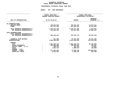## GEOGRAPHIC REPORTING<br>FISCAL REPORT AGENCYWIDE SUMMARY

# **FISCAL REPORT AGENCYWIDE SUMMARY DEPARTMENTAL ESTIMATES FISCAL YEAR <sup>2016</sup>**

#### **AGENCY: <sup>057</sup> FIRE DEPARTMENT**

|                                                                                     | FISCAL YEAR 2015<br><b>CURRENT MODIFIED BUDGET</b> |                                 | FISCAL YEAR 2016<br>DEPARTMENTAL ESTIMATES |
|-------------------------------------------------------------------------------------|----------------------------------------------------|---------------------------------|--------------------------------------------|
| UNIT OF APPROPRIATION                                                               | AS OF 02/02/15                                     | <b>AMOUNT</b>                   | <b>INCREASE</b><br>DECREASE (-)            |
| PS APPROPRIATIONS                                                                   |                                                    |                                 |                                            |
| REGULAR GROSS<br><b>OTHER</b>                                                       | 780,844,983<br>367, 427, 183                       | 795,524,104<br>347,453,161      | 14,679,121<br>19,974,022-                  |
| TOTAL REPORTED GEOGRAPHICALLY<br>NOT REPORTED GEOGRAPHICALLY                        | 1,148,272,166<br>523,565,763                       | 1, 142, 977, 265<br>478,697,596 | $5,294,901 -$<br>44,868,167-               |
| OTPS APPROPRIATIONS<br>TOTAL REPORTED GEOGRAPHICALLY<br>NOT REPORTED GEOGRAPHICALLY | 265,446,941                                        | 169, 183, 775                   | $96, 263, 166 -$                           |
|                                                                                     |                                                    |                                 |                                            |
| FINANCIAL PLAN SAVINGS<br><b>APPROPRIATIONS</b>                                     | 921,968<br>1,938,206,838                           | 23,437,298<br>1,814,295,934     | 22,515,330<br>123,910,904-                 |
| FUNDING                                                                             |                                                    |                                 |                                            |
| <b>CITY</b>                                                                         | 1,561,820,793                                      | 1,592,585,753                   | 30,764,960                                 |
| OTHER CATEGORICAL                                                                   | 199,606,950                                        | 199,503,563                     | 103,387-                                   |
| CAPITAL FUNDS - I.F.A.                                                              | 399,792                                            | 463,675                         | 63,883                                     |
| <b>STATE</b>                                                                        | 1,933,724                                          | 1,800,634                       | $133,090-$                                 |
| FEDERAL - C.D.                                                                      |                                                    |                                 |                                            |
| FEDERAL - OTHER                                                                     | 171,521,976                                        | 17,662,164                      | 153,859,812-                               |
| INTRA-CITY SALES                                                                    | 2,923,603                                          | 2,280,145                       | 643,458-                                   |
|                                                                                     |                                                    |                                 |                                            |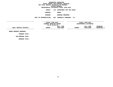**DEPARTMENTAL ESTIMATES FISCAL YEAR <sup>2016</sup>AGENCY <sup>125</sup> DEPARTMENT FOR THE AGING**

**BOROUGH BRONX PROGRAM**

 **BOROUGH PROGRAMS UNIT OF APPROPRIATION <sup>002</sup> COMMUNITY PROGRAMS - PS**

**------------------------------------ ------------------------------ ------------------------------------------------- FISCAL YEAR <sup>2015</sup> FISCAL YEAR <sup>2016</sup> CURRENT MODIFIED BUDGET**<br>
AS OF 02/02/15<br> **FULL TIME**<br> **PULL TIME**<br> **PULL TIME AS** OF 02/02/15<br>**FULL TIME**<br>**AMOUNT** POSITIONS<br>------------------------------**FULL TIME FULL TIME INCREASE LOCAL SERVICE DISTRICT AMOUNT POSITIONS AMOUNT POSITIONS DECREASE(-) ------------------------------------------------------------------ ------------------------------------------------- BRONX BOROUGH PROGRAMS**

**PROGRAM TOTAL: SUB BOROUGH TOTAL:**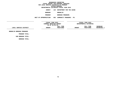**DEPARTMENTAL ESTIMATES FISCAL YEAR <sup>2016</sup>AGENCY <sup>125</sup> DEPARTMENT FOR THE AGING**

**BOROUGH**

 **BROOKLYN PROGRAM**

 **BOROUGH PROGRAMS UNIT OF APPROPRIATION <sup>002</sup> COMMUNITY PROGRAMS - PS**

**------------------------------------ ------------------------------ ------------------------------------------------- FISCAL YEAR <sup>2015</sup> FISCAL YEAR <sup>2016</sup> CURRENT MODIFIED BUDGET**<br>
AS OF 02/02/15<br> **FULL TIME**<br> **PULL TIME**<br> **PULL TIME AS** OF 02/02/15<br>**FULL TIME**<br>**AMOUNT** POSITIONS<br>------------------------------**FULL TIME FULL TIME INCREASE LOCAL SERVICE DISTRICT AMOUNT POSITIONS AMOUNT POSITIONS DECREASE(-) ------------------------------------------------------------------ ------------------------------------------------- BROOKLYN BOROUGH PROGRAMS**

**PROGRAM TOTAL: SUB BOROUGH TOTAL:**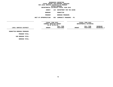**DEPARTMENTAL ESTIMATES FISCAL YEAR <sup>2016</sup>**

**AGENCY <sup>125</sup> DEPARTMENT FOR THE AGING BOROUGH**

 **MANHATTAN PROGRAM**

 **BOROUGH PROGRAMS UNIT OF APPROPRIATION <sup>002</sup> COMMUNITY PROGRAMS - PS**

**------------------------------------ ------------------------------ ------------------------------------------------- FISCAL YEAR <sup>2015</sup> FISCAL YEAR <sup>2016</sup> CURRENT MODIFIED BUDGET**<br>
AS OF 02/02/15<br> **FULL TIME**<br> **PULL TIME**<br> **PULL TIME AS OF 02/02/15 FULL TIME FULL TIME INCREASE LOCAL SERVICE DISTRICT AMOUNT POSITIONS AMOUNT POSITIONS DECREASE(-) ------------------------------------------------------------------ ------------------------------------------------- MANHATTAN BOROUGH PROGRAMS**

**PROGRAM TOTAL: SUB BOROUGH TOTAL:**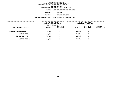**DEPARTMENTAL ESTIMATES FISCAL YEAR <sup>2016</sup>AGENCY <sup>125</sup> DEPARTMENT FOR THE AGING**

**BOROUGH**

QUEENS<br>BOROUGH PROGRAMS **PROGRAM**

 **BOROUGH PROGRAMS UNIT OF APPROPRIATION <sup>002</sup> COMMUNITY PROGRAMS - PS**

|                                | FISCAL YEAR 2015<br>CURRENT MODIFIED BUDGET<br>AS OF 02/02/15 |                        |               | FISCAL YEAR 2016<br>DEPARTMENTAL ESTIMATES |                         |
|--------------------------------|---------------------------------------------------------------|------------------------|---------------|--------------------------------------------|-------------------------|
| LOCAL SERVICE DISTRICT         | <b>AMOUNT</b>                                                 | FULL TIME<br>POSITIONS | <b>AMOUNT</b> | FULL TIME<br>POSITIONS                     | INCREASE<br>DECREASE(-) |
| <b>QUEENS BOROUGH PROGRAMS</b> | 70,304                                                        |                        | 70,304        | 1                                          |                         |
| PROGRAM TOTAL:                 | 70,304                                                        |                        | 70,304        | 1                                          |                         |
| SUB BOROUGH TOTAL:             | 70,304                                                        |                        | 70,304        | 1                                          |                         |
| <b>BOROUGH TOTAL:</b>          | 70,304                                                        |                        | 70,304        | 1                                          |                         |
|                                |                                                               |                        |               |                                            |                         |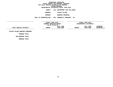**DEPARTMENTAL ESTIMATES FISCAL YEAR <sup>2016</sup>AGENCY <sup>125</sup> DEPARTMENT FOR THE AGING**

**BOROUGH**

 **STATEN ISLAND PROGRAM**

 **BOROUGH PROGRAMS UNIT OF APPROPRIATION <sup>002</sup> COMMUNITY PROGRAMS - PS**

**------------------------------------ ------------------------------ ------------------------------------------------- FISCAL YEAR <sup>2015</sup> FISCAL YEAR <sup>2016</sup> CURRENT MODIFIED BUDGET**<br>
AS OF 02/02/15<br> **FULL TIME**<br> **PULL TIME**<br> **PULL TIME AS** OF 02/02/15<br>**FULL TIME**<br>**AMOUNT** POSITIONS<br>------------------------------**FULL TIME FULL TIME INCREASE LOCAL SERVICE DISTRICT AMOUNT POSITIONS AMOUNT POSITIONS DECREASE(-) ------------------------------------------------------------------ ------------------------------------------------- STATEN ISLAND BOROUGH PROGRAMS**

**PROGRAM TOTAL: SUB BOROUGH TOTAL:**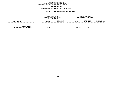## GEOGRAPHIC REPORTING<br>FISCAL REPORT FOR PERSONAL SERVICES<br>OCAL SERVICE DISTRICTS BY PROGRAM<br>WITHIN BOROUGH **FISCAL REPORT FOR PERSONAL SERVICES FOR LOCAL SERVICE DISTRICTS BY PROGRAM**

# **WITHIN BOROUGH DEPARTMENTAL ESTIMATES FISCAL YEAR <sup>2016</sup>**

|                                                   | <b>AGENCY</b>                                                 | 125<br>DEPARTMENT FOR THE AGING |               |                                            |                                |
|---------------------------------------------------|---------------------------------------------------------------|---------------------------------|---------------|--------------------------------------------|--------------------------------|
|                                                   | FISCAL YEAR 2015<br>CURRENT MODIFIED BUDGET<br>AS OF 02/02/15 |                                 |               | FISCAL YEAR 2016<br>DEPARTMENTAL ESTIMATES |                                |
| LOCAL SERVICE DISTRICT                            | <b>AMOUNT</b>                                                 | FULL TIME<br>POSITIONS          | <b>AMOUNT</b> | FULL TIME<br>POSITIONS                     | <b>INCREASE</b><br>DECREASE(-) |
| <b>AGENCY TOTAL:</b><br>ALL PROGRAMS ALL BOROUGHS | 70,304                                                        |                                 | 70,304        |                                            |                                |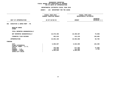## **GEOGRAPHIC REPORTINGFISCAL REPORT FOR AGENCYWIDE BY PROGRAM**

#### **DEPARTMENTAL ESTIMATES FISCAL YEAR 2016**

# **DEPARTMENTAL ESTIMATES FISCAL YEAR <sup>2016</sup>**

|                                                                                                                                     | FISCAL YEAR 2015<br>CURRENT MODIFIED BUDGET  | FISCAL YEAR 2016<br>DEPARTMENTAL ESTIMATES   |                                 |  |
|-------------------------------------------------------------------------------------------------------------------------------------|----------------------------------------------|----------------------------------------------|---------------------------------|--|
| UNIT OF APPROPRIATION                                                                                                               | AS OF 02/02/15                               | <b>AMOUNT</b>                                | <b>INCREASE</b><br>DECREASE (-) |  |
| EXECUTIVE & ADMIN MGMT - PS<br>001                                                                                                  |                                              |                                              |                                 |  |
| REGULAR GROSS<br><b>OTHER</b>                                                                                                       |                                              |                                              |                                 |  |
| TOTAL REPORTED GEOGRAPHICALLY                                                                                                       |                                              |                                              |                                 |  |
| NOT REPORTED GEOGRAPHICALLY                                                                                                         | 10,570,496                                   | 10,490,587                                   | 79,909-                         |  |
| FINANCIAL PLAN SAVINGS                                                                                                              | 282,610                                      | 413,219                                      | 130,609                         |  |
| <b>APPROPRIATION</b>                                                                                                                | 10,853,106                                   | 10,903,806                                   | 50,700                          |  |
| FUNDING                                                                                                                             |                                              |                                              |                                 |  |
| <b>CITY</b><br>OTHER CATEGORICAL<br>CAPITAL FUNDS - I.F.A.<br><b>STATE</b><br>FEDERAL - C.D.<br>FEDERAL - OTHER<br>INTRA-CITY SALES | 6,696,607<br>750,000<br>144,475<br>3,262,024 | 6,823,005<br>677,094<br>141,683<br>3,262,024 | 126,398<br>$72,906 -$<br>2,792- |  |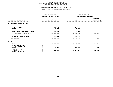#### **DEPARTMENTAL ESTIMATES FISCAL YEAR 2016**

# **DEPARTMENTAL ESTIMATES FISCAL YEAR <sup>2016</sup>AGENCY: <sup>125</sup> DEPARTMENT FOR THE AGING**

|                                                            | FISCAL YEAR 2015<br>CURRENT MODIFIED BUDGET | FISCAL YEAR 2016<br>DEPARTMENTAL ESTIMATES |                                 |  |
|------------------------------------------------------------|---------------------------------------------|--------------------------------------------|---------------------------------|--|
| UNIT OF APPROPRIATION                                      | AS OF 02/02/15                              | <b>AMOUNT</b>                              | <b>INCREASE</b><br>DECREASE (-) |  |
| COMMUNITY PROGRAMS - PS<br>002                             |                                             |                                            |                                 |  |
| REGULAR GROSS<br><b>OTHER</b>                              | 69,222<br>1,082                             | 69,222<br>1,082                            |                                 |  |
| TOTAL REPORTED GEOGRAPHICALLY                              | 70,304                                      | 70,304                                     |                                 |  |
| NOT REPORTED GEOGRAPHICALLY                                | 13,652,934                                  | 13,799,520                                 | 146,586                         |  |
| FINANCIAL PLAN SAVINGS                                     | 802,024                                     | 724,510                                    | $77,514-$                       |  |
| <b>APPROPRIATION</b>                                       | 14,525,262                                  | 14,594,334                                 | 69,072                          |  |
| <b>FUNDING</b>                                             |                                             |                                            |                                 |  |
| <b>CITY</b><br>OTHER CATEGORICAL<br>CAPITAL FUNDS - I.F.A. | 6,005,592                                   | 5,883,376                                  | 122,216-                        |  |
| <b>STATE</b><br>FEDERAL - C.D.                             | 845,025                                     | 827,019                                    | $18,006-$                       |  |
| FEDERAL - OTHER<br>INTRA-CITY SALES                        | 7,674,645                                   | 7,883,939                                  | 209,294                         |  |
|                                                            |                                             |                                            |                                 |  |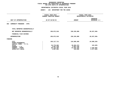# **DEPARTMENTAL ESTIMATES FISCAL YEAR <sup>2016</sup>AGENCY: <sup>125</sup> DEPARTMENT FOR THE AGING**

|                                                            |                | FISCAL YEAR 2015<br>CURRENT MODIFIED BUDGET | FISCAL YEAR 2016<br>DEPARTMENTAL ESTIMATES |                                 |
|------------------------------------------------------------|----------------|---------------------------------------------|--------------------------------------------|---------------------------------|
| UNIT OF APPROPRIATION                                      | AS OF 02/02/15 |                                             | <b>AMOUNT</b>                              | <b>INCREASE</b><br>DECREASE (-) |
| COMMUNITY PROGRAMS - OTPS<br>003                           |                |                                             |                                            |                                 |
| TOTAL REPORTED GEOGRAPHICALLY                              |                |                                             |                                            |                                 |
| NOT REPORTED GEOGRAPHICALLY                                |                | 258,872,916                                 | 230,335,080                                | 28,537,836-                     |
| FINANCIAL PLAN SAVINGS                                     |                |                                             |                                            |                                 |
| <b>APPROPRIATION</b>                                       |                | 258,872,916                                 | 230,335,080                                | 28,537,836-                     |
| FUNDING                                                    |                |                                             |                                            |                                 |
| <b>CITY</b><br>OTHER CATEGORICAL<br>CAPITAL FUNDS - I.F.A. |                | 159,117,711                                 | 134,609,485                                | 24,508,226-                     |
| <b>STATE</b>                                               |                | 35,776,002                                  | 35,653,373                                 | 122,629-                        |
| FEDERAL - C.D.                                             |                | 2,097,238                                   | 2,097,238                                  |                                 |
| FEDERAL - OTHER                                            |                | 60,184,384                                  | 57,655,328                                 | $2,529,056 -$                   |
| INTRA-CITY SALES                                           |                | 1,697,581                                   | 319,656                                    | 1,377,925-                      |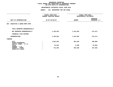# **DEPARTMENTAL ESTIMATES FISCAL YEAR <sup>2016</sup>AGENCY: <sup>125</sup> DEPARTMENT FOR THE AGING**

|                                                       | FISCAL YEAR 2015<br>CURRENT MODIFIED BUDGET | FISCAL YEAR 2016<br>DEPARTMENTAL ESTIMATES |                                 |
|-------------------------------------------------------|---------------------------------------------|--------------------------------------------|---------------------------------|
| UNIT OF APPROPRIATION                                 | AS OF 02/02/15                              | <b>AMOUNT</b>                              | <b>INCREASE</b><br>DECREASE (-) |
| EXECUTIVE & ADMIN MGMT-OTPS<br>004                    |                                             |                                            |                                 |
| TOTAL REPORTED GEOGRAPHICALLY                         |                                             |                                            |                                 |
| NOT REPORTED GEOGRAPHICALLY                           | 1,785,535                                   | 1,512,064                                  | 273,471-                        |
| FINANCIAL PLAN SAVINGS                                |                                             |                                            |                                 |
| <b>APPROPRIATION</b>                                  | 1,785,535                                   | 1,512,064                                  | $273,471-$                      |
| FUNDING                                               |                                             |                                            |                                 |
| CITY<br>OTHER CATEGORICAL<br>CAPITAL FUNDS - I.F.A.   | 1,051,036                                   | 951,036                                    | $100,000 -$                     |
| <b>STATE</b>                                          | 22,253                                      | 6,408                                      | 15,845-                         |
| FEDERAL - C.D.<br>FEDERAL - OTHER<br>INTRA-CITY SALES | 712,246                                     | 554,620                                    | 157,626-                        |
|                                                       |                                             |                                            |                                 |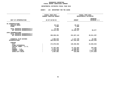## GEOGRAPHIC REPORTING<br>FISCAL REPORT AGENCYWIDE SUMMARY

# **FISCAL REPORT AGENCYWIDE SUMMARY DEPARTMENTAL ESTIMATES FISCAL YEAR <sup>2016</sup>**

#### **AGENCY: <sup>125</sup> DEPARTMENT FOR THE AGING**

|                                                                                                                                                | FISCAL YEAR 2015<br><b>CURRENT MODIFIED BUDGET</b>                | FISCAL YEAR 2016<br>DEPARTMENTAL ESTIMATES                      |                                                                    |  |
|------------------------------------------------------------------------------------------------------------------------------------------------|-------------------------------------------------------------------|-----------------------------------------------------------------|--------------------------------------------------------------------|--|
| UNIT OF APPROPRIATION                                                                                                                          | AS OF 02/02/15                                                    | <b>AMOUNT</b>                                                   | <b>INCREASE</b><br>DECREASE (-)                                    |  |
| PS APPROPRIATIONS<br>REGULAR GROSS<br><b>OTHER</b>                                                                                             | 69,222<br>1,082                                                   | 69,222<br>1,082                                                 |                                                                    |  |
| TOTAL REPORTED GEOGRAPHICALLY<br>NOT REPORTED GEOGRAPHICALLY                                                                                   | 70,304<br>24, 223, 430                                            | 70,304<br>24,290,107                                            | 66,677                                                             |  |
| OTPS APPROPRIATIONS<br>TOTAL REPORTED GEOGRAPHICALLY<br>NOT REPORTED GEOGRAPHICALLY                                                            | 260,658,451                                                       | 231,847,144                                                     | 28,811,307-                                                        |  |
| FINANCIAL PLAN SAVINGS<br><b>APPROPRIATIONS</b>                                                                                                | 1,084,634<br>286,036,819                                          | 1,137,729<br>257,345,284                                        | 53,095<br>28,691,535-                                              |  |
| FUNDING<br><b>CITY</b><br>OTHER CATEGORICAL<br>CAPITAL FUNDS - I.F.A.<br><b>STATE</b><br>FEDERAL - C.D.<br>FEDERAL - OTHER<br>INTRA-CITY SALES | 172,870,946<br>37,393,280<br>2,241,713<br>71,833,299<br>1,697,581 | 148,266,902<br>37,163,894<br>2,238,921<br>69,355,911<br>319,656 | 24,604,044-<br>$229,386 -$<br>$2,792-$<br>2,477,388-<br>1,377,925- |  |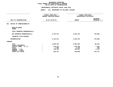#### **DEPARTMENTAL ESTIMATES FISCAL YEAR 2016**

# **DEPARTMENTAL ESTIMATES FISCAL YEAR <sup>2016</sup>**

|                                     | FISCAL YEAR 2015<br>CURRENT MODIFIED BUDGET |               | FISCAL YEAR 2016<br>DEPARTMENTAL ESTIMATES |  |  |
|-------------------------------------|---------------------------------------------|---------------|--------------------------------------------|--|--|
| UNIT OF APPROPRIATION               | AS OF 02/02/15                              | <b>AMOUNT</b> | INCREASE<br>DECREASE (-)                   |  |  |
| OFFICE OF COMMISSIONER-PS<br>001    |                                             |               |                                            |  |  |
| REGULAR GROSS<br><b>OTHER</b>       |                                             |               |                                            |  |  |
| TOTAL REPORTED GEOGRAPHICALLY       |                                             |               |                                            |  |  |
| NOT REPORTED GEOGRAPHICALLY         | 4,723,372                                   | 4,544,476     | 178,896-                                   |  |  |
| FINANCIAL PLAN SAVINGS              |                                             |               |                                            |  |  |
| <b>APPROPRIATION</b>                | 4,723,372                                   | 4,544,476     | 178,896-                                   |  |  |
| <b>FUNDING</b>                      |                                             |               |                                            |  |  |
| <b>CITY</b><br>OTHER CATEGORICAL    | 3,895,129                                   | 3,981,663     | 86,534                                     |  |  |
| CAPITAL FUNDS - I.F.A.              | 239,325                                     | 240,828       | 1,503                                      |  |  |
| <b>STATE</b>                        | 1,393                                       | 2,178         | 785                                        |  |  |
| FEDERAL - C.D.                      | 136,728                                     | 139,807       | 3,079                                      |  |  |
| FEDERAL - OTHER<br>INTRA-CITY SALES | 450,797                                     | 180,000       | 270,797-                                   |  |  |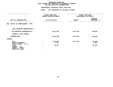|                                                                                                                              |                | FISCAL YEAR 2015<br>CURRENT MODIFIED BUDGET | FISCAL YEAR 2016<br>DEPARTMENTAL ESTIMATES |                                    |
|------------------------------------------------------------------------------------------------------------------------------|----------------|---------------------------------------------|--------------------------------------------|------------------------------------|
| UNIT OF APPROPRIATION                                                                                                        | AS OF 02/02/15 |                                             | <b>AMOUNT</b>                              | <b>INCREASE</b><br>DECREASE (-)    |
| OFFICE OF COMMISSIONER - OTPS<br>002                                                                                         |                |                                             |                                            |                                    |
| TOTAL REPORTED GEOGRAPHICALLY                                                                                                |                |                                             |                                            |                                    |
| NOT REPORTED GEOGRAPHICALLY                                                                                                  |                | 1,801,096                                   | 1,672,096                                  | 129,000-                           |
| FINANCIAL PLAN SAVINGS                                                                                                       |                |                                             |                                            |                                    |
| <b>APPROPRIATION</b>                                                                                                         |                | 1,801,096                                   | 1,672,096                                  | $129,000 -$                        |
| FUNDING                                                                                                                      |                |                                             |                                            |                                    |
| CITY<br>OTHER CATEGORICAL<br>CAPITAL FUNDS - I.F.A.<br><b>STATE</b><br>FEDERAL - C.D.<br>FEDERAL - OTHER<br>INTRA-CITY SALES |                | 1,700,096<br>1,817<br>99,183                | 1,672,096                                  | $28,000 -$<br>1,817-<br>$99,183 -$ |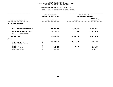|                                                                     | FISCAL YEAR 2015<br>CURRENT MODIFIED BUDGET | FISCAL YEAR 2016<br>DEPARTMENTAL ESTIMATES |                                     |
|---------------------------------------------------------------------|---------------------------------------------|--------------------------------------------|-------------------------------------|
|                                                                     |                                             |                                            |                                     |
| UNIT OF APPROPRIATION                                               | AS OF 02/02/15                              | <b>AMOUNT</b>                              | <b>INCREASE</b><br>DECREASE (-)     |
|                                                                     |                                             |                                            |                                     |
| 003<br>CULTURAL PROGRAMS                                            |                                             |                                            |                                     |
| TOTAL REPORTED GEOGRAPHICALLY                                       | 26,885,086                                  | 34,262,296                                 | 7,377,210                           |
| NOT REPORTED GEOGRAPHICALLY                                         | 15,558,415                                  | 105,810                                    | 15,452,605-                         |
| FINANCIAL PLAN SAVINGS                                              |                                             |                                            |                                     |
| <b>APPROPRIATION</b>                                                | 42,443,501                                  | 34,368,106                                 | 8,075,395-                          |
| FUNDING                                                             |                                             |                                            |                                     |
| CITY<br>OTHER CATEGORICAL<br>CAPITAL FUNDS - I.F.A.<br><b>STATE</b> | 41,548,021                                  | 34,262,296                                 | 7,285,725-                          |
| FEDERAL - C.D.<br>FEDERAL - OTHER<br>INTRA-CITY SALES               | 322,989<br>372,491<br>200,000<br>$\cdot$    | 105,810                                    | 217,179-<br>372,491-<br>$200,000 -$ |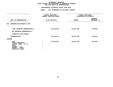|                                                                                                                              | FISCAL YEAR 2015<br><b>CURRENT MODIFIED BUDGET</b> | FISCAL YEAR 2016<br>DEPARTMENTAL ESTIMATES |                                 |  |
|------------------------------------------------------------------------------------------------------------------------------|----------------------------------------------------|--------------------------------------------|---------------------------------|--|
| UNIT OF APPROPRIATION                                                                                                        | AS OF 02/02/15                                     | <b>AMOUNT</b>                              | <b>INCREASE</b><br>DECREASE (-) |  |
| METROPOLITAN MUSEUM OF ART<br>004                                                                                            |                                                    |                                            |                                 |  |
| TOTAL REPORTED GEOGRAPHICALLY<br>NOT REPORTED GEOGRAPHICALLY                                                                 | 26,162,921                                         | 25,927,835                                 | 235,086-                        |  |
| FINANCIAL PLAN SAVINGS                                                                                                       |                                                    |                                            |                                 |  |
| <b>APPROPRIATION</b>                                                                                                         | 26, 162, 921                                       | 25,927,835                                 | 235,086-                        |  |
| FUNDING                                                                                                                      |                                                    |                                            |                                 |  |
| CITY<br>OTHER CATEGORICAL<br>CAPITAL FUNDS - I.F.A.<br><b>STATE</b><br>FEDERAL - C.D.<br>FEDERAL - OTHER<br>INTRA-CITY SALES | 26,162,921                                         | 25,927,835                                 | 235,086-                        |  |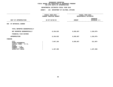|                                                                                                          |                                 | FISCAL YEAR 2015<br>CURRENT MODIFIED BUDGET | FISCAL YEAR 2016<br>DEPARTMENTAL ESTIMATES |                                 |
|----------------------------------------------------------------------------------------------------------|---------------------------------|---------------------------------------------|--------------------------------------------|---------------------------------|
| UNIT OF APPROPRIATION                                                                                    | AS OF 02/02/15<br><b>AMOUNT</b> |                                             |                                            | <b>INCREASE</b><br>DECREASE (-) |
| NY BOTANICAL GARDEN<br>005                                                                               |                                 |                                             |                                            |                                 |
| TOTAL REPORTED GEOGRAPHICALLY                                                                            |                                 |                                             |                                            |                                 |
| NOT REPORTED GEOGRAPHICALLY                                                                              |                                 | 8,154,632                                   | 6,835,657                                  | 1,318,975-                      |
| FINANCIAL PLAN SAVINGS                                                                                   |                                 |                                             |                                            |                                 |
| <b>APPROPRIATION</b>                                                                                     |                                 | 8,154,632                                   | 6,835,657                                  | 1,318,975-                      |
| FUNDING                                                                                                  |                                 |                                             |                                            |                                 |
| CITY<br>OTHER CATEGORICAL<br>CAPITAL FUNDS - I.F.A.<br><b>STATE</b><br>FEDERAL - C.D.<br>FEDERAL - OTHER |                                 | 7,047,164                                   | 6,835,657                                  | $211,507-$                      |
| INTRA-CITY SALES                                                                                         |                                 | 1,107,468                                   |                                            | 1,107,468-                      |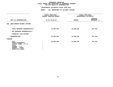|                                                                                                                              | FISCAL YEAR 2015<br>CURRENT MODIFIED BUDGET | FISCAL YEAR 2016<br>DEPARTMENTAL ESTIMATES |                                 |  |
|------------------------------------------------------------------------------------------------------------------------------|---------------------------------------------|--------------------------------------------|---------------------------------|--|
| UNIT OF APPROPRIATION                                                                                                        | AS OF 02/02/15                              | <b>AMOUNT</b>                              | <b>INCREASE</b><br>DECREASE (-) |  |
| AMER MUSEUM NATURAL HISTORY<br>006                                                                                           |                                             |                                            |                                 |  |
| TOTAL REPORTED GEOGRAPHICALLY<br>NOT REPORTED GEOGRAPHICALLY                                                                 | 16,804,368                                  | 16,506,936                                 | 297,432-                        |  |
| FINANCIAL PLAN SAVINGS                                                                                                       |                                             |                                            |                                 |  |
| <b>APPROPRIATION</b>                                                                                                         | 16,804,368                                  | 16,506,936                                 | 297,432-                        |  |
| FUNDING                                                                                                                      |                                             |                                            |                                 |  |
| CITY<br>OTHER CATEGORICAL<br>CAPITAL FUNDS - I.F.A.<br><b>STATE</b><br>FEDERAL - C.D.<br>FEDERAL - OTHER<br>INTRA-CITY SALES | 16,804,368                                  | 16,506,936                                 | 297,432-                        |  |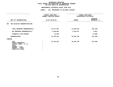|                                                                                                                              | FISCAL YEAR 2015<br><b>CURRENT MODIFIED BUDGET</b> |               | FISCAL YEAR 2016<br>DEPARTMENTAL ESTIMATES |  |
|------------------------------------------------------------------------------------------------------------------------------|----------------------------------------------------|---------------|--------------------------------------------|--|
| UNIT OF APPROPRIATION                                                                                                        | AS OF 02/02/15                                     | <b>AMOUNT</b> | INCREASE<br>DECREASE (-)                   |  |
| THE WILDLIFE CONSERVATION SOC.<br>007                                                                                        |                                                    |               |                                            |  |
| TOTAL REPORTED GEOGRAPHICALLY                                                                                                | 14,477,978                                         | 14,186,819    | 291,159-                                   |  |
| NOT REPORTED GEOGRAPHICALLY                                                                                                  | 1,240,004                                          | 1,233,917     | 6,087-                                     |  |
| FINANCIAL PLAN SAVINGS                                                                                                       | 14,200                                             |               | $14,200-$                                  |  |
| APPROPRIATION                                                                                                                | 15,732,182                                         | 15,420,736    | 311,446-                                   |  |
| FUNDING                                                                                                                      |                                                    |               |                                            |  |
| CITY<br>OTHER CATEGORICAL<br>CAPITAL FUNDS - I.F.A.<br><b>STATE</b><br>FEDERAL - C.D.<br>FEDERAL - OTHER<br>INTRA-CITY SALES | 15,732,182                                         | 15,420,736    | $311,446-$                                 |  |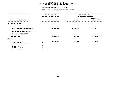|                                                                                                                              | FISCAL YEAR 2015<br>CURRENT MODIFIED BUDGET | FISCAL YEAR 2016<br>DEPARTMENTAL ESTIMATES |                                 |
|------------------------------------------------------------------------------------------------------------------------------|---------------------------------------------|--------------------------------------------|---------------------------------|
| UNIT OF APPROPRIATION                                                                                                        | AS OF 02/02/15                              | <b>AMOUNT</b>                              | <b>INCREASE</b><br>DECREASE (-) |
| <b>BROOKLYN MUSEUM</b><br>008                                                                                                |                                             |                                            |                                 |
| TOTAL REPORTED GEOGRAPHICALLY<br>NOT REPORTED GEOGRAPHICALLY                                                                 | 8,024,450                                   | 7,833,006                                  | 191,444-                        |
| FINANCIAL PLAN SAVINGS                                                                                                       |                                             |                                            |                                 |
| <b>APPROPRIATION</b>                                                                                                         | 8,024,450                                   | 7,833,006                                  | 191,444-                        |
| FUNDING                                                                                                                      |                                             |                                            |                                 |
| CITY<br>OTHER CATEGORICAL<br>CAPITAL FUNDS - I.F.A.<br><b>STATE</b><br>FEDERAL - C.D.<br>FEDERAL - OTHER<br>INTRA-CITY SALES | 8,024,450                                   | 7,833,006                                  | 191,444-                        |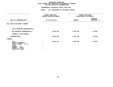|                                                                                                                              | FISCAL YEAR 2015<br>CURRENT MODIFIED BUDGET | FISCAL YEAR 2016<br>DEPARTMENTAL ESTIMATES |                                 |
|------------------------------------------------------------------------------------------------------------------------------|---------------------------------------------|--------------------------------------------|---------------------------------|
| UNIT OF APPROPRIATION                                                                                                        | AS OF 02/02/15                              | <b>AMOUNT</b>                              | <b>INCREASE</b><br>DECREASE (-) |
| BKLYN CHILDREN'S MUSEUM<br>009                                                                                               |                                             |                                            |                                 |
| TOTAL REPORTED GEOGRAPHICALLY                                                                                                |                                             |                                            |                                 |
| NOT REPORTED GEOGRAPHICALLY                                                                                                  | 1,883,320                                   | 1,825,420                                  | $57,900 -$                      |
| FINANCIAL PLAN SAVINGS                                                                                                       |                                             |                                            |                                 |
| <b>APPROPRIATION</b>                                                                                                         | 1,883,320                                   | 1,825,420                                  | $57,900 -$                      |
| FUNDING                                                                                                                      |                                             |                                            |                                 |
| CITY<br>OTHER CATEGORICAL<br>CAPITAL FUNDS - I.F.A.<br><b>STATE</b><br>FEDERAL - C.D.<br>FEDERAL - OTHER<br>INTRA-CITY SALES | 1,883,320                                   | 1,825,420                                  | $57,900 -$                      |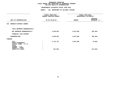|                                                                                              | FISCAL YEAR 2015<br>CURRENT MODIFIED BUDGET | FISCAL YEAR 2016<br>DEPARTMENTAL ESTIMATES |                                 |  |
|----------------------------------------------------------------------------------------------|---------------------------------------------|--------------------------------------------|---------------------------------|--|
| UNIT OF APPROPRIATION                                                                        | AS OF 02/02/15                              | <b>AMOUNT</b>                              | <b>INCREASE</b><br>DECREASE (-) |  |
| BROOKLYN BOTANIC GARDEN<br>010                                                               |                                             |                                            |                                 |  |
| TOTAL REPORTED GEOGRAPHICALLY                                                                |                                             |                                            |                                 |  |
| NOT REPORTED GEOGRAPHICALLY                                                                  | 4,528,563                                   | 3,637,069                                  | 891,494-                        |  |
| FINANCIAL PLAN SAVINGS                                                                       |                                             |                                            |                                 |  |
| APPROPRIATION                                                                                | 4,528,563                                   | 3,637,069                                  | 891,494-                        |  |
| FUNDING                                                                                      |                                             |                                            |                                 |  |
| <b>CITY</b><br>OTHER CATEGORICAL<br>CAPITAL FUNDS - I.F.A.<br><b>STATE</b><br>FEDERAL - C.D. | 3,716,721                                   | 3,637,069                                  | 79,652-                         |  |
| FEDERAL - OTHER<br>INTRA-CITY SALES                                                          | 811,842                                     |                                            | 811,842-                        |  |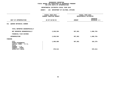|                                                                                              | FISCAL YEAR 2015<br>CURRENT MODIFIED BUDGET | FISCAL YEAR 2016<br>DEPARTMENTAL ESTIMATES |                                 |  |
|----------------------------------------------------------------------------------------------|---------------------------------------------|--------------------------------------------|---------------------------------|--|
| UNIT OF APPROPRIATION                                                                        | AS OF 02/02/15                              | <b>AMOUNT</b>                              | <b>INCREASE</b><br>DECREASE (-) |  |
| <b>QUEENS BOTANICAL GARDEN</b><br>011                                                        |                                             |                                            |                                 |  |
| TOTAL REPORTED GEOGRAPHICALLY                                                                |                                             |                                            |                                 |  |
| NOT REPORTED GEOGRAPHICALLY                                                                  | 2,038,594                                   | 957,801                                    | 1,080,793-                      |  |
| FINANCIAL PLAN SAVINGS                                                                       |                                             |                                            |                                 |  |
| APPROPRIATION                                                                                | 2,038,594                                   | 957,801                                    | 1,080,793-                      |  |
| FUNDING                                                                                      |                                             |                                            |                                 |  |
| <b>CITY</b><br>OTHER CATEGORICAL<br>CAPITAL FUNDS - I.F.A.<br><b>STATE</b><br>FEDERAL - C.D. | 1,060,080                                   | 957,801                                    | 102,279-                        |  |
| FEDERAL - OTHER<br>INTRA-CITY SALES                                                          | 978,514                                     |                                            | 978,514-                        |  |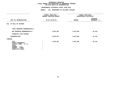#### **DEPARTMENTAL ESTIMATES FISCAL YEAR 2016**

|                                                                                                                              | FISCAL YEAR 2015<br>CURRENT MODIFIED BUDGET | FISCAL YEAR 2016<br>DEPARTMENTAL ESTIMATES |                                 |
|------------------------------------------------------------------------------------------------------------------------------|---------------------------------------------|--------------------------------------------|---------------------------------|
| UNIT OF APPROPRIATION                                                                                                        | AS OF 02/02/15                              | <b>AMOUNT</b>                              | <b>INCREASE</b><br>DECREASE (-) |
| 012 NY HALL OF SCIENCE                                                                                                       |                                             |                                            |                                 |
| TOTAL REPORTED GEOGRAPHICALLY                                                                                                |                                             |                                            |                                 |
| NOT REPORTED GEOGRAPHICALLY                                                                                                  | 1,863,225                                   | 1,847,093                                  | 16,132-                         |
| FINANCIAL PLAN SAVINGS                                                                                                       |                                             |                                            |                                 |
| <b>APPROPRIATION</b>                                                                                                         | 1,863,225                                   | 1,847,093                                  | 16,132-                         |
| FUNDING                                                                                                                      |                                             |                                            |                                 |
| CITY<br>OTHER CATEGORICAL<br>CAPITAL FUNDS - I.F.A.<br><b>STATE</b><br>FEDERAL - C.D.<br>FEDERAL - OTHER<br>INTRA-CITY SALES | 1,863,225                                   | 1,847,093                                  | 16,132-                         |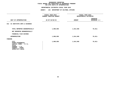|                                                                                                                              | FISCAL YEAR 2015<br>CURRENT MODIFIED BUDGET | FISCAL YEAR 2016<br>DEPARTMENTAL ESTIMATES |                                 |
|------------------------------------------------------------------------------------------------------------------------------|---------------------------------------------|--------------------------------------------|---------------------------------|
| UNIT OF APPROPRIATION                                                                                                        | AS OF 02/02/15                              | <b>AMOUNT</b>                              | <b>INCREASE</b><br>DECREASE (-) |
| SI INSTITUTE ARTS & SCIENCES<br>013                                                                                          |                                             |                                            |                                 |
| TOTAL REPORTED GEOGRAPHICALLY<br>NOT REPORTED GEOGRAPHICALLY                                                                 | 1,090,059                                   | 1,014,048                                  | $76,011-$                       |
| FINANCIAL PLAN SAVINGS                                                                                                       |                                             |                                            |                                 |
| <b>APPROPRIATION</b>                                                                                                         | 1,090,059                                   | 1,014,048                                  | $76,011-$                       |
| FUNDING                                                                                                                      |                                             |                                            |                                 |
| CITY<br>OTHER CATEGORICAL<br>CAPITAL FUNDS - I.F.A.<br><b>STATE</b><br>FEDERAL - C.D.<br>FEDERAL - OTHER<br>INTRA-CITY SALES | 1,090,059                                   | 1,014,048                                  | $76,011-$                       |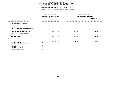#### **DEPARTMENTAL ESTIMATES FISCAL YEAR 2016**

|                                                                                                                              | FISCAL YEAR 2015<br>CURRENT MODIFIED BUDGET | FISCAL YEAR 2016<br>DEPARTMENTAL ESTIMATES |                                 |
|------------------------------------------------------------------------------------------------------------------------------|---------------------------------------------|--------------------------------------------|---------------------------------|
| UNIT OF APPROPRIATION                                                                                                        | AS OF 02/02/15<br>-------------             | <b>AMOUNT</b>                              | <b>INCREASE</b><br>DECREASE (-) |
| 014 S.I. ZOOLOGICAL SOCIETY                                                                                                  |                                             |                                            |                                 |
| TOTAL REPORTED GEOGRAPHICALLY                                                                                                |                                             |                                            |                                 |
| NOT REPORTED GEOGRAPHICALLY                                                                                                  | 1,417,310                                   | 1,345,911                                  | 71,399-                         |
| FINANCIAL PLAN SAVINGS                                                                                                       |                                             |                                            |                                 |
| <b>APPROPRIATION</b>                                                                                                         | 1,417,310                                   | 1,345,911                                  | $71,399-$                       |
| FUNDING                                                                                                                      |                                             |                                            |                                 |
| CITY<br>OTHER CATEGORICAL<br>CAPITAL FUNDS - I.F.A.<br><b>STATE</b><br>FEDERAL - C.D.<br>FEDERAL - OTHER<br>INTRA-CITY SALES | 1,417,310                                   | 1,345,911                                  | 71,399-                         |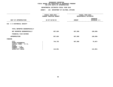|                                                                                                                                     |                | FISCAL YEAR 2015<br>CURRENT MODIFIED BUDGET | FISCAL YEAR 2016<br>DEPARTMENTAL ESTIMATES |                                 |  |
|-------------------------------------------------------------------------------------------------------------------------------------|----------------|---------------------------------------------|--------------------------------------------|---------------------------------|--|
| UNIT OF APPROPRIATION                                                                                                               | AS OF 02/02/15 |                                             | <b>AMOUNT</b>                              | <b>INCREASE</b><br>DECREASE (-) |  |
| S I HISTORICAL SOCIETY<br>015                                                                                                       |                |                                             |                                            |                                 |  |
| TOTAL REPORTED GEOGRAPHICALLY                                                                                                       |                |                                             |                                            |                                 |  |
| NOT REPORTED GEOGRAPHICALLY                                                                                                         |                | 857,604                                     | 667,906                                    | 189,698-                        |  |
| FINANCIAL PLAN SAVINGS                                                                                                              |                |                                             |                                            |                                 |  |
| <b>APPROPRIATION</b>                                                                                                                |                | 857,604                                     | 667,906                                    | 189,698-                        |  |
| FUNDING                                                                                                                             |                |                                             |                                            |                                 |  |
| <b>CITY</b><br>OTHER CATEGORICAL<br>CAPITAL FUNDS - I.F.A.<br><b>STATE</b><br>FEDERAL - C.D.<br>FEDERAL - OTHER<br>INTRA-CITY SALES |                | 744,753<br>112,851                          | 667,906                                    | 76,847-<br>112,851-             |  |
|                                                                                                                                     |                |                                             |                                            |                                 |  |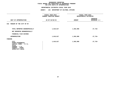|                                                                                                                              | FISCAL YEAR 2015<br>CURRENT MODIFIED BUDGET | FISCAL YEAR 2016<br>DEPARTMENTAL ESTIMATES |                                 |
|------------------------------------------------------------------------------------------------------------------------------|---------------------------------------------|--------------------------------------------|---------------------------------|
| UNIT OF APPROPRIATION                                                                                                        | AS OF 02/02/15                              | <b>AMOUNT</b>                              | <b>INCREASE</b><br>DECREASE (-) |
| MUSEUM OF THE CITY OF NY<br>016                                                                                              |                                             |                                            |                                 |
| TOTAL REPORTED GEOGRAPHICALLY<br>NOT REPORTED GEOGRAPHICALLY                                                                 | 1,619,817                                   | 1,592,098                                  | 27,719-                         |
| FINANCIAL PLAN SAVINGS                                                                                                       |                                             |                                            |                                 |
| <b>APPROPRIATION</b>                                                                                                         | 1,619,817                                   | 1,592,098                                  | 27,719-                         |
| FUNDING                                                                                                                      |                                             |                                            |                                 |
| CITY<br>OTHER CATEGORICAL<br>CAPITAL FUNDS - I.F.A.<br><b>STATE</b><br>FEDERAL - C.D.<br>FEDERAL - OTHER<br>INTRA-CITY SALES | 1,619,817                                   | 1,592,098                                  | 27,719-                         |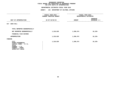| FISCAL YEAR 2015<br>CURRENT MODIFIED BUDGET | FISCAL YEAR 2016<br>DEPARTMENTAL ESTIMATES |                                 |
|---------------------------------------------|--------------------------------------------|---------------------------------|
| AS OF 02/02/15                              | <b>AMOUNT</b>                              | <b>INCREASE</b><br>DECREASE (-) |
|                                             |                                            |                                 |
|                                             |                                            |                                 |
| 1,210,629                                   | 1,200,474                                  | $10, 155 -$                     |
|                                             |                                            |                                 |
| 1,210,629                                   | 1,200,474                                  | $10, 155 -$                     |
|                                             |                                            |                                 |
| 1,210,629                                   | 1,200,474                                  | $10, 155 -$                     |
|                                             |                                            |                                 |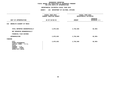|                                                                                                                              | FISCAL YEAR 2015<br>CURRENT MODIFIED BUDGET | FISCAL YEAR 2016<br>DEPARTMENTAL ESTIMATES |                                 |
|------------------------------------------------------------------------------------------------------------------------------|---------------------------------------------|--------------------------------------------|---------------------------------|
| UNIT OF APPROPRIATION                                                                                                        | AS OF 02/02/15                              | <b>AMOUNT</b>                              | <b>INCREASE</b><br>DECREASE (-) |
| BROOKLYN ACADEMY OF MUSIC<br>019                                                                                             |                                             |                                            |                                 |
| TOTAL REPORTED GEOGRAPHICALLY<br>NOT REPORTED GEOGRAPHICALLY                                                                 | 2,875,833                                   | 2,792,840                                  | 82,993-                         |
|                                                                                                                              |                                             |                                            |                                 |
| FINANCIAL PLAN SAVINGS                                                                                                       |                                             |                                            |                                 |
| <b>APPROPRIATION</b>                                                                                                         | 2,875,833                                   | 2,792,840                                  | 82,993-                         |
| FUNDING                                                                                                                      |                                             |                                            |                                 |
| CITY<br>OTHER CATEGORICAL<br>CAPITAL FUNDS - I.F.A.<br><b>STATE</b><br>FEDERAL - C.D.<br>FEDERAL - OTHER<br>INTRA-CITY SALES | 2,875,833                                   | 2,792,840                                  | $82,993-$                       |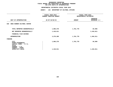|                                                                                       | FISCAL YEAR 2015<br>CURRENT MODIFIED BUDGET | FISCAL YEAR 2016<br>DEPARTMENTAL ESTIMATES |                                 |
|---------------------------------------------------------------------------------------|---------------------------------------------|--------------------------------------------|---------------------------------|
| UNIT OF APPROPRIATION                                                                 | AS OF 02/02/15                              | <b>AMOUNT</b>                              | <b>INCREASE</b><br>DECREASE (-) |
| SNUG HARBOR CULTURAL CENTER<br>020                                                    |                                             |                                            |                                 |
| TOTAL REPORTED GEOGRAPHICALLY                                                         | 1,866,278                                   | 1,781,778                                  | $84,500 -$                      |
| NOT REPORTED GEOGRAPHICALLY                                                           | 1,410,011                                   |                                            | 1,410,011-                      |
| FINANCIAL PLAN SAVINGS                                                                |                                             |                                            |                                 |
| <b>APPROPRIATION</b>                                                                  | 3,276,289                                   | 1,781,778                                  | 1,494,511-                      |
| FUNDING                                                                               |                                             |                                            |                                 |
| CITY<br>OTHER CATEGORICAL<br>CAPITAL FUNDS - I.F.A.<br><b>STATE</b><br>FEDERAL - C.D. | 1,866,278                                   | 1,781,778                                  | 84,500-                         |
| FEDERAL - OTHER<br>INTRA-CITY SALES                                                   | 1,410,011                                   |                                            | 1,410,011-                      |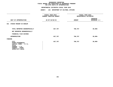|                                                                                                                              | FISCAL YEAR 2015<br>CURRENT MODIFIED BUDGET | FISCAL YEAR 2016<br>DEPARTMENTAL ESTIMATES |                                 |  |
|------------------------------------------------------------------------------------------------------------------------------|---------------------------------------------|--------------------------------------------|---------------------------------|--|
| UNIT OF APPROPRIATION                                                                                                        | AS OF 02/02/15                              | <b>AMOUNT</b>                              | <b>INCREASE</b><br>DECREASE (-) |  |
| STUDIO MUSEUM IN HARLEM<br>021                                                                                               |                                             |                                            |                                 |  |
| TOTAL REPORTED GEOGRAPHICALLY                                                                                                | 827,767                                     | 788,767                                    | $39,000 -$                      |  |
| NOT REPORTED GEOGRAPHICALLY                                                                                                  |                                             |                                            |                                 |  |
| FINANCIAL PLAN SAVINGS                                                                                                       |                                             |                                            |                                 |  |
| <b>APPROPRIATION</b>                                                                                                         | 827,767                                     | 788,767                                    | $39,000 -$                      |  |
| FUNDING                                                                                                                      |                                             |                                            |                                 |  |
| CITY<br>OTHER CATEGORICAL<br>CAPITAL FUNDS - I.F.A.<br><b>STATE</b><br>FEDERAL - C.D.<br>FEDERAL - OTHER<br>INTRA-CITY SALES | 827,767                                     | 788,767                                    | $39,000 -$                      |  |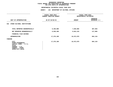|                                                                                                                                     | FISCAL YEAR 2015<br><b>CURRENT MODIFIED BUDGET</b> | FISCAL YEAR 2016<br>DEPARTMENTAL ESTIMATES |                                 |
|-------------------------------------------------------------------------------------------------------------------------------------|----------------------------------------------------|--------------------------------------------|---------------------------------|
| UNIT OF APPROPRIATION                                                                                                               | AS OF 02/02/15                                     | <b>AMOUNT</b>                              | <b>INCREASE</b><br>DECREASE (-) |
| OTHER CULTURAL INSTITUTIONS<br>022                                                                                                  |                                                    |                                            |                                 |
| TOTAL REPORTED GEOGRAPHICALLY                                                                                                       | 8,336,880                                          | 7,849,860                                  | 487,020-                        |
| NOT REPORTED GEOGRAPHICALLY                                                                                                         | 8,939,309                                          | 8,822,219                                  | 117,090-                        |
| FINANCIAL PLAN SAVINGS                                                                                                              |                                                    |                                            |                                 |
| <b>APPROPRIATION</b>                                                                                                                | 17,276,189                                         | 16,672,079                                 | $604, 110 -$                    |
| FUNDING                                                                                                                             |                                                    |                                            |                                 |
| <b>CITY</b><br>OTHER CATEGORICAL<br>CAPITAL FUNDS - I.F.A.<br><b>STATE</b><br>FEDERAL - C.D.<br>FEDERAL - OTHER<br>INTRA-CITY SALES | 17,276,189                                         | 16,672,079                                 | $604, 110 -$                    |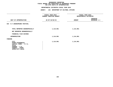#### **DEPARTMENTAL ESTIMATES FISCAL YEAR 2016**

|                                                                                                                                     | -------------------                         |                                            |                                 |
|-------------------------------------------------------------------------------------------------------------------------------------|---------------------------------------------|--------------------------------------------|---------------------------------|
|                                                                                                                                     | FISCAL YEAR 2015<br>CURRENT MODIFIED BUDGET | FISCAL YEAR 2016<br>DEPARTMENTAL ESTIMATES |                                 |
| UNIT OF APPROPRIATION                                                                                                               | AS OF 02/02/15                              | <b>AMOUNT</b>                              | <b>INCREASE</b><br>DECREASE (-) |
| 024 N.Y. SHAKESPEARE FESTIVAL                                                                                                       |                                             |                                            |                                 |
| TOTAL REPORTED GEOGRAPHICALLY                                                                                                       | 1,114,961                                   | 1,114,961                                  |                                 |
| NOT REPORTED GEOGRAPHICALLY                                                                                                         |                                             |                                            |                                 |
| FINANCIAL PLAN SAVINGS                                                                                                              |                                             |                                            |                                 |
| APPROPRIATION                                                                                                                       | 1,114,961                                   | 1,114,961                                  |                                 |
| FUNDING                                                                                                                             |                                             |                                            |                                 |
| <b>CITY</b><br>OTHER CATEGORICAL<br>CAPITAL FUNDS - I.F.A.<br><b>STATE</b><br>FEDERAL - C.D.<br>FEDERAL - OTHER<br>INTRA-CITY SALES | 1,114,961                                   | 1,114,961                                  |                                 |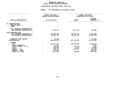## GEOGRAPHIC REPORTING<br>FISCAL REPORT AGENCYWIDE SUMMARY

# **FISCAL REPORT AGENCYWIDE SUMMARY DEPARTMENTAL ESTIMATES FISCAL YEAR <sup>2016</sup>**

#### **AGENCY: <sup>126</sup> DEPARTMENT OF CULTURAL AFFAIRS**

|                                                                               |                                                                      | FISCAL YEAR 2016                                                                    |  |
|-------------------------------------------------------------------------------|----------------------------------------------------------------------|-------------------------------------------------------------------------------------|--|
|                                                                               | DEPARTMENTAL ESTIMATES                                               |                                                                                     |  |
|                                                                               |                                                                      | <b>INCREASE</b>                                                                     |  |
|                                                                               |                                                                      | $DECREASE$ (-)                                                                      |  |
|                                                                               |                                                                      |                                                                                     |  |
|                                                                               |                                                                      |                                                                                     |  |
| 4,723,372                                                                     | 4,544,476                                                            | 178,896-                                                                            |  |
| 110,086,398<br>50,902,712                                                     | 115,651,244<br>30,151,373                                            | 5,564,846<br>$20,751,339-$                                                          |  |
| 14,200<br>165,726,682                                                         | 150,347,093                                                          | 14,200-<br>15,379,589-                                                              |  |
| 159,481,273<br>1,817<br>239,325<br>100,576<br>459,717<br>372,491<br>5,071,483 | 149,678,470<br>240,828<br>2,178<br>245,617<br>180,000                | $9,802,803 -$<br>1,817-<br>1,503<br>98,398-<br>$214,100-$<br>372,491-<br>4,891,483- |  |
|                                                                               | FISCAL YEAR 2015<br><b>CURRENT MODIFIED BUDGET</b><br>AS OF 02/02/15 | <b>AMOUNT</b>                                                                       |  |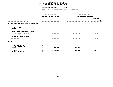### **DEPARTMENTAL ESTIMATES FISCAL YEAR 2016**

|                                                            | <b>AGENCY:</b><br>260 DEPARTMENT OF YOUTH & COMMUNITY DEV                                                      |               |                                 |
|------------------------------------------------------------|----------------------------------------------------------------------------------------------------------------|---------------|---------------------------------|
|                                                            | -----------------<br>FISCAL YEAR 2015<br>FISCAL YEAR 2016<br>CURRENT MODIFIED BUDGET<br>DEPARTMENTAL ESTIMATES |               |                                 |
| UNIT OF APPROPRIATION                                      | AS OF 02/02/15                                                                                                 | <b>AMOUNT</b> | <b>INCREASE</b><br>DECREASE (-) |
| EXECUTIVE AND ADMINISTRATIVE MGMT PS<br>002                |                                                                                                                |               |                                 |
| REGULAR GROSS<br><b>OTHER</b>                              |                                                                                                                |               |                                 |
| TOTAL REPORTED GEOGRAPHICALLY                              |                                                                                                                |               |                                 |
| NOT REPORTED GEOGRAPHICALLY                                | 13,754,239                                                                                                     | 13,708,546    | $45,693-$                       |
| FINANCIAL PLAN SAVINGS                                     |                                                                                                                |               |                                 |
| <b>APPROPRIATION</b>                                       | 13,754,239                                                                                                     | 13,708,546    | $45,693-$                       |
| <b>FUNDING</b>                                             |                                                                                                                |               |                                 |
| <b>CITY</b><br>OTHER CATEGORICAL<br>CAPITAL FUNDS - I.F.A. | 10,081,473                                                                                                     | 10,282,005    | 200,532                         |
| <b>STATE</b>                                               | 22,390                                                                                                         | 22,390        |                                 |
| FEDERAL - C.D.<br>FEDERAL - OTHER<br>INTRA-CITY SALES      | 3,650,376                                                                                                      | 3,404,151     | 246,225-                        |
|                                                            |                                                                                                                |               |                                 |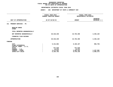### **DEPARTMENTAL ESTIMATES FISCAL YEAR 2016**

|                                                                                                                 | <b>AGENCY:</b><br>260 DEPARTMENT OF YOUTH & COMMUNITY DEV |                                             |                                 |
|-----------------------------------------------------------------------------------------------------------------|-----------------------------------------------------------|---------------------------------------------|---------------------------------|
|                                                                                                                 | FISCAL YEAR 2015<br>CURRENT MODIFIED BUDGET               | FISCAL YEAR 2016<br>DEPARTMENTAL ESTIMATES  |                                 |
| UNIT OF APPROPRIATION                                                                                           | AS OF 02/02/15                                            | <b>AMOUNT</b>                               | <b>INCREASE</b><br>DECREASE (-) |
| PROGRAM SERVICES - PS<br>311                                                                                    |                                                           |                                             |                                 |
| REGULAR GROSS<br><b>OTHER</b>                                                                                   |                                                           |                                             |                                 |
| TOTAL REPORTED GEOGRAPHICALLY                                                                                   |                                                           |                                             |                                 |
| NOT REPORTED GEOGRAPHICALLY                                                                                     | 20,318,230                                                | 22,764,350                                  | 2,446,120                       |
| FINANCIAL PLAN SAVINGS                                                                                          |                                                           |                                             |                                 |
| <b>APPROPRIATION</b>                                                                                            | 20,318,230                                                | 22,764,350                                  | 2,446,120                       |
| FUNDING                                                                                                         |                                                           |                                             |                                 |
| <b>CITY</b><br>OTHER CATEGORICAL<br>CAPITAL FUNDS - I.F.A.<br><b>STATE</b><br>FEDERAL - C.D.<br>FEDERAL - OTHER | 9,131,862<br>477,610<br>70,073<br>4,473,922               | 8,165,107<br>477,610<br>70,073<br>5,581,424 | 966,755-<br>1,107,502           |
| INTRA-CITY SALES                                                                                                | 6,164,763                                                 | 8,470,136                                   | 2,305,373                       |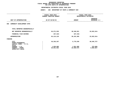**DEPARTMENTAL ESTIMATES FISCAL YEAR <sup>2016</sup>AGENCY: <sup>260</sup> DEPARTMENT OF YOUTH & COMMUNITY DEV**

|                                                                            | FISCAL YEAR 2015<br>CURRENT MODIFIED BUDGET | FISCAL YEAR 2016        | DEPARTMENTAL ESTIMATES            |
|----------------------------------------------------------------------------|---------------------------------------------|-------------------------|-----------------------------------|
| UNIT OF APPROPRIATION                                                      | AS OF 02/02/15                              | <b>AMOUNT</b>           | <b>INCREASE</b><br>DECREASE $(-)$ |
| COMMUNITY DEVELOPMENT OTPS<br>005                                          |                                             |                         |                                   |
| TOTAL REPORTED GEOGRAPHICALLY                                              |                                             |                         |                                   |
| NOT REPORTED GEOGRAPHICALLY                                                | 64,271,535                                  | 30,348,921              | 33,922,614-                       |
| FINANCIAL PLAN SAVINGS                                                     | 157,416-                                    | 157,416-                |                                   |
| <b>APPROPRIATION</b>                                                       | 64, 114, 119                                | 30,191,505              | 33,922,614-                       |
| FUNDING                                                                    |                                             |                         |                                   |
| <b>CITY</b><br>OTHER CATEGORICAL<br>CAPITAL FUNDS - I.F.A.<br><b>STATE</b> | 36, 326, 257                                | 5,779,530               | $30,546,727 -$                    |
| FEDERAL - C.D.<br>FEDERAL - OTHER<br>INTRA-CITY SALES                      | 1,936,000<br>25,851,862                     | 1,561,000<br>22,850,975 | $375,000 -$<br>$3,000,887-$       |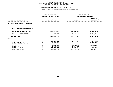| <b>AGENCY:</b><br>260                                                           |                                                                    |                                                                      |  |
|---------------------------------------------------------------------------------|--------------------------------------------------------------------|----------------------------------------------------------------------|--|
| FISCAL YEAR 2015<br><b>CURRENT MODIFIED BUDGET</b>                              |                                                                    | FISCAL YEAR 2016<br>DEPARTMENTAL ESTIMATES                           |  |
| AS OF 02/02/15                                                                  | <b>AMOUNT</b>                                                      | <b>INCREASE</b><br>DECREASE (-)                                      |  |
|                                                                                 |                                                                    |                                                                      |  |
|                                                                                 |                                                                    |                                                                      |  |
| 491,002,492                                                                     | 424,306,053                                                        | 66,696,439-                                                          |  |
| 66,824                                                                          | 17,839,600                                                         | 17,772,776                                                           |  |
| 491,069,316                                                                     | 442, 145, 653                                                      | 48,923,663-                                                          |  |
|                                                                                 |                                                                    |                                                                      |  |
| 293,980,792<br>1,850,346<br>5,449,808<br>5,507,000<br>34,007,724<br>150,273,646 | 226,373,543<br>4,175,124<br>5,507,000<br>19,600,284<br>186,489,702 | 67,607,249-<br>1,850,346-<br>1,274,684-<br>14,407,440-<br>36,216,056 |  |
|                                                                                 |                                                                    | DEPARTMENT OF YOUTH & COMMUNITY DEV                                  |  |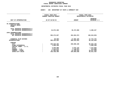## GEOGRAPHIC REPORTING<br>FISCAL REPORT AGENCYWIDE SUMMARY

## **FISCAL REPORT AGENCYWIDE SUMMARY DEPARTMENTAL ESTIMATES FISCAL YEAR <sup>2016</sup>**

### **AGENCY: <sup>260</sup> DEPARTMENT OF YOUTH & COMMUNITY DEV**

|                                                                                                                                                       | FISCAL YEAR 2015<br><b>CURRENT MODIFIED BUDGET</b>                              |                                                                      | FISCAL YEAR 2016<br>DEPARTMENTAL ESTIMATES                                       |
|-------------------------------------------------------------------------------------------------------------------------------------------------------|---------------------------------------------------------------------------------|----------------------------------------------------------------------|----------------------------------------------------------------------------------|
| UNIT OF APPROPRIATION                                                                                                                                 | AS OF 02/02/15                                                                  | <b>AMOUNT</b>                                                        | <b>INCREASE</b><br>DECREASE (-)                                                  |
| PS APPROPRIATIONS<br>REGULAR GROSS<br><b>OTHER</b>                                                                                                    |                                                                                 |                                                                      |                                                                                  |
| TOTAL REPORTED GEOGRAPHICALLY<br>NOT REPORTED GEOGRAPHICALLY                                                                                          | 34,072,469                                                                      | 36,472,896                                                           | 2,400,427                                                                        |
| OTPS APPROPRIATIONS<br>TOTAL REPORTED GEOGRAPHICALLY<br>NOT REPORTED GEOGRAPHICALLY                                                                   | 555,274,027                                                                     | 454,654,974                                                          | $100,619,053-$                                                                   |
| FINANCIAL PLAN SAVINGS<br><b>APPROPRIATIONS</b>                                                                                                       | $90,592 -$<br>589,255,904                                                       | 17,682,184<br>508,810,054                                            | 17,772,776<br>80, 445, 850-                                                      |
| <b>FUNDING</b><br><b>CITY</b><br>OTHER CATEGORICAL<br>CAPITAL FUNDS - I.F.A.<br><b>STATE</b><br>FEDERAL - C.D.<br>FEDERAL - OTHER<br>INTRA-CITY SALES | 349,520,384<br>1,850,346<br>5,949,808<br>7,513,073<br>67,983,884<br>156,438,409 | 250,600,185<br>4,675,124<br>7,138,073<br>51,436,834<br>194, 959, 838 | 98,920,199-<br>1,850,346-<br>1,274,684-<br>375,000-<br>16,547,050-<br>38,521,429 |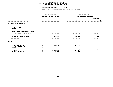### **DEPARTMENTAL ESTIMATES FISCAL YEAR 2016**

|                                                                                                                 | <b>AGENCY:</b>                                                  | 801 DEPARTMENT OF SMALL BUSINESS SERVICES              |                                 |
|-----------------------------------------------------------------------------------------------------------------|-----------------------------------------------------------------|--------------------------------------------------------|---------------------------------|
|                                                                                                                 | ----------------<br>FISCAL YEAR 2015<br>CURRENT MODIFIED BUDGET | FISCAL YEAR 2016<br>DEPARTMENTAL ESTIMATES             |                                 |
| UNIT OF APPROPRIATION                                                                                           | AS OF 02/02/15                                                  | <b>AMOUNT</b>                                          | <b>INCREASE</b><br>DECREASE (-) |
| DEPT. OF BUSINESS P.S.<br>001                                                                                   |                                                                 |                                                        |                                 |
| REGULAR GROSS<br><b>OTHER</b>                                                                                   |                                                                 |                                                        |                                 |
| TOTAL REPORTED GEOGRAPHICALLY                                                                                   |                                                                 |                                                        |                                 |
| NOT REPORTED GEOGRAPHICALLY                                                                                     | 13,849,328                                                      | 13,992,643                                             | 143,315                         |
| FINANCIAL PLAN SAVINGS                                                                                          | 197,800                                                         | 222,782                                                | 24,982                          |
| <b>APPROPRIATION</b>                                                                                            | 14,047,128                                                      | 14,215,425                                             | 168,297                         |
| FUNDING                                                                                                         |                                                                 |                                                        |                                 |
| <b>CITY</b><br>OTHER CATEGORICAL<br>CAPITAL FUNDS - I.F.A.<br><b>STATE</b><br>FEDERAL - C.D.<br>FEDERAL - OTHER | 6,474,927<br>55,819<br>2,379,977<br>5,126,550<br>9,855          | 7,785,855<br>55,819<br>1,237,346<br>5,126,550<br>9,855 | 1,310,928<br>1,142,631-         |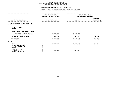### **DEPARTMENTAL ESTIMATES FISCAL YEAR 2016**

| <b>AGENCY:</b><br>801 DEPARTMENT OF SMALL BUSINESS SERVICES                                    |                      |                          |
|------------------------------------------------------------------------------------------------|----------------------|--------------------------|
| .<br>FISCAL YEAR 2015<br>FISCAL YEAR 2016<br>DEPARTMENTAL ESTIMATES<br>CURRENT MODIFIED BUDGET |                      |                          |
| AS OF 02/02/15                                                                                 | <b>AMOUNT</b>        | INCREASE<br>DECREASE (-) |
|                                                                                                |                      |                          |
|                                                                                                |                      |                          |
|                                                                                                |                      |                          |
| 1,907,271                                                                                      | 1,907,271            |                          |
| 25,933                                                                                         | 708,798              | 682,865                  |
| 1,933,204                                                                                      | 2,616,069            | 682,865                  |
|                                                                                                |                      |                          |
| 1,735,061<br>198,143                                                                           | 2,417,926<br>198,143 | 682,865                  |
|                                                                                                |                      |                          |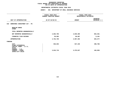### **DEPARTMENTAL ESTIMATES FISCAL YEAR 2016**

|                                                                                                                              | <b>AGENCY:</b><br>801 DEPARTMENT OF SMALL BUSINESS SERVICES      |                                            |                                 |
|------------------------------------------------------------------------------------------------------------------------------|------------------------------------------------------------------|--------------------------------------------|---------------------------------|
|                                                                                                                              | -----------------<br>FISCAL YEAR 2015<br>CURRENT MODIFIED BUDGET | FISCAL YEAR 2016<br>DEPARTMENTAL ESTIMATES |                                 |
| UNIT OF APPROPRIATION                                                                                                        | AS OF 02/02/15                                                   | <b>AMOUNT</b>                              | <b>INCREASE</b><br>DECREASE (-) |
| WORKFORCE INVESTMENT ACT - PS<br>010                                                                                         |                                                                  |                                            |                                 |
| REGULAR GROSS<br><b>OTHER</b>                                                                                                |                                                                  |                                            |                                 |
| TOTAL REPORTED GEOGRAPHICALLY                                                                                                |                                                                  |                                            |                                 |
| NOT REPORTED GEOGRAPHICALLY                                                                                                  | 4,692,786                                                        | 3,839,305                                  | 853,481-                        |
| FINANCIAL PLAN SAVINGS                                                                                                       | 59,983                                                           | 68,087                                     | 8,104                           |
| <b>APPROPRIATION</b>                                                                                                         | 4,752,769                                                        | 3,907,392                                  | 845,377-                        |
| <b>FUNDING</b>                                                                                                               |                                                                  |                                            |                                 |
| CITY<br>OTHER CATEGORICAL<br>CAPITAL FUNDS - I.F.A.<br><b>STATE</b><br>FEDERAL - C.D.<br>FEDERAL - OTHER<br>INTRA-CITY SALES | 936,053<br>3,816,716                                             | 537,345<br>3,370,047                       | 398,708-<br>446,669–            |
|                                                                                                                              |                                                                  |                                            |                                 |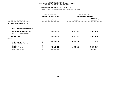|                                                                     | FISCAL YEAR 2015<br><b>CURRENT MODIFIED BUDGET</b> |                        | FISCAL YEAR 2016<br>DEPARTMENTAL ESTIMATES |  |
|---------------------------------------------------------------------|----------------------------------------------------|------------------------|--------------------------------------------|--|
| UNIT OF APPROPRIATION                                               | AS OF 02/02/15                                     | <b>AMOUNT</b>          | <b>INCREASE</b><br>DECREASE (-)            |  |
| DEPT. OF BUSINESS O.T.P.S.<br>002                                   |                                                    |                        |                                            |  |
| TOTAL REPORTED GEOGRAPHICALLY                                       |                                                    |                        |                                            |  |
| NOT REPORTED GEOGRAPHICALLY                                         | 109,833,058                                        | 34,307,423             | 75,525,635-                                |  |
| FINANCIAL PLAN SAVINGS                                              |                                                    |                        |                                            |  |
| <b>APPROPRIATION</b>                                                | 109,833,058                                        | 34,307,423             | 75,525,635-                                |  |
| FUNDING                                                             |                                                    |                        |                                            |  |
| CITY<br>OTHER CATEGORICAL<br>CAPITAL FUNDS - I.F.A.<br><b>STATE</b> | 42,402,012                                         | 30,688,200             | 11,713,812-                                |  |
| FEDERAL - C.D.<br>FEDERAL - OTHER<br>INTRA-CITY SALES               | 38,772,286<br>4,089,864<br>24,568,896              | 1,936,328<br>1,682,895 | 36,835,958-<br>2,406,969-<br>24,568,896-   |  |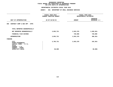|                                                                                                                 | FISCAL YEAR 2015<br>CURRENT MODIFIED BUDGET |               | FISCAL YEAR 2016<br>DEPARTMENTAL ESTIMATES |  |
|-----------------------------------------------------------------------------------------------------------------|---------------------------------------------|---------------|--------------------------------------------|--|
| UNIT OF APPROPRIATION                                                                                           | AS OF 02/02/15                              | <b>AMOUNT</b> | <b>INCREASE</b><br>DECREASE (-)            |  |
| CONTRACT COMP & BUS OPP - OTPS<br>005                                                                           |                                             |               |                                            |  |
| TOTAL REPORTED GEOGRAPHICALLY                                                                                   |                                             |               |                                            |  |
| NOT REPORTED GEOGRAPHICALLY                                                                                     | 3,853,731                                   | 2,833,370     | 1,020,361-                                 |  |
| FINANCIAL PLAN SAVINGS                                                                                          |                                             | 720,000       | 720,000                                    |  |
| <b>APPROPRIATION</b>                                                                                            | 3,853,731                                   | 3,553,370     | $300, 361 -$                               |  |
| FUNDING                                                                                                         |                                             |               |                                            |  |
| <b>CITY</b><br>OTHER CATEGORICAL<br>CAPITAL FUNDS - I.F.A.<br><b>STATE</b><br>FEDERAL - C.D.<br>FEDERAL - OTHER | 3,795,731                                   | 3,553,370     | 242,361-                                   |  |
| INTRA-CITY SALES                                                                                                | 58,000                                      |               | $58,000 -$                                 |  |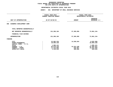| FISCAL YEAR 2015<br><b>CURRENT MODIFIED BUDGET</b>                             |                                                | FISCAL YEAR 2016<br>DEPARTMENTAL ESTIMATES                                           |  |
|--------------------------------------------------------------------------------|------------------------------------------------|--------------------------------------------------------------------------------------|--|
| AS OF 02/02/15                                                                 | <b>AMOUNT</b>                                  | <b>INCREASE</b><br>DECREASE (-)                                                      |  |
|                                                                                |                                                |                                                                                      |  |
|                                                                                |                                                |                                                                                      |  |
| 131,286,184                                                                    | 57,385,050                                     | 73,901,134-                                                                          |  |
|                                                                                |                                                |                                                                                      |  |
| 131,286,184                                                                    | 57,385,050                                     | 73,901,134-                                                                          |  |
|                                                                                |                                                |                                                                                      |  |
| 22,962,234<br>10,994,128<br>1,995,121<br>82,970,310<br>11,234,856<br>1,129,535 | 14,930,034<br>41,012,109<br>942,907<br>500,000 | $8,032,200 -$<br>10,994,128-<br>1,995,121-<br>41,958,201-<br>10,291,949-<br>629,535- |  |
|                                                                                |                                                |                                                                                      |  |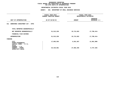|                                                                     | FISCAL YEAR 2015<br><b>CURRENT MODIFIED BUDGET</b> | FISCAL YEAR 2016<br>DEPARTMENTAL ESTIMATES |                                 |
|---------------------------------------------------------------------|----------------------------------------------------|--------------------------------------------|---------------------------------|
| UNIT OF APPROPRIATION                                               | AS OF 02/02/15                                     | <b>AMOUNT</b>                              | <b>INCREASE</b><br>DECREASE (-) |
| 011<br>WORKFORCE INVESTMENT ACT - OTPS                              |                                                    |                                            |                                 |
| TOTAL REPORTED GEOGRAPHICALLY                                       |                                                    |                                            |                                 |
| NOT REPORTED GEOGRAPHICALLY                                         | 51,513,236                                         | 33,713,822                                 | 17,799,414-                     |
| FINANCIAL PLAN SAVINGS                                              |                                                    |                                            |                                 |
| <b>APPROPRIATION</b>                                                | 51, 513, 236                                       | 33,713,822                                 | 17,799,414-                     |
| FUNDING                                                             |                                                    |                                            |                                 |
| CITY<br>OTHER CATEGORICAL<br>CAPITAL FUNDS - I.F.A.<br><b>STATE</b> | 17,093,555                                         | 6,031,567                                  | 11,061,988-                     |
| FEDERAL - C.D.<br>FEDERAL - OTHER<br>INTRA-CITY SALES               | 34,419,681                                         | 27,682,255                                 | 6,737,426-                      |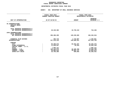## GEOGRAPHIC REPORTING<br>FISCAL REPORT AGENCYWIDE SUMMARY

## **FISCAL REPORT AGENCYWIDE SUMMARY DEPARTMENTAL ESTIMATES FISCAL YEAR <sup>2016</sup>**

### **AGENCY: <sup>801</sup> DEPARTMENT OF SMALL BUSINESS SERVICES**

|                                                                                     | FISCAL YEAR 2015               |                        | FISCAL YEAR 2016 |  |
|-------------------------------------------------------------------------------------|--------------------------------|------------------------|------------------|--|
|                                                                                     | <b>CURRENT MODIFIED BUDGET</b> | DEPARTMENTAL ESTIMATES |                  |  |
|                                                                                     |                                |                        | <b>INCREASE</b>  |  |
| UNIT OF APPROPRIATION                                                               | AS OF 02/02/15                 | <b>AMOUNT</b>          | DECREASE (-)     |  |
|                                                                                     |                                |                        |                  |  |
| PS APPROPRIATIONS<br>REGULAR GROSS<br><b>OTHER</b>                                  |                                |                        |                  |  |
| TOTAL REPORTED GEOGRAPHICALLY<br>NOT REPORTED GEOGRAPHICALLY                        | 20,449,385                     | 19,739,219             | 710,166-         |  |
| OTPS APPROPRIATIONS<br>TOTAL REPORTED GEOGRAPHICALLY<br>NOT REPORTED GEOGRAPHICALLY | 296,486,209                    | 128,239,665            | 168,246,544-     |  |
|                                                                                     |                                |                        |                  |  |
| FINANCIAL PLAN SAVINGS                                                              | 283,716                        | 1,719,667              | 1,435,951        |  |
| <b>APPROPRIATIONS</b>                                                               | 317,219,310                    | 149,698,551            | 167,520,759-     |  |
| <b>FUNDING</b>                                                                      |                                |                        |                  |  |
| <b>CITY</b>                                                                         | 95,399,573                     | 65,944,297             | 29,455,276-      |  |
| OTHER CATEGORICAL                                                                   | 11,049,947                     | 55,819                 | 10,994,128-      |  |
| CAPITAL FUNDS - I.F.A.                                                              |                                |                        |                  |  |
| <b>STATE</b>                                                                        | 1,995,121                      |                        | 1,995,121-       |  |
| FEDERAL - C.D.                                                                      | 124, 122, 573                  | 44,185,783             | 79,936,790-      |  |
| FEDERAL - OTHER                                                                     | 58,885,810                     | 39,002,797             | 19,883,013-      |  |
| INTRA-CITY SALES                                                                    | 25,766,286                     | 509,855                | $25, 256, 431 -$ |  |
|                                                                                     |                                |                        |                  |  |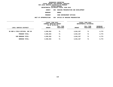**DEPARTMENTAL ESTIMATES FISCAL YEAR <sup>2016</sup>AGENCY <sup>806</sup> HOUSING PRESERVATION AND DEVELOPMENT**

**BOROUGH**

BRONX<br>CODE ENFORCEMENT OFFICES **PROGRAM**

**M**<br>**N** 004 OFFICE OF HOUSING PRESER<br>**N** 004 OFFICE OF HOUSING PRESER **UNIT OF APPROPRIATION <sup>004</sup> OFFICE OF HOUSING PRESERVATION**

|                                | FISCAL YEAR 2015<br>CURRENT MODIFIED BUDGET<br>AS OF 02/02/15 |                        | FISCAL YEAR 2016<br>DEPARTMENTAL ESTIMATES |                        |                                |
|--------------------------------|---------------------------------------------------------------|------------------------|--------------------------------------------|------------------------|--------------------------------|
| LOCAL SERVICE DISTRICT         | <b>AMOUNT</b>                                                 | FULL TIME<br>POSITIONS | <b>AMOUNT</b>                              | FULL TIME<br>POSITIONS | INCREASE<br><b>DECREASE(-)</b> |
| BX BOR & FIELD OFFICES, SUP UN | 4,036,554                                                     | 71                     | 4,041,327                                  | 71                     | 4,773                          |
| PROGRAM TOTAL:                 | 4,036,554                                                     | 71                     | 4,041,327                                  | 71                     | 4,773                          |
| SUB BOROUGH TOTAL:             | 4,036,554                                                     | 71                     | 4,041,327                                  | 71                     | 4,773                          |
| BOROUGH TOTAL:                 | 4,036,554                                                     | 71                     | 4,041,327                                  | 71                     | 4,773                          |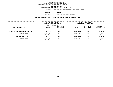**DEPARTMENTAL ESTIMATES FISCAL YEAR <sup>2016</sup>**

**AGENCY <sup>806</sup> HOUSING PRESERVATION AND DEVELOPMENT**

**BOROUGH**

BROOKLYN<br>CODE ENFORCEMENT OFFICES **PROGRAM**

**M**<br>**N** 004 OFFICE OF HOUSING PRESER<br>**N** 004 OFFICE OF HOUSING PRESER **UNIT OF APPROPRIATION <sup>004</sup> OFFICE OF HOUSING PRESERVATION**

|                                | FISCAL YEAR 2015<br>CURRENT MODIFIED BUDGET<br>AS OF 02/02/15 |                        | FISCAL YEAR 2016<br>DEPARTMENTAL ESTIMATES |                        |                         |
|--------------------------------|---------------------------------------------------------------|------------------------|--------------------------------------------|------------------------|-------------------------|
| LOCAL SERVICE DISTRICT         | AMOUNT                                                        | FULL TIME<br>POSITIONS | <b>AMOUNT</b>                              | FULL TIME<br>POSITIONS | INCREASE<br>DECREASE(-) |
| BK BOR & FIELD OFFICES, SUP UN | 5,981,773                                                     | 124                    | 5,971,426                                  | 124                    | $10,347-$               |
| PROGRAM TOTAL:                 | 5,981,773                                                     | 124                    | 5,971,426                                  | 124                    | $10,347-$               |
| SUB BOROUGH TOTAL:             | 5,981,773                                                     | 124                    | 5,971,426                                  | 124                    | $10,347-$               |
| <b>BOROUGH TOTAL:</b>          | 5,981,773                                                     | 124                    | 5,971,426                                  | 124                    | $10,347-$               |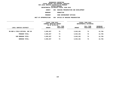**DEPARTMENTAL ESTIMATES FISCAL YEAR <sup>2016</sup>AGENCY <sup>806</sup> HOUSING PRESERVATION AND DEVELOPMENT**

**BOROUGH**

**MANHATTAN<br>CODE ENFORCEMENT OFFICES PROGRAM**

**M**<br>**N** 004 OFFICE OF HOUSING PRESER<br>**N** 004 OFFICE OF HOUSING PRESER

**UNIT OF APPROPRIATION <sup>004</sup> OFFICE OF HOUSING PRESERVATION**

|                                | FISCAL YEAR 2015<br>CURRENT MODIFIED BUDGET |                        | FISCAL YEAR 2016<br>DEPARTMENTAL ESTIMATES |                        |                                |  |
|--------------------------------|---------------------------------------------|------------------------|--------------------------------------------|------------------------|--------------------------------|--|
| LOCAL SERVICE DISTRICT         | AS OF 02/02/15<br><b>AMOUNT</b>             | FULL TIME<br>POSITIONS | <b>AMOUNT</b>                              | FULL TIME<br>POSITIONS | INCREASE<br><b>DECREASE(-)</b> |  |
| MN BOR & FIELD OFFICES, SUP UN | 3,655,927                                   | 74                     | 3,643,181                                  | 74                     | 12,746-                        |  |
| PROGRAM TOTAL:                 | 3,655,927                                   | 74                     | 3,643,181                                  | 74                     | $12,746-$                      |  |
| SUB BOROUGH TOTAL:             | 3,655,927                                   | 74                     | 3,643,181                                  | 74                     | $12,746-$                      |  |
| BOROUGH TOTAL:                 | 3,655,927                                   | 74                     | 3,643,181                                  | 74                     | 12,746-                        |  |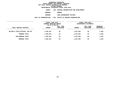**DEPARTMENTAL ESTIMATES FISCAL YEAR <sup>2016</sup>**

**AGENCY <sup>806</sup> HOUSING PRESERVATION AND DEVELOPMENT**

**BOROUGH**

QUEENS<br>CODE ENFORCEMENT OFFICES **PROGRAM**

**M**<br>**N** 004 OFFICE OF HOUSING PRESER<br>**N** 004 OFFICE OF HOUSING PRESER **UNIT OF APPROPRIATION <sup>004</sup> OFFICE OF HOUSING PRESERVATION**

|                                | FISCAL YEAR 2015<br>CURRENT MODIFIED BUDGET<br>AS OF 02/02/15 |                        | FISCAL YEAR 2016<br>DEPARTMENTAL ESTIMATES |                               |                                |  |
|--------------------------------|---------------------------------------------------------------|------------------------|--------------------------------------------|-------------------------------|--------------------------------|--|
| LOCAL SERVICE DISTRICT         | <b>AMOUNT</b>                                                 | FULL TIME<br>POSITIONS | <b>AMOUNT</b>                              | FULL TIME<br><b>POSITIONS</b> | INCREASE<br><b>DECREASE(-)</b> |  |
| ON BOR & FIELD OFFICES, SUP UN | 1,836,254                                                     | 39                     | 1,837,892                                  | 39                            | 1,638                          |  |
| PROGRAM TOTAL:                 | 1,836,254                                                     | 39                     | 1,837,892                                  | 39                            | 1,638                          |  |
| SUB BOROUGH TOTAL:             | 1,836,254                                                     | 39                     | 1,837,892                                  | 39                            | 1,638                          |  |
| BOROUGH TOTAL:                 | 1,836,254                                                     | 39                     | 1,837,892                                  | 39                            | 1,638                          |  |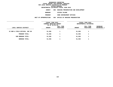# **DEPARTMENTAL ESTIMATES FISCAL YEAR <sup>2016</sup>**

**AGENCY <sup>806</sup> HOUSING PRESERVATION AND DEVELOPMENT**

**BOROUGH**

STATEN ISLAND<br>CODE ENFORCEMENT OFFICES **PROGRAM**

**M**<br>**N** 004 OFFICE OF HOUSING PRESER<br>**N** 004 OFFICE OF HOUSING PRESER **UNIT OF APPROPRIATION <sup>004</sup> OFFICE OF HOUSING PRESERVATION**

|                                | FISCAL YEAR 2015<br>CURRENT MODIFIED BUDGET<br>AS OF 02/02/15 |                        | FISCAL YEAR 2016<br>DEPARTMENTAL ESTIMATES |                        |                         |
|--------------------------------|---------------------------------------------------------------|------------------------|--------------------------------------------|------------------------|-------------------------|
| LOCAL SERVICE DISTRICT         | <b>AMOUNT</b>                                                 | FULL TIME<br>POSITIONS | <b>AMOUNT</b>                              | FULL TIME<br>POSITIONS | INCREASE<br>DECREASE(-) |
| SI BOR & FIELD OFFICES, SUP UN | 51,936                                                        |                        | 51,936                                     | 1                      |                         |
| PROGRAM TOTAL:                 | 51,936                                                        |                        | 51,936                                     | 1                      |                         |
| SUB BOROUGH TOTAL:             | 51,936                                                        |                        | 51,936                                     | 1                      |                         |
| BOROUGH TOTAL:                 | 51,936                                                        |                        | 51,936                                     | 1                      |                         |
|                                |                                                               |                        |                                            |                        |                         |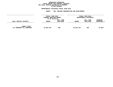### GEOGRAPHIC REPORTING<br>FISCAL REPORT FOR PERSONAL SERVICES<br>OCAL SERVICE DISTRICTS BY PROGRAM<br>WITHIN BOROUGH **FISCAL REPORT FOR PERSONAL SERVICES FOR LOCAL SERVICE DISTRICTS BY PROGRAM**

## **WITHIN BOROUGH DEPARTMENTAL ESTIMATES FISCAL YEAR <sup>2016</sup>**

# **AGENCY <sup>806</sup> HOUSING PRESERVATION AND DEVELOPMENT**

|                                                   | FISCAL YEAR 2015<br><b>CURRENT MODIFIED BUDGET</b><br>AS OF 02/02/15 |                        | <b>FISCAL YEAR 2016</b><br>DEPARTMENTAL ESTIMATES |                        |                                  |
|---------------------------------------------------|----------------------------------------------------------------------|------------------------|---------------------------------------------------|------------------------|----------------------------------|
| LOCAL SERVICE DISTRICT                            | <b>AMOUNT</b>                                                        | FULL TIME<br>POSITIONS | <b>AMOUNT</b>                                     | FULL TIME<br>POSITIONS | <b>INCREASE</b><br>$DECREASE(-)$ |
| <b>AGENCY TOTAL:</b><br>ALL PROGRAMS ALL BOROUGHS | 15,562,444                                                           | 309                    | 15,545,762                                        | 309                    | 16,682-                          |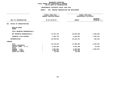### **DEPARTMENTAL ESTIMATES FISCAL YEAR 2016**

|                                  |                | FISCAL YEAR 2015<br>CURRENT MODIFIED BUDGET | FISCAL YEAR 2016<br>DEPARTMENTAL ESTIMATES |                                 |
|----------------------------------|----------------|---------------------------------------------|--------------------------------------------|---------------------------------|
| UNIT OF APPROPRIATION            | AS OF 02/02/15 |                                             | <b>AMOUNT</b>                              | <b>INCREASE</b><br>DECREASE (-) |
| OFFICE OF ADMINISTRATION<br>001  |                |                                             |                                            |                                 |
| REGULAR GROSS<br><b>OTHER</b>    |                |                                             |                                            |                                 |
| TOTAL REPORTED GEOGRAPHICALLY    |                |                                             |                                            |                                 |
| NOT REPORTED GEOGRAPHICALLY      |                | 27,451,753                                  | 25,929,450                                 | 1,522,303-                      |
| FINANCIAL PLAN SAVINGS           |                | 1,346,770                                   | 2,504,921                                  | 1,158,151                       |
| <b>APPROPRIATION</b>             |                | 28,798,523                                  | 28, 434, 371                               | $364, 152 -$                    |
| FUNDING                          |                |                                             |                                            |                                 |
| <b>CITY</b><br>OTHER CATEGORICAL |                | 16,178,229                                  | 17,488,394                                 | 1,310,165                       |
| CAPITAL FUNDS - I.F.A.           |                | 2,462,294                                   | 2,481,498                                  | 19,204                          |
| <b>STATE</b><br>FEDERAL - C.D.   |                | 7,991,504                                   | 6,297,983                                  | 1,693,521-                      |
| FEDERAL - OTHER                  |                | 2,104,012                                   | 2,104,012                                  |                                 |
| INTRA-CITY SALES                 |                | 62,484                                      | 62,484                                     |                                 |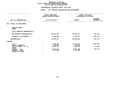### **DEPARTMENTAL ESTIMATES FISCAL YEAR 2016**

|                                  | FISCAL YEAR 2015<br>CURRENT MODIFIED BUDGET | FISCAL YEAR 2016<br>DEPARTMENTAL ESTIMATES |                                 |  |
|----------------------------------|---------------------------------------------|--------------------------------------------|---------------------------------|--|
| UNIT OF APPROPRIATION            | AS OF 02/02/15                              | <b>AMOUNT</b>                              | <b>INCREASE</b><br>DECREASE (-) |  |
| OFFICE OF DEVELOPMENT<br>002     |                                             |                                            |                                 |  |
| REGULAR GROSS<br><b>OTHER</b>    |                                             |                                            |                                 |  |
| TOTAL REPORTED GEOGRAPHICALLY    |                                             |                                            |                                 |  |
| NOT REPORTED GEOGRAPHICALLY      | 23,128,018                                  | 22,523,767                                 | $604, 251 -$                    |  |
| FINANCIAL PLAN SAVINGS           | 2,302,293                                   | 3,494,471                                  | 1,192,178                       |  |
| <b>APPROPRIATION</b>             | 25,430,311                                  | 26,018,238                                 | 587,927                         |  |
| <b>FUNDING</b>                   |                                             |                                            |                                 |  |
| <b>CITY</b><br>OTHER CATEGORICAL | 9,758,142<br>409,606                        | 11,212,943<br>409,606                      | 1,454,801                       |  |
| CAPITAL FUNDS - I.F.A.           | 5,082,227                                   | 5,136,127                                  | 53,900                          |  |
| <b>STATE</b><br>FEDERAL - C.D.   | 5,402,954                                   | 4,482,180                                  | $920,774-$                      |  |
| FEDERAL - OTHER                  | 4,777,382                                   | 4,777,382                                  |                                 |  |
| INTRA-CITY SALES                 |                                             |                                            |                                 |  |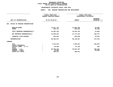### **DEPARTMENTAL ESTIMATES FISCAL YEAR 2016**

## **DEPARTMENTAL ESTIMATES FISCAL YEAR <sup>2016</sup>AGENCY: <sup>806</sup> HOUSING PRESERVATION AND DEVELOPMENT**

|                                       | FISCAL YEAR 2015               |                        | FISCAL YEAR 2016                  |  |  |
|---------------------------------------|--------------------------------|------------------------|-----------------------------------|--|--|
|                                       | <b>CURRENT MODIFIED BUDGET</b> | DEPARTMENTAL ESTIMATES |                                   |  |  |
| UNIT OF APPROPRIATION                 | AS OF 02/02/15                 | <b>AMOUNT</b>          | <b>INCREASE</b><br>DECREASE $(-)$ |  |  |
|                                       |                                |                        |                                   |  |  |
| OFFICE OF HOUSING PRESERVATION<br>004 |                                |                        |                                   |  |  |
| REGULAR GROSS<br><b>OTHER</b>         | 14,917,733<br>644,711          | 14,951,239<br>594,523  | 33,506<br>$50,188 -$              |  |  |
| TOTAL REPORTED GEOGRAPHICALLY         | 15,562,444                     | 15,545,762             | 16,682-                           |  |  |
| NOT REPORTED GEOGRAPHICALLY           | 41,995,232                     | 41,774,475             | $220,757-$                        |  |  |
| FINANCIAL PLAN SAVINGS                | 844,961                        | 810,030                | $34,931-$                         |  |  |
| <b>APPROPRIATION</b>                  | 58,402,637                     | 58,130,267             | $272,370-$                        |  |  |
| FUNDING                               |                                |                        |                                   |  |  |
| <b>CITY</b><br>OTHER CATEGORICAL      | 7,512,015                      | 7,845,041              | 333,026                           |  |  |
| CAPITAL FUNDS - I.F.A.                | 66,299                         | 67,128                 | 829                               |  |  |
| <b>STATE</b>                          |                                |                        |                                   |  |  |
| FEDERAL - C.D.                        | 50,496,432                     | 49,931,187             | $565, 245 -$                      |  |  |
| FEDERAL - OTHER                       | 40,980                         |                        | $40,980 -$                        |  |  |
| INTRA-CITY SALES                      | 286,911                        | 286,911                |                                   |  |  |
|                                       |                                |                        |                                   |  |  |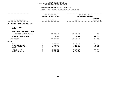### **DEPARTMENTAL ESTIMATES FISCAL YEAR 2016**

| FISCAL YEAR 2015<br>CURRENT MODIFIED BUDGET                  | FISCAL YEAR 2016<br>DEPARTMENTAL ESTIMATES                   |                                               |  |
|--------------------------------------------------------------|--------------------------------------------------------------|-----------------------------------------------|--|
| AS OF 02/02/15                                               | <b>AMOUNT</b>                                                | <b>INCREASE</b><br>DECREASE (-)               |  |
|                                                              |                                                              |                                               |  |
|                                                              |                                                              |                                               |  |
|                                                              |                                                              |                                               |  |
| 34,032,341                                                   | 34,031,835                                                   | $506 -$                                       |  |
| 539,380                                                      | 329,507                                                      | $209,873-$                                    |  |
| 34,571,721                                                   | 34, 361, 342                                                 | $210,379-$                                    |  |
|                                                              |                                                              |                                               |  |
| 2,895,086<br>190,482<br>9,621,773<br>6,696,789<br>13,749,639 | 3,128,585<br>134,440<br>9,751,163<br>6,175,130<br>13,749,639 | 233,499<br>$56,042-$<br>129,390<br>$521,659-$ |  |
|                                                              |                                                              |                                               |  |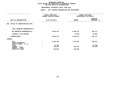|                                                            | <b>AGENCY:</b>                              | 806 HOUSING PRESERVATION AND DEVELOPMENT |                                            |                                 |  |
|------------------------------------------------------------|---------------------------------------------|------------------------------------------|--------------------------------------------|---------------------------------|--|
|                                                            | FISCAL YEAR 2015<br>CURRENT MODIFIED BUDGET |                                          | FISCAL YEAR 2016<br>DEPARTMENTAL ESTIMATES |                                 |  |
| UNIT OF APPROPRIATION                                      |                                             | AS OF 02/02/15                           | <b>AMOUNT</b>                              | <b>INCREASE</b><br>DECREASE (-) |  |
| OFFICE OF ADMINISTRATION OTPS<br>008                       |                                             |                                          |                                            |                                 |  |
| TOTAL REPORTED GEOGRAPHICALLY                              |                                             |                                          |                                            |                                 |  |
| NOT REPORTED GEOGRAPHICALLY                                |                                             | 9,050,414                                | 8,186,237                                  | $864,177-$                      |  |
| FINANCIAL PLAN SAVINGS                                     |                                             |                                          | 78,000                                     | 78,000                          |  |
| <b>APPROPRIATION</b>                                       |                                             | 9,050,414                                | 8,264,237                                  | 786,177-                        |  |
| FUNDING                                                    |                                             |                                          |                                            |                                 |  |
| <b>CITY</b><br>OTHER CATEGORICAL<br>CAPITAL FUNDS - I.F.A. |                                             | 8,009,228                                | 7,375,187                                  | 634,041-                        |  |
| <b>STATE</b>                                               |                                             | 41,708                                   |                                            | 41,708-                         |  |
| FEDERAL - C.D.                                             |                                             | 740,870                                  | 630,442                                    | 110,428-                        |  |
| FEDERAL - OTHER<br>INTRA-CITY SALES                        |                                             | 258,608                                  | 258,608                                    |                                 |  |
|                                                            |                                             |                                          |                                            |                                 |  |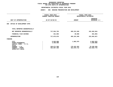|                                                                            | <b>AGENCY:</b><br>806 HOUSING PRESERVATION AND DEVELOPMENT |                                            |                                 |  |
|----------------------------------------------------------------------------|------------------------------------------------------------|--------------------------------------------|---------------------------------|--|
|                                                                            |                                                            |                                            |                                 |  |
|                                                                            | FISCAL YEAR 2015<br><b>CURRENT MODIFIED BUDGET</b>         | FISCAL YEAR 2016<br>DEPARTMENTAL ESTIMATES |                                 |  |
| UNIT OF APPROPRIATION                                                      | AS OF 02/02/15                                             | <b>AMOUNT</b>                              | <b>INCREASE</b><br>DECREASE (-) |  |
| OFFICE OF DEVELOPMENT OTPS<br>009                                          |                                                            |                                            |                                 |  |
| TOTAL REPORTED GEOGRAPHICALLY                                              |                                                            |                                            |                                 |  |
| NOT REPORTED GEOGRAPHICALLY                                                | 717,554,793                                                | 495,151,949                                | 222,402,844-                    |  |
| FINANCIAL PLAN SAVINGS                                                     | 321,083                                                    | 30,000                                     | 291,083-                        |  |
| <b>APPROPRIATION</b>                                                       | 717,875,876                                                | 495,181,949                                | 222,693,927-                    |  |
| <b>FUNDING</b>                                                             |                                                            |                                            |                                 |  |
| <b>CITY</b><br>OTHER CATEGORICAL<br>CAPITAL FUNDS - I.F.A.<br><b>STATE</b> | 8,845,808<br>4,460,988                                     | 1,882,975                                  | $6,962,833-$<br>4,460,988-      |  |
| FEDERAL - C.D.<br>FEDERAL - OTHER<br>INTRA-CITY SALES                      | 249,671,590<br>454,897,490                                 | 170,422,262<br>322,876,712                 | 79,249,328-<br>132,020,778-     |  |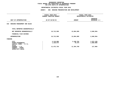| <b>AGENCY:</b>                              |                                      |                                            |                                          |  |
|---------------------------------------------|--------------------------------------|--------------------------------------------|------------------------------------------|--|
| FISCAL YEAR 2015<br>CURRENT MODIFIED BUDGET |                                      | FISCAL YEAR 2016<br>DEPARTMENTAL ESTIMATES |                                          |  |
|                                             |                                      | <b>AMOUNT</b>                              | <b>INCREASE</b><br>DECREASE (-)          |  |
|                                             |                                      |                                            |                                          |  |
|                                             |                                      |                                            |                                          |  |
|                                             | 16,712,599                           | 13,864,005                                 | 2,848,594-                               |  |
|                                             |                                      |                                            |                                          |  |
|                                             | 16,712,599                           | 13,864,005                                 | 2,848,594-                               |  |
|                                             |                                      |                                            |                                          |  |
|                                             | 4,110,890<br>1,128,974<br>11,472,735 | 2,438,762<br>70,474<br>11,354,769          | 1,672,128-<br>1,058,500-<br>117,966-     |  |
|                                             |                                      | AS OF 02/02/15                             | 806 HOUSING PRESERVATION AND DEVELOPMENT |  |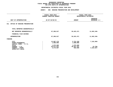|                                                            | <b>AGENCY:</b>                              | 806 HOUSING PRESERVATION AND DEVELOPMENT |                         |                                            |  |  |
|------------------------------------------------------------|---------------------------------------------|------------------------------------------|-------------------------|--------------------------------------------|--|--|
|                                                            | FISCAL YEAR 2015<br>CURRENT MODIFIED BUDGET |                                          |                         | FISCAL YEAR 2016<br>DEPARTMENTAL ESTIMATES |  |  |
| UNIT OF APPROPRIATION                                      |                                             | AS OF 02/02/15                           | <b>AMOUNT</b>           | <b>INCREASE</b><br>DECREASE (-)            |  |  |
| OFFICE OF HOUSING PRESERVATION<br>011                      |                                             |                                          |                         |                                            |  |  |
| TOTAL REPORTED GEOGRAPHICALLY                              |                                             |                                          |                         |                                            |  |  |
| NOT REPORTED GEOGRAPHICALLY                                |                                             | 67,286,817                               | 55,623,471              | 11,663,346-                                |  |  |
| FINANCIAL PLAN SAVINGS                                     |                                             |                                          |                         |                                            |  |  |
| <b>APPROPRIATION</b>                                       |                                             | 67,286,817                               | 55,623,471              | 11,663,346-                                |  |  |
| FUNDING                                                    |                                             |                                          |                         |                                            |  |  |
| <b>CITY</b><br>OTHER CATEGORICAL<br>CAPITAL FUNDS - I.F.A. |                                             | 13,067,179<br>1,000,000                  | 5,751,220<br>1,000,000  | 7,315,959-                                 |  |  |
| <b>STATE</b><br>FEDERAL - C.D.                             |                                             | 1,075,000<br>46,871,031                  | 1,075,000<br>46,847,251 | $23,780-$                                  |  |  |
| FEDERAL - OTHER<br>INTRA-CITY SALES                        |                                             | 5,273,607                                | 950,000                 | 4,323,607-                                 |  |  |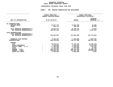## GEOGRAPHIC REPORTING<br>FISCAL REPORT AGENCYWIDE SUMMARY

## **FISCAL REPORT AGENCYWIDE SUMMARY DEPARTMENTAL ESTIMATES FISCAL YEAR <sup>2016</sup>**

### **AGENCY: <sup>806</sup> HOUSING PRESERVATION AND DEVELOPMENT**

|                                                              | FISCAL YEAR 2015<br>CURRENT MODIFIED BUDGET | FISCAL YEAR 2016<br>DEPARTMENTAL ESTIMATES |                                   |
|--------------------------------------------------------------|---------------------------------------------|--------------------------------------------|-----------------------------------|
| UNIT OF APPROPRIATION                                        | AS OF 02/02/15                              | <b>AMOUNT</b>                              | <b>INCREASE</b><br>DECREASE $(-)$ |
| PS APPROPRIATIONS                                            |                                             |                                            |                                   |
| REGULAR GROSS<br><b>OTHER</b>                                | 14,917,733<br>644,711                       | 14,951,239<br>594,523                      | 33,506<br>$50,188 -$              |
| TOTAL REPORTED GEOGRAPHICALLY<br>NOT REPORTED GEOGRAPHICALLY | 15,562,444<br>126,607,344                   | 15,545,762<br>124,259,527                  | 16,682-<br>2,347,817-             |
| OTPS APPROPRIATIONS<br>TOTAL REPORTED GEOGRAPHICALLY         |                                             |                                            |                                   |
| NOT REPORTED GEOGRAPHICALLY                                  | 810,604,623                                 | 572,825,662                                | 237,778,961-                      |
| FINANCIAL PLAN SAVINGS<br><b>APPROPRIATIONS</b>              | 5,354,487<br>958, 128, 898                  | 7,246,929<br>719,877,880                   | 1,892,442<br>238,251,018-         |
| FUNDING                                                      |                                             |                                            |                                   |
| <b>CITY</b>                                                  | 70,376,577                                  | 57,123,107                                 | $13,253,470-$                     |
| OTHER CATEGORICAL                                            | 7,190,050                                   | 1,614,520                                  | 5,575,530-                        |
| CAPITAL FUNDS - I.F.A.                                       | 17,232,593                                  | 17,435,916                                 | 203,323                           |
| <b>STATE</b>                                                 | 1,116,708                                   | 1,075,000                                  | 41,708-                           |
| FEDERAL - C.D.                                               | 379,343,905                                 | 296,141,204                                | 83,202,701-                       |
| FEDERAL - OTHER                                              | 480,843,110                                 | 344,457,745                                | 136,385,365-                      |
| INTRA-CITY SALES                                             | 2,025,955                                   | 2,030,388                                  | 4,433                             |
|                                                              |                                             |                                            |                                   |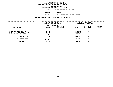**DEPARTMENTAL ESTIMATES FISCAL YEAR <sup>2016</sup>**

**AGENCY <sup>810</sup> DEPARTMENT OF BUILDINGS**

**BOROUGH**

BRONX<br>PLAN EXAMINATION & INSPECTIONS **PROGRAMPLAN EXAMINATION & INSPECTIONS**

**UNIT OF APPROPRIATION <sup>001</sup> PERSONAL SERVICES**

|                                                      | FISCAL YEAR 2015<br>CURRENT MODIFIED BUDGET<br>AS OF 02/02/15 |                        | FISCAL YEAR 2016<br>DEPARTMENTAL ESTIMATES |                        |                                |
|------------------------------------------------------|---------------------------------------------------------------|------------------------|--------------------------------------------|------------------------|--------------------------------|
| LOCAL SERVICE DISTRICT                               | <b>AMOUNT</b>                                                 | FULL TIME<br>POSITIONS | <b>AMOUNT</b>                              | FULL TIME<br>POSITIONS | <b>INCREASE</b><br>DECREASE(-) |
| BRONX PLAN EXAMINATION<br>BX CONSTRUCTION INSPECTION | 589,405<br>442,082                                            | 10<br>7                | 589,405<br>442,082                         | 10                     |                                |
| BRONX PLUMBING INSPECTION<br>PROGRAM TOTAL:          | 247,814<br>1,279,301                                          | 4<br>21                | 247,814<br>1,279,301                       | 4<br>21                |                                |
| SUB BOROUGH TOTAL:                                   | 1,279,301                                                     | 21                     | 1,279,301                                  | 21                     |                                |
| <b>BOROUGH TOTAL:</b>                                | 1,279,301                                                     | 21                     | 1,279,301                                  | 21                     |                                |
|                                                      |                                                               |                        |                                            |                        |                                |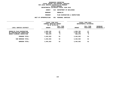**DEPARTMENTAL ESTIMATES FISCAL YEAR <sup>2016</sup>**

**AGENCY <sup>810</sup> DEPARTMENT OF BUILDINGS**

**BOROUGH**

BROOKLYN<br>PLAN EXAMINATION & INSPECTIONS **PROGRAMPLAN EXAMINATION & INSPECTIONS**

|                                                                                      | UNIT OF APPROPRIATION                       | 001<br><b>PERSONAL SERVICES</b> |                                   |                                            |                                       |
|--------------------------------------------------------------------------------------|---------------------------------------------|---------------------------------|-----------------------------------|--------------------------------------------|---------------------------------------|
|                                                                                      | FISCAL YEAR 2015<br>CURRENT MODIFIED BUDGET |                                 |                                   | FISCAL YEAR 2016<br>DEPARTMENTAL ESTIMATES |                                       |
| LOCAL SERVICE DISTRICT                                                               | AS OF 02/02/15<br><b>AMOUNT</b>             | FULL TIME<br>POSITIONS          | <b>AMOUNT</b>                     | FULL TIME<br>POSITIONS                     | <b>INCREASE</b><br><b>DECREASE(-)</b> |
| BROOKLYN PLAN EXAMINATION<br>BK CONSTRUCTION INSPECTION<br>BROOK PLUMBING INSPECTION | 1,903,782<br>1,257,451<br>303,270           | 27<br>20<br>5                   | 1,903,782<br>1,257,451<br>303,270 | 27<br>20<br>5                              |                                       |
| PROGRAM TOTAL:                                                                       | 3,464,503                                   | 52                              | 3,464,503                         | 52                                         |                                       |
| SUB BOROUGH TOTAL:                                                                   | 3,464,503                                   | 52                              | 3,464,503                         | 52                                         |                                       |
| <b>BOROUGH TOTAL:</b>                                                                | 3,464,503                                   | 52                              | 3,464,503                         | 52                                         |                                       |
|                                                                                      |                                             |                                 |                                   |                                            |                                       |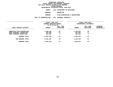**DEPARTMENTAL ESTIMATES FISCAL YEAR <sup>2016</sup>**

**AGENCY <sup>810</sup> DEPARTMENT OF BUILDINGS**

**BOROUGH**

**MANHATTAN**

**PROGRAMPLAN EXAMINATION & INSPECTIONS**

**UNIT OF APPROPRIATION <sup>001</sup> PERSONAL SERVICES**

|                                                                                     | FISCAL YEAR 2015<br>CURRENT MODIFIED BUDGET<br>AS OF 02/02/15 |                        | FISCAL YEAR 2016<br>DEPARTMENTAL ESTIMATES |                        |                                |
|-------------------------------------------------------------------------------------|---------------------------------------------------------------|------------------------|--------------------------------------------|------------------------|--------------------------------|
| LOCAL SERVICE DISTRICT                                                              | <b>AMOUNT</b>                                                 | FULL TIME<br>POSITIONS | <b>AMOUNT</b>                              | FULL TIME<br>POSITIONS | <b>INCREASE</b><br>DECREASE(-) |
| MANHATTAN PLAN EXAMINATION<br>MANH CONSTRUCT INSPECTION<br>MANH PLUMBING INSPECTION | 2,189,038<br>925,586<br>431,615                               | 29<br>17<br>7          | 2,189,038<br>925,586<br>431,615            | 29<br>17<br>.,         |                                |
| PROGRAM TOTAL:                                                                      | 3,546,239                                                     | 53                     | 3,546,239                                  | 53                     |                                |
| SUB BOROUGH TOTAL:                                                                  | 3,546,239                                                     | 53                     | 3,546,239                                  | 53                     |                                |
| <b>BOROUGH TOTAL:</b>                                                               | 3,546,239                                                     | 53                     | 3,546,239                                  | 53                     |                                |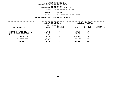**DEPARTMENTAL ESTIMATES FISCAL YEAR <sup>2016</sup>**

**AGENCY <sup>810</sup> DEPARTMENT OF BUILDINGS**

**BOROUGH**

QUEENS<br>PLAN EXAMINATION & INSPECTIONS **PROGRAMPLAN EXAMINATION & INSPECTIONS**

|                                                                  | FISCAL YEAR 2015<br>CURRENT MODIFIED BUDGET<br>AS OF 02/02/15 |                        | FISCAL YEAR 2016<br>DEPARTMENTAL ESTIMATES |                               |                                       |
|------------------------------------------------------------------|---------------------------------------------------------------|------------------------|--------------------------------------------|-------------------------------|---------------------------------------|
| LOCAL SERVICE DISTRICT                                           | <b>AMOUNT</b>                                                 | FULL TIME<br>POSITIONS | <b>AMOUNT</b>                              | FULL TIME<br><b>POSITIONS</b> | <b>INCREASE</b><br><b>DECREASE(-)</b> |
| <b>QUEENS PLAN EXAMINATION</b><br>QUEENS CONSTRUCTION INSPECTION | 1,794,392<br>1,464,875                                        | 24<br>23               | 1,794,392<br>1,464,875                     | 24<br>23                      |                                       |
| QUEENS PLUMBING INSPECTION                                       | 282,370                                                       | 4                      | 282,370                                    | 4                             |                                       |
| PROGRAM TOTAL:<br>SUB BOROUGH TOTAL:                             | 3,541,637<br>3,541,637                                        | 51<br>51               | 3,541,637<br>3,541,637                     | 51<br>51                      |                                       |
| <b>BOROUGH TOTAL:</b>                                            | 3,541,637                                                     | 51                     | 3,541,637                                  | 51                            |                                       |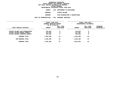| DEPARTMENTAL ESTIMATES FISCAL YEAR 2016 |                             |  |
|-----------------------------------------|-----------------------------|--|
| AGENCY                                  | 810 DEPARTMENT OF BUILDINGS |  |
| <b>BOROUGH</b>                          | STATEN ISLAND               |  |
| <b>PROGRAM</b>                          | PLAN EXAMINATION & INSP     |  |

**PLAN EXAMINATION & INSPECTIONS**

**UNIT OF APPROPRIATION <sup>001</sup> PERSONAL SERVICES**

|                                                                | FISCAL YEAR 2015<br>CURRENT MODIFIED BUDGET<br>AS OF 02/02/15 |                        | FISCAL YEAR 2016<br>DEPARTMENTAL ESTIMATES |                        |                                |
|----------------------------------------------------------------|---------------------------------------------------------------|------------------------|--------------------------------------------|------------------------|--------------------------------|
| LOCAL SERVICE DISTRICT                                         | <b>AMOUNT</b>                                                 | FULL TIME<br>POSITIONS | <b>AMOUNT</b>                              | FULL TIME<br>POSITIONS | <b>INCREASE</b><br>DECREASE(-) |
| STATEN ISLAND PLAN EXAMINATION                                 | 378,815                                                       | 5                      | 378,815                                    | 5                      |                                |
| STATEN ISLAND CONSTR INSPECT<br>STATEN ISLAND PLUMBING INSPECT | 417,307<br>249,358                                            | 6<br>5                 | 417,307<br>249,358                         | 6<br>5                 |                                |
| PROGRAM TOTAL:                                                 | 1,045,480                                                     | 16                     | 1,045,480                                  | 16                     |                                |
| SUB BOROUGH TOTAL:                                             | 1,045,480                                                     | 16                     | 1,045,480                                  | 16                     |                                |
| <b>BOROUGH TOTAL:</b>                                          | 1,045,480                                                     | 16                     | 1,045,480                                  | 16                     |                                |
|                                                                |                                                               |                        |                                            |                        |                                |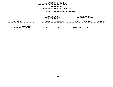### GEOGRAPHIC REPORTING<br>FISCAL REPORT FOR PERSONAL SERVICES<br>OCAL SERVICE DISTRICTS BY PROGRAM<br>WITHIN BOROUGH **FISCAL REPORT FOR PERSONAL SERVICES FOR LOCAL SERVICE DISTRICTS BY PROGRAM**

## **WITHIN BOROUGH DEPARTMENTAL ESTIMATES FISCAL YEAR <sup>2016</sup>**

# **AGENCY <sup>810</sup> DEPARTMENT OF BUILDINGS**

|                                            | FISCAL YEAR 2015<br>CURRENT MODIFIED BUDGET<br>AS OF 02/02/15 |                        | FISCAL YEAR 2016<br>DEPARTMENTAL ESTIMATES |                        |                                  |  |
|--------------------------------------------|---------------------------------------------------------------|------------------------|--------------------------------------------|------------------------|----------------------------------|--|
| LOCAL SERVICE DISTRICT                     | AMOUNT<br>-------------------                                 | FULL TIME<br>POSITIONS | <b>AMOUNT</b>                              | FULL TIME<br>POSITIONS | <b>INCREASE</b><br>$DECREASE(-)$ |  |
| AGENCY TOTAL:<br>ALL PROGRAMS ALL BOROUGHS | 12,877,160                                                    | 193                    | 12,877,160                                 | 193                    |                                  |  |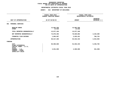## **GEOGRAPHIC REPORTINGFISCAL REPORT FOR AGENCYWIDE BY PROGRAM**

### **DEPARTMENTAL ESTIMATES FISCAL YEAR 2016**

## **DEPARTMENTAL ESTIMATES FISCAL YEAR <sup>2016</sup>AGENCY: <sup>810</sup> DEPARTMENT OF BUILDINGS**

|                                                                                                                                     | FISCAL YEAR 2015<br><b>CURRENT MODIFIED BUDGET</b> | FISCAL YEAR 2016<br>DEPARTMENTAL ESTIMATES |                                 |  |
|-------------------------------------------------------------------------------------------------------------------------------------|----------------------------------------------------|--------------------------------------------|---------------------------------|--|
| UNIT OF APPROPRIATION                                                                                                               | AS OF 02/02/15                                     | <b>AMOUNT</b>                              | <b>INCREASE</b><br>DECREASE (-) |  |
| PERSONAL SERVICES<br>001                                                                                                            |                                                    |                                            |                                 |  |
| REGULAR GROSS<br><b>OTHER</b>                                                                                                       | 12,862,250<br>14,910                               | 12,862,250<br>14,910                       |                                 |  |
| TOTAL REPORTED GEOGRAPHICALLY                                                                                                       | 12,877,160                                         | 12,877,160                                 |                                 |  |
| NOT REPORTED GEOGRAPHICALLY                                                                                                         | 73,875,493                                         | 78,029,862                                 | 4,154,369                       |  |
| FINANCIAL PLAN SAVINGS                                                                                                              | 1,864,697                                          | 2,625,421                                  | 760,724                         |  |
| <b>APPROPRIATION</b>                                                                                                                | 88,617,350                                         | 93,532,443                                 | 4,915,093                       |  |
| FUNDING                                                                                                                             |                                                    |                                            |                                 |  |
| <b>CITY</b><br>OTHER CATEGORICAL<br>CAPITAL FUNDS - I.F.A.<br><b>STATE</b><br>FEDERAL - C.D.<br>FEDERAL - OTHER<br>INTRA-CITY SALES | 85,585,660<br>3,031,690                            | 91,032,443<br>2,500,000                    | 5,446,783<br>$531,690 -$        |  |
|                                                                                                                                     |                                                    |                                            |                                 |  |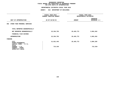|                                                                            | <b>AGENCY:</b>                              |                | 810 DEPARTMENT OF BUILDINGS                |                                 |  |
|----------------------------------------------------------------------------|---------------------------------------------|----------------|--------------------------------------------|---------------------------------|--|
|                                                                            | FISCAL YEAR 2015<br>CURRENT MODIFIED BUDGET |                | FISCAL YEAR 2016<br>DEPARTMENTAL ESTIMATES |                                 |  |
| UNIT OF APPROPRIATION                                                      |                                             | AS OF 02/02/15 | <b>AMOUNT</b>                              | <b>INCREASE</b><br>DECREASE (-) |  |
| OTHER THAN PERSONAL SERVICES<br>002                                        |                                             |                |                                            |                                 |  |
| TOTAL REPORTED GEOGRAPHICALLY                                              |                                             |                |                                            |                                 |  |
| NOT REPORTED GEOGRAPHICALLY                                                |                                             | 22,334,753     | 25,425,772                                 | 3,091,019                       |  |
| FINANCIAL PLAN SAVINGS                                                     |                                             |                |                                            |                                 |  |
| <b>APPROPRIATION</b>                                                       |                                             | 22,334,753     | 25,425,772                                 | 3,091,019                       |  |
| <b>FUNDING</b>                                                             |                                             |                |                                            |                                 |  |
| <b>CITY</b><br>OTHER CATEGORICAL<br>CAPITAL FUNDS - I.F.A.<br><b>STATE</b> |                                             | 21,621,443     | 25,425,772                                 | 3,804,329                       |  |
| FEDERAL - C.D.<br>FEDERAL - OTHER<br>INTRA-CITY SALES                      |                                             | 713,310        |                                            | $713,310-$                      |  |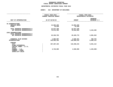# GEOGRAPHIC REPORTING<br>FISCAL REPORT AGENCYWIDE SUMMARY

# **FISCAL REPORT AGENCYWIDE SUMMARY DEPARTMENTAL ESTIMATES FISCAL YEAR <sup>2016</sup>**

### **AGENCY: <sup>810</sup> DEPARTMENT OF BUILDINGS**

| UNIT OF APPROPRIATION                                                                                                                          | FISCAL YEAR 2015<br><b>CURRENT MODIFIED BUDGET</b> | FISCAL YEAR 2016<br>DEPARTMENTAL ESTIMATES |                                 |  |
|------------------------------------------------------------------------------------------------------------------------------------------------|----------------------------------------------------|--------------------------------------------|---------------------------------|--|
|                                                                                                                                                | AS OF 02/02/15                                     | <b>AMOUNT</b>                              | <b>INCREASE</b><br>DECREASE (-) |  |
| PS APPROPRIATIONS<br>REGULAR GROSS<br><b>OTHER</b>                                                                                             | 12,862,250<br>14,910                               | 12,862,250<br>14,910                       |                                 |  |
| TOTAL REPORTED GEOGRAPHICALLY<br>NOT REPORTED GEOGRAPHICALLY                                                                                   | 12,877,160<br>73,875,493                           | 12,877,160<br>78,029,862                   | 4,154,369                       |  |
| OTPS APPROPRIATIONS<br>TOTAL REPORTED GEOGRAPHICALLY<br>NOT REPORTED GEOGRAPHICALLY                                                            | 22,334,753                                         | 25,425,772                                 | 3,091,019                       |  |
| FINANCIAL PLAN SAVINGS<br><b>APPROPRIATIONS</b>                                                                                                | 1,864,697<br>110,952,103                           | 2,625,421<br>118,958,215                   | 760,724<br>8,006,112            |  |
| FUNDING<br><b>CITY</b><br>OTHER CATEGORICAL<br>CAPITAL FUNDS - I.F.A.<br><b>STATE</b><br>FEDERAL - C.D.<br>FEDERAL - OTHER<br>INTRA-CITY SALES | 107,207,103<br>3,745,000                           | 116,458,215<br>2,500,000                   | 9,251,112<br>1,245,000-         |  |
|                                                                                                                                                |                                                    |                                            |                                 |  |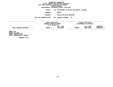**DEPARTMENTAL ESTIMATES FISCAL YEAR <sup>2016</sup>AGENCY <sup>816</sup> DEPARTMENT OF HEALTH AND MENTAL HYGIENE**

**BOROUGH**

BRONX<br>HEALTH RELATED SERVICES **PROGRAMHEALTH RELATED SERVICES**

**UNIT OF APPROPRIATION <sup>102</sup> DISEASE CONTROL - PS**

**------------------------------------ ------------------------------ ------------------------------------------------- FISCAL YEAR <sup>2015</sup> FISCAL YEAR <sup>2016</sup> CURRENT MODIFIED BUDGET**<br>
AS OF 02/02/15<br> **FULL TIME**<br> **PULL TIME**<br> **PULL TIME AS** OF 02/02/15<br>**FULL TIME**<br>**AMOUNT** POSITIONS<br>-------------------------------**FULL TIME FULL TIME INCREASE LOCAL SERVICE DISTRICT AMOUNT POSITIONS AMOUNT POSITIONS DECREASE(-) -----------------------------------------------------------------------**<br>BRONX STD<br>BRONX STD FED<br>BRONX TUBERCULOSIS \_\_\_\_\_\_\_\_

**BRONX STD FED BRONX TUBERCULOSIS BRONX TUBERCULOSIS FEDERAL**

**PROGRAM TOTAL:**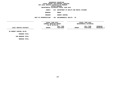**DEPARTMENTAL ESTIMATES FISCAL YEAR <sup>2016</sup>AGENCY <sup>816</sup> DEPARTMENT OF HEALTH AND MENTAL HYGIENE**

**BOROUGH**

BRONX<br>RODENT CONTROL **PROGRAM**

 **RODENT CONTROL UNIT OF APPROPRIATION <sup>104</sup> ENVIRONMENTAL HEALTH - PS**

**------------------------------------ ------------------------------ ------------------------------------------------- FISCAL YEAR <sup>2015</sup> FISCAL YEAR <sup>2016</sup> CURRENT MODIFIED BUDGET**<br>
AS OF 02/02/15<br> **FULL TIME**<br> **PULL TIME**<br> **PULL TIME AS OF 02/02/15 FULL TIME FULL TIME INCREASE**  $\text{LOCAL} \text{ SERVICE DISTRICT} \text{DISTRICT} \text{AMOUNT} \text{POSTIONS} \text{MMOUNT} \text{POSTIONS} \text{DECTERASE(-1)} \text{SUTIONS} \text{DECTEREASE(-2)} \text{SUTIONS} \text{DECTERSASE(-3)} \text{SUTS} \text{DECTERSASE(-4)} \text{SUTSASE(-5)} \text{SUTSASE} \text{SUTSASE(-6)} \text{SUTSASE} \text{SUTSASE} \text{SUTSASE} \text{SUTSASE} \text{SUTSASE} \text{SUTSASE} \text{SUTSASE} \text{SUT$ **------------------------------ ------------------------------------------------- BX RODENT CONTROL 50/50**

**PROGRAM TOTAL: SUB BOROUGH TOTAL:**

**BOROUGH TOTAL:**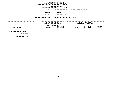**DEPARTMENTAL ESTIMATES FISCAL YEAR <sup>2016</sup>**

**AGENCY <sup>816</sup> DEPARTMENT OF HEALTH AND MENTAL HYGIENE**

**BOROUGH**

 **BROOKLYN PROGRAM**

 **RODENT CONTROL UNIT OF APPROPRIATION <sup>104</sup> ENVIRONMENTAL HEALTH - PS**

**------------------------------------ ------------------------------ ------------------------------------------------- FISCAL YEAR <sup>2015</sup> FISCAL YEAR <sup>2016</sup> CURRENT MODIFIED BUDGET**<br>
AS OF 02/02/15<br> **FULL TIME**<br> **PULL TIME**<br> **PULL TIME AS OF 02/02/15 FULL TIME FULL TIME INCREASE LOCAL SERVICE DISTRICT AMOUNT POSITIONS AMOUNT POSITIONS DECREASE(-) ------------------------------------------------------------------ ------------------------------------------------- BK RODENT CONTROL 50/50**

**PROGRAM TOTAL: SUB BOROUGH TOTAL:**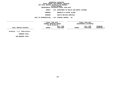### GEOGRAPHIC REPORTING<br>FISCAL REPORT FOR PERSONAL SERVICES<br>OCAL SERVICE DISTRICTS BY PROGRAM<br>WITHIN BOROUGH  $FOR$  LOCAL SERVICE DISTRICTS BY PROGRAM **FOR LOCAL SERVICE DISTRICTS BY PROGRAMWITHIN BOROUGH DEPARTMENTAL ESTIMATES FISCAL YEAR <sup>2016</sup>AGENCY <sup>816</sup> DEPARTMENT OF HEALTH AND MENTAL HYGIENE BOROUGH BROOKLYN & STATEN ISLAND PROGRAM HEALTH RELATED SERVICES UNIT OF APPROPRIATION <sup>102</sup> DISEASE CONTROL - PS ------------------------------------ ------------------------------ ------------------------------------------------- FISCAL YEAR <sup>2015</sup> FISCAL YEAR <sup>2016</sup> CURRENT MODIFIED BUDGET**<br>
AS OF 02/02/15<br> **FULL TIME**<br> **PULL TIME**<br> **PULL TIME AS OF 02/02/15 FULL TIME FULL TIME INCREASE LOCAL SERVICE DISTRICT AMOUNT POSITIONS AMOUNT POSITIONS DECREASE(-) ------------------------------------------------------------------ ------------------------------------------------- Brooklyn - S.I. Tuberculosis**

**PROGRAM TOTAL:**

**SUB BOROUGH TOTAL:**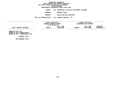### **GEOGRAPHIC REPORTINGFISCAL REPORT FOR PERSONAL SERVICES FOR LOCAL SERVICE DISTRICTS BY PROGRAMWITHIN BOROUGH**

**DEPARTMENTAL ESTIMATES FISCAL YEAR <sup>2016</sup>**

**AGENCY <sup>816</sup> DEPARTMENT OF HEALTH AND MENTAL HYGIENE**

**BOROUGH**

 **BROOKLYN EAST PROGRAM**

 **HEALTH RELATED SERVICES UNIT OF APPROPRIATION <sup>102</sup> DISEASE CONTROL - PS**

**------------------------------------ ------------------------------ ------------------------------------------------- FISCAL YEAR <sup>2015</sup> FISCAL YEAR <sup>2016</sup> CURRENT MODIFIED BUDGET**<br>
AS OF 02/02/15<br> **FULL TIME**<br> **PULL TIME**<br> **PULL TIME AS OF 02/02/15 FULL TIME FULL TIME INCREASE LOCAL SERVICE DISTRICT AMOUNT POSITIONS AMOUNT POSITIONS DECREASE(-) ------------------------------------------------------------------ ------------------------------------------------- BROOKLYN EAST STD**

**BROOKLYN EAST TUBERCULOSIS BROOKLYN EAST TUBERCULOSIS FED**

**PROGRAM TOTAL: SUB BOROUGH TOTAL:**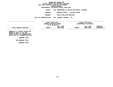**DEPARTMENTAL ESTIMATES FISCAL YEAR <sup>2016</sup>**

**AGENCY <sup>816</sup> DEPARTMENT OF HEALTH AND MENTAL HYGIENE**

**BOROUGH**

**HEALTH RELATED SERVICES PROGRAM**

 **HEALTH RELATED SERVICES UNIT OF APPROPRIATION <sup>102</sup> DISEASE CONTROL - PS**

**------------------------------------**

|                        | FISCAL YEAR 2015        |           |                        | FISCAL YEAR 2016 |               |
|------------------------|-------------------------|-----------|------------------------|------------------|---------------|
|                        | CURRENT MODIFIED BUDGET |           | DEPARTMENTAL ESTIMATES |                  |               |
|                        | AS OF 02/02/15          |           |                        |                  |               |
|                        |                         | FULL TIME |                        | FULL TIME        | INCREASE      |
| LOCAL SERVICE DISTRICT | <b>AMOUNT</b>           | POSITIONS | <b>AMOUNT</b>          | POSITIONS        | $DECREASE(-)$ |
|                        |                         |           |                        |                  |               |
|                        |                         |           |                        |                  |               |

 **------------------------------ ------------------------------------------------- BROOKLYN W.-STATEN ISLAND STD BROOKLYN WEST-SI STD FED BROOKLYN WEST-SI TUBERCULOSIS BKLYN WEST-ST TUBERCULOSIS FED**

**PROGRAM TOTAL: SUB BOROUGH TOTAL:**

**BOROUGH TOTAL:**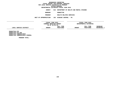# **DEPARTMENTAL ESTIMATES FISCAL YEAR <sup>2016</sup>**

**AGENCY <sup>816</sup> DEPARTMENT OF HEALTH AND MENTAL HYGIENE**

**BOROUGH**

MANHATTAN<br>HEALTH RELATED SERVICES **PROGRAM**

 **HEALTH RELATED SERVICES UNIT OF APPROPRIATION <sup>102</sup> DISEASE CONTROL - PS**

**------------------------------------ ------------------------------ ------------------------------------------------- FISCAL YEAR <sup>2015</sup> FISCAL YEAR <sup>2016</sup> CURRENT MODIFIED BUDGET**<br>
AS OF 02/02/15<br> **FULL TIME**<br> **PULL TIME**<br> **PULL TIME AS OF 02/02/15 FULL TIME FULL TIME INCREASE LOCAL SERVICE DISTRICT AMOUNT POSITIONS AMOUNT POSITIONS DECREASE(-) ------------------------------------------------------------------ ------------------------------------------------- MANHATTAN STD**

**MANHATTAN STD FED MANHATTAN TUBERCULOSIS MANHATTAN TUBERCULOSIS FEDERAL**

**PROGRAM TOTAL:**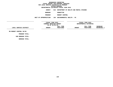**DEPARTMENTAL ESTIMATES FISCAL YEAR <sup>2016</sup>**

**AGENCY <sup>816</sup> DEPARTMENT OF HEALTH AND MENTAL HYGIENE**

**BOROUGH**

 **MANHATTAN PROGRAM**

 **RODENT CONTROL UNIT OF APPROPRIATION <sup>104</sup> ENVIRONMENTAL HEALTH - PS**

**------------------------------------ ------------------------------ ------------------------------------------------- FISCAL YEAR <sup>2015</sup> FISCAL YEAR <sup>2016</sup> CURRENT MODIFIED BUDGET**<br>
AS OF 02/02/15<br> **FULL TIME**<br> **PULL TIME**<br> **PULL TIME AS OF 02/02/15 FULL TIME FULL TIME INCREASE LOCAL SERVICE DISTRICT AMOUNT POSITIONS AMOUNT POSITIONS DECREASE(-) ------------------------------------------------------------------ ------------------------------------------------- MN RODENT CONTROL 50/50**

**PROGRAM TOTAL: SUB BOROUGH TOTAL:**

**BOROUGH TOTAL:**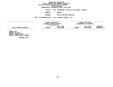**DEPARTMENTAL ESTIMATES FISCAL YEAR <sup>2016</sup>**

**AGENCY <sup>816</sup> DEPARTMENT OF HEALTH AND MENTAL HYGIENE**

**BOROUGH**

QUEENS<br>HEALTH RELATED SERVICES **PROGRAM**

 **HEALTH RELATED SERVICES UNIT OF APPROPRIATION <sup>102</sup> DISEASE CONTROL - PS**

**------------------------------------ ------------------------------ ------------------------------------------------- FISCAL YEAR <sup>2015</sup> FISCAL YEAR <sup>2016</sup> CURRENT MODIFIED BUDGET**<br>
AS OF 02/02/15<br> **FULL TIME**<br> **PULL TIME**<br> **PULL TIME AS** OF 02/02/15<br>**FULL TIME**<br>**AMOUNT** POSITIONS<br>-----------------------------**FULL TIME FULL TIME INCREASE LOCAL SERVICE DISTRICT AMOUNT POSITIONS AMOUNT POSITIONS DECREASE(-) ------------------------------------------------------------------ ------------------------------------------------- QUEENS STD**

**QUEENS STD FED QUEENS TUBERCULOSIS QUEENS TUBERCULOSIS FEDERAL**

**PROGRAM TOTAL:**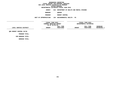**DEPARTMENTAL ESTIMATES FISCAL YEAR <sup>2016</sup>**

**AGENCY <sup>816</sup> DEPARTMENT OF HEALTH AND MENTAL HYGIENE**

**BOROUGH**

QUEENS<br>RODENT CONTROL **PROGRAM**

**RODENT CONTROL**

**UNIT OF APPROPRIATION <sup>104</sup> ENVIRONMENTAL HEALTH - PS**

**------------------------------------ ------------------------------ ------------------------------------------------- FISCAL YEAR <sup>2015</sup> FISCAL YEAR <sup>2016</sup> CURRENT MODIFIED BUDGET**<br>
AS OF 02/02/15<br> **FULL TIME**<br> **PULL TIME**<br> **PULL TIME AS OF 02/02/15 FULL TIME FULL TIME INCREASE**  $\text{LOCAL} \text{ SERVICE DISTRICT} \text{DISTRICT} \text{AMOUNT} \text{POSTIONS} \text{MMOUNT} \text{POSTIONS} \text{DECTERASE(-1)} \text{SOLCIREABE(-2)} \text{SOLCIREABE(-3)} \text{SOLCIREABE(-4)} \text{SOLCIREABE(-5)} \text{SOLCIREABE(-5)} \text{SOLCIREABE(-5)} \text{SOLCIREABE(-5)} \text{SOLCIREABE(-5)} \text{SOLCIREABE(-5)} \text{SOLCIREABE(-5)} \text{SOLCIREABE(-5)} \text{SOLCIREABE(-5)} \text{SOLCIREABE(-5)}$ **------------------------------ ------------------------------------------------- QNS RODENT CONTROL 50/50**

**PROGRAM TOTAL: SUB BOROUGH TOTAL:**

**BOROUGH TOTAL:**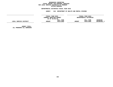# GEOGRAPHIC REPORTING<br>FISCAL REPORT FOR PERSONAL SERVICES<br>OCAL SERVICE DISTRICTS BY PROGRAM<br>WITHIN BOROUGH **FISCAL REPORT FOR PERSONAL SERVICES FOR LOCAL SERVICE DISTRICTS BY PROGRAM**

# **WITHIN BOROUGH DEPARTMENTAL ESTIMATES FISCAL YEAR <sup>2016</sup>**

**AGENCY <sup>816</sup> DEPARTMENT OF HEALTH AND MENTAL HYGIENE**

|                                                   | FISCAL YEAR 2015<br>CURRENT MODIFIED BUDGET<br>AS OF 02/02/15 |                        | FISCAL YEAR 2016<br>DEPARTMENTAL ESTIMATES |                        |                                |
|---------------------------------------------------|---------------------------------------------------------------|------------------------|--------------------------------------------|------------------------|--------------------------------|
| LOCAL SERVICE DISTRICT                            | <b>AMOUNT</b>                                                 | FULL TIME<br>POSITIONS | <b>AMOUNT</b>                              | FULL TIME<br>POSITIONS | <b>INCREASE</b><br>DECREASE(-) |
| <b>AGENCY TOTAL:</b><br>ALL PROGRAMS ALL BOROUGHS |                                                               |                        |                                            |                        |                                |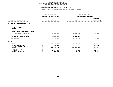### **DEPARTMENTAL ESTIMATES FISCAL YEAR 2016**

|                                                            | -----------------<br>FISCAL YEAR 2015<br>CURRENT MODIFIED BUDGET | FISCAL YEAR 2016<br>DEPARTMENTAL ESTIMATES |                                 |
|------------------------------------------------------------|------------------------------------------------------------------|--------------------------------------------|---------------------------------|
|                                                            |                                                                  |                                            |                                 |
| UNIT OF APPROPRIATION                                      | AS OF 02/02/15                                                   | <b>AMOUNT</b>                              | <b>INCREASE</b><br>DECREASE (-) |
| HEALTH ADMINISTRATION - PS<br>101                          |                                                                  |                                            |                                 |
| REGULAR GROSS<br><b>OTHER</b>                              |                                                                  |                                            |                                 |
| TOTAL REPORTED GEOGRAPHICALLY                              |                                                                  |                                            |                                 |
| NOT REPORTED GEOGRAPHICALLY                                | 43,408,439                                                       | 43, 373, 498                               | $34,941-$                       |
| FINANCIAL PLAN SAVINGS                                     | 2,461,860-                                                       | 2,461,860-                                 |                                 |
| <b>APPROPRIATION</b>                                       | 40,946,579                                                       | 40,911,638                                 | $34,941-$                       |
| FUNDING                                                    |                                                                  |                                            |                                 |
| <b>CITY</b><br>OTHER CATEGORICAL<br>CAPITAL FUNDS - I.F.A. | 23,718,696<br>115,866                                            | 27,006,807                                 | 3,288,111<br>115,866-           |
| <b>STATE</b><br>FEDERAL - C.D.                             | 12,345,548                                                       | 13,663,359                                 | 1,317,811                       |
| FEDERAL - OTHER<br>INTRA-CITY SALES                        | 4,682,676<br>83,793                                              | 217,654<br>23,818                          | 4,465,022-<br>59,975-           |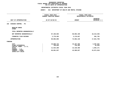### **DEPARTMENTAL ESTIMATES FISCAL YEAR 2016**

|                                                                                                                                     | FISCAL YEAR 2015<br><b>CURRENT MODIFIED BUDGET</b> | FISCAL YEAR 2016<br>DEPARTMENTAL ESTIMATES        |                                                    |
|-------------------------------------------------------------------------------------------------------------------------------------|----------------------------------------------------|---------------------------------------------------|----------------------------------------------------|
| UNIT OF APPROPRIATION                                                                                                               | AS OF 02/02/15                                     | <b>AMOUNT</b>                                     | <b>INCREASE</b><br>DECREASE (-)                    |
| DISEASE CONTROL - PS<br>102                                                                                                         |                                                    |                                                   |                                                    |
| REGULAR GROSS<br><b>OTHER</b>                                                                                                       |                                                    |                                                   |                                                    |
| TOTAL REPORTED GEOGRAPHICALLY                                                                                                       |                                                    |                                                   |                                                    |
| NOT REPORTED GEOGRAPHICALLY                                                                                                         | 87,105,603                                         | 68,892,109                                        | 18, 213, 494-                                      |
| FINANCIAL PLAN SAVINGS                                                                                                              | 2,778,292                                          | 3,170,027                                         | 391,735                                            |
| <b>APPROPRIATION</b>                                                                                                                | 89,883,895                                         | 72,062,136                                        | 17,821,759-                                        |
| <b>FUNDING</b>                                                                                                                      |                                                    |                                                   |                                                    |
| <b>CITY</b><br>OTHER CATEGORICAL<br>CAPITAL FUNDS - I.F.A.<br><b>STATE</b><br>FEDERAL - C.D.<br>FEDERAL - OTHER<br>INTRA-CITY SALES | 10,699,724<br>798,045<br>11,524,289<br>66,861,837  | 15,197,356<br>745,493<br>13,128,460<br>42,990,827 | 4,497,632<br>$52,552-$<br>1,604,171<br>23,871,010- |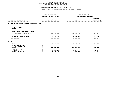### **DEPARTMENTAL ESTIMATES FISCAL YEAR 2016**

|                                                            | <b>AGENCY:</b><br>816 DEPARTMENT OF HEALTH AND MENTAL HYGIENE |                                            |                                 |
|------------------------------------------------------------|---------------------------------------------------------------|--------------------------------------------|---------------------------------|
|                                                            | FISCAL YEAR 2015<br>CURRENT MODIFIED BUDGET                   | FISCAL YEAR 2016<br>DEPARTMENTAL ESTIMATES |                                 |
| UNIT OF APPROPRIATION                                      | AS OF 02/02/15                                                | <b>AMOUNT</b>                              | <b>INCREASE</b><br>DECREASE (-) |
| HEALTH PROMOTION AND DISEASE PREVEN.- PS<br>103            |                                                               |                                            |                                 |
| REGULAR GROSS<br><b>OTHER</b>                              |                                                               |                                            |                                 |
| TOTAL REPORTED GEOGRAPHICALLY                              |                                                               |                                            |                                 |
| NOT REPORTED GEOGRAPHICALLY                                | 84,642,335                                                    | 83,024,017                                 | 1,618,318-                      |
| FINANCIAL PLAN SAVINGS                                     | 2,950,638                                                     | 2,627,740                                  | 322,898-                        |
| <b>APPROPRIATION</b>                                       | 87,592,973                                                    | 85,651,757                                 | 1,941,216-                      |
| <b>FUNDING</b>                                             |                                                               |                                            |                                 |
| <b>CITY</b><br>OTHER CATEGORICAL<br>CAPITAL FUNDS - I.F.A. | 44,449,960                                                    | 45,263,038                                 | 813,078                         |
| <b>STATE</b>                                               | 32,572,768                                                    | 33,102,909                                 | 530,141                         |
| FEDERAL - C.D.<br>FEDERAL - OTHER<br>INTRA-CITY SALES      | 8,051,828<br>2,518,417                                        | 7,243,410<br>42,400                        | $808,418-$<br>2,476,017-        |
|                                                            |                                                               |                                            |                                 |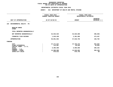### **DEPARTMENTAL ESTIMATES FISCAL YEAR 2016**

|                                                                                                                                     | FISCAL YEAR 2015<br>CURRENT MODIFIED BUDGET                   |                                                            | FISCAL YEAR 2016<br>DEPARTMENTAL ESTIMATES             |  |
|-------------------------------------------------------------------------------------------------------------------------------------|---------------------------------------------------------------|------------------------------------------------------------|--------------------------------------------------------|--|
| UNIT OF APPROPRIATION                                                                                                               | AS OF 02/02/15                                                | <b>AMOUNT</b>                                              | <b>INCREASE</b><br>DECREASE (-)                        |  |
| ENVIRONMENTAL HEALTH - PS<br>104                                                                                                    |                                                               |                                                            |                                                        |  |
| REGULAR GROSS<br><b>OTHER</b>                                                                                                       |                                                               |                                                            |                                                        |  |
| TOTAL REPORTED GEOGRAPHICALLY                                                                                                       |                                                               |                                                            |                                                        |  |
| NOT REPORTED GEOGRAPHICALLY                                                                                                         | 54,933,525                                                    | 54,626,860                                                 | $306,665 -$                                            |  |
| FINANCIAL PLAN SAVINGS                                                                                                              | 1,918,438                                                     | 2,391,895                                                  | 473,457                                                |  |
| <b>APPROPRIATION</b>                                                                                                                | 56,851,963                                                    | 57,018,755                                                 | 166,792                                                |  |
| FUNDING                                                                                                                             |                                                               |                                                            |                                                        |  |
| <b>CITY</b><br>OTHER CATEGORICAL<br>CAPITAL FUNDS - I.F.A.<br><b>STATE</b><br>FEDERAL - C.D.<br>FEDERAL - OTHER<br>INTRA-CITY SALES | 37, 171, 647<br>114,907<br>6,306,508<br>12,588,088<br>670,813 | 37,726,472<br>96,026<br>6,506,850<br>12,018,662<br>670,745 | 554,825<br>18,881-<br>200,342<br>$569,426 -$<br>$68 -$ |  |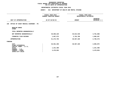### **DEPARTMENTAL ESTIMATES FISCAL YEAR 2016**

|                                                            | <b>AGENCY:</b><br>816 DEPARTMENT OF HEALTH AND MENTAL HYGIENE<br>. |                                            |                                 |
|------------------------------------------------------------|--------------------------------------------------------------------|--------------------------------------------|---------------------------------|
|                                                            | FISCAL YEAR 2015<br>CURRENT MODIFIED BUDGET                        | FISCAL YEAR 2016<br>DEPARTMENTAL ESTIMATES |                                 |
| UNIT OF APPROPRIATION                                      | AS OF 02/02/15                                                     | <b>AMOUNT</b>                              | <b>INCREASE</b><br>DECREASE (-) |
| OFFICE OF CHIEF MEDICAL EXAMINER - PS<br>106               |                                                                    |                                            |                                 |
| REGULAR GROSS<br><b>OTHER</b>                              |                                                                    |                                            |                                 |
| TOTAL REPORTED GEOGRAPHICALLY                              |                                                                    |                                            |                                 |
| NOT REPORTED GEOGRAPHICALLY                                | 49,606,220                                                         | 45,814,540                                 | 3,791,680-                      |
| FINANCIAL PLAN SAVINGS                                     | 1,667,573                                                          | 2,752,780                                  | 1,085,207                       |
| <b>APPROPRIATION</b>                                       | 51,273,793                                                         | 48,567,320                                 | 2,706,473-                      |
| FUNDING                                                    |                                                                    |                                            |                                 |
| <b>CITY</b><br>OTHER CATEGORICAL<br>CAPITAL FUNDS - I.F.A. | 46,561,450                                                         | 48,567,320                                 | 2,005,870                       |
| <b>STATE</b>                                               | 1,241,490                                                          |                                            | 1,241,490-                      |
| FEDERAL - C.D.<br>FEDERAL - OTHER<br>INTRA-CITY SALES      | 3,470,853                                                          |                                            | $3,470,853-$                    |
|                                                            |                                                                    |                                            |                                 |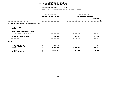### **DEPARTMENTAL ESTIMATES FISCAL YEAR 2016**

|                                                            | FISCAL YEAR 2015<br>CURRENT MODIFIED BUDGET |               | FISCAL YEAR 2016<br>DEPARTMENTAL ESTIMATES |  |
|------------------------------------------------------------|---------------------------------------------|---------------|--------------------------------------------|--|
| UNIT OF APPROPRIATION                                      | AS OF 02/02/15                              | <b>AMOUNT</b> | <b>INCREASE</b><br>DECREASE (-)            |  |
| HEALTH CARE ACCESS AND IMPROVEMENT - PS<br>107             |                                             |               |                                            |  |
| REGULAR GROSS<br><b>OTHER</b>                              |                                             |               |                                            |  |
| TOTAL REPORTED GEOGRAPHICALLY                              |                                             |               |                                            |  |
| NOT REPORTED GEOGRAPHICALLY                                | 22,636,904                                  | 19,279,796    | $3,357,108-$                               |  |
| FINANCIAL PLAN SAVINGS                                     | 764,393                                     | 880,398       | 116,005                                    |  |
| <b>APPROPRIATION</b>                                       | 23,401,297                                  | 20,160,194    | $3,241,103-$                               |  |
| FUNDING                                                    |                                             |               |                                            |  |
| <b>CITY</b><br>OTHER CATEGORICAL<br>CAPITAL FUNDS - I.F.A. | 15,083,238<br>73,111                        | 16,866,955    | 1,783,717<br>$73,111-$                     |  |
| <b>STATE</b>                                               | 4,811,326                                   | 2,664,408     | 2,146,918-                                 |  |
| FEDERAL - C.D.<br>FEDERAL - OTHER<br>INTRA-CITY SALES      | 3,433,622                                   | 628,831       | 2,804,791-                                 |  |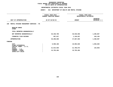### **DEPARTMENTAL ESTIMATES FISCAL YEAR 2016**

**DEPARTMENTAL ESTIMATES FISCAL YEAR <sup>2016</sup>**

|                                                            | <b>AGENCY:</b><br>816 DEPARTMENT OF HEALTH AND MENTAL HYGIENE |                                            |                                 |  |  |
|------------------------------------------------------------|---------------------------------------------------------------|--------------------------------------------|---------------------------------|--|--|
|                                                            | FISCAL YEAR 2015<br><b>CURRENT MODIFIED BUDGET</b>            | FISCAL YEAR 2016<br>DEPARTMENTAL ESTIMATES |                                 |  |  |
| UNIT OF APPROPRIATION                                      | AS OF 02/02/15                                                | <b>AMOUNT</b>                              | <b>INCREASE</b><br>DECREASE (-) |  |  |
| MENTAL HYGIENE MANAGEMENT SERVICES - PS<br>108             |                                                               |                                            |                                 |  |  |
| REGULAR GROSS<br><b>OTHER</b>                              |                                                               |                                            |                                 |  |  |
| TOTAL REPORTED GEOGRAPHICALLY                              |                                                               |                                            |                                 |  |  |
| NOT REPORTED GEOGRAPHICALLY                                | 45,340,789                                                    | 46,546,656                                 | 1,205,867                       |  |  |
| FINANCIAL PLAN SAVINGS                                     | 957,817                                                       | 1,120,937                                  | 163,120                         |  |  |
| <b>APPROPRIATION</b>                                       | 46,298,606                                                    | 47,667,593                                 | 1,368,987                       |  |  |
| FUNDING                                                    |                                                               |                                            |                                 |  |  |
| <b>CITY</b><br>OTHER CATEGORICAL<br>CAPITAL FUNDS - I.F.A. | 8,590,186                                                     | 10,094,026                                 | 1,503,840                       |  |  |
| <b>STATE</b><br>FEDERAL - C.D.                             | 21,914,926                                                    | 21,780,073                                 | 134,853-                        |  |  |
| FEDERAL - OTHER<br>INTRA-CITY SALES                        | 15,793,494                                                    | 15,793,494                                 |                                 |  |  |

**INTRA-CITY SALES :**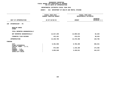### **DEPARTMENTAL ESTIMATES FISCAL YEAR 2016**

|                                                            | <b>AGENCY:</b><br>816 DEPARTMENT OF HEALTH AND MENTAL HYGIENE   |                                            |                                 |
|------------------------------------------------------------|-----------------------------------------------------------------|--------------------------------------------|---------------------------------|
|                                                            | ----------------<br>FISCAL YEAR 2015<br>CURRENT MODIFIED BUDGET | FISCAL YEAR 2016<br>DEPARTMENTAL ESTIMATES |                                 |
| UNIT OF APPROPRIATION                                      | AS OF 02/02/15                                                  | <b>AMOUNT</b>                              | <b>INCREASE</b><br>DECREASE (-) |
| EPIDEMIOLOGY - PS<br>109                                   |                                                                 |                                            |                                 |
| REGULAR GROSS<br><b>OTHER</b>                              |                                                                 |                                            |                                 |
| TOTAL REPORTED GEOGRAPHICALLY                              |                                                                 |                                            |                                 |
| NOT REPORTED GEOGRAPHICALLY                                | 12,817,259                                                      | 12,899,522                                 | 82,263                          |
| FINANCIAL PLAN SAVINGS                                     | 412,441                                                         | 470,974                                    | 58,533                          |
| <b>APPROPRIATION</b>                                       | 13,229,700                                                      | 13,370,496                                 | 140,796                         |
| FUNDING                                                    |                                                                 |                                            |                                 |
| <b>CITY</b><br>OTHER CATEGORICAL<br>CAPITAL FUNDS - I.F.A. | 8,401,958                                                       | 8,785,499                                  | 383,541                         |
| <b>STATE</b><br>FEDERAL - C.D.                             | 972,694                                                         | 1,146,186                                  | 173,492                         |
| FEDERAL - OTHER<br>INTRA-CITY SALES                        | 3,855,048                                                       | 3,438,811                                  | $416,237-$                      |
|                                                            |                                                                 |                                            |                                 |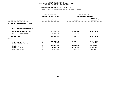|                                                            | FISCAL YEAR 2015        | FISCAL YEAR 2016     |                                 |  |
|------------------------------------------------------------|-------------------------|----------------------|---------------------------------|--|
|                                                            | CURRENT MODIFIED BUDGET |                      | DEPARTMENTAL ESTIMATES          |  |
| UNIT OF APPROPRIATION                                      | AS OF 02/02/15          | <b>AMOUNT</b>        | <b>INCREASE</b><br>DECREASE (-) |  |
| HEALTH ADMINISTRATION - OTPS<br>111                        |                         |                      |                                 |  |
| TOTAL REPORTED GEOGRAPHICALLY                              |                         |                      |                                 |  |
| NOT REPORTED GEOGRAPHICALLY                                | 97,008,318              | 82,564,346           | 14,443,972-                     |  |
| FINANCIAL PLAN SAVINGS                                     | 1,179,643-              | 1,179,643-           |                                 |  |
| <b>APPROPRIATION</b>                                       | 95,828,675              | 81,384,703           | 14, 443, 972-                   |  |
| FUNDING                                                    |                         |                      |                                 |  |
| <b>CITY</b><br>OTHER CATEGORICAL<br>CAPITAL FUNDS - I.F.A. | 64, 166, 018<br>1,300   | 58,934,442           | 5,231,576-<br>$1,300-$          |  |
| <b>STATE</b><br>FEDERAL - C.D.                             | 21,572,745              | 18,850,260           | 2,722,485-                      |  |
| FEDERAL - OTHER<br>INTRA-CITY SALES                        | 4,521,343<br>5,567,269  | 3,490,001<br>110,000 | 1,031,342-<br>$5,457,269-$      |  |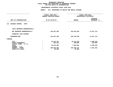|                                                                                                                                     | FISCAL YEAR 2015<br><b>CURRENT MODIFIED BUDGET</b>             | FISCAL YEAR 2016<br>DEPARTMENTAL ESTIMATES                    |                                                          |  |
|-------------------------------------------------------------------------------------------------------------------------------------|----------------------------------------------------------------|---------------------------------------------------------------|----------------------------------------------------------|--|
| UNIT OF APPROPRIATION                                                                                                               | AS OF 02/02/15                                                 | <b>AMOUNT</b>                                                 | <b>INCREASE</b><br>DECREASE (-)                          |  |
| 112<br>DISEASE CONTROL - OTPS                                                                                                       |                                                                |                                                               |                                                          |  |
| TOTAL REPORTED GEOGRAPHICALLY                                                                                                       |                                                                |                                                               |                                                          |  |
| NOT REPORTED GEOGRAPHICALLY                                                                                                         | 194,207,305                                                    | 182,334,592                                                   | 11,872,713-                                              |  |
| FINANCIAL PLAN SAVINGS                                                                                                              |                                                                |                                                               |                                                          |  |
| <b>APPROPRIATION</b>                                                                                                                | 194,207,305                                                    | 182,334,592                                                   | 11,872,713-                                              |  |
| FUNDING                                                                                                                             |                                                                |                                                               |                                                          |  |
| <b>CITY</b><br>OTHER CATEGORICAL<br>CAPITAL FUNDS - I.F.A.<br><b>STATE</b><br>FEDERAL - C.D.<br>FEDERAL - OTHER<br>INTRA-CITY SALES | 23, 413, 757<br>203,383<br>10,153,305<br>160,406,560<br>30,300 | 18, 115, 224<br>100,000<br>7,883,961<br>156,205,107<br>30,300 | $5,298,533-$<br>103,383-<br>$2,269,344-$<br>$4,201,453-$ |  |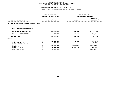|                                                                                                                              | FISCAL YEAR 2015<br><b>CURRENT MODIFIED BUDGET</b>             |                                                  | FISCAL YEAR 2016<br>DEPARTMENTAL ESTIMATES                        |
|------------------------------------------------------------------------------------------------------------------------------|----------------------------------------------------------------|--------------------------------------------------|-------------------------------------------------------------------|
| UNIT OF APPROPRIATION                                                                                                        | AS OF 02/02/15                                                 | <b>INCREASE</b><br>DECREASE (-)<br><b>AMOUNT</b> |                                                                   |
| HEALTH PROMOTION AND DISEASE PREV.-OTPS<br>113                                                                               |                                                                |                                                  |                                                                   |
| TOTAL REPORTED GEOGRAPHICALLY                                                                                                |                                                                |                                                  |                                                                   |
| NOT REPORTED GEOGRAPHICALLY                                                                                                  | 45,605,848                                                     | 37,336,618                                       | $8,269,230 -$                                                     |
| FINANCIAL PLAN SAVINGS                                                                                                       | 136,779                                                        | 619,830                                          | 483,051                                                           |
| <b>APPROPRIATION</b>                                                                                                         | 45,742,627                                                     | 37,956,448                                       | 7,786,179-                                                        |
| FUNDING                                                                                                                      |                                                                |                                                  |                                                                   |
| CITY<br>OTHER CATEGORICAL<br>CAPITAL FUNDS - I.F.A.<br><b>STATE</b><br>FEDERAL - C.D.<br>FEDERAL - OTHER<br>INTRA-CITY SALES | 26, 189, 781<br>81,786<br>13,691,765<br>3,469,706<br>2,309,589 | 23,790,939<br>11,444,361<br>2,721,148            | 2,398,842-<br>81,786-<br>$2,247,404-$<br>748,558-<br>$2,309,589-$ |
|                                                                                                                              |                                                                |                                                  |                                                                   |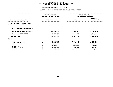|                                                                                                                                            |                | FISCAL YEAR 2015<br><b>CURRENT MODIFIED BUDGET</b>             | FISCAL YEAR 2016<br>DEPARTMENTAL ESTIMATES               |                                                             |  |
|--------------------------------------------------------------------------------------------------------------------------------------------|----------------|----------------------------------------------------------------|----------------------------------------------------------|-------------------------------------------------------------|--|
| UNIT OF APPROPRIATION                                                                                                                      | AS OF 02/02/15 |                                                                | <b>AMOUNT</b>                                            | <b>INCREASE</b><br>DECREASE (-)                             |  |
| ENVIRONMENTAL HEALTH - OTPS<br>114                                                                                                         |                |                                                                |                                                          |                                                             |  |
| TOTAL REPORTED GEOGRAPHICALLY                                                                                                              |                |                                                                |                                                          |                                                             |  |
| NOT REPORTED GEOGRAPHICALLY                                                                                                                |                | 28,744,630                                                     | 23,559,661                                               | 5,184,969-                                                  |  |
| FINANCIAL PLAN SAVINGS                                                                                                                     |                | 2,632,600                                                      | 6,401,557                                                | 3,768,957                                                   |  |
| <b>APPROPRIATION</b>                                                                                                                       |                | 31, 377, 230                                                   | 29,961,218                                               | 1,416,012-                                                  |  |
| FUNDING                                                                                                                                    |                |                                                                |                                                          |                                                             |  |
| <b>CITY</b><br>OTHER CATEGORICAL<br>CAPITAL FUNDS - I.F.A.<br><b>STATE</b><br>FEDERAL - C.D.<br>FEDERAL - OTHER<br><b>INTRA-CITY SALES</b> |                | 25,210,649<br>1,024,413<br>1,726,317<br>1,177,251<br>2,238,600 | 25,891,246<br>1,582<br>1,497,464<br>475,326<br>2,095,600 | 680,597<br>1,022,831-<br>$228,853-$<br>701,925-<br>143,000- |  |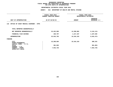|                                                     | FISCAL YEAR 2015<br><b>CURRENT MODIFIED BUDGET</b> | FISCAL YEAR 2016<br>DEPARTMENTAL ESTIMATES |              |  |
|-----------------------------------------------------|----------------------------------------------------|--------------------------------------------|--------------|--|
| UNIT OF APPROPRIATION                               | AS OF 02/02/15                                     | <b>AMOUNT</b>                              |              |  |
| OFFICE OF CHIEF MEDICAL EXAMINER - OTPS<br>116      |                                                    |                                            |              |  |
| TOTAL REPORTED GEOGRAPHICALLY                       |                                                    |                                            |              |  |
| NOT REPORTED GEOGRAPHICALLY                         | 23,422,995                                         | 14,298,882                                 | $9,124,113-$ |  |
| FINANCIAL PLAN SAVINGS                              | 109,797                                            | 1,217,437                                  | 1,107,640    |  |
| <b>APPROPRIATION</b>                                | 23,532,792                                         | 15,516,319                                 | 8,016,473-   |  |
| FUNDING                                             |                                                    |                                            |              |  |
| CITY<br>OTHER CATEGORICAL<br>CAPITAL FUNDS - I.F.A. | 15,208,004                                         | 15,516,319                                 | 308,315      |  |
| <b>STATE</b><br>FEDERAL - C.D.                      | 381,063                                            |                                            | 381,063-     |  |
| FEDERAL - OTHER<br>INTRA-CITY SALES                 | 7,943,725                                          |                                            | 7,943,725-   |  |
|                                                     |                                                    |                                            |              |  |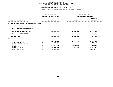|                                                                                                                              | FISCAL YEAR 2015<br><b>CURRENT MODIFIED BUDGET</b>             | FISCAL YEAR 2016<br>DEPARTMENTAL ESTIMATES |                                                               |  |
|------------------------------------------------------------------------------------------------------------------------------|----------------------------------------------------------------|--------------------------------------------|---------------------------------------------------------------|--|
| UNIT OF APPROPRIATION                                                                                                        | AS OF 02/02/15                                                 | <b>AMOUNT</b>                              | <b>INCREASE</b><br>DECREASE (-)                               |  |
| HEALTH CARE ACCESS AND IMPROVEMENT- OTPS<br>117                                                                              |                                                                |                                            |                                                               |  |
| TOTAL REPORTED GEOGRAPHICALLY                                                                                                |                                                                |                                            |                                                               |  |
| NOT REPORTED GEOGRAPHICALLY                                                                                                  | 166,093,278                                                    | 170,356,688                                | 4,263,410                                                     |  |
| FINANCIAL PLAN SAVINGS                                                                                                       |                                                                | 8,200,000                                  | 8,200,000                                                     |  |
| <b>APPROPRIATION</b>                                                                                                         | 166,093,278                                                    | 178,556,688                                | 12,463,410                                                    |  |
| FUNDING                                                                                                                      |                                                                |                                            |                                                               |  |
| CITY<br>OTHER CATEGORICAL<br>CAPITAL FUNDS - I.F.A.<br><b>STATE</b><br>FEDERAL - C.D.<br>FEDERAL - OTHER<br>INTRA-CITY SALES | 144,915,058<br>210,596<br>17,587,614<br>1,869,274<br>1,510,736 | 160, 312, 108<br>17,940,010<br>304,570     | 15,397,050<br>210,596-<br>352,396<br>1,564,704-<br>1,510,736- |  |
|                                                                                                                              |                                                                |                                            |                                                               |  |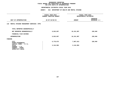|                                                                                                                              | FISCAL YEAR 2015<br><b>CURRENT MODIFIED BUDGET</b> | FISCAL YEAR 2016<br>DEPARTMENTAL ESTIMATES |                                   |  |  |
|------------------------------------------------------------------------------------------------------------------------------|----------------------------------------------------|--------------------------------------------|-----------------------------------|--|--|
| UNIT OF APPROPRIATION                                                                                                        | AS OF 02/02/15                                     | <b>AMOUNT</b>                              | <b>INCREASE</b><br>DECREASE $(-)$ |  |  |
| MENTAL HYGIENE MANAGEMENT SERVICES- OTPS<br>118                                                                              |                                                    |                                            |                                   |  |  |
| TOTAL REPORTED GEOGRAPHICALLY                                                                                                |                                                    |                                            |                                   |  |  |
| NOT REPORTED GEOGRAPHICALLY                                                                                                  | 9,923,057                                          | 10,151,997                                 | 228,940                           |  |  |
| FINANCIAL PLAN SAVINGS                                                                                                       |                                                    |                                            |                                   |  |  |
| <b>APPROPRIATION</b>                                                                                                         | 9,923,057                                          | 10,151,997                                 | 228,940                           |  |  |
| FUNDING                                                                                                                      |                                                    |                                            |                                   |  |  |
| CITY<br>OTHER CATEGORICAL<br>CAPITAL FUNDS - I.F.A.<br><b>STATE</b><br>FEDERAL - C.D.<br>FEDERAL - OTHER<br>INTRA-CITY SALES | 6,778,073<br>3,144,984                             | 7,007,013<br>3,144,984                     | 228,940                           |  |  |
|                                                                                                                              |                                                    |                                            |                                   |  |  |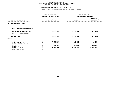| <b>AGENCY:</b>                              |                                              | 816 DEPARTMENT OF HEALTH AND MENTAL HYGIENE  |                                               |  |
|---------------------------------------------|----------------------------------------------|----------------------------------------------|-----------------------------------------------|--|
| FISCAL YEAR 2015<br>CURRENT MODIFIED BUDGET |                                              |                                              | FISCAL YEAR 2016<br>DEPARTMENTAL ESTIMATES    |  |
|                                             |                                              | <b>AMOUNT</b>                                | <b>INCREASE</b><br>DECREASE (-)               |  |
|                                             |                                              |                                              |                                               |  |
|                                             |                                              |                                              |                                               |  |
|                                             | 7,657,566                                    | 5,279,630                                    | 2,377,936-                                    |  |
|                                             |                                              |                                              |                                               |  |
|                                             | 7,657,566                                    | 5,279,630                                    | 2,377,936-                                    |  |
|                                             |                                              |                                              |                                               |  |
|                                             | 2,192,630<br>219,965<br>949,672<br>4,295,299 | 2,299,666<br>300,000<br>637,633<br>2,042,331 | 107,036<br>80,035<br>$312,039-$<br>2,252,968- |  |
|                                             |                                              | AS OF 02/02/15                               |                                               |  |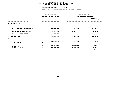|                                                            | <b>AGENCY:</b>                                     | 816 DEPARTMENT OF HEALTH AND MENTAL HYGIENE |                                            |  |  |
|------------------------------------------------------------|----------------------------------------------------|---------------------------------------------|--------------------------------------------|--|--|
|                                                            | FISCAL YEAR 2015<br><b>CURRENT MODIFIED BUDGET</b> |                                             | FISCAL YEAR 2016<br>DEPARTMENTAL ESTIMATES |  |  |
| UNIT OF APPROPRIATION                                      | AS OF 02/02/15                                     | <b>AMOUNT</b>                               | <b>INCREASE</b><br>DECREASE (-)            |  |  |
| <b>MENTAL HEALTH</b><br>120                                |                                                    |                                             |                                            |  |  |
| TOTAL REPORTED GEOGRAPHICALLY                              | 228,707,806                                        | 231,554,325                                 | 2,846,519                                  |  |  |
| NOT REPORTED GEOGRAPHICALLY                                | 7,377,943                                          | 4,081,101                                   | 3,296,842-                                 |  |  |
| FINANCIAL PLAN SAVINGS                                     | 600,000                                            |                                             | $600,000 -$                                |  |  |
| <b>APPROPRIATION</b>                                       | 236,685,749                                        | 235,635,426                                 | 1,050,323-                                 |  |  |
| FUNDING                                                    |                                                    |                                             |                                            |  |  |
| <b>CITY</b><br>OTHER CATEGORICAL<br>CAPITAL FUNDS - I.F.A. | 48,607,671                                         | 47,873,816                                  | $733,855-$                                 |  |  |
| <b>STATE</b><br>FEDERAL - C.D.                             | 169, 147, 476                                      | 169,069,628                                 | 77,848-                                    |  |  |
| FEDERAL - OTHER<br>INTRA-CITY SALES                        | 18,830,602<br>100,000                              | 18,691,982                                  | 138,620-<br>$100,000 -$                    |  |  |
|                                                            |                                                    |                                             |                                            |  |  |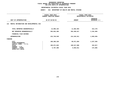|                                                     | FISCAL YEAR 2015<br><b>CURRENT MODIFIED BUDGET</b> | FISCAL YEAR 2016<br>DEPARTMENTAL ESTIMATES |                                 |  |
|-----------------------------------------------------|----------------------------------------------------|--------------------------------------------|---------------------------------|--|
|                                                     |                                                    |                                            |                                 |  |
| UNIT OF APPROPRIATION                               | AS OF 02/02/15                                     | <b>AMOUNT</b>                              | <b>INCREASE</b><br>DECREASE (-) |  |
| MENTAL RETARDATION AND DEVELOPMENTAL DIS<br>121     |                                                    |                                            |                                 |  |
| TOTAL REPORTED GEOGRAPHICALLY                       | 12,096,164                                         | 11,682,994                                 | 413,170-                        |  |
| NOT REPORTED GEOGRAPHICALLY                         | 203,652,385                                        | 202,499,917                                | 1,152,468-                      |  |
| FINANCIAL PLAN SAVINGS                              |                                                    |                                            |                                 |  |
| APPROPRIATION                                       | 215,748,549                                        | 214,182,911                                | 1,565,638-                      |  |
| FUNDING                                             |                                                    |                                            |                                 |  |
| CITY<br>OTHER CATEGORICAL<br>CAPITAL FUNDS - I.F.A. | 100,309,330                                        | 99,071,994                                 | 1,237,336-                      |  |
| <b>STATE</b><br>FEDERAL - C.D.                      | 109,671,823                                        | 109,517,906                                | 153,917-                        |  |
| FEDERAL - OTHER<br>INTRA-CITY SALES                 | 5,767,396                                          | 5,593,011                                  | 174,385-                        |  |
|                                                     |                                                    |                                            |                                 |  |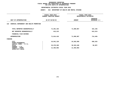|                                                     | FISCAL YEAR 2015<br><b>CURRENT MODIFIED BUDGET</b> | FISCAL YEAR 2016<br>DEPARTMENTAL ESTIMATES |                                 |  |
|-----------------------------------------------------|----------------------------------------------------|--------------------------------------------|---------------------------------|--|
| UNIT OF APPROPRIATION                               | AS OF 02/02/15                                     | <b>AMOUNT</b>                              | <b>INCREASE</b><br>DECREASE (-) |  |
| CHEMICAL DEPENDENCY AND HEALTH PROMOTION<br>122     |                                                    |                                            |                                 |  |
| TOTAL REPORTED GEOGRAPHICALLY                       | 71,201,103                                         | 71,099,967                                 | 101,136-                        |  |
| NOT REPORTED GEOGRAPHICALLY                         | 613,313                                            |                                            | $613,313-$                      |  |
| FINANCIAL PLAN SAVINGS                              |                                                    |                                            |                                 |  |
| <b>APPROPRIATION</b>                                | 71,814,416                                         | 71,099,967                                 | 714,449-                        |  |
| FUNDING                                             |                                                    |                                            |                                 |  |
| CITY<br>OTHER CATEGORICAL<br>CAPITAL FUNDS - I.F.A. | 24,941,120                                         | 24,282,958                                 | 658,162-                        |  |
| <b>STATE</b><br>FEDERAL - C.D.                      | 35,379,393                                         | 35,323,106                                 | $56,287-$                       |  |
| FEDERAL - OTHER<br>INTRA-CITY SALES                 | 11,493,903                                         | 11,493,903                                 |                                 |  |
|                                                     |                                                    |                                            |                                 |  |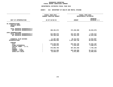# GEOGRAPHIC REPORTING<br>FISCAL REPORT AGENCYWIDE SUMMARY

# **FISCAL REPORT AGENCYWIDE SUMMARY DEPARTMENTAL ESTIMATES FISCAL YEAR <sup>2016</sup>**

### **AGENCY: <sup>816</sup> DEPARTMENT OF HEALTH AND MENTAL HYGIENE**

|                                                    | FISCAL YEAR 2015               | FISCAL YEAR 2016 |                        |
|----------------------------------------------------|--------------------------------|------------------|------------------------|
|                                                    | <b>CURRENT MODIFIED BUDGET</b> |                  | DEPARTMENTAL ESTIMATES |
|                                                    |                                |                  |                        |
|                                                    |                                |                  | <b>INCREASE</b>        |
| UNIT OF APPROPRIATION                              | AS OF 02/02/15                 | <b>AMOUNT</b>    | DECREASE $(-)$         |
|                                                    |                                |                  |                        |
| PS APPROPRIATIONS<br>REGULAR GROSS<br><b>OTHER</b> |                                |                  |                        |
| TOTAL REPORTED GEOGRAPHICALLY                      |                                |                  |                        |
| NOT REPORTED GEOGRAPHICALLY                        | 400,491,074                    | 374,456,998      | 26,034,076-            |
|                                                    |                                |                  |                        |
| OTPS APPROPRIATIONS                                |                                |                  |                        |
| TOTAL REPORTED GEOGRAPHICALLY                      | 312,005,073                    | 314,337,286      | 2,332,213              |
| NOT REPORTED GEOGRAPHICALLY                        | 784,306,638                    | 732,463,432      | 51,843,206-            |
|                                                    |                                |                  |                        |
| FINANCIAL PLAN SAVINGS                             | 11,287,265                     | 26,212,072       | 14,924,807             |
| <b>APPROPRIATIONS</b>                              | 1,508,090,050                  | 1,447,469,788    | $60,620,262 -$         |
|                                                    |                                |                  |                        |
| <b>FUNDING</b>                                     |                                |                  |                        |
| <b>CITY</b>                                        | 676,608,950                    | 692,603,198      | 15,994,248             |
| OTHER CATEGORICAL                                  | 2,843,372                      | 1,243,101        | 1,600,271-             |
| CAPITAL FUNDS - I.F.A.                             |                                |                  |                        |
| <b>STATE</b>                                       | 475,095,706                    | 467,301,558      | 7,794,148-             |
| FEDERAL - C.D.                                     |                                |                  |                        |
| FEDERAL - OTHER                                    | 338,512,505                    | 283, 349, 068    | $55, 163, 437 -$       |
| INTRA-CITY SALES                                   | 15,029,517                     | 2,972,863        | 12,056,654-            |
|                                                    |                                |                  |                        |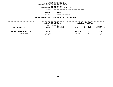**DEPARTMENTAL ESTIMATES FISCAL YEAR <sup>2016</sup>AGENCY <sup>826</sup> DEPARTMENT OF ENVIRONMENTAL PROTECT.**

**BOROUGH**

 **BRONX PROGRAM**

 **SEWER MAINTENANCE UNIT OF APPROPRIATION <sup>003</sup> WATER SUP. & WASTEWATER COLL**

|                               | FISCAL YEAR 2015<br>CURRENT MODIFIED BUDGET |                        |               | FISCAL YEAR 2016<br>DEPARTMENTAL ESTIMATES |                                |
|-------------------------------|---------------------------------------------|------------------------|---------------|--------------------------------------------|--------------------------------|
| LOCAL SERVICE DISTRICT        | AS OF 02/02/15<br><b>AMOUNT</b>             | FULL TIME<br>POSITIONS | <b>AMOUNT</b> | FULL TIME<br>POSITIONS                     | <b>INCREASE</b><br>DECREASE(-) |
| BRONX SEWER MAINT YD BDS 1-12 | 1,638,327                                   | 23                     | 1,641,350     | 23                                         | 3,023                          |
| PROGRAM TOTAL:                | 1,638,327                                   | 23                     | 1,641,350     | 23                                         | 3,023                          |
|                               |                                             |                        |               |                                            |                                |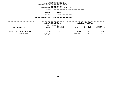**DEPARTMENTAL ESTIMATES FISCAL YEAR <sup>2016</sup>AGENCY <sup>826</sup> DEPARTMENT OF ENVIRONMENTAL PROTECT.**

**BOROUGH**

BRONX<br>WASTEWATER TREATMENT **PROGRAM**

 **WASTEWATER TREATMENT UNIT OF APPROPRIATION <sup>008</sup> WASTEWATER TREATMENT**

|                               | FISCAL YEAR 2015<br>CURRENT MODIFIED BUDGET<br>AS OF 02/02/15<br>FULL TIME |           | FISCAL YEAR 2016       |                       |             |  |
|-------------------------------|----------------------------------------------------------------------------|-----------|------------------------|-----------------------|-------------|--|
|                               |                                                                            |           | DEPARTMENTAL ESTIMATES |                       |             |  |
|                               |                                                                            |           |                        | INCREASE<br>FULL TIME |             |  |
| LOCAL SERVICE DISTRICT        | <b>AMOUNT</b>                                                              | POSITIONS | <b>AMOUNT</b>          | POSITIONS             | DECREASE(-) |  |
|                               |                                                                            |           |                        |                       |             |  |
| HUNTS PT WAT POLLUT CON PLANT | 7,756,689                                                                  | 99        | 7,756,576              | 99                    | $113 -$     |  |
| PROGRAM TOTAL:                | 7,756,689                                                                  | 99        | 7,756,576              | 99                    | $113 -$     |  |
|                               |                                                                            |           |                        |                       |             |  |
|                               |                                                                            |           |                        |                       |             |  |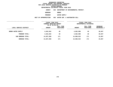**DEPARTMENTAL ESTIMATES FISCAL YEAR <sup>2016</sup>AGENCY <sup>826</sup> DEPARTMENT OF ENVIRONMENTAL PROTECT.**

**BOROUGH**

BRONX<br>WATER SUPPLY **PROGRAM**

 **WATER SUPPLY UNIT OF APPROPRIATION <sup>003</sup> WATER SUP. & WASTEWATER COLL**

| LOCAL SERVICE DISTRICT    | FISCAL YEAR 2015<br>CURRENT MODIFIED BUDGET<br>AS OF 02/02/15 |                        | FISCAL YEAR 2016<br>DEPARTMENTAL ESTIMATES |                        |                                |
|---------------------------|---------------------------------------------------------------|------------------------|--------------------------------------------|------------------------|--------------------------------|
|                           | <b>AMOUNT</b>                                                 | FULL TIME<br>POSITIONS | <b>AMOUNT</b>                              | FULL TIME<br>POSITIONS | INCREASE<br><b>DECREASE(-)</b> |
| <b>BRONX WATER SUPPLY</b> | 4,642,042                                                     | 49                     | 4,662,989                                  | 49                     | 20,947                         |
| PROGRAM TOTAL:            | 4,642,042                                                     | 49                     | 4,662,989                                  | 49                     | 20,947                         |
| SUB BOROUGH TOTAL:        | 14,037,058                                                    | 171                    | 14,060,915                                 | 171                    | 23,857                         |
| BOROUGH TOTAL:            | 14,037,058                                                    | 171                    | 14,060,915                                 | 171                    | 23,857                         |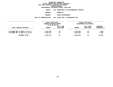# **DEPARTMENTAL ESTIMATES FISCAL YEAR <sup>2016</sup>**

**AGENCY <sup>826</sup> DEPARTMENT OF ENVIRONMENTAL PROTECT.**

**BOROUGH**

 **BROOKLYN PROGRAM**

 **SEWER MAINTENANCE UNIT OF APPROPRIATION <sup>003</sup> WATER SUP. & WASTEWATER COLL**

|                                                                    | FISCAL YEAR 2015<br>CURRENT MODIFIED BUDGET<br>AS OF 02/02/15 |                  | FISCAL YEAR 2016       |           |                |  |
|--------------------------------------------------------------------|---------------------------------------------------------------|------------------|------------------------|-----------|----------------|--|
|                                                                    |                                                               |                  | DEPARTMENTAL ESTIMATES |           |                |  |
|                                                                    |                                                               |                  |                        |           |                |  |
|                                                                    |                                                               | <b>FULL TIME</b> |                        | FULL TIME | INCREASE       |  |
| LOCAL SERVICE DISTRICT                                             | AMOUNT                                                        | POSITIONS        | <b>AMOUNT</b>          | POSITIONS | DECREASE(-)    |  |
| BK SEWER MNT YD BOS1-4,6-10,17<br>BK SEWER MNT YD BDS 5, 11-16, 18 | 1,214,359<br>1,429,273                                        | 20<br>24         | 1,221,825<br>1,436,839 | 20<br>24  | 7,466<br>7,566 |  |
| PROGRAM TOTAL:                                                     | 2,643,632                                                     | 44               | 2,658,664              | 44        | 15,032         |  |
|                                                                    |                                                               |                  |                        |           |                |  |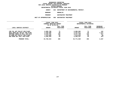# **DEPARTMENTAL ESTIMATES FISCAL YEAR <sup>2016</sup>**

**AGENCY <sup>826</sup> DEPARTMENT OF ENVIRONMENTAL PROTECT.**

**BOROUGH**

BROOKLYN<br>WASTEWATER TREATMENT

**PROGRAM**

 **WASTEWATER TREATMENT UNIT OF APPROPRIATION <sup>008</sup> WASTEWATER TREATMENT**

| LOCAL SERVICE DISTRICT         | FISCAL YEAR 2015<br>CURRENT MODIFIED BUDGET<br>AS OF 02/02/15 |                        | FISCAL YEAR 2016<br>DEPARTMENTAL ESTIMATES |                        |                           |
|--------------------------------|---------------------------------------------------------------|------------------------|--------------------------------------------|------------------------|---------------------------|
|                                | <b>AMOUNT</b>                                                 | FULL TIME<br>POSITIONS | <b>AMOUNT</b>                              | FULL TIME<br>POSITIONS | INCREASE<br>$DECREASE(-)$ |
| CON ISL WAT POLLUT CON PLANT   | 6,085,780                                                     | 71                     | 6,085,902                                  | 71                     | 122                       |
| OWLS HEAD WAT POLLUT CON PLANT | 5,426,500                                                     | 65                     | 5,427,971                                  | 65                     | 1,471                     |
| NEWTOWN CREEK WA POLL CON PLAN | 9,476,791                                                     | 122                    | 9,477,708                                  | 122                    | 917                       |
| 26 WARD WAT POLLUT CON PLANT   | 7,575,068                                                     | 93                     | 7,575,012                                  | 93                     | $56 -$                    |
| RED HOOK WAT POLL CON PLANT    | 5,205,494                                                     | 54                     | 5,205,327                                  | 54                     | $167 -$                   |
| PROGRAM TOTAL:                 | 33,769,633                                                    | 405                    | 33,771,920                                 | 405                    | 2,287                     |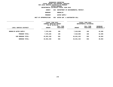**DEPARTMENTAL ESTIMATES FISCAL YEAR <sup>2016</sup>**

**AGENCY <sup>826</sup> DEPARTMENT OF ENVIRONMENTAL PROTECT.**

**BOROUGH**

 **BROOKLYN PROGRAM**

 **WATER SUPPLY UNIT OF APPROPRIATION <sup>003</sup> WATER SUP. & WASTEWATER COLL**

|                        | FISCAL YEAR 2015<br>CURRENT MODIFIED BUDGET<br>AS OF 02/02/15 |                        | FISCAL YEAR 2016<br>DEPARTMENTAL ESTIMATES |                        |                                |
|------------------------|---------------------------------------------------------------|------------------------|--------------------------------------------|------------------------|--------------------------------|
| LOCAL SERVICE DISTRICT | <b>AMOUNT</b>                                                 | FULL TIME<br>POSITIONS | <b>AMOUNT</b>                              | FULL TIME<br>POSITIONS | INCREASE<br><b>DECREASE(-)</b> |
| BROOKLYN WATER SUPPLY  | 7,578,265                                                     | 106                    | 7,610,850                                  | 106                    | 32,585                         |
| PROGRAM TOTAL:         | 7,578,265                                                     | 106                    | 7,610,850                                  | 106                    | 32,585                         |
| SUB BOROUGH TOTAL:     | 43,991,530                                                    | 555                    | 44,041,434                                 | 555                    | 49,904                         |
| <b>BOROUGH TOTAL:</b>  | 43,991,530                                                    | 555                    | 44,041,434                                 | 555                    | 49,904                         |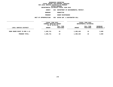**DEPARTMENTAL ESTIMATES FISCAL YEAR <sup>2016</sup>AGENCY <sup>826</sup> DEPARTMENT OF ENVIRONMENTAL PROTECT.**

**BOROUGH**

 **MANHATTAN PROGRAM**

 **SEWER MAINTENANCE UNIT OF APPROPRIATION <sup>003</sup> WATER SUP. & WASTEWATER COLL**

|                              | FISCAL YEAR 2015<br>CURRENT MODIFIED BUDGET<br>AS OF 02/02/15 |                        | FISCAL YEAR 2016 |                        |                         |  |
|------------------------------|---------------------------------------------------------------|------------------------|------------------|------------------------|-------------------------|--|
|                              |                                                               |                        |                  | DEPARTMENTAL ESTIMATES |                         |  |
| LOCAL SERVICE DISTRICT       | <b>AMOUNT</b>                                                 | FULL TIME<br>POSITIONS | <b>AMOUNT</b>    | FULL TIME<br>POSITIONS | INCREASE<br>DECREASE(-) |  |
| MANH SEWER MAINT YD BDS 1-12 | 1,485,741                                                     | 19                     | 1,489,440        | 19                     | 3,699                   |  |
| PROGRAM TOTAL:               | 1,485,741                                                     | 19                     | 1,489,440        | 19                     | 3,699                   |  |
|                              |                                                               |                        |                  |                        |                         |  |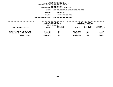**DEPARTMENTAL ESTIMATES FISCAL YEAR <sup>2016</sup>AGENCY <sup>826</sup> DEPARTMENT OF ENVIRONMENTAL PROTECT.**

**BOROUGH**

MANHATTAN<br>WASTEWATER TREATMENT **PROGRAM**

 **WASTEWATER TREATMENT UNIT OF APPROPRIATION <sup>008</sup> WASTEWATER TREATMENT**

| FISCAL YEAR 2015<br>CURRENT MODIFIED BUDGET |                        | FISCAL YEAR 2016<br>DEPARTMENTAL ESTIMATES |                        |                                       |
|---------------------------------------------|------------------------|--------------------------------------------|------------------------|---------------------------------------|
| <b>AMOUNT</b>                               | FULL TIME<br>POSITIONS | <b>AMOUNT</b>                              | FULL TIME<br>POSITIONS | <b>INCREASE</b><br><b>DECREASE(-)</b> |
| 10,771,573<br>8,594,203                     | 125<br>108             | 10,771,474<br>8,595,304                    | 125<br>108             | $99 -$<br>1,101                       |
| 19,365,776                                  | 233                    | 19,366,778                                 | 233                    | 1,002                                 |
|                                             |                        | AS OF 02/02/15                             |                        |                                       |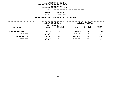**DEPARTMENTAL ESTIMATES FISCAL YEAR <sup>2016</sup>AGENCY <sup>826</sup> DEPARTMENT OF ENVIRONMENTAL PROTECT.**

**BOROUGH**

MANHATTAN<br>WATER SUPPLY

**PROGRAM**

 **WATER SUPPLY UNIT OF APPROPRIATION <sup>003</sup> WATER SUP. & WASTEWATER COLL**

|                        | FISCAL YEAR 2015<br>CURRENT MODIFIED BUDGET<br>AS OF 02/02/15 |                        | FISCAL YEAR 2016<br>DEPARTMENTAL ESTIMATES |                        |                                |
|------------------------|---------------------------------------------------------------|------------------------|--------------------------------------------|------------------------|--------------------------------|
| LOCAL SERVICE DISTRICT | <b>AMOUNT</b>                                                 | FULL TIME<br>POSITIONS | <b>AMOUNT</b>                              | FULL TIME<br>POSITIONS | INCREASE<br><b>DECREASE(-)</b> |
| MANHATTAN WATER SUPPLY | 7,660,790                                                     | 99                     | 7,694,484                                  | 99                     | 33,694                         |
| PROGRAM TOTAL:         | 7,660,790                                                     | 99                     | 7,694,484                                  | 99                     | 33,694                         |
| SUB BOROUGH TOTAL:     | 28,512,307                                                    | 351                    | 28,550,702                                 | 351                    | 38,395                         |
| <b>BOROUGH TOTAL:</b>  | 28,512,307                                                    | 351                    | 28,550,702                                 | 351                    | 38,395                         |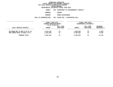# **DEPARTMENTAL ESTIMATES FISCAL YEAR <sup>2016</sup>**

**AGENCY <sup>826</sup> DEPARTMENT OF ENVIRONMENTAL PROTECT.**

**BOROUGH**

QUEENS<br>SEWER MAINTENANCE **PROGRAM**

 **SEWER MAINTENANCE UNIT OF APPROPRIATION <sup>003</sup> WATER SUP. & WASTEWATER COLL**

| <b>INCREASE</b> |
|-----------------|
| DECREASE(-)     |
|                 |
| 6,340           |
| 8,456           |
| 14,796          |
|                 |
|                 |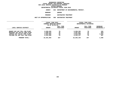**DEPARTMENTAL ESTIMATES FISCAL YEAR <sup>2016</sup>**

**AGENCY <sup>826</sup> DEPARTMENT OF ENVIRONMENTAL PROTECT.**

**BOROUGH**

QUEENS<br>WASTEWATER TREATMENT **PROGRAM**

 **WASTEWATER TREATMENT UNIT OF APPROPRIATION <sup>008</sup> WASTEWATER TREATMENT**

| FISCAL YEAR 2015<br>CURRENT MODIFIED BUDGET |                        | FISCAL YEAR 2016<br>DEPARTMENTAL ESTIMATES |                        |                           |
|---------------------------------------------|------------------------|--------------------------------------------|------------------------|---------------------------|
| <b>AMOUNT</b>                               | FULL TIME<br>POSITIONS | <b>AMOUNT</b>                              | FULL TIME<br>POSITIONS | INCREASE<br>$DECREASE(-)$ |
| 6,559,035                                   | 78                     | 6,559,355                                  | 78                     | 320<br>$503 -$            |
| 5,822,884                                   | 64                     | 5,823,900                                  | 64                     | 1,016<br>467              |
| 22,201,893                                  | 257                    | 22,203,193                                 | 257                    | 1,300                     |
|                                             | 3,588,324<br>6,231,650 | AS OF 02/02/15<br>45<br>70                 | 3,587,821<br>6,232,117 | 45<br>70                  |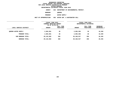**DEPARTMENTAL ESTIMATES FISCAL YEAR <sup>2016</sup>AGENCY <sup>826</sup> DEPARTMENT OF ENVIRONMENTAL PROTECT.**

**BOROUGH**

QUEENS<br>WATER SUPPLY **PROGRAM**

**WATER SUPPLY**

**UNIT OF APPROPRIATION <sup>003</sup> WATER SUP. & WASTEWATER COLL**

|                            | FISCAL YEAR 2015<br>CURRENT MODIFIED BUDGET<br>AS OF 02/02/15 |                        | FISCAL YEAR 2016<br>DEPARTMENTAL ESTIMATES |                        |                                |
|----------------------------|---------------------------------------------------------------|------------------------|--------------------------------------------|------------------------|--------------------------------|
| LOCAL SERVICE DISTRICT     | <b>AMOUNT</b>                                                 | FULL TIME<br>POSITIONS | <b>AMOUNT</b>                              | FULL TIME<br>POSITIONS | INCREASE<br><b>DECREASE(-)</b> |
| <b>QUEENS WATER SUPPLY</b> | 2,684,991                                                     | 39                     | 2,695,350                                  | 39                     | 10,359                         |
| PROGRAM TOTAL:             | 2,684,991                                                     | 39                     | 2,695,350                                  | 39                     | 10,359                         |
| SUB BOROUGH TOTAL:         | 29,142,082                                                    | 350                    | 29,168,537                                 | 350                    | 26,455                         |
| <b>BOROUGH TOTAL:</b>      | 29,142,082                                                    | 350                    | 29,168,537                                 | 350                    | 26,455                         |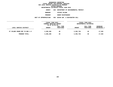# **DEPARTMENTAL ESTIMATES FISCAL YEAR <sup>2016</sup>**

**AGENCY <sup>826</sup> DEPARTMENT OF ENVIRONMENTAL PROTECT.**

**BOROUGH**

 **STATEN ISLAND PROGRAM**

 **SEWER MAINTENANCE UNIT OF APPROPRIATION <sup>003</sup> WATER SUP. & WASTEWATER COLL**

|                                | FISCAL YEAR 2015<br>CURRENT MODIFIED BUDGET<br>AS OF 02/02/15 |                        | FISCAL YEAR 2016<br>DEPARTMENTAL ESTIMATES |                        |                                |
|--------------------------------|---------------------------------------------------------------|------------------------|--------------------------------------------|------------------------|--------------------------------|
| LOCAL SERVICE DISTRICT         | AMOUNT                                                        | FULL TIME<br>POSITIONS | <b>AMOUNT</b>                              | FULL TIME<br>POSITIONS | <b>INCREASE</b><br>DECREASE(-) |
| ST ISLAND SEWER MNT YD BDS 1-3 | 3,286,208                                                     | 40                     | 3,303,736                                  | 40                     | 17,528                         |
| PROGRAM TOTAL:                 | 3,286,208                                                     | 40                     | 3,303,736                                  | 40                     | 17,528                         |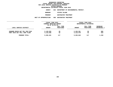# **DEPARTMENTAL ESTIMATES FISCAL YEAR <sup>2016</sup>**

**AGENCY <sup>826</sup> DEPARTMENT OF ENVIRONMENTAL PROTECT.**

**BOROUGH**

 **STATEN ISLAND PROGRAM**

 **WASTEWATER TREATMENT UNIT OF APPROPRIATION <sup>008</sup> WASTEWATER TREATMENT**

|                                                                 | FISCAL YEAR 2015        |           | FISCAL YEAR 2016       |                        |             |  |
|-----------------------------------------------------------------|-------------------------|-----------|------------------------|------------------------|-------------|--|
|                                                                 | CURRENT MODIFIED BUDGET |           |                        | DEPARTMENTAL ESTIMATES |             |  |
|                                                                 | AS OF 02/02/15          |           |                        |                        |             |  |
|                                                                 |                         | FULL TIME |                        | FULL TIME              | INCREASE    |  |
| LOCAL SERVICE DISTRICT                                          | AMOUNT                  | POSITIONS | <b>AMOUNT</b>          | POSITIONS              | DECREASE(-) |  |
| OAKWOOD BEACH WAT POL CON PLAN<br>PORT RICH WAT POLL CONT PLANT | 5,149,555<br>4,118,936  | 65<br>52  | 5,150,361<br>4,119,479 | 65<br>52               | 806<br>543  |  |
| PROGRAM TOTAL:                                                  | 9,268,491               | 117       | 9,269,840              | 117                    | 1,349       |  |
|                                                                 |                         |           |                        |                        |             |  |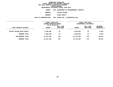**DEPARTMENTAL ESTIMATES FISCAL YEAR <sup>2016</sup>AGENCY <sup>826</sup> DEPARTMENT OF ENVIRONMENTAL PROTECT. BOROUGH STATEN ISLAND PROGRAM**

 **WATER SUPPLY UNIT OF APPROPRIATION <sup>003</sup> WATER SUP. & WASTEWATER COLL**

|                            | FISCAL YEAR 2015<br>CURRENT MODIFIED BUDGET<br>AS OF 02/02/15 |                        | FISCAL YEAR 2016<br>DEPARTMENTAL ESTIMATES |                        |                                |
|----------------------------|---------------------------------------------------------------|------------------------|--------------------------------------------|------------------------|--------------------------------|
| LOCAL SERVICE DISTRICT     | <b>AMOUNT</b>                                                 | FULL TIME<br>POSITIONS | <b>AMOUNT</b>                              | FULL TIME<br>POSITIONS | <b>INCREASE</b><br>DECREASE(-) |
| STATEN ISLAND WATER SUPPLY | 1,596,409                                                     | 22                     | 1,605,953                                  | 22                     | 9,544                          |
| PROGRAM TOTAL:             | 1,596,409                                                     | 22                     | 1,605,953                                  | 22                     | 9,544                          |
| SUB BOROUGH TOTAL:         | 14, 151, 108                                                  | 179                    | 14,179,529                                 | 179                    | 28,421                         |
| <b>BOROUGH TOTAL:</b>      | 14, 151, 108                                                  | 179                    | 14,179,529                                 | 179                    | 28,421                         |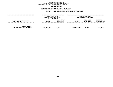## GEOGRAPHIC REPORTING<br>FISCAL REPORT FOR PERSONAL SERVICES<br>OCAL SERVICE DISTRICTS BY PROGRAM<br>WITHIN BOROUGH **FISCAL REPORT FOR PERSONAL SERVICES FOR LOCAL SERVICE DISTRICTS BY PROGRAM**

# **WITHIN BOROUGH DEPARTMENTAL ESTIMATES FISCAL YEAR <sup>2016</sup>**

**AGENCY <sup>826</sup> DEPARTMENT OF ENVIRONMENTAL PROTECT.**

|                                                   | FISCAL YEAR 2015<br>CURRENT MODIFIED BUDGET<br>AS OF 02/02/15 |                        | FISCAL YEAR 2016<br>DEPARTMENTAL ESTIMATES |                        |                                |
|---------------------------------------------------|---------------------------------------------------------------|------------------------|--------------------------------------------|------------------------|--------------------------------|
| LOCAL SERVICE DISTRICT                            | <b>AMOUNT</b>                                                 | FULL TIME<br>POSITIONS | <b>AMOUNT</b>                              | FULL TIME<br>POSITIONS | <b>INCREASE</b><br>DECREASE(-) |
| <b>AGENCY TOTAL:</b><br>ALL PROGRAMS ALL BOROUGHS | 129,834,085                                                   | 1,606                  | 130,001,117                                | 1,606                  | 167,032                        |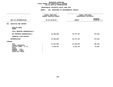#### **DEPARTMENTAL ESTIMATES FISCAL YEAR 2016**

**DEPARTMENTAL ESTIMATES FISCAL YEAR <sup>2016</sup>**

|                                                                                                                      | <b>AGENCY:</b><br>826 DEPARTMENT OF ENVIRONMENTAL PROTECT.      |                                            |                          |
|----------------------------------------------------------------------------------------------------------------------|-----------------------------------------------------------------|--------------------------------------------|--------------------------|
|                                                                                                                      | ----------------<br>FISCAL YEAR 2015<br>CURRENT MODIFIED BUDGET | FISCAL YEAR 2016<br>DEPARTMENTAL ESTIMATES |                          |
| UNIT OF APPROPRIATION                                                                                                | AS OF 02/02/15                                                  | <b>AMOUNT</b>                              | INCREASE<br>DECREASE (-) |
| 001 EXECUTIVE AND SUPPORT                                                                                            |                                                                 |                                            |                          |
| REGULAR GROSS<br><b>OTHER</b>                                                                                        |                                                                 |                                            |                          |
| TOTAL REPORTED GEOGRAPHICALLY                                                                                        |                                                                 |                                            |                          |
| NOT REPORTED GEOGRAPHICALLY                                                                                          | 31,303,845                                                      | 31,477,157                                 | 173,312                  |
| FINANCIAL PLAN SAVINGS                                                                                               |                                                                 |                                            |                          |
| <b>APPROPRIATION</b>                                                                                                 | 31,303,845                                                      | 31, 477, 157                               | 173,312                  |
| FUNDING                                                                                                              |                                                                 |                                            |                          |
| <b>CITY</b>                                                                                                          | 27,187,598                                                      | 27,344,013                                 | 156,415                  |
| OTHER CATEGORICAL<br>CAPITAL FUNDS - I.F.A.<br><b>STATE</b><br>FEDERAL - C.D.<br>FEDERAL - OTHER<br>INTRA-CITY SALES | 4,116,247                                                       | 4,133,144                                  | 16,897                   |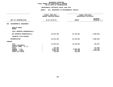#### **DEPARTMENTAL ESTIMATES FISCAL YEAR 2016**

|                                                            | FISCAL YEAR 2015               | FISCAL YEAR 2016       |                                 |
|------------------------------------------------------------|--------------------------------|------------------------|---------------------------------|
|                                                            | <b>CURRENT MODIFIED BUDGET</b> | DEPARTMENTAL ESTIMATES |                                 |
| UNIT OF APPROPRIATION                                      | AS OF 02/02/15                 | <b>AMOUNT</b>          | <b>INCREASE</b><br>DECREASE (-) |
| ENVIRONMENTAL MANAGEMENT<br>002                            |                                |                        |                                 |
| REGULAR GROSS<br><b>OTHER</b>                              |                                |                        |                                 |
| TOTAL REPORTED GEOGRAPHICALLY                              |                                |                        |                                 |
| NOT REPORTED GEOGRAPHICALLY                                | 25,513,196                     | 22,706,561             | 2,806,635-                      |
| FINANCIAL PLAN SAVINGS                                     |                                |                        |                                 |
| <b>APPROPRIATION</b>                                       | 25,513,196                     | 22,706,561             | 2,806,635-                      |
| FUNDING                                                    |                                |                        |                                 |
| <b>CITY</b><br>OTHER CATEGORICAL<br>CAPITAL FUNDS - I.F.A. | 14,876,522                     | 15,319,097             | 442,575                         |
| <b>STATE</b>                                               | 170,269                        |                        | 170,269-                        |
| FEDERAL - C.D.                                             | 6,604,108                      | 6,948,290              | 344,182                         |
| FEDERAL - OTHER                                            | 3,546,413                      | 123,290                | $3,423,123-$                    |
| INTRA-CITY SALES                                           | 315,884                        | 315,884                |                                 |
|                                                            |                                |                        |                                 |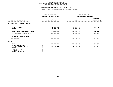#### **DEPARTMENTAL ESTIMATES FISCAL YEAR 2016**

|                                                                                                        | FISCAL YEAR 2015<br><b>CURRENT MODIFIED BUDGET</b> | FISCAL YEAR 2016<br>DEPARTMENTAL ESTIMATES |                                 |  |  |
|--------------------------------------------------------------------------------------------------------|----------------------------------------------------|--------------------------------------------|---------------------------------|--|--|
| UNIT OF APPROPRIATION                                                                                  | AS OF 02/02/15                                     | <b>AMOUNT</b>                              | <b>INCREASE</b><br>DECREASE (-) |  |  |
| WATER SUP. & WASTEWATER COLL<br>003                                                                    |                                                    |                                            |                                 |  |  |
| REGULAR GROSS<br><b>OTHER</b>                                                                          | 34, 381, 363<br>3,090,240                          | 34,542,570<br>3,090,240                    | 161,207                         |  |  |
| TOTAL REPORTED GEOGRAPHICALLY                                                                          | 37,471,603                                         | 37,632,810                                 | 161,207                         |  |  |
| NOT REPORTED GEOGRAPHICALLY                                                                            | 139,601,332                                        | 146,235,394                                | 6,634,062                       |  |  |
| FINANCIAL PLAN SAVINGS                                                                                 |                                                    |                                            |                                 |  |  |
| <b>APPROPRIATION</b>                                                                                   | 177,072,935                                        | 183,868,204                                | 6,795,269                       |  |  |
| FUNDING                                                                                                |                                                    |                                            |                                 |  |  |
| <b>CITY</b><br>OTHER CATEGORICAL                                                                       | 165,555,779                                        | 172,238,729                                | 6,682,950                       |  |  |
| CAPITAL FUNDS - I.F.A.<br><b>STATE</b><br>FEDERAL - C.D.<br>FEDERAL - OTHER<br><b>INTRA-CITY SALES</b> | 11,517,156                                         | 11,629,475                                 | 112,319                         |  |  |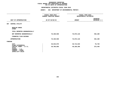#### **DEPARTMENTAL ESTIMATES FISCAL YEAR 2016**

|                                                                            | FISCAL YEAR 2015<br>CURRENT MODIFIED BUDGET | FISCAL YEAR 2016<br>DEPARTMENTAL ESTIMATES |                                 |
|----------------------------------------------------------------------------|---------------------------------------------|--------------------------------------------|---------------------------------|
| UNIT OF APPROPRIATION                                                      | AS OF 02/02/15                              | <b>AMOUNT</b>                              | <b>INCREASE</b><br>DECREASE (-) |
| CENTRAL UTILITY<br>007                                                     |                                             |                                            |                                 |
| REGULAR GROSS<br><b>OTHER</b>                                              |                                             |                                            |                                 |
| TOTAL REPORTED GEOGRAPHICALLY                                              |                                             |                                            |                                 |
| NOT REPORTED GEOGRAPHICALLY                                                | 76,420,938                                  | 76,873,118                                 | 452,180                         |
| FINANCIAL PLAN SAVINGS                                                     |                                             |                                            |                                 |
| <b>APPROPRIATION</b>                                                       | 76,420,938                                  | 76,873,118                                 | 452,180                         |
| FUNDING                                                                    |                                             |                                            |                                 |
| <b>CITY</b><br>OTHER CATEGORICAL<br>CAPITAL FUNDS - I.F.A.<br><b>STATE</b> | 36,634,079<br>39,786,859                    | 36,712,819<br>40,160,299                   | 78,740<br>373,440               |
| FEDERAL - C.D.<br>FEDERAL - OTHER<br>INTRA-CITY SALES                      |                                             |                                            |                                 |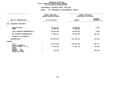#### **DEPARTMENTAL ESTIMATES FISCAL YEAR 2016**

|                                                       | FISCAL YEAR 2015<br><b>CURRENT MODIFIED BUDGET</b> | FISCAL YEAR 2016<br>DEPARTMENTAL ESTIMATES |                                 |
|-------------------------------------------------------|----------------------------------------------------|--------------------------------------------|---------------------------------|
| UNIT OF APPROPRIATION                                 | AS OF 02/02/15                                     | <b>AMOUNT</b>                              | <b>INCREASE</b><br>DECREASE (-) |
| WASTEWATER TREATMENT<br>008                           |                                                    |                                            |                                 |
| REGULAR GROSS<br><b>OTHER</b>                         | 88,182,242<br>4,180,240                            | 88,188,067<br>4,180,240                    | 5,825                           |
| TOTAL REPORTED GEOGRAPHICALLY                         | 92,362,482                                         | 92,368,307                                 | 5,825                           |
| NOT REPORTED GEOGRAPHICALLY                           | 75,299,570                                         | 75,421,820                                 | 122,250                         |
| FINANCIAL PLAN SAVINGS                                |                                                    |                                            |                                 |
| <b>APPROPRIATION</b>                                  | 167,662,052                                        | 167,790,127                                | 128,075                         |
| FUNDING                                               |                                                    |                                            |                                 |
| <b>CITY</b><br>OTHER CATEGORICAL                      | 157,957,635                                        | 158,387,409                                | 429,774                         |
| CAPITAL FUNDS - I.F.A.<br><b>STATE</b>                | 9,310,212                                          | 9,402,718                                  | 92,506                          |
| FEDERAL - C.D.<br>FEDERAL - OTHER<br>INTRA-CITY SALES | 394,205                                            |                                            | 394,205-                        |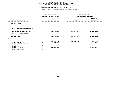|                                                                                                                                     | FISCAL YEAR 2015<br>CURRENT MODIFIED BUDGET |               | FISCAL YEAR 2016<br>DEPARTMENTAL ESTIMATES |
|-------------------------------------------------------------------------------------------------------------------------------------|---------------------------------------------|---------------|--------------------------------------------|
| UNIT OF APPROPRIATION                                                                                                               | AS OF 02/02/15                              | <b>AMOUNT</b> | <b>INCREASE</b><br>DECREASE (-)            |
| UTILITY - OTPS<br>004                                                                                                               |                                             |               |                                            |
| TOTAL REPORTED GEOGRAPHICALLY                                                                                                       |                                             |               |                                            |
| NOT REPORTED GEOGRAPHICALLY                                                                                                         | 664,019,429                                 | 609,685,375   | 54, 334, 054-                              |
| FINANCIAL PLAN SAVINGS                                                                                                              |                                             |               |                                            |
| <b>APPROPRIATION</b>                                                                                                                | 664,019,429                                 | 609,685,375   | 54, 334, 054-                              |
| FUNDING                                                                                                                             |                                             |               |                                            |
| <b>CITY</b><br>OTHER CATEGORICAL<br>CAPITAL FUNDS - I.F.A.<br><b>STATE</b><br>FEDERAL - C.D.<br>FEDERAL - OTHER<br>INTRA-CITY SALES | 633,100,172<br>17,906<br>30,901,351         | 609,685,375   | 23, 414, 797-<br>17,906-<br>$30,901,351 -$ |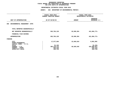| FISCAL YEAR 2015<br>CURRENT MODIFIED BUDGET |               | FISCAL YEAR 2016<br>DEPARTMENTAL ESTIMATES |
|---------------------------------------------|---------------|--------------------------------------------|
| AS OF 02/02/15                              | <b>AMOUNT</b> | <b>INCREASE</b><br>DECREASE (-)            |
|                                             |               |                                            |
|                                             |               |                                            |
| 503,784,135                                 | 82,699,364    | 421,084,771-                               |
|                                             |               |                                            |
| 503,784,135                                 | 82,699,364    | 421,084,771-                               |
|                                             |               |                                            |
| 17,577,864                                  | 22,669,819    | 5,091,955                                  |
| 91,184                                      |               | $91,184-$                                  |
| 485,110,112                                 | 60,029,545    | 425,080,567-                               |
| 635,216                                     |               | 635,216-                                   |
|                                             |               | 369,759-                                   |
|                                             |               |                                            |
|                                             | 369,759       |                                            |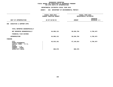|                                                                                                                 | FISCAL YEAR 2015<br>CURRENT MODIFIED BUDGET |               | FISCAL YEAR 2016<br>DEPARTMENTAL ESTIMATES |
|-----------------------------------------------------------------------------------------------------------------|---------------------------------------------|---------------|--------------------------------------------|
| UNIT OF APPROPRIATION                                                                                           | AS OF 02/02/15                              | <b>AMOUNT</b> | <b>INCREASE</b><br>DECREASE (-)            |
| EXECUTIVE & SUPPORT-OTPS<br>006                                                                                 |                                             |               |                                            |
| TOTAL REPORTED GEOGRAPHICALLY                                                                                   |                                             |               |                                            |
| NOT REPORTED GEOGRAPHICALLY                                                                                     | 64,806,131                                  | 58,036,784    | $6,769,347-$                               |
| FINANCIAL PLAN SAVINGS                                                                                          |                                             |               |                                            |
| <b>APPROPRIATION</b>                                                                                            | 64,806,131                                  | 58,036,784    | $6,769,347-$                               |
| FUNDING                                                                                                         |                                             |               |                                            |
| <b>CITY</b><br>OTHER CATEGORICAL<br>CAPITAL FUNDS - I.F.A.<br><b>STATE</b><br>FEDERAL - C.D.<br>FEDERAL - OTHER | 63,915,161                                  | 57,145,814    | $6,769,347-$                               |
| INTRA-CITY SALES                                                                                                | 890,970                                     | 890,970       |                                            |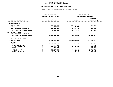## GEOGRAPHIC REPORTING<br>FISCAL REPORT AGENCYWIDE SUMMARY

# **FISCAL REPORT AGENCYWIDE SUMMARY DEPARTMENTAL ESTIMATES FISCAL YEAR <sup>2016</sup>**

#### **AGENCY: <sup>826</sup> DEPARTMENT OF ENVIRONMENTAL PROTECT.**

|                               | FISCAL YEAR 2015               |               | FISCAL YEAR 2016       |
|-------------------------------|--------------------------------|---------------|------------------------|
|                               | <b>CURRENT MODIFIED BUDGET</b> |               | DEPARTMENTAL ESTIMATES |
|                               |                                |               | <b>INCREASE</b>        |
| UNIT OF APPROPRIATION         | AS OF 02/02/15                 | <b>AMOUNT</b> | DECREASE (-)           |
|                               |                                |               |                        |
| PS APPROPRIATIONS             |                                |               |                        |
| REGULAR GROSS                 | 122,563,605                    | 122,730,637   | 167,032                |
| <b>OTHER</b>                  | 7,270,480                      | 7,270,480     |                        |
| TOTAL REPORTED GEOGRAPHICALLY | 129,834,085                    | 130,001,117   | 167,032                |
| NOT REPORTED GEOGRAPHICALLY   | 348,138,881                    | 352,714,050   | 4,575,169              |
|                               |                                |               |                        |
| OTPS APPROPRIATIONS           |                                |               |                        |
| TOTAL REPORTED GEOGRAPHICALLY |                                |               |                        |
| NOT REPORTED GEOGRAPHICALLY   | 1,232,609,695                  | 750,421,523   | 482, 188, 172-         |
|                               |                                |               |                        |
| FINANCIAL PLAN SAVINGS        |                                |               |                        |
| <b>APPROPRIATIONS</b>         | 1,710,582,661                  | 1,233,136,690 | 477,445,971-           |
|                               |                                |               |                        |
| <b>FUNDING</b>                |                                |               |                        |
| <b>CITY</b>                   | 1,116,804,810                  | 1,099,503,075 | 17,301,735-            |
| OTHER CATEGORICAL             | 17,906                         |               | 17,906-                |
| CAPITAL FUNDS - I.F.A.        | 64,730,474                     | 65,325,636    | 595,162                |
| <b>STATE</b>                  | 261,453                        |               | $261,453-$             |
| FEDERAL - C.D.                | 491,714,220                    | 66,977,835    | 424,736,385-           |
| FEDERAL - OTHER               | 35, 477, 185                   | 123,290       | 35, 353, 895-          |
| INTRA-CITY SALES              | 1,576,613                      | 1,206,854     | $369,759-$             |
|                               |                                |               |                        |
|                               |                                |               |                        |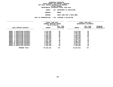| DEPARTMENTAL ESTIMATES FISCAL YEAR 2016 |                              |  |  |
|-----------------------------------------|------------------------------|--|--|
| AGENCY                                  | 827 DEPARTMENT OF SANITATION |  |  |
| <b>BOROUGH</b>                          | <b>BRONX</b>                 |  |  |
| <b>PROGRAM</b>                          | SANIT SERV DIST & MECH B     |  |  |

**M**<br>**N** 102 CLEANING & COLLECTION<br>**N** 102 CLEANING & COLLECTION **UNIT OF APPROPRIATION <sup>102</sup> CLEANING & COLLECTION**

|                                       | FISCAL YEAR 2015        |           | FISCAL YEAR 2016 |                        |                    |
|---------------------------------------|-------------------------|-----------|------------------|------------------------|--------------------|
|                                       | CURRENT MODIFIED BUDGET |           |                  | DEPARTMENTAL ESTIMATES |                    |
|                                       | AS OF 02/02/15          |           |                  |                        |                    |
|                                       |                         | FULL TIME |                  | FULL TIME              | <b>INCREASE</b>    |
| LOCAL SERVICE DISTRICT                | <b>AMOUNT</b>           | POSITIONS | <b>AMOUNT</b>    | POSITIONS              | <b>DECREASE(-)</b> |
|                                       |                         |           |                  |                        |                    |
| 1 SANITATION DISTRICT<br><b>BRONX</b> | 3,213,204               | 52        | 3,213,204        | 52                     |                    |
| 2 SANITATION DISTRICT<br><b>BRONX</b> | 3,502,495               | 55        | 3,502,495        | 55                     |                    |
| 3 SANITATION DISTRICT<br><b>BRONX</b> | 1,797,815               | 34        | 1,797,815        | 34                     |                    |
| 4 SANITATION DISTRICT<br><b>BRONX</b> | 4,180,663               | 68        | 4,180,663        | 68                     |                    |
| 5 SANITATION DISTRICT<br><b>BRONX</b> | 4,087,614               | 61        | 4,087,614        | 61                     |                    |
| 6 SANITATION DISTRICT<br><b>BRONX</b> | 4,400,505               | 71        | 4,400,505        | 71                     |                    |
| SANITATION DISTRICT<br><b>BRONX</b>   | 4,448,972               | 71        | 4,448,972        | 71                     |                    |
| 8 SANITATION DISTRICT<br><b>BRONX</b> | 3,917,339               | 60        | 3,917,339        | 60                     |                    |
| 9 SANITATION DISTRICT<br><b>BRONX</b> | 4,699,410               | 74        | 4,699,410        | 74                     |                    |
| BRONX 10 SANITATION DISTRICT          | 5,004,821               | 77        | 5,004,821        | 77                     |                    |
| BRONX 11 SANITATION DISTRICT          | 5,152,414               | 78        | 5,152,414        | 78                     |                    |
| BRONX 12 SANITATION DISTRICT          | 5,930,689               | 96        | 5,930,689        | 96                     |                    |
| PROGRAM TOTAL:                        | 50,335,941              | 797       | 50,335,941       | 797                    |                    |
|                                       |                         |           |                  |                        |                    |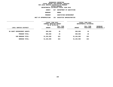**DEPARTMENTAL ESTIMATES FISCAL YEAR <sup>2016</sup>AGENCY <sup>827</sup> DEPARTMENT OF SANITATION**

**BOROUGH**

BRONX<br>SANITATION ENFORCEMENT **PROGRAM**

 **SANITATION ENFORCEMENT UNIT OF APPROPRIATION <sup>101</sup> EXECUTIVE ADMINISTRATIVE**

|                             | FISCAL YEAR 2015<br>CURRENT MODIFIED BUDGET<br>AS OF 02/02/15 |                        |               | FISCAL YEAR 2016<br>DEPARTMENTAL ESTIMATES |                         |
|-----------------------------|---------------------------------------------------------------|------------------------|---------------|--------------------------------------------|-------------------------|
| LOCAL SERVICE DISTRICT      | <b>AMOUNT</b>                                                 | FULL TIME<br>POSITIONS | <b>AMOUNT</b> | FULL TIME<br>POSITIONS                     | INCREASE<br>DECREASE(-) |
| BX SANIT ENFORCEMENT AGENTS | 869,058                                                       | 26                     | 869,058       | 26                                         |                         |
| PROGRAM TOTAL:              | 869,058                                                       | 26                     | 869,058       | 26                                         |                         |
| SUB BOROUGH TOTAL:          | 51,204,999                                                    | 823                    | 51,204,999    | 823                                        |                         |
| BOROUGH TOTAL:              | 51,204,999                                                    | 823                    | 51,204,999    | 823                                        |                         |
|                             |                                                               |                        |               |                                            |                         |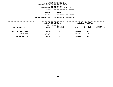**DEPARTMENTAL ESTIMATES FISCAL YEAR <sup>2016</sup>AGENCY <sup>827</sup> DEPARTMENT OF SANITATION**

**BOROUGH**

BROOKLYN<br>SANITATION ENFORCEMENT **PROGRAM**

 **SANITATION ENFORCEMENT UNIT OF APPROPRIATION <sup>101</sup> EXECUTIVE ADMINISTRATIVE**

|                             | FISCAL YEAR 2015 | CURRENT MODIFIED BUDGET<br>AS OF 02/02/15 |               | FISCAL YEAR 2016<br>DEPARTMENTAL ESTIMATES |                                |
|-----------------------------|------------------|-------------------------------------------|---------------|--------------------------------------------|--------------------------------|
| LOCAL SERVICE DISTRICT      | <b>AMOUNT</b>    | FULL TIME<br>POSITIONS                    | <b>AMOUNT</b> | FULL TIME<br>POSITIONS                     | <b>INCREASE</b><br>DECREASE(-) |
| BK SANIT ENFORCEMENT AGENTS | 1,344,073        | 40                                        | 1,344,073     | 40                                         |                                |
| PROGRAM TOTAL:              | 1,344,073        | 40                                        | 1,344,073     | 40                                         |                                |
| SUB BOROUGH TOTAL:          | 1,344,073        | 40                                        | 1,344,073     | 40                                         |                                |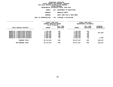|                      |     | DEPARTMENTAL ESTIMATES FISCAL YEAR 2016 |
|----------------------|-----|-----------------------------------------|
| AGENCY               |     | 827 DEPARTMENT OF SANITATION            |
| <b>BOROUGH</b>       |     | <b>BROOKLYN NORTH</b>                   |
| <b>PROGRAM</b>       |     | SANIT SERV DIST & MECH BRMS             |
| <b>APPROPRIATION</b> | 102 | CLEANING & COLLECTION                   |

|                                                                                                    | UNIT OF APPROPRIATION               | 102                                       | CLEANING & COLLECTION               |                                            |                                |
|----------------------------------------------------------------------------------------------------|-------------------------------------|-------------------------------------------|-------------------------------------|--------------------------------------------|--------------------------------|
|                                                                                                    | FISCAL YEAR 2015                    | CURRENT MODIFIED BUDGET<br>AS OF 02/02/15 |                                     | FISCAL YEAR 2016<br>DEPARTMENTAL ESTIMATES |                                |
| LOCAL SERVICE DISTRICT                                                                             | <b>AMOUNT</b>                       | FULL TIME<br><b>POSITIONS</b>             | <b>AMOUNT</b>                       | FULL TIME<br>POSITIONS                     | <b>INCREASE</b><br>DECREASE(-) |
| BROOKLYN 1 SANITATION DISTRICT<br>BROOKLYN 2 SANITATION DISTRICT                                   | 7,793,259<br>5,443,795              | 116<br>84                                 | 7,793,259<br>5,206,532              | 116<br>78                                  | $237,263-$                     |
| BROOKLYN 3 SANITATION DISTRICT<br>BROOKLYN 4 SANITATION DISTRICT<br>BROOKLYN 5 SANITATION DISTRICT | 7,002,223<br>6,456,216<br>6,926,363 | 109<br>98<br>105                          | 7,002,223<br>6,456,216<br>6,926,363 | 109<br>98<br>105                           |                                |
| BROOKLYN 8 SANITATION DISTRICT                                                                     | 6,092,188                           | 93                                        | 6,093,224                           | 93                                         | 1,036                          |
| PROGRAM TOTAL:                                                                                     | 39,714,044                          | 605                                       | 39, 477, 817                        | 599                                        | $236,227-$                     |
| SUB BOROUGH TOTAL:                                                                                 | 39,714,044                          | 605                                       | 39, 477, 817                        | 599                                        | $236,227-$                     |
|                                                                                                    |                                     |                                           |                                     |                                            |                                |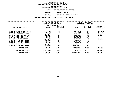|                      |     | DEPARTMENTAL ESTIMATES FISCAL YEAR 2016 |
|----------------------|-----|-----------------------------------------|
| <b>AGENCY</b>        | 827 | <b>DEPARTMENT OF SANITATION</b>         |
| <b>BOROUGH</b>       |     | BROOKLYN SOUTH                          |
| <b>PROGRAM</b>       |     | SANIT SERV DIST & MECH BRMS             |
| <b>APPROPRIATION</b> | 102 | CLEANING & COLLECTION                   |

**UNIT OF APPROPRIATION <sup>102</sup> CLEANING & COLLECTION ------------------------------------ ------------------------------ ------------------------------------------------- FISCAL YEAR <sup>2015</sup> FISCAL YEAR <sup>2016</sup> CURRENT MODIFIED BUDGET**<br>
AS OF 02/02/15<br> **FULL TIME**<br> **PULL TIME**<br> **PULL TIME AS** OF 02/02/15<br>FULL TIME<br>**AMOUNT** POSITIONS<br>----------------------------**FULL TIME FULL TIME INCREASE LOCAL SERVICE DISTRICT AMOUNT POSITIONS AMOUNT POSITIONS DECREASE(-) ------------------------------------ ------------------------------ ------------------------------------------------- BROOKLYN <sup>6</sup> SANITATION DISTRICT 6,173,820 <sup>96</sup> 5,857,469 <sup>88</sup> 316,351- BROOKLYN <sup>7</sup> SANITATION DISTRICT 6,465,609 <sup>98</sup> 6,127,410 <sup>90</sup> 338,199- BROOKLYN <sup>9</sup> SANITATION DIST 5,257,423 <sup>84</sup> 5,046,048 <sup>79</sup> 211,375- BKLYN <sup>10</sup> SANITATION DISTRICT 6,929,397 <sup>106</sup> 6,609,160 <sup>98</sup> 320,237- BKLYN <sup>11</sup> SANITATION DISTRICT 9,526,378 <sup>137</sup> 9,526,378 <sup>137</sup> BKLYN <sup>12</sup> SANITATION DISTRICT 9,279,600 <sup>135</sup> 9,279,600 <sup>135</sup> BROOKLYN <sup>13</sup> SANITATION DIST 5,656,400 <sup>88</sup> 5,445,025 <sup>83</sup> 211,375- BROOKLYN** 14 SANITATION DIST  $\begin{array}{cccc} 7,419,459 & 112 & 7,419,459 & 112 \\ -8,363,172 & 137 & 9,363,172 & 137 \\ -8,000 & 16 & 5 \end{array}$ **BROOKLYN <sup>15</sup> SANITATION DIST 9,363,172 <sup>137</sup> 9,363,172 <sup>137</sup> BROOKLYN <sup>16</sup> SANITATION DIST 5,242,298 <sup>82</sup> 5,242,298 <sup>82</sup> BROOKLYN <sup>17</sup> SANITATION DIST 7,678,591 <sup>119</sup> 7,678,591 <sup>119</sup> BROOKLYN <sup>18</sup> SANITATION DIST 10,264,551 <sup>159</sup> 10,264,551 <sup>159</sup> PROGRAM TOTAL: 89,256,698 1,353 87,859,161 1,319 1,397,537- SUB BOROUGH TOTAL: 89,256,698 1,353 87,859,161 1,319 1,397,537- BOROUGH TOTAL: 130,314,815 1,998 128,681,051 1,958 1,633,764-**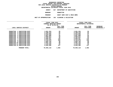**DEPARTMENTAL ESTIMATES FISCAL YEAR <sup>2016</sup>**

**AGENCY <sup>827</sup> DEPARTMENT OF SANITATION**

**BOROUGH**

**MANHATTAN<br>SANIT SERV DIST & MECH BRMS PROGRAM**

**M**<br>**N** 102 CLEANING & COLLECTION<br>**N** 102 CLEANING & COLLECTION **UNIT OF APPROPRIATION <sup>102</sup> CLEANING & COLLECTION**

|                                              | FISCAL YEAR 2015        |           | FISCAL YEAR 2016 |                        |                 |  |
|----------------------------------------------|-------------------------|-----------|------------------|------------------------|-----------------|--|
|                                              | CURRENT MODIFIED BUDGET |           |                  | DEPARTMENTAL ESTIMATES |                 |  |
|                                              | AS OF 02/02/15          |           |                  |                        |                 |  |
|                                              |                         | FULL TIME |                  | FULL TIME              | <b>INCREASE</b> |  |
| LOCAL SERVICE DISTRICT                       | <b>AMOUNT</b>           | POSITIONS | <b>AMOUNT</b>    | POSITIONS              | DECREASE(-)     |  |
|                                              |                         |           |                  |                        |                 |  |
| 1 SANITATION DIST<br><b>MANHATTAN</b>        | 3,601,354               | 55        | 3,601,354        | 55                     |                 |  |
| 2 SANITATION DIST<br><b>MANHATTAN</b>        | 5,299,319               | 82        | 5,299,319        | 82                     |                 |  |
| <b>MANHATTAN</b><br>3 SANITATION DIST        | 6,552,055               | 97        | 6,552,055        | 97                     |                 |  |
| <b>MANHATTAN</b><br>4 SANITATION DIST        | 5,687,008               | 92        | 5,687,008        | 92                     |                 |  |
| 5 SANITATION DIST<br><b>MANHATTAN</b>        | 4,065,921               | 64        | 4,065,921        | 64                     |                 |  |
| 6 SANITATION DIST<br><b>MANHATTAN</b>        | 6,202,047               | 92        | 6,202,047        | 92                     |                 |  |
| <b>MANHATTAN</b><br>7 SANITATION DIST        | 8,800,581               | 145       | 8,800,581        | 145                    |                 |  |
| 8 SANITATION DIST<br><b>MANHATTAN</b>        | 9,144,578               | 135       | 9,144,578        | 135                    |                 |  |
| <b>MANHATTAN</b><br><b>9 SANITATION DIST</b> | 3,955,704               | 56        | 3,955,704        | 56                     |                 |  |
| MANHATTAN 10 SANITATION DIST                 | 4,581,763               | 69        | 4,581,763        | 69                     |                 |  |
| MANHATTAN 11 SANITATION DIST                 | 4,123,394               | 62        | 4,123,394        | 62                     |                 |  |
| MANHATTAN 12 SANITATION DIST                 | 8,045,386               | 117       | 8,045,386        | 117                    |                 |  |
| PROGRAM TOTAL:                               | 70,059,110              | 1,066     | 70,059,110       | 1,066                  |                 |  |
|                                              |                         |           |                  |                        |                 |  |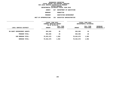**DEPARTMENTAL ESTIMATES FISCAL YEAR <sup>2016</sup>AGENCY <sup>827</sup> DEPARTMENT OF SANITATION**

**BOROUGH**

 **MANHATTAN PROGRAM**

 **SANITATION ENFORCEMENT UNIT OF APPROPRIATION <sup>101</sup> EXECUTIVE ADMINISTRATIVE**

|                             | FISCAL YEAR 2015<br>CURRENT MODIFIED BUDGET<br>AS OF 02/02/15 |                        | FISCAL YEAR 2016<br>DEPARTMENTAL ESTIMATES |                        |                         |  |
|-----------------------------|---------------------------------------------------------------|------------------------|--------------------------------------------|------------------------|-------------------------|--|
| LOCAL SERVICE DISTRICT      | <b>AMOUNT</b>                                                 | FULL TIME<br>POSITIONS | <b>AMOUNT</b>                              | FULL TIME<br>POSITIONS | INCREASE<br>DECREASE(-) |  |
| MN SANIT ENFORCEMENT AGENTS | 863,565                                                       | 26                     | 863,565                                    | 26                     |                         |  |
| PROGRAM TOTAL:              | 863,565                                                       | 26                     | 863,565                                    | 26                     |                         |  |
| SUB BOROUGH TOTAL:          | 70,922,675                                                    | 1,092                  | 70,922,675                                 | 1,092                  |                         |  |
| BOROUGH TOTAL:              | 70,922,675                                                    | 1,092                  | 70,922,675                                 | 1,092                  |                         |  |
|                             |                                                               |                        |                                            |                        |                         |  |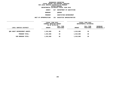**DEPARTMENTAL ESTIMATES FISCAL YEAR <sup>2016</sup>**

**AGENCY <sup>827</sup> DEPARTMENT OF SANITATION**

**BOROUGH**

QUEENS<br>SANITATION ENFORCEMENT **PROGRAM**

 **SANITATION ENFORCEMENT UNIT OF APPROPRIATION <sup>101</sup> EXECUTIVE ADMINISTRATIVE**

|                              | FISCAL YEAR 2015<br>CURRENT MODIFIED BUDGET<br>AS OF 02/02/15 |                        | FISCAL YEAR 2016<br>DEPARTMENTAL ESTIMATES |                        |                                |
|------------------------------|---------------------------------------------------------------|------------------------|--------------------------------------------|------------------------|--------------------------------|
| LOCAL SERVICE DISTRICT       | <b>AMOUNT</b>                                                 | FULL TIME<br>POSITIONS | <b>AMOUNT</b>                              | FULL TIME<br>POSITIONS | <b>INCREASE</b><br>DECREASE(-) |
| ONS SANIT ENFORCEMENT AGENTS | 1,019,880                                                     | 30                     | 1,019,880                                  | 30                     |                                |
| PROGRAM TOTAL:               | 1,019,880                                                     | 30                     | 1,019,880                                  | 30                     |                                |
| SUB BOROUGH TOTAL:           | 1,019,880                                                     | 30                     | 1,019,880                                  | 30                     |                                |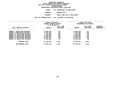|                     | DEPARTMENTAL ESTIMATES FISCAL YEAR 2016 |
|---------------------|-----------------------------------------|
| <b>AGENCY</b>       | 827 DEPARTMENT OF SANITATION            |
| <b>BOROUGH</b>      | <b>OUEENS EAST</b>                      |
| <b>PROGRAM</b>      | SANIT SERV DIST & MECH BRMS             |
| <b>PPROPRIATION</b> | 102 CLEANING & COLLECTION               |

**UNIT OF APPROPRIATION <sup>102</sup> CLEANING & COLLECTION**

|                                      | FISCAL YEAR 2015<br>CURRENT MODIFIED BUDGET<br>AS OF 02/02/15 |                               | FISCAL YEAR 2016<br>DEPARTMENTAL ESTIMATES |                               |                         |  |
|--------------------------------------|---------------------------------------------------------------|-------------------------------|--------------------------------------------|-------------------------------|-------------------------|--|
| LOCAL SERVICE DISTRICT               | <b>AMOUNT</b>                                                 | FULL TIME<br><b>POSITIONS</b> | <b>AMOUNT</b>                              | FULL TIME<br><b>POSITIONS</b> | INCREASE<br>DECREASE(-) |  |
| SANITATION DISTRICT<br>QUEENS 7      | 11,663,160                                                    | 172                           | 11,663,160                                 | 172                           |                         |  |
| <b>QUEENS 8 SANITATION DISTRICT</b>  | 8,823,240                                                     | 140                           | 8,823,240                                  | 140                           |                         |  |
| QUEENS 10 SANITATION DISTRICT        | 7,745,885                                                     | 120                           | 7,745,885                                  | 120                           |                         |  |
| <b>OUEENS 11 SANITATION DISTRICT</b> | 9,083,368                                                     | 138                           | 9,083,368                                  | 138                           |                         |  |
| QUEENS 12 SANITATION DISTRICT        | 11,893,950                                                    | 179                           | 11,893,950                                 | 179                           |                         |  |
| QUEENS 13 SANITATION DISTRICT        | 12,240,131                                                    | 188                           | 12,240,131                                 | 188                           |                         |  |
| QUEENS 14 SANITATION DISTRICT        | 6,489,928                                                     | 99                            | 6,489,928                                  | 99                            |                         |  |
| PROGRAM TOTAL:                       | 67,939,662                                                    | 1,036                         | 67,939,662                                 | 1,036                         |                         |  |
| SUB BOROUGH TOTAL:                   | 67,939,662                                                    | 1,036                         | 67,939,662                                 | 1,036                         |                         |  |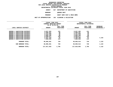|                     | DEPARTMENTAL ESTIMATES FISCAL YEAR 2016 |
|---------------------|-----------------------------------------|
| <b>AGENCY</b>       | 827 DEPARTMENT OF SANITATION            |
| <b>BOROUGH</b>      | <b>OUEENS WEST</b>                      |
| <b>PROGRAM</b>      | SANIT SERV DIST & MECH BRMS             |
| <b>PPROPRIATION</b> | 102 CLEANING & COLLECTION               |

**UNIT OF APPROPRIATION <sup>102</sup> CLEANING & COLLECTION**

|                                                                                                                                                                                                                      |                                                                            | FISCAL YEAR 2015<br>CURRENT MODIFIED BUDGET<br>AS OF 02/02/15 |                                                                            | FISCAL YEAR 2016<br>DEPARTMENTAL ESTIMATES |                                |  |
|----------------------------------------------------------------------------------------------------------------------------------------------------------------------------------------------------------------------|----------------------------------------------------------------------------|---------------------------------------------------------------|----------------------------------------------------------------------------|--------------------------------------------|--------------------------------|--|
| LOCAL SERVICE DISTRICT                                                                                                                                                                                               | <b>AMOUNT</b>                                                              | FULL TIME<br>POSITIONS                                        | <b>AMOUNT</b>                                                              | FULL TIME<br><b>POSITIONS</b>              | <b>INCREASE</b><br>DECREASE(-) |  |
| <b>QUEENS 1 SANITATION DISTRICT</b><br>QUEENS 2 SANITATION DISTRICT<br>SANITATION DISTRICT<br><b>OUEENS 3</b><br>OUEENS 4 SANITATION DISTRICT<br><b>OUEENS 5 SANITATION DISTRICT</b><br>QUEENS 6 SANITATION DISTRICT | 9,037,393<br>5,688,261<br>6,431,699<br>5,885,158<br>8,600,071<br>5,407,163 | 131<br>90<br>99<br>86<br>129<br>81                            | 9,037,393<br>5,688,261<br>6,431,699<br>5,885,158<br>8,600,071<br>5,408,285 | 131<br>90<br>99<br>86<br>129<br>81         | 1,122                          |  |
| <b>QUEENS 9 SANITATION DISTRICT</b><br>PROGRAM TOTAL:                                                                                                                                                                | 7,808,646<br>48,858,391                                                    | 113<br>729                                                    | 7,808,646<br>48,859,513                                                    | 113<br>729                                 | 1,122                          |  |
| SUB BOROUGH TOTAL:<br><b>BOROUGH TOTAL:</b>                                                                                                                                                                          | 48,858,391<br>117,817,933                                                  | 729<br>1,795                                                  | 48,859,513<br>117,819,055                                                  | 729<br>1,795                               | 1,122<br>1,122                 |  |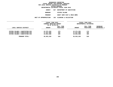#### **GEOGRAPHIC REPORTINGFISCAL REPORT FOR PERSONAL SERVICES FOR LOCAL SERVICE DISTRICTS BY PROGRAMWITHIN BOROUGH**

|                     | DEPARTMENTAL ESTIMATES FISCAL YEAR 2016 |
|---------------------|-----------------------------------------|
| AGENCY              | 827 DEPARTMENT OF SANITATION            |
| <b>BOROUGH</b>      | STATEN ISLAND                           |
| <b>PROGRAM</b>      | SANIT SERV DIST & MECH BRMS             |
| <b>PPROPRIATION</b> | 102 CLEANING & COLLECTION               |

| UNIT OF APPROPRIATION                  |                        |                                                               |                           |                                            |
|----------------------------------------|------------------------|---------------------------------------------------------------|---------------------------|--------------------------------------------|
|                                        |                        |                                                               |                           |                                            |
| <b>AMOUNT</b>                          | FULL TIME<br>POSITIONS | <b>AMOUNT</b>                                                 | FULL TIME<br>POSITIONS    | <b>INCREASE</b><br><b>DECREASE(-)</b>      |
| 12,371,293<br>11,527,068<br>13,054,898 | 174<br>162<br>184      | 12,371,293<br>11,527,068<br>13,054,898                        | 174<br>162<br>184         |                                            |
| 36,953,259                             | 520                    | 36,953,259                                                    | 520                       |                                            |
|                                        |                        | FISCAL YEAR 2015<br>CURRENT MODIFIED BUDGET<br>AS OF 02/02/15 | 102 CLEANING & COLLECTION | FISCAL YEAR 2016<br>DEPARTMENTAL ESTIMATES |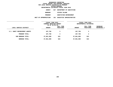| DEPARTMENTAL ESTIMATES FISCAL YEAR 2016 |     |                        |                          |
|-----------------------------------------|-----|------------------------|--------------------------|
| AGENCY                                  | 827 |                        | DEPARTMENT OF SANITATION |
| <b>BOROUGH</b>                          |     | STATEN ISLAND          |                          |
| <b>PROGRAM</b>                          |     | SANITATION ENFORCEMENT |                          |
| UNIT OF APPROPRIATION                   | 101 |                        | EXECUTIVE ADMINISTRATIVE |
|                                         |     |                        |                          |

|                               | FISCAL YEAR 2015<br>CURRENT MODIFIED BUDGET<br>AS OF 02/02/15 |                        | FISCAL YEAR 2016<br>DEPARTMENTAL ESTIMATES |                        |                                       |
|-------------------------------|---------------------------------------------------------------|------------------------|--------------------------------------------|------------------------|---------------------------------------|
| LOCAL SERVICE DISTRICT        | <b>AMOUNT</b>                                                 | FULL TIME<br>POSITIONS | <b>AMOUNT</b>                              | FULL TIME<br>POSITIONS | <b>INCREASE</b><br><b>DECREASE(-)</b> |
| S.I. SANIT ENFORCEMENT AGENTS | 107,750                                                       | 3                      | 107,750                                    | 3                      |                                       |
| PROGRAM TOTAL:                | 107,750                                                       | 3                      | 107,750                                    | 3                      |                                       |
| SUB BOROUGH TOTAL:            | 37,061,009                                                    | 523                    | 37,061,009                                 | 523                    |                                       |
| BOROUGH TOTAL:                | 37,061,009                                                    | 523                    | 37,061,009                                 | 523                    |                                       |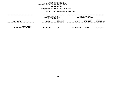## GEOGRAPHIC REPORTING<br>FISCAL REPORT FOR PERSONAL SERVICES<br>OCAL SERVICE DISTRICTS BY PROGRAM<br>WITHIN BOROUGH **FISCAL REPORT FOR PERSONAL SERVICES FOR LOCAL SERVICE DISTRICTS BY PROGRAM**

# **WITHIN BOROUGH DEPARTMENTAL ESTIMATES FISCAL YEAR <sup>2016</sup>**

# **AGENCY <sup>827</sup> DEPARTMENT OF SANITATION**

|                                                   | FISCAL YEAR 2015<br>CURRENT MODIFIED BUDGET<br>AS OF 02/02/15 |                        | <b>FISCAL YEAR 2016</b><br>DEPARTMENTAL ESTIMATES |                        |                         |
|---------------------------------------------------|---------------------------------------------------------------|------------------------|---------------------------------------------------|------------------------|-------------------------|
| LOCAL SERVICE DISTRICT                            | <b>AMOUNT</b>                                                 | FULL TIME<br>POSITIONS | <b>AMOUNT</b>                                     | FULL TIME<br>POSITIONS | INCREASE<br>DECREASE(-) |
| <b>AGENCY TOTAL:</b><br>ALL PROGRAMS ALL BOROUGHS | 407,321,431                                                   | 6,231                  | 405,688,789                                       | 6,191                  | 1,632,642-              |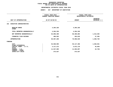#### **DEPARTMENTAL ESTIMATES FISCAL YEAR 2016**

# **DEPARTMENTAL ESTIMATES FISCAL YEAR <sup>2016</sup>AGENCY: <sup>827</sup> DEPARTMENT OF SANITATION**

|                                                   |  | FISCAL YEAR 2015<br>CURRENT MODIFIED BUDGET | FISCAL YEAR 2016<br>DEPARTMENTAL ESTIMATES |                                   |  |
|---------------------------------------------------|--|---------------------------------------------|--------------------------------------------|-----------------------------------|--|
| UNIT OF APPROPRIATION                             |  | AS OF 02/02/15                              | <b>AMOUNT</b>                              | <b>INCREASE</b><br>DECREASE $(-)$ |  |
| EXECUTIVE ADMINISTRATIVE<br>101                   |  |                                             |                                            |                                   |  |
| REGULAR GROSS<br><b>OTHER</b>                     |  | 4,204,326                                   | 4,204,326                                  |                                   |  |
| TOTAL REPORTED GEOGRAPHICALLY                     |  | 4,204,326                                   | 4,204,326                                  |                                   |  |
| NOT REPORTED GEOGRAPHICALLY                       |  | 64,896,400                                  | 66,309,884                                 | 1,413,484                         |  |
| FINANCIAL PLAN SAVINGS                            |  | 406,563                                     | 453,819                                    | 47,256                            |  |
| <b>APPROPRIATION</b>                              |  | 69,507,289                                  | 70,968,029                                 | 1,460,740                         |  |
| FUNDING                                           |  |                                             |                                            |                                   |  |
| <b>CITY</b><br>OTHER CATEGORICAL                  |  | 53,568,905                                  | 55,117,466                                 | 1,548,561                         |  |
| CAPITAL FUNDS - I.F.A.                            |  | 4,117,272                                   | 4,072,179                                  | $45,093-$                         |  |
| <b>STATE</b><br>FEDERAL - C.D.<br>FEDERAL - OTHER |  | 11,547,585                                  | 11,504,857                                 | 42,728-                           |  |
| INTRA-CITY SALES                                  |  | 273,527                                     | 273,527                                    |                                   |  |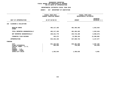#### **DEPARTMENTAL ESTIMATES FISCAL YEAR 2016**

# **DEPARTMENTAL ESTIMATES FISCAL YEAR <sup>2016</sup>AGENCY: <sup>827</sup> DEPARTMENT OF SANITATION**

|                                                                                                                                     | FISCAL YEAR 2015<br>CURRENT MODIFIED BUDGET | FISCAL YEAR 2016<br>DEPARTMENTAL ESTIMATES |                                   |  |
|-------------------------------------------------------------------------------------------------------------------------------------|---------------------------------------------|--------------------------------------------|-----------------------------------|--|
| UNIT OF APPROPRIATION                                                                                                               | AS OF 02/02/15                              | <b>AMOUNT</b>                              | <b>INCREASE</b><br>DECREASE (-)   |  |
| CLEANING & COLLECTION<br>102                                                                                                        |                                             |                                            |                                   |  |
| REGULAR GROSS<br><b>OTHER</b>                                                                                                       | 403, 117, 105                               | 401,484,463                                | 1,632,642-                        |  |
| TOTAL REPORTED GEOGRAPHICALLY                                                                                                       | 403, 117, 105                               | 401,484,463                                | 1,632,642-                        |  |
| NOT REPORTED GEOGRAPHICALLY                                                                                                         | 240,221,779                                 | 233,715,106                                | $6,506,673-$                      |  |
| FINANCIAL PLAN SAVINGS                                                                                                              | 103,272                                     | 12,390,164                                 | 12,286,892                        |  |
| <b>APPROPRIATION</b>                                                                                                                | 643,442,156                                 | 647,589,733                                | 4, 147, 577                       |  |
| <b>FUNDING</b>                                                                                                                      |                                             |                                            |                                   |  |
| <b>CITY</b><br>OTHER CATEGORICAL<br>CAPITAL FUNDS - I.F.A.<br><b>STATE</b><br>FEDERAL - C.D.<br>FEDERAL - OTHER<br>INTRA-CITY SALES | 641,183,662<br>905,950<br>1,352,544         | 645,481,098<br>750,000<br>1,358,635        | 4,297,436<br>$155,950 -$<br>6,091 |  |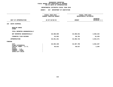### **DEPARTMENTAL ESTIMATES FISCAL YEAR 2016**

|                                                                                                 | FISCAL YEAR 2015<br>CURRENT MODIFIED BUDGET | FISCAL YEAR 2016<br>DEPARTMENTAL ESTIMATES |                                 |  |
|-------------------------------------------------------------------------------------------------|---------------------------------------------|--------------------------------------------|---------------------------------|--|
| UNIT OF APPROPRIATION                                                                           | AS OF 02/02/15                              | <b>AMOUNT</b>                              | <b>INCREASE</b><br>DECREASE (-) |  |
| <b>WASTE DISPOSAL</b><br>103                                                                    |                                             |                                            |                                 |  |
| REGULAR GROSS<br><b>OTHER</b>                                                                   |                                             |                                            |                                 |  |
| TOTAL REPORTED GEOGRAPHICALLY                                                                   |                                             |                                            |                                 |  |
| NOT REPORTED GEOGRAPHICALLY                                                                     | 28,388,699                                  | 33,308,941                                 | 4,920,242                       |  |
| FINANCIAL PLAN SAVINGS                                                                          | 62,552                                      | 86,781                                     | 24,229                          |  |
| <b>APPROPRIATION</b>                                                                            | 28,451,251                                  | 33,395,722                                 | 4,944,471                       |  |
| FUNDING                                                                                         |                                             |                                            |                                 |  |
| <b>CITY</b><br>OTHER CATEGORICAL                                                                | 28,365,438                                  | 33,307,705                                 | 4,942,267                       |  |
| CAPITAL FUNDS - I.F.A.<br><b>STATE</b><br>FEDERAL - C.D.<br>FEDERAL - OTHER<br>INTRA-CITY SALES | 85,813                                      | 88,017                                     | 2,204                           |  |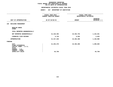### **DEPARTMENTAL ESTIMATES FISCAL YEAR 2016**

|                                                                                              | <b>AGENCY:</b><br>827 DEPARTMENT OF SANITATION |                                            |                                 |  |
|----------------------------------------------------------------------------------------------|------------------------------------------------|--------------------------------------------|---------------------------------|--|
|                                                                                              | FISCAL YEAR 2015<br>CURRENT MODIFIED BUDGET    | FISCAL YEAR 2016<br>DEPARTMENTAL ESTIMATES |                                 |  |
| UNIT OF APPROPRIATION                                                                        | AS OF 02/02/15                                 | <b>AMOUNT</b>                              | <b>INCREASE</b><br>DECREASE (-) |  |
| 104 BUILDING MANAGEMENT                                                                      |                                                |                                            |                                 |  |
| REGULAR GROSS<br><b>OTHER</b>                                                                |                                                |                                            |                                 |  |
| TOTAL REPORTED GEOGRAPHICALLY                                                                |                                                |                                            |                                 |  |
| NOT REPORTED GEOGRAPHICALLY                                                                  | 21,310,492                                     | 22,453,753                                 | 1,143,261                       |  |
| FINANCIAL PLAN SAVINGS                                                                       | 6,734                                          | 9,553                                      | 2,819                           |  |
| <b>APPROPRIATION</b>                                                                         | 21, 317, 226                                   | 22,463,306                                 | 1,146,080                       |  |
| FUNDING                                                                                      |                                                |                                            |                                 |  |
| <b>CITY</b><br>OTHER CATEGORICAL<br>CAPITAL FUNDS - I.F.A.<br><b>STATE</b><br>FEDERAL - C.D. | 21,253,476                                     | 22,463,306                                 | 1,209,830                       |  |
| FEDERAL - OTHER<br>INTRA-CITY SALES                                                          | 63,750                                         |                                            | $63,750-$                       |  |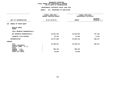### **DEPARTMENTAL ESTIMATES FISCAL YEAR 2016**

|                                                                            | <b>AGENCY:</b><br>827 DEPARTMENT OF SANITATION |               |                                            |  |  |
|----------------------------------------------------------------------------|------------------------------------------------|---------------|--------------------------------------------|--|--|
|                                                                            | FISCAL YEAR 2015<br>CURRENT MODIFIED BUDGET    |               | FISCAL YEAR 2016<br>DEPARTMENTAL ESTIMATES |  |  |
| UNIT OF APPROPRIATION                                                      | AS OF 02/02/15                                 | <b>AMOUNT</b> | INCREASE<br>DECREASE (-)                   |  |  |
| BUREAU OF MOTOR EQUIP<br>105                                               |                                                |               |                                            |  |  |
| REGULAR GROSS<br><b>OTHER</b>                                              |                                                |               |                                            |  |  |
| TOTAL REPORTED GEOGRAPHICALLY                                              |                                                |               |                                            |  |  |
| NOT REPORTED GEOGRAPHICALLY                                                | 62,851,456                                     | 63,648,654    | 797,198                                    |  |  |
| FINANCIAL PLAN SAVINGS                                                     | 26,433                                         | 34,562        | 8,129                                      |  |  |
| <b>APPROPRIATION</b>                                                       | 62,877,889                                     | 63,683,216    | 805,327                                    |  |  |
| FUNDING                                                                    |                                                |               |                                            |  |  |
| <b>CITY</b><br>OTHER CATEGORICAL<br>CAPITAL FUNDS - I.F.A.<br><b>STATE</b> | 61,859,647                                     | 62,664,974    | 805,327                                    |  |  |
| FEDERAL - C.D.                                                             | 998,242                                        | 998,242       |                                            |  |  |
| FEDERAL - OTHER<br>INTRA-CITY SALES                                        | 20,000                                         | 20,000        |                                            |  |  |
|                                                                            |                                                |               |                                            |  |  |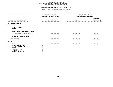### **DEPARTMENTAL ESTIMATES FISCAL YEAR 2016**

|                                                                                                                                     | FISCAL YEAR 2015<br>CURRENT MODIFIED BUDGET | FISCAL YEAR 2016<br>DEPARTMENTAL ESTIMATES |                                 |  |
|-------------------------------------------------------------------------------------------------------------------------------------|---------------------------------------------|--------------------------------------------|---------------------------------|--|
|                                                                                                                                     |                                             |                                            |                                 |  |
| UNIT OF APPROPRIATION                                                                                                               | AS OF 02/02/15                              | <b>AMOUNT</b>                              | <b>INCREASE</b><br>DECREASE (-) |  |
| SNOW BUDGET-PS<br>107                                                                                                               |                                             |                                            |                                 |  |
| REGULAR GROSS<br><b>OTHER</b>                                                                                                       |                                             |                                            |                                 |  |
| TOTAL REPORTED GEOGRAPHICALLY                                                                                                       |                                             |                                            |                                 |  |
| NOT REPORTED GEOGRAPHICALLY                                                                                                         | 35,387,750                                  | 47,683,062                                 | 12,295,312                      |  |
| FINANCIAL PLAN SAVINGS                                                                                                              |                                             |                                            |                                 |  |
| <b>APPROPRIATION</b>                                                                                                                | 35,387,750                                  | 47,683,062                                 | 12,295,312                      |  |
| FUNDING                                                                                                                             |                                             |                                            |                                 |  |
| <b>CITY</b><br>OTHER CATEGORICAL<br>CAPITAL FUNDS - I.F.A.<br><b>STATE</b><br>FEDERAL - C.D.<br>FEDERAL - OTHER<br>INTRA-CITY SALES | 35,387,750                                  | 47,683,062                                 | 12,295,312                      |  |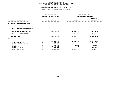|                                                                                                                              |                | FISCAL YEAR 2015<br>CURRENT MODIFIED BUDGET                                      | FISCAL YEAR 2016<br>DEPARTMENTAL ESTIMATES                |                                                                 |  |
|------------------------------------------------------------------------------------------------------------------------------|----------------|----------------------------------------------------------------------------------|-----------------------------------------------------------|-----------------------------------------------------------------|--|
| UNIT OF APPROPRIATION                                                                                                        | AS OF 02/02/15 |                                                                                  | <b>AMOUNT</b>                                             | <b>INCREASE</b><br>DECREASE (-)                                 |  |
| EXEC & ADMINISTRATIVE-OTPS<br>106                                                                                            |                |                                                                                  |                                                           |                                                                 |  |
| TOTAL REPORTED GEOGRAPHICALLY                                                                                                |                |                                                                                  |                                                           |                                                                 |  |
| NOT REPORTED GEOGRAPHICALLY                                                                                                  |                | 106,015,830                                                                      | 96,644,153                                                | 9,371,677-                                                      |  |
| FINANCIAL PLAN SAVINGS                                                                                                       |                |                                                                                  | 2,734,984                                                 | 2,734,984                                                       |  |
| <b>APPROPRIATION</b>                                                                                                         |                | 106,015,830                                                                      | 99,379,137                                                | $6,636,693-$                                                    |  |
| <b>FUNDING</b>                                                                                                               |                |                                                                                  |                                                           |                                                                 |  |
| CITY<br>OTHER CATEGORICAL<br>CAPITAL FUNDS - I.F.A.<br><b>STATE</b><br>FEDERAL - C.D.<br>FEDERAL - OTHER<br>INTRA-CITY SALES | $\cdot$        | 101,393,377<br>217,139<br>250,000<br>40,915<br>2,427,809<br>398,090<br>1,288,500 | 95,545,828<br>250,000<br>25,000<br>2,427,809<br>1,130,500 | 5,847,549-<br>217,139-<br>15,915-<br>$398,090 -$<br>$158,000 -$ |  |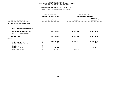|                                                                                                                                     |                | FISCAL YEAR 2015<br>CURRENT MODIFIED BUDGET | FISCAL YEAR 2016<br>DEPARTMENTAL ESTIMATES |                                     |  |
|-------------------------------------------------------------------------------------------------------------------------------------|----------------|---------------------------------------------|--------------------------------------------|-------------------------------------|--|
| UNIT OF APPROPRIATION                                                                                                               | AS OF 02/02/15 |                                             | <b>AMOUNT</b>                              | <b>INCREASE</b><br>DECREASE (-)     |  |
| CLEANING & COLLECTION-OTPS<br>109                                                                                                   |                |                                             |                                            |                                     |  |
| TOTAL REPORTED GEOGRAPHICALLY                                                                                                       |                |                                             |                                            |                                     |  |
| NOT REPORTED GEOGRAPHICALLY                                                                                                         |                | 45,358,492                                  | 38,835,840                                 | $6,522,652-$                        |  |
| FINANCIAL PLAN SAVINGS                                                                                                              |                |                                             |                                            |                                     |  |
| <b>APPROPRIATION</b>                                                                                                                |                | 45,358,492                                  | 38,835,840                                 | $6,522,652-$                        |  |
| FUNDING                                                                                                                             |                |                                             |                                            |                                     |  |
| <b>CITY</b><br>OTHER CATEGORICAL<br>CAPITAL FUNDS - I.F.A.<br><b>STATE</b><br>FEDERAL - C.D.<br>FEDERAL - OTHER<br>INTRA-CITY SALES |                | 45,018,356<br>245<br>142,394<br>197,497     | 38,638,343<br>197,497                      | $6,380,013-$<br>$245 -$<br>142,394- |  |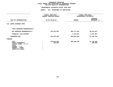|                                                                                                                                     |                | FISCAL YEAR 2015<br>CURRENT MODIFIED BUDGET | FISCAL YEAR 2016<br>DEPARTMENTAL ESTIMATES |                        |  |  |               |                                 |
|-------------------------------------------------------------------------------------------------------------------------------------|----------------|---------------------------------------------|--------------------------------------------|------------------------|--|--|---------------|---------------------------------|
| UNIT OF APPROPRIATION                                                                                                               | AS OF 02/02/15 |                                             |                                            |                        |  |  | <b>AMOUNT</b> | <b>INCREASE</b><br>DECREASE (-) |
| WASTE DISPOSAL-OTPS<br>110                                                                                                          |                |                                             |                                            |                        |  |  |               |                                 |
| TOTAL REPORTED GEOGRAPHICALLY                                                                                                       |                |                                             |                                            |                        |  |  |               |                                 |
| NOT REPORTED GEOGRAPHICALLY                                                                                                         |                | 424,103,556                                 | 482,177,593                                | 58,074,037             |  |  |               |                                 |
| FINANCIAL PLAN SAVINGS                                                                                                              |                |                                             | 3,472,667                                  | 3,472,667              |  |  |               |                                 |
| <b>APPROPRIATION</b>                                                                                                                |                | 424,103,556                                 | 485,650,260                                | 61,546,704             |  |  |               |                                 |
| FUNDING                                                                                                                             |                |                                             |                                            |                        |  |  |               |                                 |
| <b>CITY</b><br>OTHER CATEGORICAL<br>CAPITAL FUNDS - I.F.A.<br><b>STATE</b><br>FEDERAL - C.D.<br>FEDERAL - OTHER<br>INTRA-CITY SALES |                | 423,913,956<br>189,600                      | 485,650,260                                | 61,736,304<br>189,600- |  |  |               |                                 |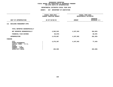|                                                                                       |                | FISCAL YEAR 2015<br>CURRENT MODIFIED BUDGET | FISCAL YEAR 2016<br>DEPARTMENTAL ESTIMATES |                                 |  |
|---------------------------------------------------------------------------------------|----------------|---------------------------------------------|--------------------------------------------|---------------------------------|--|
| UNIT OF APPROPRIATION                                                                 | AS OF 02/02/15 |                                             | <b>AMOUNT</b>                              | <b>INCREASE</b><br>DECREASE (-) |  |
| <b>BUILDING MANAGEMENT-OTPS</b><br>111                                                |                |                                             |                                            |                                 |  |
| TOTAL REPORTED GEOGRAPHICALLY                                                         |                |                                             |                                            |                                 |  |
| NOT REPORTED GEOGRAPHICALLY                                                           |                | 4,562,545                                   | 4,197,942                                  | $364,603-$                      |  |
| FINANCIAL PLAN SAVINGS                                                                |                | 82,678-                                     |                                            | 82,678                          |  |
| <b>APPROPRIATION</b>                                                                  |                | 4,479,867                                   | 4,197,942                                  | 281,925-                        |  |
| FUNDING                                                                               |                |                                             |                                            |                                 |  |
| CITY<br>OTHER CATEGORICAL<br>CAPITAL FUNDS - I.F.A.<br><b>STATE</b><br>FEDERAL - C.D. |                | 4,275,367                                   | 4,197,942                                  | $77,425-$                       |  |
| FEDERAL - OTHER<br>INTRA-CITY SALES                                                   |                | 204,500                                     |                                            | $204,500-$                      |  |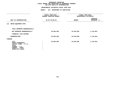|                                                                                                                                     | FISCAL YEAR 2015<br>CURRENT MODIFIED BUDGET |               | FISCAL YEAR 2016<br>DEPARTMENTAL ESTIMATES |  |  |  |
|-------------------------------------------------------------------------------------------------------------------------------------|---------------------------------------------|---------------|--------------------------------------------|--|--|--|
| UNIT OF APPROPRIATION                                                                                                               | AS OF 02/02/15                              | <b>AMOUNT</b> | <b>INCREASE</b><br>DECREASE (-)            |  |  |  |
| 112<br>MOTOR EQUIPMENT-OTPS                                                                                                         |                                             |               |                                            |  |  |  |
| TOTAL REPORTED GEOGRAPHICALLY                                                                                                       |                                             |               |                                            |  |  |  |
| NOT REPORTED GEOGRAPHICALLY                                                                                                         | 26,665,650                                  | 24,545,969    | 2,119,681-                                 |  |  |  |
| FINANCIAL PLAN SAVINGS                                                                                                              |                                             |               |                                            |  |  |  |
| <b>APPROPRIATION</b>                                                                                                                | 26,665,650                                  | 24,545,969    | 2,119,681-                                 |  |  |  |
| FUNDING                                                                                                                             |                                             |               |                                            |  |  |  |
| <b>CITY</b><br>OTHER CATEGORICAL<br>CAPITAL FUNDS - I.F.A.<br><b>STATE</b><br>FEDERAL - C.D.<br>FEDERAL - OTHER<br>INTRA-CITY SALES | 26,665,650                                  | 24,545,969    | 2,119,681-                                 |  |  |  |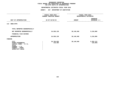|                                                                                                                              |                | FISCAL YEAR 2015<br>CURRENT MODIFIED BUDGET | FISCAL YEAR 2016<br>DEPARTMENTAL ESTIMATES |                                 |  |  |
|------------------------------------------------------------------------------------------------------------------------------|----------------|---------------------------------------------|--------------------------------------------|---------------------------------|--|--|
| UNIT OF APPROPRIATION                                                                                                        | AS OF 02/02/15 |                                             | <b>AMOUNT</b>                              | <b>INCREASE</b><br>DECREASE (-) |  |  |
| 113<br>SNOW-OTPS                                                                                                             |                |                                             |                                            |                                 |  |  |
| TOTAL REPORTED GEOGRAPHICALLY                                                                                                |                |                                             |                                            |                                 |  |  |
| NOT REPORTED GEOGRAPHICALLY                                                                                                  |                | 24,928,139                                  | 30,146,948                                 | 5,218,809                       |  |  |
| FINANCIAL PLAN SAVINGS                                                                                                       |                |                                             |                                            |                                 |  |  |
| <b>APPROPRIATION</b>                                                                                                         |                | 24,928,139                                  | 30,146,948                                 | 5,218,809                       |  |  |
| FUNDING                                                                                                                      |                |                                             |                                            |                                 |  |  |
| CITY<br>OTHER CATEGORICAL<br>CAPITAL FUNDS - I.F.A.<br><b>STATE</b><br>FEDERAL - C.D.<br>FEDERAL - OTHER<br>INTRA-CITY SALES |                | 24,794,835<br>133,304                       | 30,146,948                                 | 5,352,113<br>133,304-           |  |  |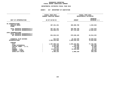## GEOGRAPHIC REPORTING<br>FISCAL REPORT AGENCYWIDE SUMMARY

# **FISCAL REPORT AGENCYWIDE SUMMARY DEPARTMENTAL ESTIMATES FISCAL YEAR <sup>2016</sup>**

### **AGENCY: <sup>827</sup> DEPARTMENT OF SANITATION**

|                               | FISCAL YEAR 2015               | FISCAL YEAR 2016 |                                 |  |  |
|-------------------------------|--------------------------------|------------------|---------------------------------|--|--|
|                               | <b>CURRENT MODIFIED BUDGET</b> |                  | DEPARTMENTAL ESTIMATES          |  |  |
|                               |                                |                  |                                 |  |  |
| UNIT OF APPROPRIATION         | AS OF 02/02/15                 | <b>AMOUNT</b>    | <b>INCREASE</b><br>DECREASE (-) |  |  |
|                               |                                |                  |                                 |  |  |
|                               |                                |                  |                                 |  |  |
| PS APPROPRIATIONS             |                                |                  |                                 |  |  |
| REGULAR GROSS                 | 407,321,431                    | 405,688,789      | 1,632,642-                      |  |  |
| <b>OTHER</b>                  |                                |                  |                                 |  |  |
| TOTAL REPORTED GEOGRAPHICALLY | 407,321,431                    | 405,688,789      | 1,632,642-                      |  |  |
| NOT REPORTED GEOGRAPHICALLY   | 453,056,576                    | 467, 119, 400    | 14,062,824                      |  |  |
|                               |                                |                  |                                 |  |  |
| OTPS APPROPRIATIONS           |                                |                  |                                 |  |  |
| TOTAL REPORTED GEOGRAPHICALLY |                                |                  |                                 |  |  |
| NOT REPORTED GEOGRAPHICALLY   | 631,634,212                    | 676,548,445      | 44,914,233                      |  |  |
|                               |                                |                  |                                 |  |  |
| FINANCIAL PLAN SAVINGS        | 522,876                        | 19,182,530       | 18,659,654                      |  |  |
| <b>APPROPRIATIONS</b>         | 1,492,535,095                  | 1,568,539,164    | 76,004,069                      |  |  |
|                               |                                |                  |                                 |  |  |
| <b>FUNDING</b>                |                                |                  |                                 |  |  |
| <b>CITY</b>                   | 1,467,680,419                  | 1,545,442,901    | 77,762,482                      |  |  |
| OTHER CATEGORICAL             | 1,446,238                      | 750,000          | 696,238-                        |  |  |
| CAPITAL FUNDS - I.F.A.        | 4,453,085                      | 4,410,196        | 42,889-                         |  |  |
| <b>STATE</b>                  | 40,915                         | 25,000           | $15,915-$                       |  |  |
| FEDERAL - C.D.                | 14,973,636                     | 14,930,908       | 42,728-                         |  |  |
| FEDERAL - OTHER               | 540,484                        |                  | 540,484-                        |  |  |
| INTRA-CITY SALES              | 3,400,318                      | 2,980,159        | 420,159-                        |  |  |
|                               |                                |                  |                                 |  |  |
|                               |                                |                  |                                 |  |  |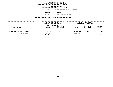**DEPARTMENTAL ESTIMATES FISCAL YEAR <sup>2016</sup>AGENCY <sup>841</sup> DEPARTMENT OF TRANSPORTATION**

**BOROUGH**

 **BRONX PROGRAM**

**HIGHWAY OPERATIONS**

**UNIT OF APPROPRIATION <sup>002</sup> HIGHWAY OPERATIONS**

|                             | FISCAL YEAR 2015                          |           | FISCAL YEAR 2016       |           |                 |  |
|-----------------------------|-------------------------------------------|-----------|------------------------|-----------|-----------------|--|
|                             | CURRENT MODIFIED BUDGET<br>AS OF 02/02/15 |           | DEPARTMENTAL ESTIMATES |           |                 |  |
|                             |                                           | FULL TIME |                        | FULL TIME | <b>INCREASE</b> |  |
| LOCAL SERVICE DISTRICT      | <b>AMOUNT</b>                             | POSITIONS | <b>AMOUNT</b>          | POSITIONS | DECREASE(-)     |  |
|                             |                                           |           |                        |           |                 |  |
| BRONX HWY + ST MAINT + OPER | 5,786,760                                 | 44        | 5,793,376              | 44        | 6,616           |  |
| PROGRAM TOTAL:              | 5,786,760                                 | 44        | 5,793,376              | 44        | 6,616           |  |
|                             |                                           |           |                        |           |                 |  |
|                             |                                           |           |                        |           |                 |  |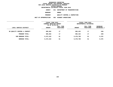**DEPARTMENTAL ESTIMATES FISCAL YEAR <sup>2016</sup>AGENCY <sup>841</sup> DEPARTMENT OF TRANSPORTATION**

**BOROUGH**

BRONX<br>QUALITY CONTROL & INSPECTION **PROGRAMQUALITY CONTROL & INSPECTION**

**UNIT OF APPROPRIATION <sup>002</sup> HIGHWAY OPERATIONS**

|                              | FISCAL YEAR 2015<br>CURRENT MODIFIED BUDGET<br>AS OF 02/02/15 |                        | FISCAL YEAR 2016<br>DEPARTMENTAL ESTIMATES |                        |                           |
|------------------------------|---------------------------------------------------------------|------------------------|--------------------------------------------|------------------------|---------------------------|
| LOCAL SERVICE DISTRICT       | <b>AMOUNT</b>                                                 | FULL TIME<br>POSITIONS | <b>AMOUNT</b>                              | FULL TIME<br>POSITIONS | INCREASE<br>$DECREASE(-)$ |
| BX QUALITY CONTROL & INSPECT | 685,662                                                       | 17                     | 685,422                                    | 17                     | $240 -$                   |
| PROGRAM TOTAL:               | 685,662                                                       | 17                     | 685,422                                    | 17                     | $240 -$                   |
| SUB BOROUGH TOTAL:           | 6,472,422                                                     | 61                     | 6,478,798                                  | 61                     | 6,376                     |
| BOROUGH TOTAL:               | 6,472,422                                                     | 61                     | 6,478,798                                  | 61                     | 6,376                     |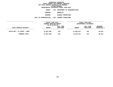**DEPARTMENTAL ESTIMATES FISCAL YEAR <sup>2016</sup>AGENCY <sup>841</sup> DEPARTMENT OF TRANSPORTATION BOROUGH**

 **BROOKLYN PROGRAM**

 **HIGHWAY OPERATIONS UNIT OF APPROPRIATION <sup>002</sup> HIGHWAY OPERATIONS**

|                             | FISCAL YEAR 2015<br>CURRENT MODIFIED BUDGET<br>AS OF 02/02/15 |                        | FISCAL YEAR 2016<br>DEPARTMENTAL ESTIMATES |                        |                                |
|-----------------------------|---------------------------------------------------------------|------------------------|--------------------------------------------|------------------------|--------------------------------|
| LOCAL SERVICE DISTRICT      | <b>AMOUNT</b>                                                 | FULL TIME<br>POSITIONS | <b>AMOUNT</b>                              | FULL TIME<br>POSITIONS | <b>INCREASE</b><br>DECREASE(-) |
| BKLYN HWY + ST MAINT + OPER | 11,987,998                                                    | 155                    | 12,026,913                                 | 155                    | 38,915                         |
| PROGRAM TOTAL:              | 11,987,998                                                    | 155                    | 12,026,913                                 | 155                    | 38,915                         |
|                             |                                                               |                        |                                            |                        |                                |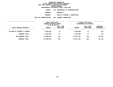**DEPARTMENTAL ESTIMATES FISCAL YEAR <sup>2016</sup>AGENCY <sup>841</sup> DEPARTMENT OF TRANSPORTATION**

**BOROUGH**

BROOKLYN<br>QUALITY CONTROL & INSPECTION **PROGRAMQUALITY CONTROL & INSPECTION**

**UNIT OF APPROPRIATION <sup>002</sup> HIGHWAY OPERATIONS**

|                              | FISCAL YEAR 2015<br>CURRENT MODIFIED BUDGET<br>AS OF 02/02/15 |                        | FISCAL YEAR 2016<br>DEPARTMENTAL ESTIMATES |                               |                           |
|------------------------------|---------------------------------------------------------------|------------------------|--------------------------------------------|-------------------------------|---------------------------|
| LOCAL SERVICE DISTRICT       | <b>AMOUNT</b>                                                 | FULL TIME<br>POSITIONS | <b>AMOUNT</b>                              | FULL TIME<br><b>POSITIONS</b> | INCREASE<br>$DECREASE(-)$ |
| BK QUALITY CONTROL & INSPECT | 1,020,855                                                     | 27                     | 1,020,688                                  | 27                            | $167 -$                   |
| PROGRAM TOTAL:               | 1,020,855                                                     | 27                     | 1,020,688                                  | 27                            | $167 -$                   |
| SUB BOROUGH TOTAL:           | 13,008,853                                                    | 182                    | 13,047,601                                 | 182                           | 38,748                    |
| <b>BOROUGH TOTAL:</b>        | 13,008,853                                                    | 182                    | 13,047,601                                 | 182                           | 38,748                    |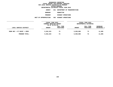**DEPARTMENTAL ESTIMATES FISCAL YEAR <sup>2016</sup>AGENCY <sup>841</sup> DEPARTMENT OF TRANSPORTATION**

**BOROUGH**

**MANHATTAN<br>HIGHWAY OPERATIONS** 

**PROGRAM**

 **HIGHWAY OPERATIONS UNIT OF APPROPRIATION <sup>002</sup> HIGHWAY OPERATIONS**

|                            | FISCAL YEAR 2015<br>CURRENT MODIFIED BUDGET<br>AS OF 02/02/15 |                        | FISCAL YEAR 2016<br>DEPARTMENTAL ESTIMATES |                        |                                |
|----------------------------|---------------------------------------------------------------|------------------------|--------------------------------------------|------------------------|--------------------------------|
| LOCAL SERVICE DISTRICT     | <b>AMOUNT</b>                                                 | FULL TIME<br>POSITIONS | <b>AMOUNT</b>                              | FULL TIME<br>POSITIONS | <b>INCREASE</b><br>DECREASE(-) |
| MANH HWY + ST MAINT + OPER | 5,018,323                                                     | 73                     | 5,030,008                                  | 73                     | 11,685                         |
| PROGRAM TOTAL:             | 5,018,323                                                     | 73                     | 5,030,008                                  | 73                     | 11,685                         |
|                            |                                                               |                        |                                            |                        |                                |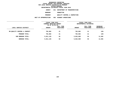**DEPARTMENTAL ESTIMATES FISCAL YEAR <sup>2016</sup>AGENCY <sup>841</sup> DEPARTMENT OF TRANSPORTATION**

**BOROUGH**

**MANHATTAN<br>QUALITY CONTROL & INSPECTION PROGRAM**

 **QUALITY CONTROL & INSPECTION UNIT OF APPROPRIATION <sup>002</sup> HIGHWAY OPERATIONS**

|                              | FISCAL YEAR 2015<br>CURRENT MODIFIED BUDGET<br>AS OF 02/02/15 |                        | FISCAL YEAR 2016<br>DEPARTMENTAL ESTIMATES |                        |                         |
|------------------------------|---------------------------------------------------------------|------------------------|--------------------------------------------|------------------------|-------------------------|
| LOCAL SERVICE DISTRICT       | <b>AMOUNT</b>                                                 | FULL TIME<br>POSITIONS | <b>AMOUNT</b>                              | FULL TIME<br>POSITIONS | INCREASE<br>DECREASE(-) |
| MN QUALITY CONTROL & INSPECT | 792,802                                                       | 21                     | 792,682                                    | 21                     | $120 -$                 |
| PROGRAM TOTAL:               | 792,802                                                       | 21                     | 792,682                                    | 21                     | $120 -$                 |
| SUB BOROUGH TOTAL:           | 5,811,125                                                     | 94                     | 5,822,690                                  | 94                     | 11,565                  |
| BOROUGH TOTAL:               | 5,811,125                                                     | 94                     | 5,822,690                                  | 94                     | 11,565                  |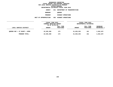**DEPARTMENTAL ESTIMATES FISCAL YEAR <sup>2016</sup>AGENCY <sup>841</sup> DEPARTMENT OF TRANSPORTATION**

**BOROUGH**

QUEENS<br>HIGHWAY OPERATIONS **PROGRAM**

 **HIGHWAY OPERATIONS UNIT OF APPROPRIATION <sup>002</sup> HIGHWAY OPERATIONS**

|                              | FISCAL YEAR 2015<br>CURRENT MODIFIED BUDGET<br>AS OF 02/02/15 |                        | FISCAL YEAR 2016<br>DEPARTMENTAL ESTIMATES |                        |                                |
|------------------------------|---------------------------------------------------------------|------------------------|--------------------------------------------|------------------------|--------------------------------|
| LOCAL SERVICE DISTRICT       | <b>AMOUNT</b>                                                 | FULL TIME<br>POSITIONS | <b>AMOUNT</b>                              | FULL TIME<br>POSITIONS | <b>INCREASE</b><br>DECREASE(-) |
| QUEENS HWY + ST MAINT + OPER | 22,635,360                                                    | 173                    | 21,625,253                                 | 161                    | 1,010,107-                     |
| PROGRAM TOTAL:               | 22,635,360                                                    | 173                    | 21,625,253                                 | 161                    | 1,010,107-                     |
|                              |                                                               |                        |                                            |                        |                                |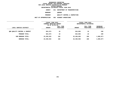**DEPARTMENTAL ESTIMATES FISCAL YEAR <sup>2016</sup>AGENCY <sup>841</sup> DEPARTMENT OF TRANSPORTATION**

**BOROUGH**

QUEENS<br>QUALITY CONTROL & INSPECTION **PROGRAMQUALITY CONTROL & INSPECTION**

**UNIT OF APPROPRIATION <sup>002</sup> HIGHWAY OPERATIONS**

| FISCAL YEAR 2015<br>CURRENT MODIFIED BUDGET |                        | FISCAL YEAR 2016<br>DEPARTMENTAL ESTIMATES |                        |                           |
|---------------------------------------------|------------------------|--------------------------------------------|------------------------|---------------------------|
| <b>AMOUNT</b>                               | FULL TIME<br>POSITIONS | <b>AMOUNT</b>                              | FULL TIME<br>POSITIONS | INCREASE<br>$DECREASE(-)$ |
| 824,573                                     | 19                     | 824,803                                    | 19                     | 230                       |
| 824,573                                     | 19                     | 824,803                                    | 19                     | 230                       |
| 23,459,933                                  | 192                    | 22,450,056                                 | 180                    | 1,009,877-                |
| 23,459,933                                  | 192                    | 22,450,056                                 | 180                    | 1,009,877-                |
|                                             |                        | AS OF 02/02/15                             |                        |                           |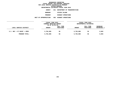|  |                       | DEPARTMENTAL ESTIMATES FISCAL YEAR 2016 |
|--|-----------------------|-----------------------------------------|
|  | <b>AGENCY</b>         | 841 DEPARTMENT OF TRANSPORTATION        |
|  | <b>BOROUGH</b>        | STATEN ISLAND                           |
|  | <b>PROGRAM</b>        | <b>HIGHWAY OPERATIONS</b>               |
|  | UNIT OF APPROPRIATION | 002 HIGHWAY OPERATIONS                  |
|  |                       |                                         |

|                            | FISCAL YEAR 2015        |           | FISCAL YEAR 2016 |                        |                 |  |
|----------------------------|-------------------------|-----------|------------------|------------------------|-----------------|--|
|                            | CURRENT MODIFIED BUDGET |           |                  | DEPARTMENTAL ESTIMATES |                 |  |
|                            | AS OF 02/02/15          |           |                  |                        |                 |  |
|                            |                         | FULL TIME |                  | FULL TIME              | <b>INCREASE</b> |  |
| LOCAL SERVICE DISTRICT     | <b>AMOUNT</b>           | POSITIONS | <b>AMOUNT</b>    | POSITIONS              | DECREASE(-)     |  |
|                            |                         |           |                  |                        |                 |  |
| S.I. HWY + ST MAINT + OPER | 5,784,085               | 56        | 5,793,088        | 56                     | 9,003           |  |
|                            |                         |           |                  |                        |                 |  |
| PROGRAM TOTAL:             | 5,784,085               | 56        | 5,793,088        | 56                     | 9,003           |  |
|                            |                         |           |                  |                        |                 |  |
|                            |                         |           |                  |                        |                 |  |
|                            |                         |           |                  |                        |                 |  |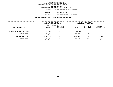|  |                       | DEPARTMENTAL ESTIMATES FISCAL YEAR 2016 |
|--|-----------------------|-----------------------------------------|
|  | AGENCY                | 841 DEPARTMENT OF TRANSPORTATION        |
|  | <b>BOROUGH</b>        | STATEN ISLAND                           |
|  | <b>PROGRAM</b>        | OUALITY CONTROL & INSPECTION            |
|  | UNIT OF APPROPRIATION | 002 HIGHWAY OPERATIONS                  |
|  |                       |                                         |

|                              | FISCAL YEAR 2015<br>CURRENT MODIFIED BUDGET<br>AS OF 02/02/15 |                        | FISCAL YEAR 2016<br>DEPARTMENTAL ESTIMATES |                        |                                |
|------------------------------|---------------------------------------------------------------|------------------------|--------------------------------------------|------------------------|--------------------------------|
| LOCAL SERVICE DISTRICT       | <b>AMOUNT</b>                                                 | FULL TIME<br>POSITIONS | <b>AMOUNT</b>                              | FULL TIME<br>POSITIONS | INCREASE<br><b>DECREASE(-)</b> |
| SI QUALITY CONTROL & INSPECT | 749,653                                                       | 18                     | 749,714                                    | 18                     | 61                             |
| PROGRAM TOTAL:               | 749,653                                                       | 18                     | 749,714                                    | 18                     | 61                             |
| SUB BOROUGH TOTAL:           | 6,533,738                                                     | 74                     | 6,542,802                                  | 74                     | 9,064                          |
| <b>BOROUGH TOTAL:</b>        | 6,533,738                                                     | 74                     | 6,542,802                                  | 74                     | 9,064                          |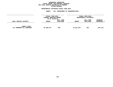## GEOGRAPHIC REPORTING<br>FISCAL REPORT FOR PERSONAL SERVICES<br>OCAL SERVICE DISTRICTS BY PROGRAM<br>WITHIN BOROUGH **FISCAL REPORT FOR PERSONAL SERVICES FOR LOCAL SERVICE DISTRICTS BY PROGRAM**

# **WITHIN BOROUGH DEPARTMENTAL ESTIMATES FISCAL YEAR <sup>2016</sup>**

|                                                   | <b>AGENCY</b>                                                 | 841<br>DEPARTMENT OF TRANSPORTATION |                                            |                        |                         |
|---------------------------------------------------|---------------------------------------------------------------|-------------------------------------|--------------------------------------------|------------------------|-------------------------|
|                                                   | FISCAL YEAR 2015<br>CURRENT MODIFIED BUDGET<br>AS OF 02/02/15 |                                     | FISCAL YEAR 2016<br>DEPARTMENTAL ESTIMATES |                        |                         |
| LOCAL SERVICE DISTRICT                            | <b>AMOUNT</b>                                                 | FULL TIME<br>POSITIONS              | <b>AMOUNT</b>                              | FULL TIME<br>POSITIONS | INCREASE<br>DECREASE(-) |
| <b>AGENCY TOTAL:</b><br>ALL PROGRAMS ALL BOROUGHS | 55,286,071                                                    | 603                                 | 54,341,947                                 | 591                    | 944,124-                |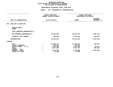### **DEPARTMENTAL ESTIMATES FISCAL YEAR 2016**

|                                                            | FISCAL YEAR 2015<br>CURRENT MODIFIED BUDGET | FISCAL YEAR 2016<br>DEPARTMENTAL ESTIMATES |                                 |  |
|------------------------------------------------------------|---------------------------------------------|--------------------------------------------|---------------------------------|--|
| UNIT OF APPROPRIATION                                      | AS OF 02/02/15                              | <b>AMOUNT</b>                              | <b>INCREASE</b><br>DECREASE (-) |  |
| 001<br>EXEC ADM & PLANN MGT.                               |                                             |                                            |                                 |  |
| REGULAR GROSS<br><b>OTHER</b>                              |                                             |                                            |                                 |  |
| TOTAL REPORTED GEOGRAPHICALLY                              |                                             |                                            |                                 |  |
| NOT REPORTED GEOGRAPHICALLY                                | 45,660,692                                  | 43,079,570                                 | 2,581,122-                      |  |
| FINANCIAL PLAN SAVINGS                                     | 565,500                                     | 1,023,823                                  | 458,323                         |  |
| <b>APPROPRIATION</b>                                       | 46,226,192                                  | 44,103,393                                 | 2,122,799-                      |  |
| <b>FUNDING</b>                                             |                                             |                                            |                                 |  |
| <b>CITY</b><br>OTHER CATEGORICAL<br>CAPITAL FUNDS - I.F.A. | 30,498,171<br>210,632<br>4,297,585          | 31, 181, 216<br>210,632<br>4,337,462       | 683,045<br>39,877               |  |
| <b>STATE</b><br>FEDERAL - C.D.                             | 5,571,468                                   | 5,012,703                                  | 558,765-                        |  |
| FEDERAL - OTHER<br>INTRA-CITY SALES                        | 5,636,836<br>11,500                         | 3,349,880<br>11,500                        | 2,286,956-                      |  |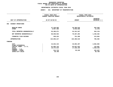### **GEOGRAPHIC REPORTINGFISCAL REPORT FOR AGENCYWIDE BY PROGRAM FOR PS UNITS OF APPROPRIATION**<br>DEPARTMENTAL ESTIMATES FISCAL YEAR 2016

| <b>CURRENT MODIFIED BUDGET</b><br>AS OF 02/02/15 | DEPARTMENTAL ESTIMATES  |                                 |
|--------------------------------------------------|-------------------------|---------------------------------|
|                                                  |                         |                                 |
|                                                  | <b>AMOUNT</b>           | <b>INCREASE</b><br>DECREASE (-) |
|                                                  |                         |                                 |
| 47,228,665<br>8,057,406                          | 46,296,019<br>8,045,928 | 932,646-<br>11,478-             |
| 55,286,071                                       | 54,341,947              | 944,124-                        |
| 68,830,922                                       | 70,267,284              | 1,436,362                       |
| 538,224                                          | 751,288                 | 213,064                         |
| 124,655,217                                      | 125,360,519             | 705,302                         |
|                                                  |                         |                                 |
| 43,832,415                                       | 45,894,497              | 2,062,082                       |
| 61,893,742                                       | 62,037,623              | 143,881                         |
| 18,374,644                                       | 17,336,150              | 1,038,494-                      |
|                                                  |                         |                                 |
| 514,716                                          |                         | $422, 467 -$                    |
|                                                  |                         | $39,700 -$                      |
|                                                  | 39,700                  | 92,249                          |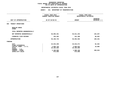### **DEPARTMENTAL ESTIMATES FISCAL YEAR 2016**

|                                  | FISCAL YEAR 2015<br>CURRENT MODIFIED BUDGET |                          | FISCAL YEAR 2016<br>DEPARTMENTAL ESTIMATES       |  |  |
|----------------------------------|---------------------------------------------|--------------------------|--------------------------------------------------|--|--|
| UNIT OF APPROPRIATION            | AS OF 02/02/15                              |                          | <b>INCREASE</b><br><b>AMOUNT</b><br>DECREASE (-) |  |  |
| TRANSIT OPERATIONS<br>003        |                                             |                          |                                                  |  |  |
| REGULAR GROSS<br><b>OTHER</b>    |                                             |                          |                                                  |  |  |
| TOTAL REPORTED GEOGRAPHICALLY    |                                             |                          |                                                  |  |  |
| NOT REPORTED GEOGRAPHICALLY      |                                             | 56,005,461<br>55,811,254 | $194,207-$                                       |  |  |
| FINANCIAL PLAN SAVINGS           |                                             | 155,282                  | 241,308<br>86,026                                |  |  |
| <b>APPROPRIATION</b>             |                                             | 56,160,743<br>56,052,562 | $108, 181 -$                                     |  |  |
| FUNDING                          |                                             |                          |                                                  |  |  |
| <b>CITY</b><br>OTHER CATEGORICAL |                                             | 25,934,208<br>26,016,571 | 82,363                                           |  |  |
| CAPITAL FUNDS - I.F.A.           |                                             | 2,056,735                | 2,066,823<br>10,088                              |  |  |
| <b>STATE</b><br>FEDERAL - C.D.   |                                             | 25,305,000<br>25,305,000 |                                                  |  |  |
| FEDERAL - OTHER                  |                                             | 2,189,800                | 1,989,168<br>$200,632-$                          |  |  |
| INTRA-CITY SALES                 |                                             | 675,000                  | 675,000                                          |  |  |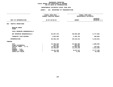## **GEOGRAPHIC REPORTINGFISCAL REPORT FOR AGENCYWIDE BY PROGRAM**

# **FOR PS UNITS OF APPROPRIATION**<br>DEPARTMENTAL ESTIMATES FISCAL YEAR 2016

|                                        | FISCAL YEAR 2015<br>CURRENT MODIFIED BUDGET | FISCAL YEAR 2016<br>DEPARTMENTAL ESTIMATES |                                 |  |
|----------------------------------------|---------------------------------------------|--------------------------------------------|---------------------------------|--|
| UNIT OF APPROPRIATION                  | AS OF 02/02/15                              | <b>AMOUNT</b>                              | <b>INCREASE</b><br>DECREASE (-) |  |
| TRAFFIC OPERATIONS<br>004              |                                             |                                            |                                 |  |
| REGULAR GROSS<br><b>OTHER</b>          |                                             |                                            |                                 |  |
| TOTAL REPORTED GEOGRAPHICALLY          |                                             |                                            |                                 |  |
| NOT REPORTED GEOGRAPHICALLY            | 94,837,470                                  | 88,059,489                                 | $6,777,981 -$                   |  |
| FINANCIAL PLAN SAVINGS                 | 1,692,665                                   | 2,150,725                                  | 458,060                         |  |
| <b>APPROPRIATION</b>                   | 96,530,135                                  | 90,210,214                                 | $6,319,921-$                    |  |
| FUNDING                                |                                             |                                            |                                 |  |
| <b>CITY</b><br>OTHER CATEGORICAL       | 53,706,620<br>963,507                       | 55,596,503<br>963,507                      | 1,889,883                       |  |
| CAPITAL FUNDS - I.F.A.<br><b>STATE</b> | 13,551,399                                  | 13,695,666                                 | 144,267<br>1,512,458-           |  |
| FEDERAL - C.D.                         |                                             |                                            |                                 |  |
| FEDERAL - OTHER                        | 15,451,266                                  | 8,674,111                                  | $6,777,155-$<br>64,458-         |  |
| INTRA-CITY SALES                       | 12,788,607<br>68,736                        | 11,276,149<br>4,278                        |                                 |  |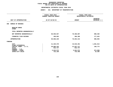## **GEOGRAPHIC REPORTINGFISCAL REPORT FOR AGENCYWIDE BY PROGRAM**

# **FOR PS UNITS OF APPROPRIATION**<br>DEPARTMENTAL ESTIMATES FISCAL YEAR 2016

|                                   | FISCAL YEAR 2015<br>CURRENT MODIFIED BUDGET |                        | FISCAL YEAR 2016<br>DEPARTMENTAL ESTIMATES |  |  |
|-----------------------------------|---------------------------------------------|------------------------|--------------------------------------------|--|--|
| UNIT OF APPROPRIATION             | AS OF 02/02/15                              | <b>AMOUNT</b>          | <b>INCREASE</b><br>DECREASE (-)            |  |  |
| <b>BUREAU OF BRIDGES</b><br>006   |                                             |                        |                                            |  |  |
| REGULAR GROSS<br><b>OTHER</b>     |                                             |                        |                                            |  |  |
| TOTAL REPORTED GEOGRAPHICALLY     |                                             |                        |                                            |  |  |
| NOT REPORTED GEOGRAPHICALLY       | 69,559,557                                  | 70,368,007             | 808,450                                    |  |  |
| FINANCIAL PLAN SAVINGS            |                                             | 108,663<br>286,306     | 177,643                                    |  |  |
| <b>APPROPRIATION</b>              | 69,668,220                                  | 70,654,313             | 986,093                                    |  |  |
| FUNDING                           |                                             |                        |                                            |  |  |
| <b>CITY</b><br>OTHER CATEGORICAL  | 41,329,378                                  | 43,010,391             | 1,681,013                                  |  |  |
| CAPITAL FUNDS - I.F.A.            | 20,868,343                                  | 21,037,117             | 168,774                                    |  |  |
| <b>STATE</b>                      |                                             | 832,737<br>832,737     |                                            |  |  |
| FEDERAL - C.D.<br>FEDERAL - OTHER |                                             | 5,915,572<br>5,041,572 | $874,000 -$                                |  |  |
| INTRA-CITY SALES                  |                                             | 722,190<br>732,496     | 10,306                                     |  |  |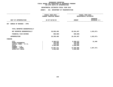|                                                                                                                                     |                | FISCAL YEAR 2015<br>CURRENT MODIFIED BUDGET                             | FISCAL YEAR 2016<br>DEPARTMENTAL ESTIMATES                              |                                 |  |
|-------------------------------------------------------------------------------------------------------------------------------------|----------------|-------------------------------------------------------------------------|-------------------------------------------------------------------------|---------------------------------|--|
| UNIT OF APPROPRIATION                                                                                                               | AS OF 02/02/15 |                                                                         | <b>AMOUNT</b>                                                           | <b>INCREASE</b><br>DECREASE (-) |  |
| BUREAU OF BRIDGES - OTPS<br>007                                                                                                     |                |                                                                         |                                                                         |                                 |  |
| TOTAL REPORTED GEOGRAPHICALLY                                                                                                       |                |                                                                         |                                                                         |                                 |  |
| NOT REPORTED GEOGRAPHICALLY                                                                                                         |                | 28,850,468                                                              | 26,934,497                                                              | 1,915,971-                      |  |
| FINANCIAL PLAN SAVINGS                                                                                                              |                | $500,000 -$                                                             | $500,000 -$                                                             |                                 |  |
| <b>APPROPRIATION</b>                                                                                                                |                | 28,350,468                                                              | 26,434,497                                                              | 1,915,971-                      |  |
| FUNDING                                                                                                                             |                |                                                                         |                                                                         |                                 |  |
| <b>CITY</b><br>OTHER CATEGORICAL<br>CAPITAL FUNDS - I.F.A.<br><b>STATE</b><br>FEDERAL - C.D.<br>FEDERAL - OTHER<br>INTRA-CITY SALES |                | 8,368,072<br>125,000<br>370,025<br>4,500,000<br>13,967,371<br>1,020,000 | 8,399,472<br>125,000<br>370,025<br>4,500,000<br>12,020,000<br>1,020,000 | 31,400<br>1,947,371-            |  |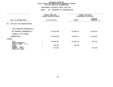|                                                                                                                              |                | FISCAL YEAR 2015<br>CURRENT MODIFIED BUDGET | FISCAL YEAR 2016<br>DEPARTMENTAL ESTIMATES |                                 |  |
|------------------------------------------------------------------------------------------------------------------------------|----------------|---------------------------------------------|--------------------------------------------|---------------------------------|--|
| UNIT OF APPROPRIATION                                                                                                        | AS OF 02/02/15 |                                             | <b>AMOUNT</b>                              | <b>INCREASE</b><br>DECREASE (-) |  |
| OTPS-EXEC AND ADMINISTRATION<br>011                                                                                          |                |                                             |                                            |                                 |  |
| TOTAL REPORTED GEOGRAPHICALLY                                                                                                |                |                                             |                                            |                                 |  |
| NOT REPORTED GEOGRAPHICALLY                                                                                                  |                | 45,665,068                                  | 44,080,571                                 | 1,584,497-                      |  |
| FINANCIAL PLAN SAVINGS                                                                                                       |                |                                             |                                            |                                 |  |
| <b>APPROPRIATION</b>                                                                                                         |                | 45,665,068                                  | 44,080,571                                 | 1,584,497-                      |  |
| FUNDING                                                                                                                      |                |                                             |                                            |                                 |  |
| CITY<br>OTHER CATEGORICAL<br>CAPITAL FUNDS - I.F.A.<br><b>STATE</b><br>FEDERAL - C.D.<br>FEDERAL - OTHER<br>INTRA-CITY SALES |                | 44,050,657<br>796,829<br>817,582            | 43,283,742<br>796,829                      | $766, 915 -$<br>817,582-        |  |
|                                                                                                                              |                |                                             |                                            |                                 |  |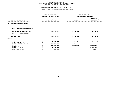|                                                     |                | FISCAL YEAR 2015<br>CURRENT MODIFIED BUDGET | FISCAL YEAR 2016<br>DEPARTMENTAL ESTIMATES |                                 |  |
|-----------------------------------------------------|----------------|---------------------------------------------|--------------------------------------------|---------------------------------|--|
| UNIT OF APPROPRIATION                               | AS OF 02/02/15 |                                             | <b>AMOUNT</b>                              | <b>INCREASE</b><br>DECREASE (-) |  |
| OTPS-HIGHWAY OPERATIONS<br>012                      |                |                                             |                                            |                                 |  |
| TOTAL REPORTED GEOGRAPHICALLY                       |                |                                             |                                            |                                 |  |
| NOT REPORTED GEOGRAPHICALLY                         |                | 106,611,307                                 | 85,218,626                                 | 21,392,681-                     |  |
| FINANCIAL PLAN SAVINGS                              |                |                                             |                                            |                                 |  |
| <b>APPROPRIATION</b>                                |                | 106,611,307                                 | 85,218,626                                 | 21,392,681-                     |  |
| FUNDING                                             |                |                                             |                                            |                                 |  |
| CITY<br>OTHER CATEGORICAL<br>CAPITAL FUNDS - I.F.A. |                | 9,205,188<br>72,751,180                     | 7,857,991<br>72,751,180                    | 1,347,197-                      |  |
| <b>STATE</b>                                        |                | 20,695,265                                  | 4,609,455                                  | 16,085,810-                     |  |
| FEDERAL - C.D.                                      |                |                                             |                                            |                                 |  |
| FEDERAL - OTHER                                     |                | 3,948,498                                   |                                            | 3,948,498-                      |  |
| INTRA-CITY SALES                                    |                | 11,176                                      |                                            | 11,176-                         |  |
|                                                     |                |                                             |                                            |                                 |  |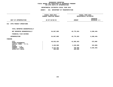|                                                     |                | FISCAL YEAR 2015<br>CURRENT MODIFIED BUDGET | FISCAL YEAR 2016<br>DEPARTMENTAL ESTIMATES |                                 |  |  |
|-----------------------------------------------------|----------------|---------------------------------------------|--------------------------------------------|---------------------------------|--|--|
| UNIT OF APPROPRIATION                               | AS OF 02/02/15 |                                             | <b>AMOUNT</b>                              | <b>INCREASE</b><br>DECREASE (-) |  |  |
| OTPS-TRANSIT OPERATIONS<br>013                      |                |                                             |                                            |                                 |  |  |
| TOTAL REPORTED GEOGRAPHICALLY                       |                |                                             |                                            |                                 |  |  |
| NOT REPORTED GEOGRAPHICALLY                         |                | 54,067,809                                  | 45,779,363                                 | $8,288,446-$                    |  |  |
| FINANCIAL PLAN SAVINGS                              |                |                                             |                                            |                                 |  |  |
| <b>APPROPRIATION</b>                                |                | 54,067,809                                  | 45,779,363                                 | 8,288,446-                      |  |  |
| FUNDING                                             |                |                                             |                                            |                                 |  |  |
| CITY<br>OTHER CATEGORICAL<br>CAPITAL FUNDS - I.F.A. |                | 40,933,454                                  | 41,505,463                                 | 572,009                         |  |  |
| <b>STATE</b><br>FEDERAL - C.D.                      |                | 3,420,900                                   | 3,105,900                                  | $315,000 -$                     |  |  |
| FEDERAL - OTHER<br>INTRA-CITY SALES                 |                | 9,313,455<br>400,000                        | 768,000<br>400,000                         | 8,545,455-                      |  |  |
|                                                     |                |                                             |                                            |                                 |  |  |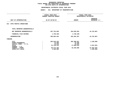|                                                                                                                                     |                | FISCAL YEAR 2015<br>CURRENT MODIFIED BUDGET                              | FISCAL YEAR 2016<br>DEPARTMENTAL ESTIMATES                  |                                                       |  |
|-------------------------------------------------------------------------------------------------------------------------------------|----------------|--------------------------------------------------------------------------|-------------------------------------------------------------|-------------------------------------------------------|--|
| UNIT OF APPROPRIATION                                                                                                               | AS OF 02/02/15 |                                                                          | <b>AMOUNT</b>                                               | <b>INCREASE</b><br>DECREASE (-)                       |  |
| OTPS-TRAFFIC OPERATIONS<br>014                                                                                                      |                |                                                                          |                                                             |                                                       |  |
| TOTAL REPORTED GEOGRAPHICALLY                                                                                                       |                |                                                                          |                                                             |                                                       |  |
| NOT REPORTED GEOGRAPHICALLY                                                                                                         |                | 297,752,650                                                              | 254,030,563                                                 | 43,722,087-                                           |  |
| FINANCIAL PLAN SAVINGS                                                                                                              |                | 1,748,196-                                                               | 1,748,196-                                                  |                                                       |  |
| <b>APPROPRIATION</b>                                                                                                                |                | 296,004,454                                                              | 252,282,367                                                 | 43,722,087-                                           |  |
| FUNDING                                                                                                                             |                |                                                                          |                                                             |                                                       |  |
| <b>CITY</b><br>OTHER CATEGORICAL<br>CAPITAL FUNDS - I.F.A.<br><b>STATE</b><br>FEDERAL - C.D.<br>FEDERAL - OTHER<br>INTRA-CITY SALES |                | 203,519,153<br>72,446<br>70,250<br>21,730,115<br>69,273,105<br>1,339,385 | 202,390,557<br>72,446<br>70,250<br>17,508,534<br>32,240,580 | 1,128,596-<br>4,221,581-<br>37,032,525-<br>1,339,385- |  |
|                                                                                                                                     |                |                                                                          |                                                             |                                                       |  |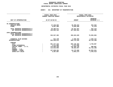## GEOGRAPHIC REPORTING<br>FISCAL REPORT AGENCYWIDE SUMMARY

# **FISCAL REPORT AGENCYWIDE SUMMARY DEPARTMENTAL ESTIMATES FISCAL YEAR <sup>2016</sup>**

### **AGENCY: <sup>841</sup> DEPARTMENT OF TRANSPORTATION**

|                                                              | FISCAL YEAR 2015<br><b>CURRENT MODIFIED BUDGET</b> | FISCAL YEAR 2016<br>DEPARTMENTAL ESTIMATES |                                 |  |
|--------------------------------------------------------------|----------------------------------------------------|--------------------------------------------|---------------------------------|--|
| UNIT OF APPROPRIATION                                        | AS OF 02/02/15                                     | <b>AMOUNT</b>                              | <b>INCREASE</b><br>DECREASE (-) |  |
| PS APPROPRIATIONS                                            |                                                    |                                            |                                 |  |
| REGULAR GROSS<br><b>OTHER</b>                                | 47,228,665<br>8,057,406                            | 46,296,019<br>8,045,928                    | $932,646 -$<br>11,478-          |  |
| TOTAL REPORTED GEOGRAPHICALLY<br>NOT REPORTED GEOGRAPHICALLY | 55,286,071<br>334,894,102                          | 54,341,947<br>327,585,604                  | 944,124-<br>7,308,498-          |  |
| OTPS APPROPRIATIONS<br>TOTAL REPORTED GEOGRAPHICALLY         |                                                    |                                            |                                 |  |
| NOT REPORTED GEOGRAPHICALLY                                  | 532,947,302                                        | 456,043,620                                | 76,903,682-                     |  |
| FINANCIAL PLAN SAVINGS<br><b>APPROPRIATIONS</b>              | 812,138<br>923, 939, 613                           | 2,205,254<br>840,176,425                   | 1,393,116<br>83,763,188-        |  |
| FUNDING                                                      |                                                    |                                            |                                 |  |
| CITY<br>OTHER CATEGORICAL                                    | 501,377,316<br>1,371,585                           | 505,136,403<br>1,371,585                   | 3,759,087                       |  |
| CAPITAL FUNDS - I.F.A.                                       | 175,859,259                                        | 176,366,146                                | 506,887                         |  |
| <b>STATE</b><br>FEDERAL - C.D.                               | 114,015,565                                        | 90,283,457                                 | 23,732,108-                     |  |
| FEDERAL - OTHER                                              | 127,028,201                                        | 64,175,560                                 | 62,852,641-                     |  |
| INTRA-CITY SALES                                             | 4,287,687                                          | 2,843,274                                  | 1,444,413-                      |  |
|                                                              |                                                    |                                            |                                 |  |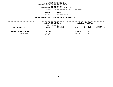**DEPARTMENTAL ESTIMATES FISCAL YEAR <sup>2016</sup>AGENCY <sup>846</sup> DEPARTMENT OF PARKS AND RECREATION**

**BOROUGH**

BRONX<br>FACILITY REPAIR SHOPS **PROGRAM**

 **FACILITY REPAIR SHOPS UNIT OF APPROPRIATION <sup>002</sup> MAINTENANCE & OPERATIONS**

|                            | FISCAL YEAR 2015<br>CURRENT MODIFIED BUDGET<br>AS OF 02/02/15 |                        |               | FISCAL YEAR 2016<br>DEPARTMENTAL ESTIMATES |                                |
|----------------------------|---------------------------------------------------------------|------------------------|---------------|--------------------------------------------|--------------------------------|
| LOCAL SERVICE DISTRICT     | <b>AMOUNT</b>                                                 | FULL TIME<br>POSITIONS | <b>AMOUNT</b> | FULL TIME<br>POSITIONS                     | INCREASE<br><b>DECREASE(-)</b> |
| BX FACILITY REPAIR SHOP/TS | 2,359,484                                                     | 29                     | 2,359,484     | 29                                         |                                |
| PROGRAM TOTAL:             | 2,359,484                                                     | 29                     | 2,359,484     | 29                                         |                                |
|                            |                                                               |                        |               |                                            |                                |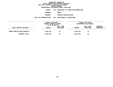**DEPARTMENTAL ESTIMATES FISCAL YEAR <sup>2016</sup>AGENCY <sup>846</sup> DEPARTMENT OF PARKS AND RECREATION**

**BOROUGH**

BRONX<br>FORESTRY/HORTICULTURE **PROGRAM**

**M** FORESTRY/HORTICULTURE<br>N 002 MAINTENANCE & OPERATI **UNIT OF APPROPRIATION <sup>002</sup> MAINTENANCE & OPERATIONS**

|                             | FISCAL YEAR 2015<br>CURRENT MODIFIED BUDGET<br>AS OF 02/02/15 |           | FISCAL YEAR 2016<br>DEPARTMENTAL ESTIMATES |           |                 |
|-----------------------------|---------------------------------------------------------------|-----------|--------------------------------------------|-----------|-----------------|
|                             |                                                               |           |                                            |           |                 |
|                             |                                                               |           |                                            |           |                 |
|                             | FULL TIME                                                     |           |                                            | FULL TIME | <b>INCREASE</b> |
| LOCAL SERVICE DISTRICT      | <b>AMOUNT</b>                                                 | POSITIONS | <b>AMOUNT</b>                              | POSITIONS | DECREASE(-)     |
|                             |                                                               |           |                                            |           |                 |
| BRONX HORTICULTURE/FORESTRY | 1,092,246                                                     | 16        | 1,092,246                                  | 16        |                 |
| PROGRAM TOTAL:              | 1,092,246                                                     | 16        | 1,092,246                                  | 16        |                 |
|                             |                                                               |           |                                            |           |                 |
|                             |                                                               |           |                                            |           |                 |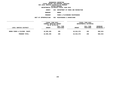**DEPARTMENTAL ESTIMATES FISCAL YEAR <sup>2016</sup>AGENCY <sup>846</sup> DEPARTMENT OF PARKS AND RECREATION**

**BOROUGH**

BRONX<br>PARKS & PLAYGROUND MAINTENANCE **PROGRAM**

 **PARKS & PLAYGROUND MAINTENANCE UNIT OF APPROPRIATION <sup>002</sup> MAINTENANCE & OPERATIONS**

|                               | FISCAL YEAR 2015<br>CURRENT MODIFIED BUDGET<br>AS OF 02/02/15 |                        | FISCAL YEAR 2016<br>DEPARTMENTAL ESTIMATES |                        |                                |
|-------------------------------|---------------------------------------------------------------|------------------------|--------------------------------------------|------------------------|--------------------------------|
| LOCAL SERVICE DISTRICT        | <b>AMOUNT</b>                                                 | FULL TIME<br>POSITIONS | <b>AMOUNT</b>                              | FULL TIME<br>POSITIONS | <b>INCREASE</b><br>DECREASE(-) |
| BRONX PARKS & PLAYGDS. MAINT. | 18,985,495                                                    | 295                    | 18,016,576                                 | 295                    | $968,919-$                     |
| PROGRAM TOTAL:                | 18,985,495                                                    | 295                    | 18,016,576                                 | 295                    | $968,919-$                     |
|                               |                                                               |                        |                                            |                        |                                |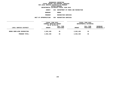**DEPARTMENTAL ESTIMATES FISCAL YEAR <sup>2016</sup>AGENCY <sup>846</sup> DEPARTMENT OF PARKS AND RECREATION**

**BOROUGH**

BRONX<br>RECREATION SERVICES **PROGRAM**

**M** RECREATION SERVICES<br>N 004 RECREATION SERVICES **UNIT OF APPROPRIATION <sup>004</sup> RECREATION SERVICES**

|                            | FISCAL YEAR 2015<br>CURRENT MODIFIED BUDGET<br>AS OF 02/02/15 |                        |               | FISCAL YEAR 2016<br>DEPARTMENTAL ESTIMATES |                                |
|----------------------------|---------------------------------------------------------------|------------------------|---------------|--------------------------------------------|--------------------------------|
| LOCAL SERVICE DISTRICT     | <b>AMOUNT</b>                                                 | FULL TIME<br>POSITIONS | <b>AMOUNT</b> | FULL TIME<br>POSITIONS                     | <b>INCREASE</b><br>DECREASE(-) |
| BRONX BORO-WIDE RECREATION | 2,652,438                                                     | 35                     | 2,652,438     | 35                                         |                                |
| PROGRAM TOTAL:             | 2,652,438                                                     | 35                     | 2,652,438     | 35                                         |                                |
|                            |                                                               |                        |               |                                            |                                |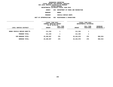**DEPARTMENTAL ESTIMATES FISCAL YEAR <sup>2016</sup>AGENCY <sup>846</sup> DEPARTMENT OF PARKS AND RECREATION**

**BOROUGH**

BRONX<br>VEHICLE REPAIR SHOPS **PROGRAM**

**VEHICLE REPAIR SHOPS**

**UNIT OF APPROPRIATION <sup>002</sup> MAINTENANCE & OPERATIONS**

|                              | FISCAL YEAR 2015<br>CURRENT MODIFIED BUDGET<br>AS OF 02/02/15 |                        | FISCAL YEAR 2016<br>DEPARTMENTAL ESTIMATES |                        |                           |
|------------------------------|---------------------------------------------------------------|------------------------|--------------------------------------------|------------------------|---------------------------|
| LOCAL SERVICE DISTRICT       | <b>AMOUNT</b>                                                 | FULL TIME<br>POSITIONS | <b>AMOUNT</b>                              | FULL TIME<br>POSITIONS | INCREASE<br>$DECREASE(-)$ |
| BRONX VEHICLE REPAIR SHOP/TS | 111,334                                                       | 1                      | 111,334                                    | ᅩ                      |                           |
| PROGRAM TOTAL:               | 111,334                                                       | 1                      | 111,334                                    | J.                     |                           |
| SUB BOROUGH TOTAL:           | 25,200,997                                                    | 376                    | 24,232,078                                 | 376                    | 968,919-                  |
| BOROUGH TOTAL:               | 25,200,997                                                    | 376                    | 24,232,078                                 | 376                    | 968,919-                  |
|                              |                                                               |                        |                                            |                        |                           |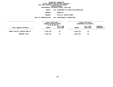**DEPARTMENTAL ESTIMATES FISCAL YEAR <sup>2016</sup>**

**AGENCY <sup>846</sup> DEPARTMENT OF PARKS AND RECREATION**

**BOROUGH**

BROOKLYN<br>FACILITY REPAIR SHOPS **PROGRAM**

 **FACILITY REPAIR SHOPS UNIT OF APPROPRIATION <sup>002</sup> MAINTENANCE & OPERATIONS**

|                               | FISCAL YEAR 2015<br>CURRENT MODIFIED BUDGET<br>AS OF 02/02/15 |                        | FISCAL YEAR 2016<br>DEPARTMENTAL ESTIMATES |                        |                                |
|-------------------------------|---------------------------------------------------------------|------------------------|--------------------------------------------|------------------------|--------------------------------|
| LOCAL SERVICE DISTRICT        | <b>AMOUNT</b>                                                 | FULL TIME<br>POSITIONS | <b>AMOUNT</b>                              | FULL TIME<br>POSITIONS | <b>INCREASE</b><br>DECREASE(-) |
| BROOK FACILITY REPAIR SHOP/TS | 3,696,120                                                     | 48                     | 3,696,120                                  | 48                     |                                |
| PROGRAM TOTAL:                | 3,696,120                                                     | 48                     | 3,696,120                                  | 48                     |                                |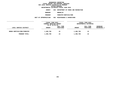**DEPARTMENTAL ESTIMATES FISCAL YEAR <sup>2016</sup>AGENCY <sup>846</sup> DEPARTMENT OF PARKS AND RECREATION**

**BOROUGH**

BROOKLYN<br>FORESTRY/HORTICULTURE **PROGRAM**

**M** FORESTRY/HORTICULTURE<br>N 002 MAINTENANCE & OPERATI

**UNIT OF APPROPRIATION <sup>002</sup> MAINTENANCE & OPERATIONS**

|                             | FISCAL YEAR 2015<br>CURRENT MODIFIED BUDGET<br>AS OF 02/02/15 |                        |               | FISCAL YEAR 2016<br>DEPARTMENTAL ESTIMATES |                         |  |
|-----------------------------|---------------------------------------------------------------|------------------------|---------------|--------------------------------------------|-------------------------|--|
| LOCAL SERVICE DISTRICT      | <b>AMOUNT</b>                                                 | FULL TIME<br>POSITIONS | <b>AMOUNT</b> | FULL TIME<br>POSITIONS                     | INCREASE<br>DECREASE(-) |  |
| BROOK HORTICULTURE/FORESTRY | 1,400,799                                                     | 23                     | 1,400,799     | 23                                         |                         |  |
| PROGRAM TOTAL:              | 1,400,799                                                     | 23                     | 1,400,799     | 23                                         |                         |  |
|                             |                                                               |                        |               |                                            |                         |  |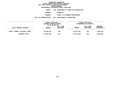**DEPARTMENTAL ESTIMATES FISCAL YEAR <sup>2016</sup>**

**AGENCY <sup>846</sup> DEPARTMENT OF PARKS AND RECREATION**

**BOROUGH**

BROOKLYN<br>PARKS & PLAYGROUND MAINTENANCE **PROGRAM**

 **PARKS & PLAYGROUND MAINTENANCE UNIT OF APPROPRIATION <sup>002</sup> MAINTENANCE & OPERATIONS**

|                                | FISCAL YEAR 2015<br>CURRENT MODIFIED BUDGET |                        |               | FISCAL YEAR 2016<br>DEPARTMENTAL ESTIMATES |                                |  |
|--------------------------------|---------------------------------------------|------------------------|---------------|--------------------------------------------|--------------------------------|--|
| LOCAL SERVICE DISTRICT         | AS OF 02/02/15<br><b>AMOUNT</b>             | FULL TIME<br>POSITIONS | <b>AMOUNT</b> | FULL TIME<br>POSITIONS                     | <b>INCREASE</b><br>DECREASE(-) |  |
| BKLYN. PARKS & PLAYGDS. MAINT. | 25,883,205                                  | 345                    | 24,276,942    | 345                                        | 1,606,263-                     |  |
| PROGRAM TOTAL:                 | 25,883,205                                  | 345                    | 24,276,942    | 345                                        | 1,606,263-                     |  |
|                                |                                             |                        |               |                                            |                                |  |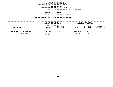**DEPARTMENTAL ESTIMATES FISCAL YEAR <sup>2016</sup>AGENCY <sup>846</sup> DEPARTMENT OF PARKS AND RECREATION**

**BOROUGH**

BROOKLYN<br>RECREATION SERVICES

**PROGRAM**

**M** RECREATION SERVICES<br>N 004 RECREATION SERVICES **UNIT OF APPROPRIATION <sup>004</sup> RECREATION SERVICES**

|                               | FISCAL YEAR 2015                          |           |               | FISCAL YEAR 2016       |                    |  |
|-------------------------------|-------------------------------------------|-----------|---------------|------------------------|--------------------|--|
|                               | CURRENT MODIFIED BUDGET<br>AS OF 02/02/15 |           |               | DEPARTMENTAL ESTIMATES |                    |  |
|                               |                                           | FULL TIME |               | FULL TIME              | <b>INCREASE</b>    |  |
| LOCAL SERVICE DISTRICT        | <b>AMOUNT</b>                             | POSITIONS | <b>AMOUNT</b> | POSITIONS              | <b>DECREASE(-)</b> |  |
|                               |                                           |           |               |                        |                    |  |
| BROOKLYN BORO-WIDE RECREATION | 3,822,864                                 | 63        | 3,822,864     | 63                     |                    |  |
|                               |                                           |           |               |                        |                    |  |
| PROGRAM TOTAL:                | 3,822,864                                 | 63        | 3,822,864     | 63                     |                    |  |
|                               |                                           |           |               |                        |                    |  |
|                               |                                           |           |               |                        |                    |  |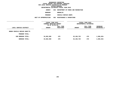**DEPARTMENTAL ESTIMATES FISCAL YEAR <sup>2016</sup>**

**AGENCY <sup>846</sup> DEPARTMENT OF PARKS AND RECREATION**

**BOROUGH**

BROOKLYN<br>VEHICLE REPAIR SHOPS **PROGRAM**

 **VEHICLE REPAIR SHOPS UNIT OF APPROPRIATION <sup>002</sup> MAINTENANCE & OPERATIONS**

|                              | FISCAL YEAR 2015<br>CURRENT MODIFIED BUDGET<br>AS OF 02/02/15 |                        | FISCAL YEAR 2016<br>DEPARTMENTAL ESTIMATES |                        |                                |
|------------------------------|---------------------------------------------------------------|------------------------|--------------------------------------------|------------------------|--------------------------------|
| LOCAL SERVICE DISTRICT       | <b>AMOUNT</b><br>--------------                               | FULL TIME<br>POSITIONS | <b>AMOUNT</b>                              | FULL TIME<br>POSITIONS | INCREASE<br><b>DECREASE(-)</b> |
| BROOK VEHICLE REPAIR SHOP/TS |                                                               |                        |                                            |                        |                                |
| PROGRAM TOTAL:               |                                                               |                        |                                            |                        |                                |
| SUB BOROUGH TOTAL:           | 34,802,988                                                    | 479                    | 33, 196, 725                               | 479                    | 1,606,263-                     |
| <b>BOROUGH TOTAL:</b>        | 34,802,988                                                    | 479                    | 33, 196, 725                               | 479                    | 1,606,263-                     |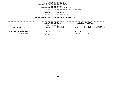**DEPARTMENTAL ESTIMATES FISCAL YEAR <sup>2016</sup>AGENCY <sup>846</sup> DEPARTMENT OF PARKS AND RECREATION**

**BOROUGH**

 **MANHATTAN PROGRAM**

 **FACILITY REPAIR SHOPS UNIT OF APPROPRIATION <sup>002</sup> MAINTENANCE & OPERATIONS**

|                              | FISCAL YEAR 2015<br>CURRENT MODIFIED BUDGET |                        |               | FISCAL YEAR 2016<br>DEPARTMENTAL ESTIMATES |                                |
|------------------------------|---------------------------------------------|------------------------|---------------|--------------------------------------------|--------------------------------|
|                              | AS OF 02/02/15                              |                        |               |                                            |                                |
| LOCAL SERVICE DISTRICT       | <b>AMOUNT</b>                               | FULL TIME<br>POSITIONS | <b>AMOUNT</b> | FULL TIME<br>POSITIONS                     | <b>INCREASE</b><br>DECREASE(-) |
|                              |                                             |                        |               |                                            |                                |
| MANH FACILITY REPAIR SHOP/TS | 2,861,156                                   | 36                     | 2,861,156     | 36                                         |                                |
| PROGRAM TOTAL:               | 2,861,156                                   | 36                     | 2,861,156     | 36                                         |                                |
|                              |                                             |                        |               |                                            |                                |
|                              |                                             |                        |               |                                            |                                |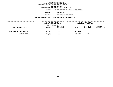**DEPARTMENTAL ESTIMATES FISCAL YEAR <sup>2016</sup>**

**AGENCY <sup>846</sup> DEPARTMENT OF PARKS AND RECREATION**

**BOROUGH**

 **MANHATTAN PROGRAM**

**M** FORESTRY/HORTICULTURE<br>N 002 MAINTENANCE & OPERATI **UNIT OF APPROPRIATION <sup>002</sup> MAINTENANCE & OPERATIONS**

|                            | FISCAL YEAR 2015<br>CURRENT MODIFIED BUDGET<br>AS OF 02/02/15 |                        |               | FISCAL YEAR 2016<br>DEPARTMENTAL ESTIMATES |                                       |
|----------------------------|---------------------------------------------------------------|------------------------|---------------|--------------------------------------------|---------------------------------------|
| LOCAL SERVICE DISTRICT     | <b>AMOUNT</b>                                                 | FULL TIME<br>POSITIONS | <b>AMOUNT</b> | FULL TIME<br>POSITIONS                     | <b>INCREASE</b><br><b>DECREASE(-)</b> |
| MANH HORTICULTURE/FORESTRY | 851,025                                                       | 15                     | 851,025       | 15                                         |                                       |
| PROGRAM TOTAL:             | 851,025                                                       | 15                     | 851,025       | 15                                         |                                       |
|                            |                                                               |                        |               |                                            |                                       |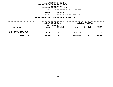**DEPARTMENTAL ESTIMATES FISCAL YEAR <sup>2016</sup>**

**AGENCY <sup>846</sup> DEPARTMENT OF PARKS AND RECREATION**

**BOROUGH**

**MANHATTAN<br>PARKS & PLAYGROUND MAINTENANCE PROGRAM**

 **PARKS & PLAYGROUND MAINTENANCE UNIT OF APPROPRIATION <sup>002</sup> MAINTENANCE & OPERATIONS**

|                                                                                                     | FISCAL YEAR 2015         |            |                          | FISCAL YEAR 2016       |                          |  |
|-----------------------------------------------------------------------------------------------------|--------------------------|------------|--------------------------|------------------------|--------------------------|--|
|                                                                                                     | CURRENT MODIFIED BUDGET  |            |                          | DEPARTMENTAL ESTIMATES |                          |  |
|                                                                                                     | AS OF 02/02/15           |            |                          |                        |                          |  |
|                                                                                                     |                          | FULL TIME  |                          | FULL TIME              | <b>INCREASE</b>          |  |
| LOCAL SERVICE DISTRICT                                                                              | <b>AMOUNT</b>            | POSITIONS  | <b>AMOUNT</b>            | POSITIONS              | DECREASE(-)              |  |
| ------------------<br>MN 8 PARKS & PLAYGDS MAINT<br>MANH. PARKS & PLAYGDS. MAINT.<br>PROGRAM TOTAL: | 24,905,303<br>24,905,303 | 347<br>347 | 23,746,788<br>23,746,788 | 347<br>347             | 1,158,515-<br>1,158,515- |  |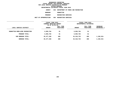**DEPARTMENTAL ESTIMATES FISCAL YEAR <sup>2016</sup>AGENCY <sup>846</sup> DEPARTMENT OF PARKS AND RECREATION**

**BOROUGH**

 **MANHATTAN PROGRAM**

**M** RECREATION SERVICES<br>N 004 RECREATION SERVICES **UNIT OF APPROPRIATION <sup>004</sup> RECREATION SERVICES**

|                                | FISCAL YEAR 2015<br>CURRENT MODIFIED BUDGET<br>AS OF 02/02/15 |                        | FISCAL YEAR 2016<br>DEPARTMENTAL ESTIMATES |                        |                           |
|--------------------------------|---------------------------------------------------------------|------------------------|--------------------------------------------|------------------------|---------------------------|
| LOCAL SERVICE DISTRICT         | <b>AMOUNT</b>                                                 | FULL TIME<br>POSITIONS | <b>AMOUNT</b>                              | FULL TIME<br>POSITIONS | INCREASE<br>$DECREASE(-)$ |
| MANHATTAN BORO-WIDE RECREATION | 6,859,784                                                     | 91                     | 6,859,784                                  | 91                     |                           |
| PROGRAM TOTAL:                 | 6,859,784                                                     | 91                     | 6,859,784                                  | 91                     |                           |
| SUB BOROUGH TOTAL:             | 35,477,268                                                    | 489                    | 34, 318, 753                               | 489                    | 1,158,515-                |
| BOROUGH TOTAL:                 | 35,477,268                                                    | 489                    | 34, 318, 753                               | 489                    | 1,158,515-                |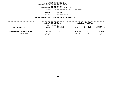**DEPARTMENTAL ESTIMATES FISCAL YEAR <sup>2016</sup>AGENCY <sup>846</sup> DEPARTMENT OF PARKS AND RECREATION**

**BOROUGH**

QUEENS<br>FACILITY REPAIR SHOPS

**PROGRAM**

 **FACILITY REPAIR SHOPS UNIT OF APPROPRIATION <sup>002</sup> MAINTENANCE & OPERATIONS**

|                                | FISCAL YEAR 2015<br>CURRENT MODIFIED BUDGET<br>AS OF 02/02/15 |                        |               | FISCAL YEAR 2016<br>DEPARTMENTAL ESTIMATES |                         |
|--------------------------------|---------------------------------------------------------------|------------------------|---------------|--------------------------------------------|-------------------------|
| LOCAL SERVICE DISTRICT         | <b>AMOUNT</b>                                                 | FULL TIME<br>POSITIONS | <b>AMOUNT</b> | FULL TIME<br>POSITIONS                     | INCREASE<br>DECREASE(-) |
| QUEENS FACILITY REPAIR SHOP/TS | 2,870,194                                                     | 36                     | 2,860,194     | 36                                         | $10,000-$               |
| PROGRAM TOTAL:                 | 2,870,194                                                     | 36                     | 2,860,194     | 36                                         | $10,000-$               |
|                                |                                                               |                        |               |                                            |                         |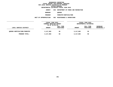**DEPARTMENTAL ESTIMATES FISCAL YEAR <sup>2016</sup>AGENCY <sup>846</sup> DEPARTMENT OF PARKS AND RECREATION**

**BOROUGH**

QUEENS<br>FORESTRY/HORTICULTURE **PROGRAM**

**M** FORESTRY/HORTICULTURE<br>N 002 MAINTENANCE & OPERATI **UNIT OF APPROPRIATION <sup>002</sup> MAINTENANCE & OPERATIONS**

|                                     | FISCAL YEAR 2015                          |           | FISCAL YEAR 2016 |                        |                    |  |
|-------------------------------------|-------------------------------------------|-----------|------------------|------------------------|--------------------|--|
|                                     | CURRENT MODIFIED BUDGET<br>AS OF 02/02/15 |           |                  | DEPARTMENTAL ESTIMATES |                    |  |
|                                     |                                           | FULL TIME |                  | FULL TIME              | INCREASE           |  |
| LOCAL SERVICE DISTRICT              | <b>AMOUNT</b>                             | POSITIONS | <b>AMOUNT</b>    | POSITIONS              | <b>DECREASE(-)</b> |  |
|                                     |                                           |           |                  |                        |                    |  |
| <b>QUEENS HORTICULTURE/FORESTRY</b> | 3,117,802                                 | 50        | 3,117,802        | 50                     |                    |  |
| PROGRAM TOTAL:                      | 3,117,802                                 | 50        | 3,117,802        | 50                     |                    |  |
|                                     |                                           |           |                  |                        |                    |  |
|                                     |                                           |           |                  |                        |                    |  |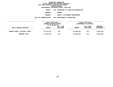**DEPARTMENTAL ESTIMATES FISCAL YEAR <sup>2016</sup>AGENCY <sup>846</sup> DEPARTMENT OF PARKS AND RECREATION**

**BOROUGH**

QUEENS<br>PARKS & PLAYGROUND MAINTENANCE **PROGRAM**

 **PARKS & PLAYGROUND MAINTENANCE UNIT OF APPROPRIATION <sup>002</sup> MAINTENANCE & OPERATIONS**

|                                | FISCAL YEAR 2015<br><b>CURRENT MODIFIED BUDGET</b><br>AS OF 02/02/15 |                        | FISCAL YEAR 2016<br>DEPARTMENTAL ESTIMATES |                        |                                |
|--------------------------------|----------------------------------------------------------------------|------------------------|--------------------------------------------|------------------------|--------------------------------|
| LOCAL SERVICE DISTRICT         | <b>AMOUNT</b>                                                        | FULL TIME<br>POSITIONS | <b>AMOUNT</b>                              | FULL TIME<br>POSITIONS | <b>INCREASE</b><br>DECREASE(-) |
| QUEENS PARKS & PLAYGDS. MAINT. | 27,274,012                                                           | 312                    | 24,890,334                                 | 312                    | 2,383,678-                     |
| PROGRAM TOTAL:                 | 27,274,012                                                           | 312                    | 24,890,334                                 | 312                    | 2,383,678-                     |
|                                |                                                                      |                        |                                            |                        |                                |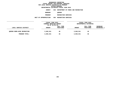**DEPARTMENTAL ESTIMATES FISCAL YEAR <sup>2016</sup>AGENCY <sup>846</sup> DEPARTMENT OF PARKS AND RECREATION**

**BOROUGH**

QUEENS<br>RECREATION SERVICES **PROGRAM**

**M** RECREATION SERVICES<br>N 004 RECREATION SERVICES **UNIT OF APPROPRIATION <sup>004</sup> RECREATION SERVICES**

|                                    | FISCAL YEAR 2015<br>CURRENT MODIFIED BUDGET<br>AS OF 02/02/15 |                        | FISCAL YEAR 2016<br>DEPARTMENTAL ESTIMATES |                        |                         |
|------------------------------------|---------------------------------------------------------------|------------------------|--------------------------------------------|------------------------|-------------------------|
| LOCAL SERVICE DISTRICT             | <b>AMOUNT</b>                                                 | FULL TIME<br>POSITIONS | <b>AMOUNT</b>                              | FULL TIME<br>POSITIONS | INCREASE<br>DECREASE(-) |
| <b>QUEENS BORO-WIDE RECREATION</b> | 3,840,541                                                     | 46                     | 3,840,541                                  | 46                     |                         |
| PROGRAM TOTAL:                     | 3,840,541                                                     | 46                     | 3,840,541                                  | 46                     |                         |
|                                    |                                                               |                        |                                            |                        |                         |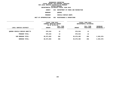**DEPARTMENTAL ESTIMATES FISCAL YEAR <sup>2016</sup>AGENCY <sup>846</sup> DEPARTMENT OF PARKS AND RECREATION**

**BOROUGH**

QUEENS<br>VEHICLE REPAIR SHOPS **PROGRAM**

 **VEHICLE REPAIR SHOPS UNIT OF APPROPRIATION <sup>002</sup> MAINTENANCE & OPERATIONS**

|                               | FISCAL YEAR 2015<br>CURRENT MODIFIED BUDGET<br>AS OF 02/02/15 |                        | FISCAL YEAR 2016<br>DEPARTMENTAL ESTIMATES |                        |                           |
|-------------------------------|---------------------------------------------------------------|------------------------|--------------------------------------------|------------------------|---------------------------|
| LOCAL SERVICE DISTRICT        | <b>AMOUNT</b>                                                 | FULL TIME<br>POSITIONS | <b>AMOUNT</b>                              | FULL TIME<br>POSITIONS | INCREASE<br>$DECREASE(-)$ |
| QUEENS VEHICLE REPAIR SHOP/TS | 970,534                                                       | 12                     | 970,534                                    | 12                     |                           |
| PROGRAM TOTAL:                | 970,534                                                       | 12                     | 970,534                                    | 12                     |                           |
| SUB BOROUGH TOTAL:            | 38,073,083                                                    | 456                    | 35,679,405                                 | 456                    | 2,393,678-                |
| BOROUGH TOTAL:                | 38,073,083                                                    | 456                    | 35,679,405                                 | 456                    | 2,393,678-                |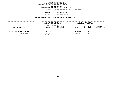**DEPARTMENTAL ESTIMATES FISCAL YEAR <sup>2016</sup>**

**AGENCY <sup>846</sup> DEPARTMENT OF PARKS AND RECREATION**

**BOROUGH**

 **STATEN ISLAND PROGRAM**

 **FACILITY REPAIR SHOPS UNIT OF APPROPRIATION <sup>002</sup> MAINTENANCE & OPERATIONS**

|                            | FISCAL YEAR 2015<br>CURRENT MODIFIED BUDGET<br>AS OF 02/02/15 |                        | FISCAL YEAR 2016<br>DEPARTMENTAL ESTIMATES |                        |                         |
|----------------------------|---------------------------------------------------------------|------------------------|--------------------------------------------|------------------------|-------------------------|
| LOCAL SERVICE DISTRICT     | <b>AMOUNT</b>                                                 | FULL TIME<br>POSITIONS | <b>AMOUNT</b>                              | FULL TIME<br>POSITIONS | INCREASE<br>DECREASE(-) |
| ST ISLD FAC REPAIR SHOP/TS | 1,855,240                                                     | 22                     | 1,855,240                                  | 22                     |                         |
| PROGRAM TOTAL:             | 1,855,240                                                     | 22                     | 1,855,240                                  | 22                     |                         |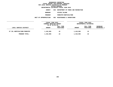**DEPARTMENTAL ESTIMATES FISCAL YEAR <sup>2016</sup>**

**AGENCY <sup>846</sup> DEPARTMENT OF PARKS AND RECREATION**

**BOROUGH**

 **STATEN ISLAND PROGRAM**

**M** FORESTRY/HORTICULTURE<br>N 002 MAINTENANCE & OPERATI **UNIT OF APPROPRIATION <sup>002</sup> MAINTENANCE & OPERATIONS**

| <b>INCREASE</b><br>FULL TIME<br>DECREASE(-)<br>POSITIONS<br><b>AMOUNT</b> |  |
|---------------------------------------------------------------------------|--|
|                                                                           |  |
| 22<br>1,418,965                                                           |  |
| 22<br>1,418,965                                                           |  |
|                                                                           |  |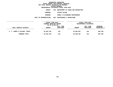**DEPARTMENTAL ESTIMATES FISCAL YEAR <sup>2016</sup>AGENCY <sup>846</sup> DEPARTMENT OF PARKS AND RECREATION**

**BOROUGH**

 **STATEN ISLAND PROGRAM**

 **PARKS & PLAYGROUND MAINTENANCE UNIT OF APPROPRIATION <sup>002</sup> MAINTENANCE & OPERATIONS**

|                               | FISCAL YEAR 2015<br>CURRENT MODIFIED BUDGET<br>AS OF 02/02/15 |                        | FISCAL YEAR 2016<br>DEPARTMENTAL ESTIMATES |                        |                                |
|-------------------------------|---------------------------------------------------------------|------------------------|--------------------------------------------|------------------------|--------------------------------|
| LOCAL SERVICE DISTRICT        | <b>AMOUNT</b>                                                 | FULL TIME<br>POSITIONS | <b>AMOUNT</b>                              | FULL TIME<br>POSITIONS | <b>INCREASE</b><br>DECREASE(-) |
| S. I. PARKS & PLAYGDS. MAINT. | 10,635,766                                                    | 154                    | 10,285,997                                 | 154                    | 349,769-                       |
| PROGRAM TOTAL:                | 10,635,766                                                    | 154                    | 10,285,997                                 | 154                    | 349,769-                       |
|                               |                                                               |                        |                                            |                        |                                |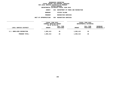**DEPARTMENTAL ESTIMATES FISCAL YEAR <sup>2016</sup>AGENCY <sup>846</sup> DEPARTMENT OF PARKS AND RECREATION**

**BOROUGH**

 **STATEN ISLAND PROGRAM**

**M** RECREATION SERVICES<br>N 004 RECREATION SERVICES **UNIT OF APPROPRIATION <sup>004</sup> RECREATION SERVICES**

|                           | FISCAL YEAR 2015<br>CURRENT MODIFIED BUDGET<br>AS OF 02/02/15 |                        | FISCAL YEAR 2016<br>DEPARTMENTAL ESTIMATES |                        |                                |
|---------------------------|---------------------------------------------------------------|------------------------|--------------------------------------------|------------------------|--------------------------------|
| LOCAL SERVICE DISTRICT    | <b>AMOUNT</b>                                                 | FULL TIME<br>POSITIONS | <b>AMOUNT</b>                              | FULL TIME<br>POSITIONS | <b>INCREASE</b><br>DECREASE(-) |
| S.I. BORO-WIDE RECREATION | 1,803,413                                                     | 26                     | 1,803,413                                  | 26                     |                                |
| PROGRAM TOTAL:            | 1,803,413                                                     | 26                     | 1,803,413                                  | 26                     |                                |
|                           |                                                               |                        |                                            |                        |                                |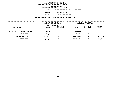**DEPARTMENTAL ESTIMATES FISCAL YEAR <sup>2016</sup>AGENCY <sup>846</sup> DEPARTMENT OF PARKS AND RECREATION**

**BOROUGH**

 **STATEN ISLAND PROGRAM**

 **VEHICLE REPAIR SHOPS UNIT OF APPROPRIATION <sup>002</sup> MAINTENANCE & OPERATIONS**

|                                | FISCAL YEAR 2015<br>CURRENT MODIFIED BUDGET<br>AS OF 02/02/15 |                        | FISCAL YEAR 2016<br>DEPARTMENTAL ESTIMATES |                        |                           |
|--------------------------------|---------------------------------------------------------------|------------------------|--------------------------------------------|------------------------|---------------------------|
| LOCAL SERVICE DISTRICT         | <b>AMOUNT</b>                                                 | FULL TIME<br>POSITIONS | <b>AMOUNT</b>                              | FULL TIME<br>POSITIONS | INCREASE<br>$DECREASE(-)$ |
| ST ISLD VEHICLE REPAIR SHOP/TS | 490,879                                                       | 5                      | 490,879                                    | 5                      |                           |
| PROGRAM TOTAL:                 | 490,879                                                       | 5                      | 490,879                                    | 5                      |                           |
| SUB BOROUGH TOTAL:             | 16,204,263                                                    | 229                    | 15,854,494                                 | 229                    | 349,769-                  |
| BOROUGH TOTAL:                 | 16,204,263                                                    | 229                    | 15,854,494                                 | 229                    | 349,769-                  |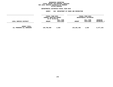## GEOGRAPHIC REPORTING<br>FISCAL REPORT FOR PERSONAL SERVICES<br>OCAL SERVICE DISTRICTS BY PROGRAM<br>WITHIN BOROUGH **FISCAL REPORT FOR PERSONAL SERVICES FOR LOCAL SERVICE DISTRICTS BY PROGRAM**

# **WITHIN BOROUGH DEPARTMENTAL ESTIMATES FISCAL YEAR <sup>2016</sup>**

# **AGENCY <sup>846</sup> DEPARTMENT OF PARKS AND RECREATION**

|                                                   | FISCAL YEAR 2015<br>CURRENT MODIFIED BUDGET<br>AS OF 02/02/15 |                               | <b>FISCAL YEAR 2016</b><br>DEPARTMENTAL ESTIMATES |                        |                         |
|---------------------------------------------------|---------------------------------------------------------------|-------------------------------|---------------------------------------------------|------------------------|-------------------------|
| LOCAL SERVICE DISTRICT                            | <b>AMOUNT</b>                                                 | <b>FULL TIME</b><br>POSITIONS | <b>AMOUNT</b>                                     | FULL TIME<br>POSITIONS | INCREASE<br>DECREASE(-) |
| <b>AGENCY TOTAL:</b><br>ALL PROGRAMS ALL BOROUGHS | 149,758,599                                                   | 2,029                         | 143,281,455                                       | 2,029                  | 6,477,144-              |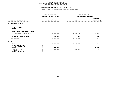#### **DEPARTMENTAL ESTIMATES FISCAL YEAR 2016**

**DEPARTMENTAL ESTIMATES FISCAL YEAR <sup>2016</sup>**

|                                                                       | <b>AGENCY:</b><br>846 DEPARTMENT OF PARKS AND RECREATION |                                            |                                 |
|-----------------------------------------------------------------------|----------------------------------------------------------|--------------------------------------------|---------------------------------|
|                                                                       | FISCAL YEAR 2015<br>CURRENT MODIFIED BUDGET              | FISCAL YEAR 2016<br>DEPARTMENTAL ESTIMATES |                                 |
| UNIT OF APPROPRIATION                                                 | AS OF 02/02/15                                           | <b>AMOUNT</b>                              | <b>INCREASE</b><br>DECREASE (-) |
| EXEC MGMT & ADMIN<br>001                                              |                                                          |                                            |                                 |
| REGULAR GROSS<br><b>OTHER</b>                                         |                                                          |                                            |                                 |
| TOTAL REPORTED GEOGRAPHICALLY                                         |                                                          |                                            |                                 |
| NOT REPORTED GEOGRAPHICALLY                                           | 8,106,493                                                | 8,082,813                                  | $23,680-$                       |
| FINANCIAL PLAN SAVINGS                                                | 43,695                                                   | 58,863                                     | 15,168                          |
| <b>APPROPRIATION</b>                                                  | 8,150,188                                                | 8,141,676                                  | $8,512-$                        |
| <b>FUNDING</b>                                                        |                                                          |                                            |                                 |
| <b>CITY</b><br>OTHER CATEGORICAL<br>CAPITAL FUNDS - I.F.A.            | 7,432,984                                                | 7,448,152                                  | 15,168                          |
| <b>STATE</b><br>FEDERAL - C.D.<br>FEDERAL - OTHER<br>INTRA-CITY SALES | 23,585<br>693,619                                        | 693,524                                    | $23,585-$<br>$95 -$             |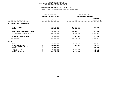#### **DEPARTMENTAL ESTIMATES FISCAL YEAR 2016**

**DEPARTMENTAL ESTIMATES FISCAL YEAR <sup>2016</sup>AGENCY: <sup>846</sup> DEPARTMENT OF PARKS AND RECREATION**

|                                 | FISCAL YEAR 2015<br><b>CURRENT MODIFIED BUDGET</b> | FISCAL YEAR 2016<br>DEPARTMENTAL ESTIMATES |                 |  |
|---------------------------------|----------------------------------------------------|--------------------------------------------|-----------------|--|
|                                 |                                                    |                                            | <b>INCREASE</b> |  |
| UNIT OF APPROPRIATION           | AS OF 02/02/15                                     | <b>AMOUNT</b>                              | DECREASE (-)    |  |
| MAINTENANCE & OPERATIONS<br>002 |                                                    |                                            |                 |  |
| REGULAR GROSS<br><b>OTHER</b>   | 116,025,256<br>14,754,303                          | 109,548,112<br>14,754,303                  | $6,477,144-$    |  |
| TOTAL REPORTED GEOGRAPHICALLY   | 130,779,559                                        | 124,302,415                                | $6,477,144-$    |  |
| NOT REPORTED GEOGRAPHICALLY     | 137,213,524                                        | 113,087,425                                | 24,126,099-     |  |
| FINANCIAL PLAN SAVINGS          | 5,981,045                                          | 15,006,483                                 | 9,025,438       |  |
| <b>APPROPRIATION</b>            | 273,974,128                                        | 252,396,323                                | 21,577,805-     |  |
| <b>FUNDING</b>                  |                                                    |                                            |                 |  |
| <b>CITY</b>                     | 212,239,437                                        | 211,397,744                                | 841,693-        |  |
| OTHER CATEGORICAL               | 10,470,828                                         | 580,000                                    | 9,890,828-      |  |
| CAPITAL FUNDS - I.F.A.          |                                                    |                                            |                 |  |
| <b>STATE</b>                    | 1,222,771                                          |                                            | 1,222,771-      |  |
| FEDERAL - C.D.                  | 1,535,992                                          | 1,504,532                                  | $31,460-$       |  |
| FEDERAL - OTHER                 | 681,196                                            |                                            | 681,196-        |  |
| <b>INTRA-CITY SALES</b>         | 47,823,904                                         | 38,914,047                                 | 8,909,857-      |  |
|                                 |                                                    |                                            |                 |  |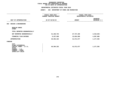#### **DEPARTMENTAL ESTIMATES FISCAL YEAR 2016**

**DEPARTMENTAL ESTIMATES FISCAL YEAR <sup>2016</sup>**

|                                                                                                                              | <b>AGENCY:</b><br>846 DEPARTMENT OF PARKS AND RECREATION |                                            |                                 |
|------------------------------------------------------------------------------------------------------------------------------|----------------------------------------------------------|--------------------------------------------|---------------------------------|
|                                                                                                                              | FISCAL YEAR 2015<br>CURRENT MODIFIED BUDGET              | FISCAL YEAR 2016<br>DEPARTMENTAL ESTIMATES |                                 |
| UNIT OF APPROPRIATION                                                                                                        | AS OF 02/02/15                                           | <b>AMOUNT</b>                              | <b>INCREASE</b><br>DECREASE (-) |
| DESIGN & ENGINEERING<br>003                                                                                                  |                                                          |                                            |                                 |
| REGULAR GROSS<br><b>OTHER</b>                                                                                                |                                                          |                                            |                                 |
| TOTAL REPORTED GEOGRAPHICALLY                                                                                                |                                                          |                                            |                                 |
| NOT REPORTED GEOGRAPHICALLY                                                                                                  | 31,166,754                                               | 27,747,109                                 | $3,419,645-$                    |
| FINANCIAL PLAN SAVINGS                                                                                                       | 9,227,568                                                | 13,824,568                                 | 4,597,000                       |
| <b>APPROPRIATION</b>                                                                                                         | 40,394,322                                               | 41,571,677                                 | 1,177,355                       |
| <b>FUNDING</b>                                                                                                               |                                                          |                                            |                                 |
| CITY<br>OTHER CATEGORICAL<br>CAPITAL FUNDS - I.F.A.<br><b>STATE</b><br>FEDERAL - C.D.<br>FEDERAL - OTHER<br>INTRA-CITY SALES | 40,394,322                                               | 41,571,677                                 | 1,177,355                       |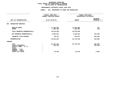#### **DEPARTMENTAL ESTIMATES FISCAL YEAR 2016**

# **DEPARTMENTAL ESTIMATES FISCAL YEAR <sup>2016</sup>AGENCY: <sup>846</sup> DEPARTMENT OF PARKS AND RECREATION**

|                                                                                                                 | FISCAL YEAR 2015<br><b>CURRENT MODIFIED BUDGET</b> |                         | FISCAL YEAR 2016<br>DEPARTMENTAL ESTIMATES |                                   |
|-----------------------------------------------------------------------------------------------------------------|----------------------------------------------------|-------------------------|--------------------------------------------|-----------------------------------|
| UNIT OF APPROPRIATION                                                                                           |                                                    | AS OF 02/02/15          | <b>AMOUNT</b>                              | <b>INCREASE</b><br>DECREASE $(-)$ |
| RECREATION SERVICES<br>004                                                                                      |                                                    |                         |                                            |                                   |
| REGULAR GROSS<br><b>OTHER</b>                                                                                   |                                                    | 17,483,940<br>1,495,100 | 17,484,056<br>1,494,984                    | 116<br>$116 -$                    |
| TOTAL REPORTED GEOGRAPHICALLY                                                                                   |                                                    | 18,979,040              | 18,979,040                                 |                                   |
| NOT REPORTED GEOGRAPHICALLY                                                                                     |                                                    | 5,583,543               | 5,150,313                                  | 433,230-                          |
| FINANCIAL PLAN SAVINGS                                                                                          |                                                    | 60,241                  | 614,077                                    | 553,836                           |
| <b>APPROPRIATION</b>                                                                                            |                                                    | 24,622,824              | 24,743,430                                 | 120,606                           |
| FUNDING                                                                                                         |                                                    |                         |                                            |                                   |
| <b>CITY</b><br>OTHER CATEGORICAL<br>CAPITAL FUNDS - I.F.A.<br><b>STATE</b><br>FEDERAL - C.D.<br>FEDERAL - OTHER |                                                    | 24, 167, 216<br>430,368 | 24,719,752                                 | 552,536<br>430,368-               |
| INTRA-CITY SALES                                                                                                |                                                    | 25,240                  | 23,678                                     | $1,562-$                          |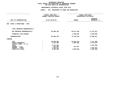**DEPARTMENTAL ESTIMATES FISCAL YEAR <sup>2016</sup>**

| <b>AGENCY:</b><br>846 DEPARTMENT OF PARKS AND RECREATION |                                                             |                                                 |                                                                          |
|----------------------------------------------------------|-------------------------------------------------------------|-------------------------------------------------|--------------------------------------------------------------------------|
| FISCAL YEAR 2015<br><b>CURRENT MODIFIED BUDGET</b>       |                                                             | FISCAL YEAR 2016<br>DEPARTMENTAL ESTIMATES      |                                                                          |
| AS OF 02/02/15                                           |                                                             | <b>AMOUNT</b>                                   | <b>INCREASE</b><br>DECREASE (-)                                          |
|                                                          |                                                             |                                                 |                                                                          |
|                                                          |                                                             |                                                 |                                                                          |
|                                                          |                                                             | 66,671,849                                      | 17, 427, 917-                                                            |
|                                                          |                                                             | 4,038,000                                       | 4,038,000                                                                |
|                                                          |                                                             | 70,709,849                                      | 13,389,917-                                                              |
|                                                          |                                                             |                                                 |                                                                          |
|                                                          | 5,512,409<br>2,011,409<br>261,997<br>2,043,461<br>5,305,506 | 64,847,516<br>1,800,336<br>261,997<br>3,800,000 | 4, 117, 468-<br>3,712,073-<br>$2,011,409-$<br>$2,043,461-$<br>1,505,506- |
|                                                          |                                                             | 84,099,766<br>84,099,766<br>68,964,984          |                                                                          |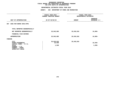**DEPARTMENTAL ESTIMATES FISCAL YEAR <sup>2016</sup>AGENCY: <sup>846</sup> DEPARTMENT OF PARKS AND RECREATION**

|                                                                                                                              | FISCAL YEAR 2015<br>CURRENT MODIFIED BUDGET | FISCAL YEAR 2016<br>DEPARTMENTAL ESTIMATES |                                 |
|------------------------------------------------------------------------------------------------------------------------------|---------------------------------------------|--------------------------------------------|---------------------------------|
| UNIT OF APPROPRIATION                                                                                                        | AS OF 02/02/15                              | <b>AMOUNT</b>                              | <b>INCREASE</b><br>DECREASE (-) |
| EXEC MGT/ADMIN SVCS-OTPS<br>007                                                                                              |                                             |                                            |                                 |
| TOTAL REPORTED GEOGRAPHICALLY                                                                                                |                                             |                                            |                                 |
| NOT REPORTED GEOGRAPHICALLY                                                                                                  | 25,943,685                                  | 25,918,816                                 | 24,869-                         |
| FINANCIAL PLAN SAVINGS                                                                                                       |                                             |                                            |                                 |
| <b>APPROPRIATION</b>                                                                                                         | 25,943,685                                  | 25,918,816                                 | 24,869-                         |
| <b>FUNDING</b>                                                                                                               |                                             |                                            |                                 |
| CITY<br>OTHER CATEGORICAL<br>CAPITAL FUNDS - I.F.A.<br><b>STATE</b><br>FEDERAL - C.D.<br>FEDERAL - OTHER<br>INTRA-CITY SALES | 25,918,816<br>22,939<br>1,930               | 25,918,816                                 | $22,939-$<br>$1,930-$           |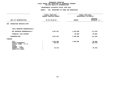**DEPARTMENTAL ESTIMATES FISCAL YEAR <sup>2016</sup>AGENCY: <sup>846</sup> DEPARTMENT OF PARKS AND RECREATION**

|                                                                                                                                     | FISCAL YEAR 2015<br>CURRENT MODIFIED BUDGET | FISCAL YEAR 2016<br>DEPARTMENTAL ESTIMATES |                                 |  |
|-------------------------------------------------------------------------------------------------------------------------------------|---------------------------------------------|--------------------------------------------|---------------------------------|--|
| UNIT OF APPROPRIATION                                                                                                               | AS OF 02/02/15                              | <b>AMOUNT</b>                              | <b>INCREASE</b><br>DECREASE (-) |  |
| RECREATION SERVICES-OTPS<br>009                                                                                                     |                                             |                                            |                                 |  |
| TOTAL REPORTED GEOGRAPHICALLY                                                                                                       |                                             |                                            |                                 |  |
| NOT REPORTED GEOGRAPHICALLY                                                                                                         | 1,697,551                                   | 1,525,906                                  | 171,645-                        |  |
| FINANCIAL PLAN SAVINGS                                                                                                              |                                             | 60,000                                     | 60,000                          |  |
| <b>APPROPRIATION</b>                                                                                                                | 1,697,551                                   | 1,585,906                                  | 111,645-                        |  |
| FUNDING                                                                                                                             |                                             |                                            |                                 |  |
| <b>CITY</b><br>OTHER CATEGORICAL<br>CAPITAL FUNDS - I.F.A.<br><b>STATE</b><br>FEDERAL - C.D.<br>FEDERAL - OTHER<br>INTRA-CITY SALES | 1,525,906<br>136,229<br>35,416              | 1,585,906                                  | 60,000<br>136,229-<br>$35,416-$ |  |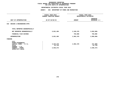**DEPARTMENTAL ESTIMATES FISCAL YEAR <sup>2016</sup>**

|                                                                                                                                     | <b>AGENCY:</b><br>846 DEPARTMENT OF PARKS AND RECREATION |                                            |                                     |  |
|-------------------------------------------------------------------------------------------------------------------------------------|----------------------------------------------------------|--------------------------------------------|-------------------------------------|--|
|                                                                                                                                     | FISCAL YEAR 2015<br>CURRENT MODIFIED BUDGET              | FISCAL YEAR 2016<br>DEPARTMENTAL ESTIMATES |                                     |  |
| UNIT OF APPROPRIATION                                                                                                               | AS OF 02/02/15                                           | <b>AMOUNT</b>                              | <b>INCREASE</b><br>DECREASE (-)     |  |
| DESIGN & ENGINEERING-OTPS<br>010                                                                                                    |                                                          |                                            |                                     |  |
| TOTAL REPORTED GEOGRAPHICALLY                                                                                                       |                                                          |                                            |                                     |  |
| NOT REPORTED GEOGRAPHICALLY                                                                                                         | 5,821,484                                                | 2,169,478                                  | $3,652,006 -$                       |  |
| FINANCIAL PLAN SAVINGS                                                                                                              |                                                          | 793,000                                    | 793,000                             |  |
| <b>APPROPRIATION</b>                                                                                                                | 5,821,484                                                | 2,962,478                                  | 2,859,006-                          |  |
| <b>FUNDING</b>                                                                                                                      |                                                          |                                            |                                     |  |
| <b>CITY</b><br>OTHER CATEGORICAL<br>CAPITAL FUNDS - I.F.A.<br><b>STATE</b><br>FEDERAL - C.D.<br>FEDERAL - OTHER<br>INTRA-CITY SALES | 3,233,478<br>51,734<br>2,536,272                         | 2,962,478                                  | 271,000-<br>$51,734-$<br>2,536,272- |  |